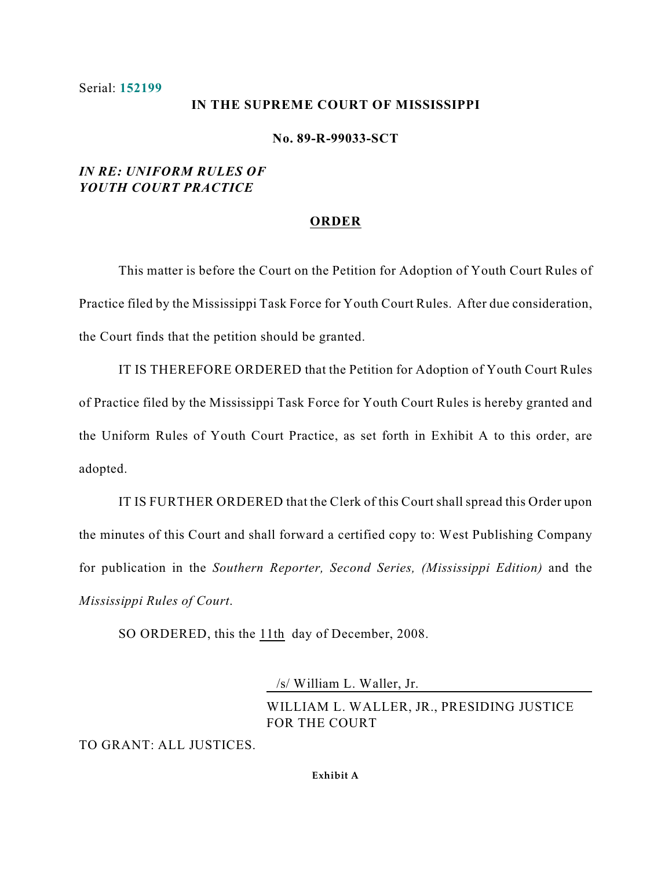# **IN THE SUPREME COURT OF MISSISSIPPI**

# **No. 89-R-99033-SCT**

# *IN RE: UNIFORM RULES OF YOUTH COURT PRACTICE*

# **ORDER**

This matter is before the Court on the Petition for Adoption of Youth Court Rules of Practice filed by the Mississippi Task Force for Youth Court Rules. After due consideration, the Court finds that the petition should be granted.

IT IS THEREFORE ORDERED that the Petition for Adoption of Youth Court Rules of Practice filed by the Mississippi Task Force for Youth Court Rules is hereby granted and the Uniform Rules of Youth Court Practice, as set forth in Exhibit A to this order, are adopted.

IT IS FURTHER ORDERED that the Clerk of this Court shall spread this Order upon the minutes of this Court and shall forward a certified copy to: West Publishing Company for publication in the *Southern Reporter, Second Series, (Mississippi Edition)* and the *Mississippi Rules of Court*.

SO ORDERED, this the 11th day of December, 2008.

/s/ William L. Waller, Jr.

WILLIAM L. WALLER, JR., PRESIDING JUSTICE FOR THE COURT

TO GRANT: ALL JUSTICES.

# **Exhibit A**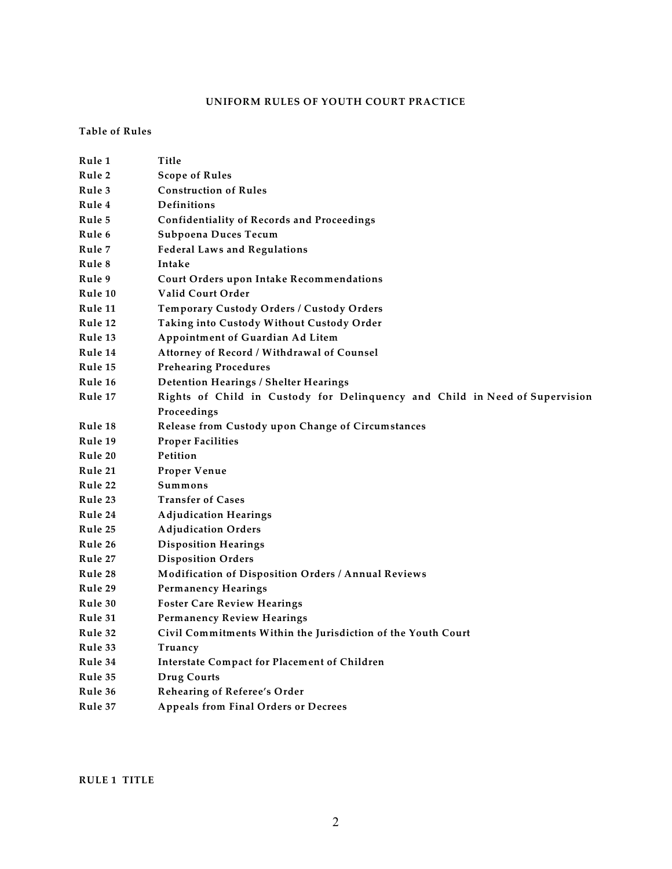# **UNIFORM RULES OF YOUTH COURT PRACTICE**

# **Table of Rules**

| Rule 1  | Title                                                                       |
|---------|-----------------------------------------------------------------------------|
| Rule 2  | <b>Scope of Rules</b>                                                       |
| Rule 3  | <b>Construction of Rules</b>                                                |
| Rule 4  | <b>Definitions</b>                                                          |
| Rule 5  | <b>Confidentiality of Records and Proceedings</b>                           |
| Rule 6  | Subpoena Duces Tecum                                                        |
| Rule 7  | <b>Federal Laws and Regulations</b>                                         |
| Rule 8  | Intake                                                                      |
| Rule 9  | Court Orders upon Intake Recommendations                                    |
| Rule 10 | Valid Court Order                                                           |
| Rule 11 | Temporary Custody Orders / Custody Orders                                   |
| Rule 12 | Taking into Custody Without Custody Order                                   |
| Rule 13 | Appointment of Guardian Ad Litem                                            |
| Rule 14 | Attorney of Record / Withdrawal of Counsel                                  |
| Rule 15 | <b>Prehearing Procedures</b>                                                |
| Rule 16 | Detention Hearings / Shelter Hearings                                       |
| Rule 17 | Rights of Child in Custody for Delinquency and Child in Need of Supervision |
|         | Proceedings                                                                 |
| Rule 18 | Release from Custody upon Change of Circumstances                           |
| Rule 19 | <b>Proper Facilities</b>                                                    |
| Rule 20 | Petition                                                                    |
| Rule 21 | <b>Proper Venue</b>                                                         |
| Rule 22 | <b>Summons</b>                                                              |
| Rule 23 | <b>Transfer of Cases</b>                                                    |
| Rule 24 | <b>Adjudication Hearings</b>                                                |
| Rule 25 | <b>Adjudication Orders</b>                                                  |
| Rule 26 | <b>Disposition Hearings</b>                                                 |
| Rule 27 | <b>Disposition Orders</b>                                                   |
| Rule 28 | Modification of Disposition Orders / Annual Reviews                         |
| Rule 29 | <b>Permanency Hearings</b>                                                  |
| Rule 30 | <b>Foster Care Review Hearings</b>                                          |
| Rule 31 | <b>Permanency Review Hearings</b>                                           |
| Rule 32 | Civil Commitments Within the Jurisdiction of the Youth Court                |
| Rule 33 | Truancy                                                                     |
| Rule 34 | <b>Interstate Compact for Placement of Children</b>                         |
| Rule 35 | <b>Drug Courts</b>                                                          |
| Rule 36 | Rehearing of Referee's Order                                                |
| Rule 37 | <b>Appeals from Final Orders or Decrees</b>                                 |

**RULE 1 TITLE**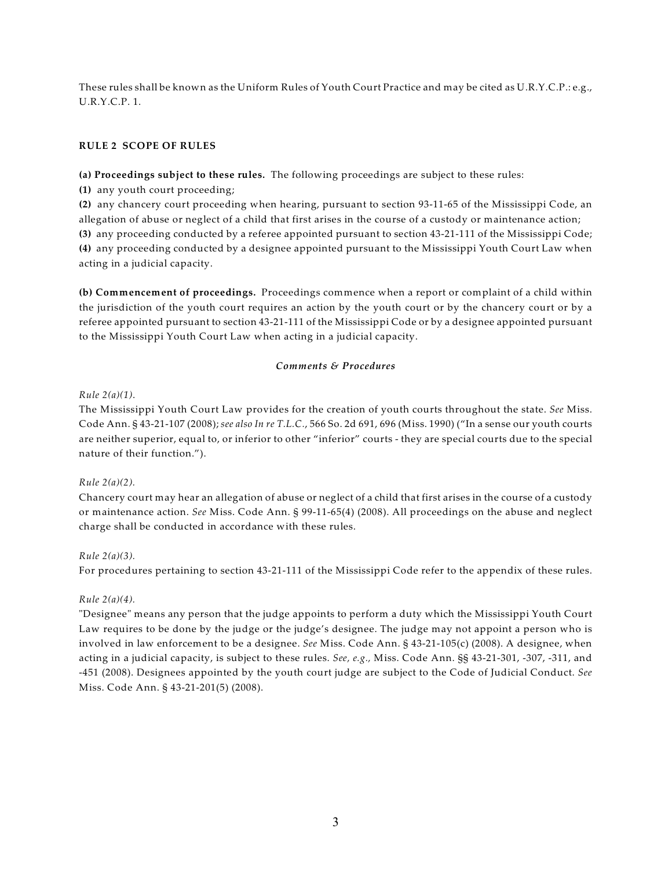These rules shall be known as the Uniform Rules of Youth Court Practice and may be cited as U.R.Y.C.P.: e.g., U.R.Y.C.P. 1.

## **RULE 2 SCOPE OF RULES**

### **(a) Proceedings subject to these rules.** The following proceedings are subject to these rules:

**(1)** any youth court proceeding;

**(2)** any chancery court proceeding when hearing, pursuant to section 93-11-65 of the Mississippi Code, an allegation of abuse or neglect of a child that first arises in the course of a custody or maintenance action; **(3)** any proceeding conducted by a referee appointed pursuant to section 43-21-111 of the Mississippi Code;

**(4)** any proceeding conducted by a designee appointed pursuant to the Mississippi Youth Court Law when acting in a judicial capacity.

**(b) Commencement of proceedings.** Proceedings commence when a report or complaint of a child within the jurisdiction of the youth court requires an action by the youth court or by the chancery court or by a referee appointed pursuant to section 43-21-111 of the Mississippi Code or by a designee appointed pursuant to the Mississippi Youth Court Law when acting in a judicial capacity.

## *Comments & Procedures*

#### *Rule 2(a)(1)*.

The Mississippi Youth Court Law provides for the creation of youth courts throughout the state. *See* Miss. Code Ann. § 43-21-107 (2008); *see also In re T.L.C.*, 566 So. 2d 691, 696 (Miss. 1990) ("In a sense our youth courts are neither superior, equal to, or inferior to other "inferior" courts - they are special courts due to the special nature of their function.").

## *Rule 2(a)(2).*

Chancery court may hear an allegation of abuse or neglect of a child that first arises in the course of a custody or maintenance action. *See* Miss. Code Ann. § 99-11-65(4) (2008). All proceedings on the abuse and neglect charge shall be conducted in accordance with these rules.

#### *Rule 2(a)(3).*

For procedures pertaining to section 43-21-111 of the Mississippi Code refer to the appendix of these rules.

# *Rule 2(a)(4).*

"Designee" means any person that the judge appoints to perform a duty which the Mississippi Youth Court Law requires to be done by the judge or the judge's designee. The judge may not appoint a person who is involved in law enforcement to be a designee. *See* Miss. Code Ann. § 43-21-105(c) (2008). A designee, when acting in a judicial capacity, is subject to these rules. *See, e.g.,* Miss. Code Ann. §§ 43-21-301, -307, -311, and -451 (2008). Designees appointed by the youth court judge are subject to the Code of Judicial Conduct. *See* Miss. Code Ann. § 43-21-201(5) (2008).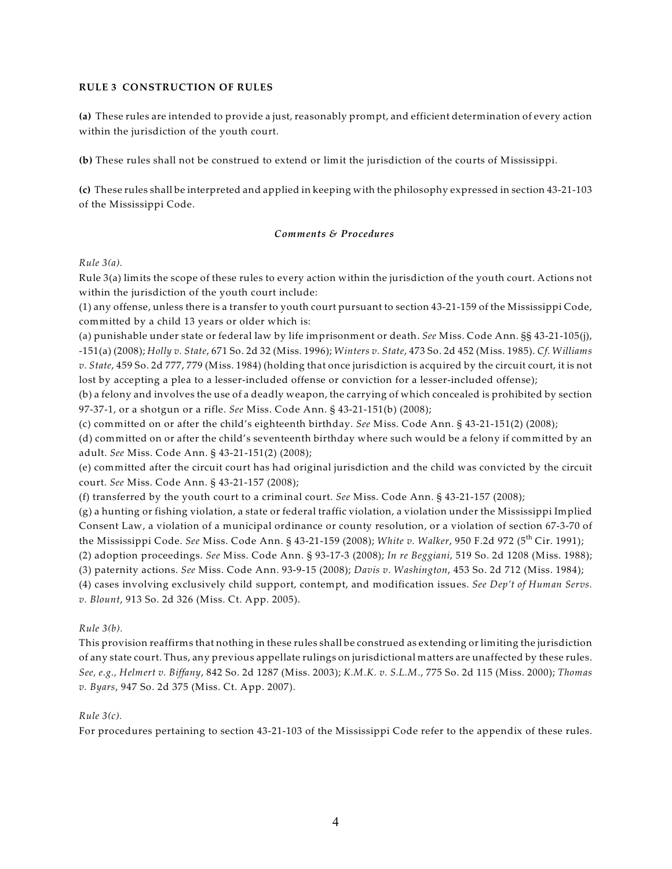## **RULE 3 CONSTRUCTION OF RULES**

**(a)** These rules are intended to provide a just, reasonably prompt, and efficient determination of every action within the jurisdiction of the youth court.

**(b)** These rules shall not be construed to extend or limit the jurisdiction of the courts of Mississippi.

**(c)** These rules shall be interpreted and applied in keeping with the philosophy expressed in section 43-21-103 of the Mississippi Code.

## *Comments & Procedures*

## *Rule 3(a).*

Rule 3(a) limits the scope of these rules to every action within the jurisdiction of the youth court. Actions not within the jurisdiction of the youth court include:

(1) any offense, unless there is a transfer to youth court pursuant to section 43-21-159 of the Mississippi Code, committed by a child 13 years or older which is:

(a) punishable under state or federal law by life imprisonment or death. *See* Miss. Code Ann. §§ 43-21-105(j), -151(a) (2008); *Holly v. State*, 671 So. 2d 32 (Miss. 1996); *Winters v. State*, 473 So. 2d 452 (Miss. 1985). *Cf. Williams v. State*, 459 So. 2d 777, 779 (Miss. 1984) (holding that once jurisdiction is acquired by the circuit court, it is not lost by accepting a plea to a lesser-included offense or conviction for a lesser-included offense);

(b) a felony and involves the use of a deadly weapon, the carrying of which concealed is prohibited by section 97-37-1, or a shotgun or a rifle. *See* Miss. Code Ann. § 43-21-151(b) (2008);

(c) committed on or after the child's eighteenth birthday. *See* Miss. Code Ann. § 43-21-151(2) (2008);

(d) committed on or after the child's seventeenth birthday where such would be a felony if committed by an adult. *See* Miss. Code Ann. § 43-21-151(2) (2008);

(e) committed after the circuit court has had original jurisdiction and the child was convicted by the circuit court. *See* Miss. Code Ann. § 43-21-157 (2008);

(f) transferred by the youth court to a criminal court. *See* Miss. Code Ann. § 43-21-157 (2008);

(g) a hunting or fishing violation, a state or federal traffic violation, a violation under the Mississippi Implied Consent Law, a violation of a municipal ordinance or county resolution, or a violation of section 67-3-70 of the Mississippi Code. *See Miss. Code Ann.* § 43-21-159 (2008); *White v. Walker*, 950 F.2d 972 (5<sup>th</sup> Cir. 1991);

(2) adoption proceedings. *See* Miss. Code Ann. § 93-17-3 (2008); *In re Beggiani*, 519 So. 2d 1208 (Miss. 1988);

(3) paternity actions. *See* Miss. Code Ann. 93-9-15 (2008); *Davis v. Washington*, 453 So. 2d 712 (Miss. 1984);

(4) cases involving exclusively child support, contempt, and modification issues. *See Dep't of Human Servs. v. Blount*, 913 So. 2d 326 (Miss. Ct. App. 2005).

*Rule 3(b).*

This provision reaffirms that nothing in these rules shall be construed as extending or limiting the jurisdiction of any state court. Thus, any previous appellate rulings on jurisdictional matters are unaffected by these rules. *See, e.g., Helmert v. Biffany*, 842 So. 2d 1287 (Miss. 2003); *K.M.K. v. S.L.M.*, 775 So. 2d 115 (Miss. 2000); *Thomas v. Byars*, 947 So. 2d 375 (Miss. Ct. App. 2007).

# *Rule 3(c).*

For procedures pertaining to section 43-21-103 of the Mississippi Code refer to the appendix of these rules.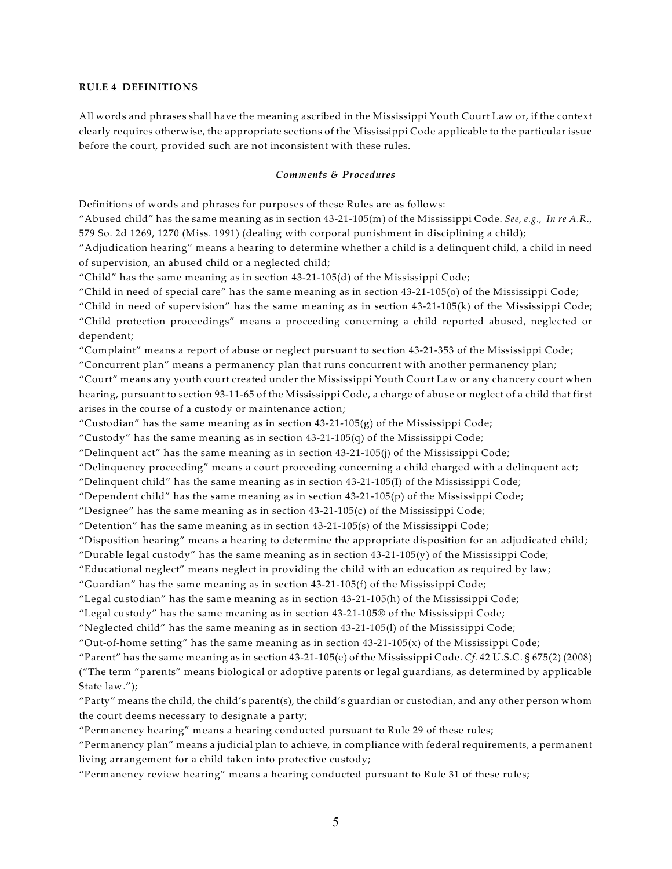#### **RULE 4 DEFINITIONS**

All words and phrases shall have the meaning ascribed in the Mississippi Youth Court Law or, if the context clearly requires otherwise, the appropriate sections of the Mississippi Code applicable to the particular issue before the court, provided such are not inconsistent with these rules.

## *Comments & Procedures*

Definitions of words and phrases for purposes of these Rules are as follows:

"Abused child" has the same meaning as in section 43-21-105(m) of the Mississippi Code. *See, e.g., In re A.R.*, 579 So. 2d 1269, 1270 (Miss. 1991) (dealing with corporal punishment in disciplining a child);

"Adjudication hearing" means a hearing to determine whether a child is a delinquent child, a child in need of supervision, an abused child or a neglected child;

"Child" has the same meaning as in section 43-21-105(d) of the Mississippi Code;

"Child in need of special care" has the same meaning as in section  $43-21-105$  (o) of the Mississippi Code;

"Child in need of supervision" has the same meaning as in section  $43-21-105(k)$  of the Mississippi Code; "Child protection proceedings" means a proceeding concerning a child reported abused, neglected or dependent;

"Complaint" means a report of abuse or neglect pursuant to section 43-21-353 of the Mississippi Code;

"Concurrent plan" means a permanency plan that runs concurrent with another permanency plan;

"Court" means any youth court created under the Mississippi Youth Court Law or any chancery court when hearing, pursuant to section 93-11-65 of the Mississippi Code, a charge of abuse or neglect of a child that first arises in the course of a custody or maintenance action;

"Custodian" has the same meaning as in section  $43-21-105(g)$  of the Mississippi Code;

"Custody" has the same meaning as in section  $43-21-105(q)$  of the Mississippi Code;

"Delinquent act" has the same meaning as in section 43-21-105(j) of the Mississippi Code;

"Delinquency proceeding" means a court proceeding concerning a child charged with a delinquent act;

"Delinquent child" has the same meaning as in section 43-21-105(I) of the Mississippi Code;

"Dependent child" has the same meaning as in section  $43-21-105(p)$  of the Mississippi Code;

"Designee" has the same meaning as in section  $43-21-105(c)$  of the Mississippi Code;

"Detention" has the same meaning as in section 43-21-105(s) of the Mississippi Code;

"Disposition hearing" means a hearing to determine the appropriate disposition for an adjudicated child;

"Durable legal custody" has the same meaning as in section  $43-21-105(y)$  of the Mississippi Code;

"Educational neglect" means neglect in providing the child with an education as required by law;

"Guardian" has the same meaning as in section  $43-21-105(f)$  of the Mississippi Code;

"Legal custodian" has the same meaning as in section 43-21-105(h) of the Mississippi Code;

"Legal custody" has the same meaning as in section 43-21-105® of the Mississippi Code;

"Neglected child" has the same meaning as in section 43-21-105(l) of the Mississippi Code;

"Out-of-home setting" has the same meaning as in section  $43-21-105(x)$  of the Mississippi Code;

"Parent" has the same meaning as in section 43-21-105(e) of the Mississippi Code. *Cf.* 42 U.S.C. § 675(2) (2008) ("The term "parents" means biological or adoptive parents or legal guardians, as determined by applicable State law.");

"Party" means the child, the child's parent(s), the child's guardian or custodian, and any other person whom the court deems necessary to designate a party;

"Permanency hearing" means a hearing conducted pursuant to Rule 29 of these rules;

"Permanency plan" means a judicial plan to achieve, in compliance with federal requirements, a permanent living arrangement for a child taken into protective custody;

"Permanency review hearing" means a hearing conducted pursuant to Rule 31 of these rules;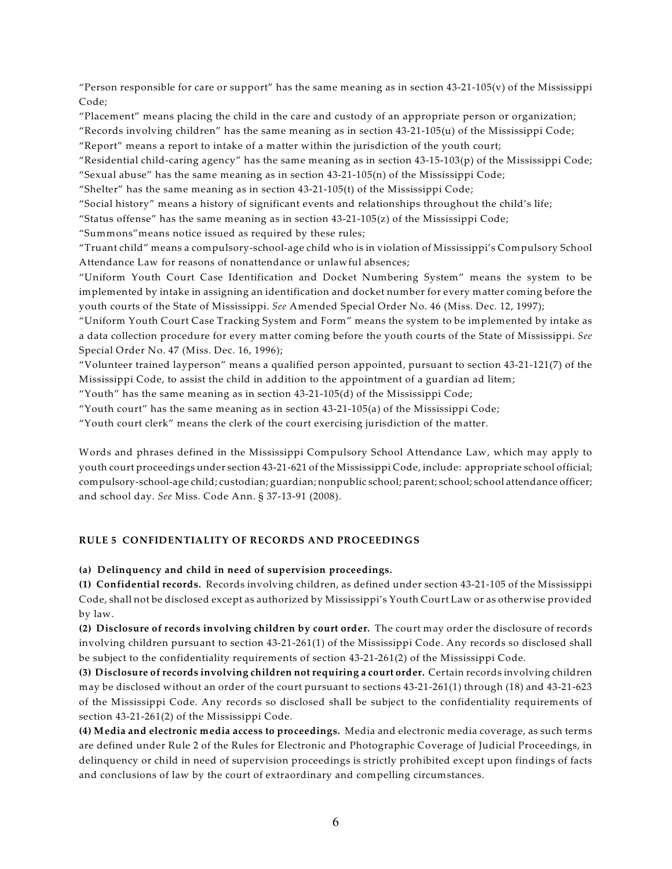"Person responsible for care or support" has the same meaning as in section  $43-21-105(v)$  of the Mississippi Code;

"Placement" means placing the child in the care and custody of an appropriate person or organization; "Records involving children" has the same meaning as in section  $43-21-105(u)$  of the Mississippi Code; "Report" means a report to intake of a matter within the jurisdiction of the youth court;

"Residential child-caring agency" has the same meaning as in section  $43-15-103(p)$  of the Mississippi Code; "Sexual abuse" has the same meaning as in section  $43-21-105(n)$  of the Mississippi Code;

"Shelter" has the same meaning as in section 43-21-105(t) of the Mississippi Code;

"Social history" means a history of significant events and relationships throughout the child's life;

"Status offense" has the same meaning as in section  $43-21-105(z)$  of the Mississippi Code;

"Summons"means notice issued as required by these rules;

"Truant child" means a compulsory-school-age child who is in violation of Mississippi's Compulsory School Attendance Law for reasons of nonattendance or unlawful absences;

"Uniform Youth Court Case Identification and Docket Numbering System" means the system to be implemented by intake in assigning an identification and docket number for every matter coming before the youth courts of the State of Mississippi. *See* Amended Special Order No. 46 (Miss. Dec. 12, 1997);

"Uniform Youth Court Case Tracking System and Form" means the system to be implemented by intake as a data collection procedure for every matter coming before the youth courts of the State of Mississippi. *See* Special Order No. 47 (Miss. Dec. 16, 1996);

"Volunteer trained layperson" means a qualified person appointed, pursuant to section 43-21-121(7) of the Mississippi Code, to assist the child in addition to the appointment of a guardian ad litem;

"Youth" has the same meaning as in section  $43-21-105(d)$  of the Mississippi Code;

"Youth court" has the same meaning as in section  $43-21-105(a)$  of the Mississippi Code;

"Youth court clerk" means the clerk of the court exercising jurisdiction of the matter.

Words and phrases defined in the Mississippi Compulsory School Attendance Law, which may apply to youth court proceedings under section 43-21-621 of the Mississippi Code, include: appropriate school official; compulsory-school-age child; custodian; guardian; nonpublic school; parent; school; school attendance officer; and school day. *See* Miss. Code Ann. § 37-13-91 (2008).

# **RULE 5 CONFIDENTIALITY OF RECORDS AND PROCEEDINGS**

**(a) Delinquency and child in need of supervision proceedings.** 

**(1) Confidential records.** Records involving children, as defined under section 43-21-105 of the Mississippi Code, shall not be disclosed except as authorized by Mississippi's Youth Court Law or as otherwise provided by law.

**(2) Disclosure of records involving children by court order.** The court may order the disclosure of records involving children pursuant to section 43-21-261(1) of the Mississippi Code. Any records so disclosed shall be subject to the confidentiality requirements of section 43-21-261(2) of the Mississippi Code.

**(3) Disclosure of records involving children not requiring a court order.** Certain records involving children may be disclosed without an order of the court pursuant to sections 43-21-261(1) through (18) and 43-21-623 of the Mississippi Code. Any records so disclosed shall be subject to the confidentiality requirements of section 43-21-261(2) of the Mississippi Code.

**(4) Media and electronic media access to proceedings.** Media and electronic media coverage, as such terms are defined under Rule 2 of the Rules for Electronic and Photographic Coverage of Judicial Proceedings, in delinquency or child in need of supervision proceedings is strictly prohibited except upon findings of facts and conclusions of law by the court of extraordinary and compelling circumstances.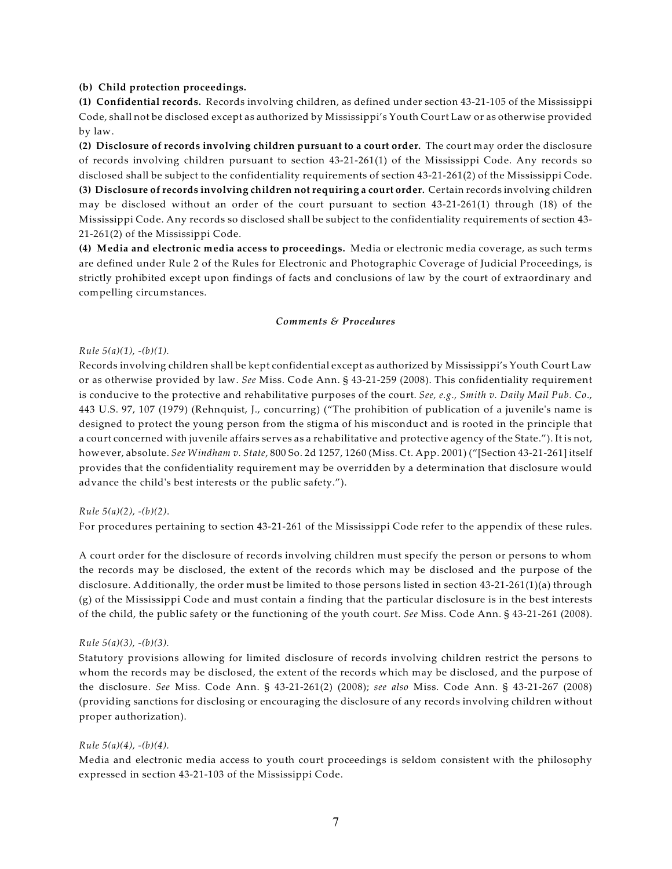### **(b) Child protection proceedings.**

**(1) Confidential records.** Records involving children, as defined under section 43-21-105 of the Mississippi Code, shall not be disclosed except as authorized by Mississippi's Youth Court Law or as otherwise provided by law.

**(2) Disclosure of records involving children pursuant to a court order.** The court may order the disclosure of records involving children pursuant to section 43-21-261(1) of the Mississippi Code. Any records so disclosed shall be subject to the confidentiality requirements of section 43-21-261(2) of the Mississippi Code. **(3) Disclosure of records involving children not requiring a court order.** Certain records involving children may be disclosed without an order of the court pursuant to section 43-21-261(1) through (18) of the Mississippi Code. Any records so disclosed shall be subject to the confidentiality requirements of section 43- 21-261(2) of the Mississippi Code.

**(4) Media and electronic media access to proceedings.** Media or electronic media coverage, as such terms are defined under Rule 2 of the Rules for Electronic and Photographic Coverage of Judicial Proceedings, is strictly prohibited except upon findings of facts and conclusions of law by the court of extraordinary and compelling circumstances.

## *Comments & Procedures*

## *Rule 5(a)(1), -(b)(1).*

Records involving children shall be kept confidential except as authorized by Mississippi's Youth Court Law or as otherwise provided by law. *See* Miss. Code Ann. § 43-21-259 (2008). This confidentiality requirement is conducive to the protective and rehabilitative purposes of the court. *See, e.g., Smith v. Daily Mail Pub. Co*., 443 U.S. 97, 107 (1979) (Rehnquist, J., concurring) ("The prohibition of publication of a juvenile's name is designed to protect the young person from the stigma of his misconduct and is rooted in the principle that a court concerned with juvenile affairs serves as a rehabilitative and protective agency of the State."). It is not, however, absolute. *See Windham v. State*, 800 So. 2d 1257, 1260 (Miss. Ct. App. 2001) ("[Section 43-21-261] itself provides that the confidentiality requirement may be overridden by a determination that disclosure would advance the child's best interests or the public safety.").

#### *Rule 5(a)(2), -(b)(2)*.

For procedures pertaining to section 43-21-261 of the Mississippi Code refer to the appendix of these rules.

A court order for the disclosure of records involving children must specify the person or persons to whom the records may be disclosed, the extent of the records which may be disclosed and the purpose of the disclosure. Additionally, the order must be limited to those persons listed in section 43-21-261(1)(a) through (g) of the Mississippi Code and must contain a finding that the particular disclosure is in the best interests of the child, the public safety or the functioning of the youth court. *See* Miss. Code Ann. § 43-21-261 (2008).

#### *Rule 5(a)(3), -(b)(3).*

Statutory provisions allowing for limited disclosure of records involving children restrict the persons to whom the records may be disclosed, the extent of the records which may be disclosed, and the purpose of the disclosure. *See* Miss. Code Ann. § 43-21-261(2) (2008); *see also* Miss. Code Ann. § 43-21-267 (2008) (providing sanctions for disclosing or encouraging the disclosure of any records involving children without proper authorization).

# *Rule 5(a)(4), -(b)(4).*

Media and electronic media access to youth court proceedings is seldom consistent with the philosophy expressed in section 43-21-103 of the Mississippi Code.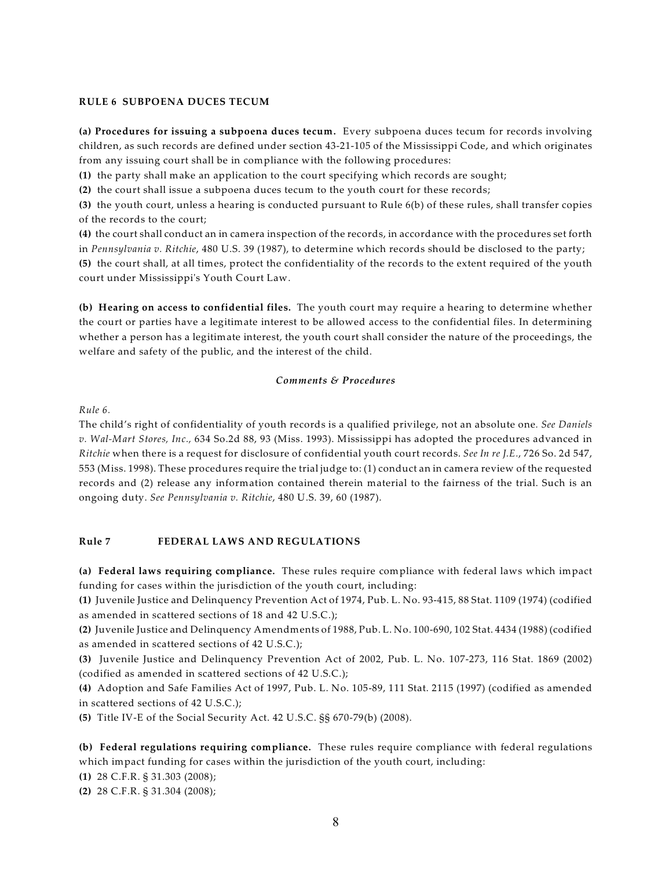## **RULE 6 SUBPOENA DUCES TECUM**

**(a) Procedures for issuing a subpoena duces tecum.** Every subpoena duces tecum for records involving children, as such records are defined under section 43-21-105 of the Mississippi Code, and which originates from any issuing court shall be in compliance with the following procedures:

**(1)** the party shall make an application to the court specifying which records are sought;

**(2)** the court shall issue a subpoena duces tecum to the youth court for these records;

**(3)** the youth court, unless a hearing is conducted pursuant to Rule 6(b) of these rules, shall transfer copies of the records to the court;

**(4)** the court shall conduct an in camera inspection of the records, in accordance with the procedures set forth in *Pennsylvania v. Ritchie*, 480 U.S. 39 (1987), to determine which records should be disclosed to the party;

**(5)** the court shall, at all times, protect the confidentiality of the records to the extent required of the youth court under Mississippi's Youth Court Law.

**(b) Hearing on access to confidential files.** The youth court may require a hearing to determine whether the court or parties have a legitimate interest to be allowed access to the confidential files. In determining whether a person has a legitimate interest, the youth court shall consider the nature of the proceedings, the welfare and safety of the public, and the interest of the child.

## *Comments & Procedures*

#### *Rule 6.*

The child's right of confidentiality of youth records is a qualified privilege, not an absolute one*. See Daniels v. Wal-Mart Stores, Inc.,* 634 So.2d 88, 93 (Miss. 1993). Mississippi has adopted the procedures advanced in *Ritchie* when there is a request for disclosure of confidential youth court records. *See In re J.E.*, 726 So. 2d 547, 553 (Miss. 1998). These procedures require the trial judge to: (1) conduct an in camera review of the requested records and (2) release any information contained therein material to the fairness of the trial. Such is an ongoing duty. *See Pennsylvania v. Ritchie*, 480 U.S. 39, 60 (1987).

### **Rule 7 FEDERAL LAWS AND REGULATIONS**

**(a) Federal laws requiring compliance.** These rules require compliance with federal laws which impact funding for cases within the jurisdiction of the youth court, including:

**(1)** Juvenile Justice and Delinquency Prevention Act of 1974, Pub. L. No. 93-415, 88 Stat. 1109 (1974) (codified as amended in scattered sections of 18 and 42 U.S.C.);

**(2)** Juvenile Justice and Delinquency Amendments of 1988, Pub. L. No. 100-690, 102 Stat. 4434 (1988) (codified as amended in scattered sections of 42 U.S.C.);

**(3)** Juvenile Justice and Delinquency Prevention Act of 2002, Pub. L. No. 107-273, 116 Stat. 1869 (2002) (codified as amended in scattered sections of 42 U.S.C.);

**(4)** Adoption and Safe Families Act of 1997, Pub. L. No. 105-89, 111 Stat. 2115 (1997) (codified as amended in scattered sections of 42 U.S.C.);

**(5)** Title IV-E of the Social Security Act. 42 U.S.C. §§ 670-79(b) (2008).

**(b) Federal regulations requiring compliance.** These rules require compliance with federal regulations which impact funding for cases within the jurisdiction of the youth court, including:

**(1)** 28 C.F.R. § 31.303 (2008);

**(2)** 28 C.F.R. § 31.304 (2008);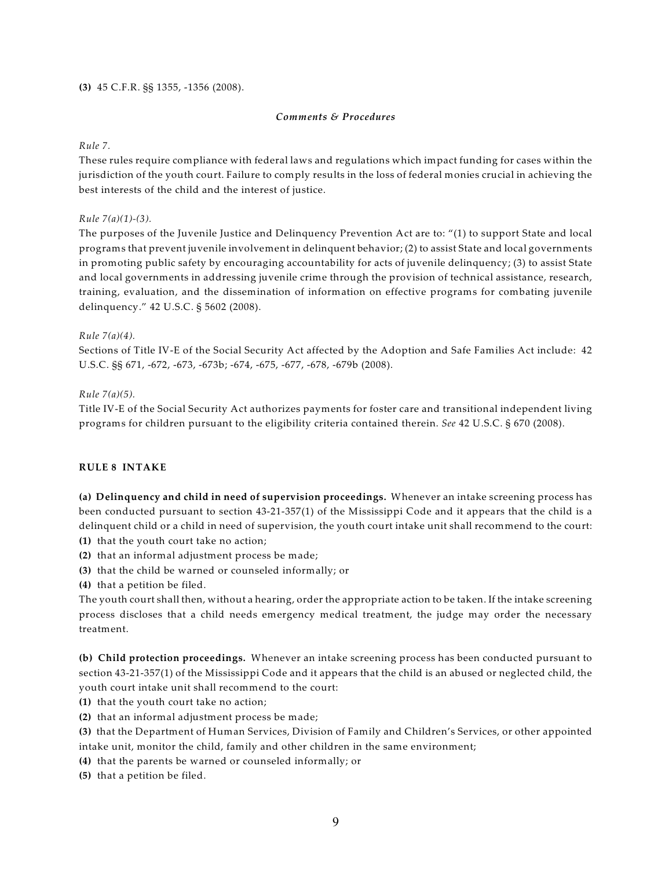### **(3)** 45 C.F.R. §§ 1355, -1356 (2008).

## *Comments & Procedures*

# *Rule 7.*

These rules require compliance with federal laws and regulations which impact funding for cases within the jurisdiction of the youth court. Failure to comply results in the loss of federal monies crucial in achieving the best interests of the child and the interest of justice.

## *Rule 7(a)(1)-(3).*

The purposes of the Juvenile Justice and Delinquency Prevention Act are to: "(1) to support State and local programs that prevent juvenile involvement in delinquent behavior; (2) to assist State and local governments in promoting public safety by encouraging accountability for acts of juvenile delinquency; (3) to assist State and local governments in addressing juvenile crime through the provision of technical assistance, research, training, evaluation, and the dissemination of information on effective programs for combating juvenile delinquency." 42 U.S.C. § 5602 (2008).

## *Rule 7(a)(4).*

Sections of Title IV-E of the Social Security Act affected by the Adoption and Safe Families Act include: 42 U.S.C. §§ 671, -672, -673, -673b; -674, -675, -677, -678, -679b (2008).

## *Rule 7(a)(5).*

Title IV-E of the Social Security Act authorizes payments for foster care and transitional independent living programs for children pursuant to the eligibility criteria contained therein. *See* 42 U.S.C. § 670 (2008).

#### **RULE 8 INTAKE**

**(a) Delinquency and child in need of supervision proceedings.** Whenever an intake screening process has been conducted pursuant to section 43-21-357(1) of the Mississippi Code and it appears that the child is a delinquent child or a child in need of supervision, the youth court intake unit shall recommend to the court: **(1)** that the youth court take no action;

- **(2)** that an informal adjustment process be made;
- **(3)** that the child be warned or counseled informally; or
- **(4)** that a petition be filed.

The youth court shall then, without a hearing, order the appropriate action to be taken. If the intake screening process discloses that a child needs emergency medical treatment, the judge may order the necessary treatment.

**(b) Child protection proceedings.** Whenever an intake screening process has been conducted pursuant to section 43-21-357(1) of the Mississippi Code and it appears that the child is an abused or neglected child, the youth court intake unit shall recommend to the court:

**(1)** that the youth court take no action;

- **(2)** that an informal adjustment process be made;
- **(3)** that the Department of Human Services, Division of Family and Children's Services, or other appointed intake unit, monitor the child, family and other children in the same environment;
- **(4)** that the parents be warned or counseled informally; or
- **(5)** that a petition be filed.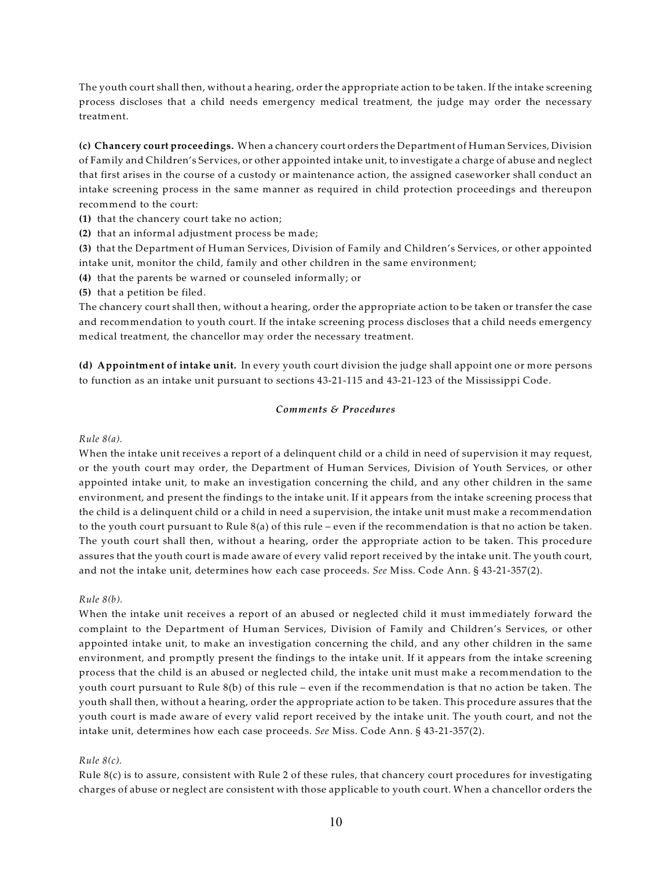The youth court shall then, without a hearing, order the appropriate action to be taken. If the intake screening process discloses that a child needs emergency medical treatment, the judge may order the necessary treatment.

**(c) Chancery court proceedings.** When a chancery court orders the Department of Human Services, Division of Family and Children's Services, or other appointed intake unit, to investigate a charge of abuse and neglect that first arises in the course of a custody or maintenance action, the assigned caseworker shall conduct an intake screening process in the same manner as required in child protection proceedings and thereupon recommend to the court:

**(1)** that the chancery court take no action;

**(2)** that an informal adjustment process be made;

**(3)** that the Department of Human Services, Division of Family and Children's Services, or other appointed intake unit, monitor the child, family and other children in the same environment;

**(4)** that the parents be warned or counseled informally; or

**(5)** that a petition be filed.

The chancery court shall then, without a hearing, order the appropriate action to be taken or transfer the case and recommendation to youth court. If the intake screening process discloses that a child needs emergency medical treatment, the chancellor may order the necessary treatment.

**(d) Appointment of intake unit.** In every youth court division the judge shall appoint one or more persons to function as an intake unit pursuant to sections 43-21-115 and 43-21-123 of the Mississippi Code.

## *Comments & Procedures*

## *Rule 8(a).*

When the intake unit receives a report of a delinquent child or a child in need of supervision it may request, or the youth court may order, the Department of Human Services, Division of Youth Services, or other appointed intake unit, to make an investigation concerning the child, and any other children in the same environment, and present the findings to the intake unit. If it appears from the intake screening process that the child is a delinquent child or a child in need a supervision, the intake unit must make a recommendation to the youth court pursuant to Rule 8(a) of this rule – even if the recommendation is that no action be taken. The youth court shall then, without a hearing, order the appropriate action to be taken. This procedure assures that the youth court is made aware of every valid report received by the intake unit. The youth court, and not the intake unit, determines how each case proceeds. *See* Miss. Code Ann. § 43-21-357(2).

#### *Rule 8(b).*

When the intake unit receives a report of an abused or neglected child it must immediately forward the complaint to the Department of Human Services, Division of Family and Children's Services, or other appointed intake unit, to make an investigation concerning the child, and any other children in the same environment, and promptly present the findings to the intake unit. If it appears from the intake screening process that the child is an abused or neglected child, the intake unit must make a recommendation to the youth court pursuant to Rule 8(b) of this rule – even if the recommendation is that no action be taken. The youth shall then, without a hearing, order the appropriate action to be taken. This procedure assures that the youth court is made aware of every valid report received by the intake unit. The youth court, and not the intake unit, determines how each case proceeds. *See* Miss. Code Ann. § 43-21-357(2).

### *Rule 8(c).*

Rule 8(c) is to assure, consistent with Rule 2 of these rules, that chancery court procedures for investigating charges of abuse or neglect are consistent with those applicable to youth court. When a chancellor orders the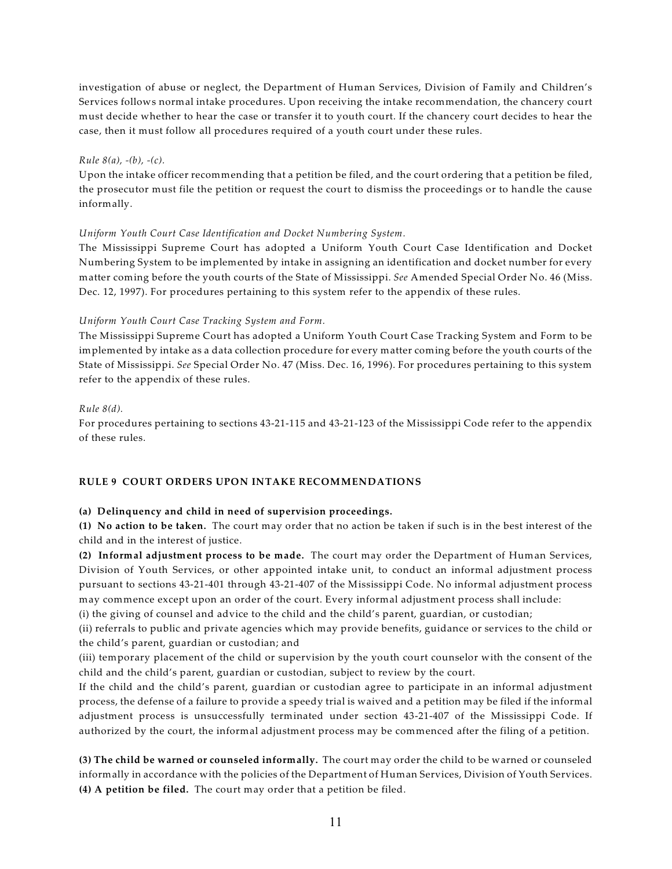investigation of abuse or neglect, the Department of Human Services, Division of Family and Children's Services follows normal intake procedures. Upon receiving the intake recommendation, the chancery court must decide whether to hear the case or transfer it to youth court. If the chancery court decides to hear the case, then it must follow all procedures required of a youth court under these rules.

## *Rule 8(a), -(b), -(c).*

Upon the intake officer recommending that a petition be filed, and the court ordering that a petition be filed, the prosecutor must file the petition or request the court to dismiss the proceedings or to handle the cause informally.

## *Uniform Youth Court Case Identification and Docket Numbering System.*

The Mississippi Supreme Court has adopted a Uniform Youth Court Case Identification and Docket Numbering System to be implemented by intake in assigning an identification and docket number for every matter coming before the youth courts of the State of Mississippi. *See* Amended Special Order No. 46 (Miss. Dec. 12, 1997). For procedures pertaining to this system refer to the appendix of these rules.

## *Uniform Youth Court Case Tracking System and Form.*

The Mississippi Supreme Court has adopted a Uniform Youth Court Case Tracking System and Form to be implemented by intake as a data collection procedure for every matter coming before the youth courts of the State of Mississippi. *See* Special Order No. 47 (Miss. Dec. 16, 1996). For procedures pertaining to this system refer to the appendix of these rules.

## *Rule 8(d).*

For procedures pertaining to sections 43-21-115 and 43-21-123 of the Mississippi Code refer to the appendix of these rules.

# **RULE 9 COURT ORDERS UPON INTAKE RECOMMENDATIONS**

# **(a) Delinquency and child in need of supervision proceedings.**

**(1) No action to be taken.** The court may order that no action be taken if such is in the best interest of the child and in the interest of justice.

**(2) Informal adjustment process to be made.** The court may order the Department of Human Services, Division of Youth Services, or other appointed intake unit, to conduct an informal adjustment process pursuant to sections 43-21-401 through 43-21-407 of the Mississippi Code. No informal adjustment process may commence except upon an order of the court. Every informal adjustment process shall include:

(i) the giving of counsel and advice to the child and the child's parent, guardian, or custodian;

(ii) referrals to public and private agencies which may provide benefits, guidance or services to the child or the child's parent, guardian or custodian; and

(iii) temporary placement of the child or supervision by the youth court counselor with the consent of the child and the child's parent, guardian or custodian, subject to review by the court.

If the child and the child's parent, guardian or custodian agree to participate in an informal adjustment process, the defense of a failure to provide a speedy trial is waived and a petition may be filed if the informal adjustment process is unsuccessfully terminated under section 43-21-407 of the Mississippi Code. If authorized by the court, the informal adjustment process may be commenced after the filing of a petition.

**(3) The child be warned or counseled informally.** The court may order the child to be warned or counseled informally in accordance with the policies of the Department of Human Services, Division of Youth Services. **(4) A petition be filed.** The court may order that a petition be filed.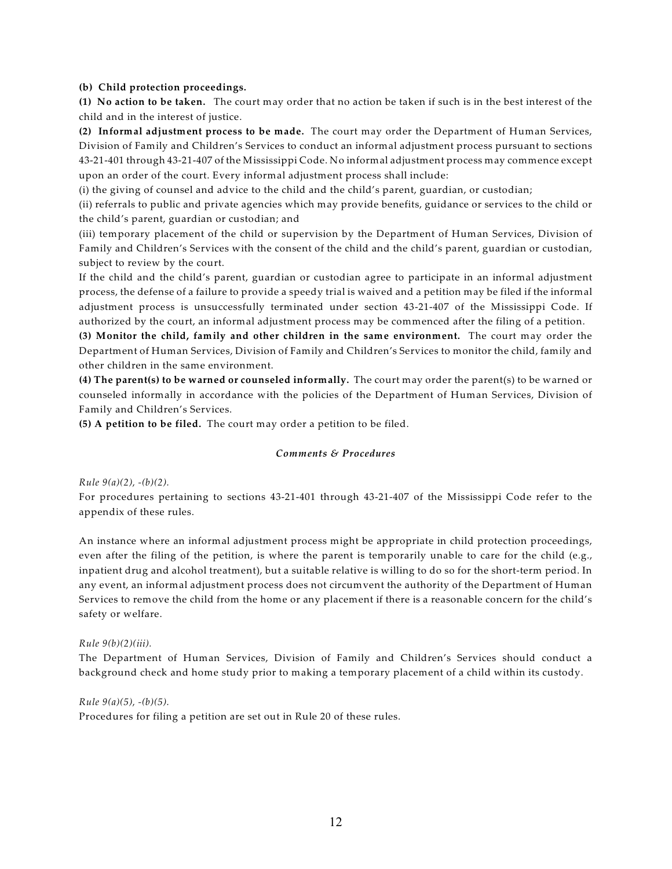### **(b) Child protection proceedings.**

**(1) No action to be taken.** The court may order that no action be taken if such is in the best interest of the child and in the interest of justice.

**(2) Informal adjustment process to be made.** The court may order the Department of Human Services, Division of Family and Children's Services to conduct an informal adjustment process pursuant to sections 43-21-401 through 43-21-407 of the Mississippi Code. No informal adjustment process may commence except upon an order of the court. Every informal adjustment process shall include:

(i) the giving of counsel and advice to the child and the child's parent, guardian, or custodian;

(ii) referrals to public and private agencies which may provide benefits, guidance or services to the child or the child's parent, guardian or custodian; and

(iii) temporary placement of the child or supervision by the Department of Human Services, Division of Family and Children's Services with the consent of the child and the child's parent, guardian or custodian, subject to review by the court.

If the child and the child's parent, guardian or custodian agree to participate in an informal adjustment process, the defense of a failure to provide a speedy trial is waived and a petition may be filed if the informal adjustment process is unsuccessfully terminated under section 43-21-407 of the Mississippi Code. If authorized by the court, an informal adjustment process may be commenced after the filing of a petition.

**(3) Monitor the child, family and other children in the same environment.** The court may order the Department of Human Services, Division of Family and Children's Services to monitor the child, family and other children in the same environment.

**(4) The parent(s) to be warned or counseled informally.** The court may order the parent(s) to be warned or counseled informally in accordance with the policies of the Department of Human Services, Division of Family and Children's Services.

**(5) A petition to be filed.** The court may order a petition to be filed.

# *Comments & Procedures*

#### *Rule 9(a)(2), -(b)(2).*

For procedures pertaining to sections 43-21-401 through 43-21-407 of the Mississippi Code refer to the appendix of these rules.

An instance where an informal adjustment process might be appropriate in child protection proceedings, even after the filing of the petition, is where the parent is temporarily unable to care for the child (e.g., inpatient drug and alcohol treatment), but a suitable relative is willing to do so for the short-term period. In any event, an informal adjustment process does not circumvent the authority of the Department of Human Services to remove the child from the home or any placement if there is a reasonable concern for the child's safety or welfare.

#### *Rule 9(b)(2)(iii).*

The Department of Human Services, Division of Family and Children's Services should conduct a background check and home study prior to making a temporary placement of a child within its custody.

#### *Rule 9(a)(5), -(b)(5).*

Procedures for filing a petition are set out in Rule 20 of these rules.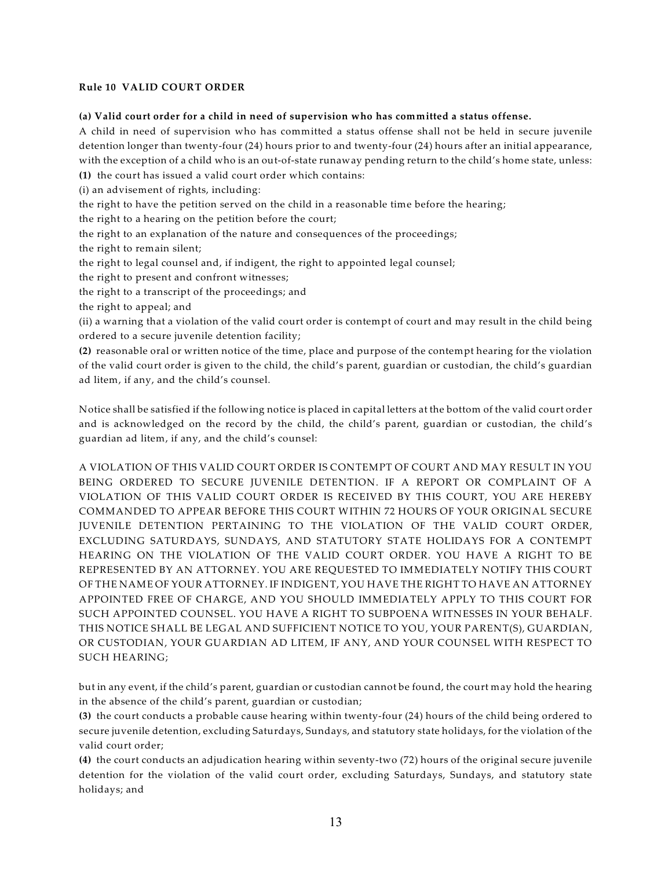## **Rule 10 VALID COURT ORDER**

## **(a) Valid court order for a child in need of supervision who has committed a status offense.**

A child in need of supervision who has committed a status offense shall not be held in secure juvenile detention longer than twenty-four (24) hours prior to and twenty-four (24) hours after an initial appearance, with the exception of a child who is an out-of-state runaway pending return to the child's home state, unless:

**(1)** the court has issued a valid court order which contains:

(i) an advisement of rights, including:

the right to have the petition served on the child in a reasonable time before the hearing;

the right to a hearing on the petition before the court;

the right to an explanation of the nature and consequences of the proceedings;

the right to remain silent;

the right to legal counsel and, if indigent, the right to appointed legal counsel;

the right to present and confront witnesses;

the right to a transcript of the proceedings; and

the right to appeal; and

(ii) a warning that a violation of the valid court order is contempt of court and may result in the child being ordered to a secure juvenile detention facility;

**(2)** reasonable oral or written notice of the time, place and purpose of the contempt hearing for the violation of the valid court order is given to the child, the child's parent, guardian or custodian, the child's guardian ad litem, if any, and the child's counsel.

Notice shall be satisfied if the following notice is placed in capital letters at the bottom of the valid court order and is acknowledged on the record by the child, the child's parent, guardian or custodian, the child's guardian ad litem, if any, and the child's counsel:

A VIOLATION OF THIS VALID COURT ORDER IS CONTEMPT OF COURT AND MAY RESULT IN YOU BEING ORDERED TO SECURE JUVENILE DETENTION. IF A REPORT OR COMPLAINT OF A VIOLATION OF THIS VALID COURT ORDER IS RECEIVED BY THIS COURT, YOU ARE HEREBY COMMANDED TO APPEAR BEFORE THIS COURT WITHIN 72 HOURS OF YOUR ORIGINAL SECURE JUVENILE DETENTION PERTAINING TO THE VIOLATION OF THE VALID COURT ORDER, EXCLUDING SATURDAYS, SUNDAYS, AND STATUTORY STATE HOLIDAYS FOR A CONTEMPT HEARING ON THE VIOLATION OF THE VALID COURT ORDER. YOU HAVE A RIGHT TO BE REPRESENTED BY AN ATTORNEY. YOU ARE REQUESTED TO IMMEDIATELY NOTIFY THIS COURT OF THE NAME OF YOUR ATTORNEY. IF INDIGENT, YOU HAVE THE RIGHT TO HAVE AN ATTORNEY APPOINTED FREE OF CHARGE, AND YOU SHOULD IMMEDIATELY APPLY TO THIS COURT FOR SUCH APPOINTED COUNSEL. YOU HAVE A RIGHT TO SUBPOENA WITNESSES IN YOUR BEHALF. THIS NOTICE SHALL BE LEGAL AND SUFFICIENT NOTICE TO YOU, YOUR PARENT(S), GUARDIAN, OR CUSTODIAN, YOUR GUARDIAN AD LITEM, IF ANY, AND YOUR COUNSEL WITH RESPECT TO SUCH HEARING;

but in any event, if the child's parent, guardian or custodian cannot be found, the court may hold the hearing in the absence of the child's parent, guardian or custodian;

**(3)** the court conducts a probable cause hearing within twenty-four (24) hours of the child being ordered to secure juvenile detention, excluding Saturdays, Sundays, and statutory state holidays, for the violation of the valid court order;

**(4)** the court conducts an adjudication hearing within seventy-two (72) hours of the original secure juvenile detention for the violation of the valid court order, excluding Saturdays, Sundays, and statutory state holidays; and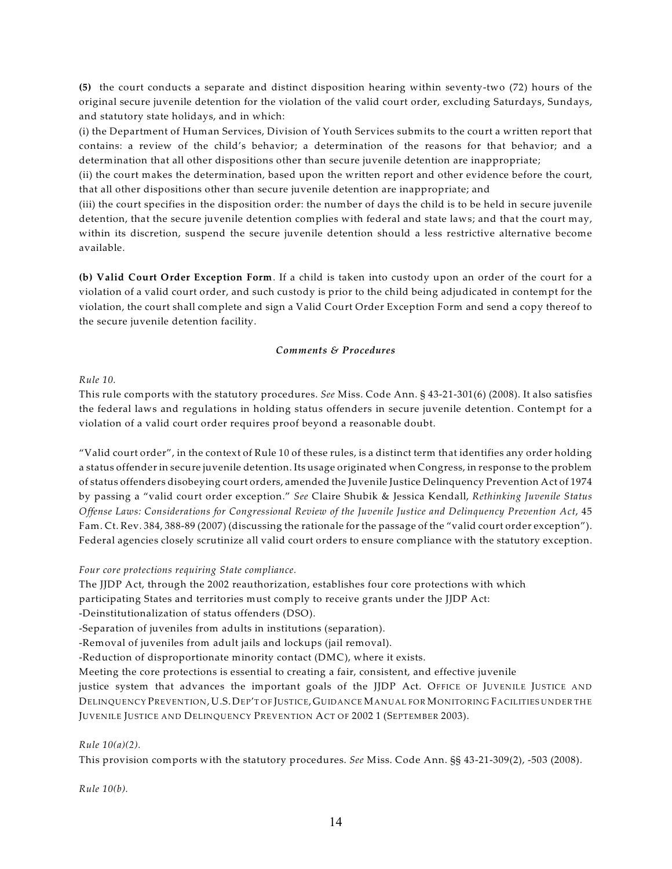**(5)** the court conducts a separate and distinct disposition hearing within seventy-two (72) hours of the original secure juvenile detention for the violation of the valid court order, excluding Saturdays, Sundays, and statutory state holidays, and in which:

(i) the Department of Human Services, Division of Youth Services submits to the court a written report that contains: a review of the child's behavior; a determination of the reasons for that behavior; and a determination that all other dispositions other than secure juvenile detention are inappropriate;

(ii) the court makes the determination, based upon the written report and other evidence before the court, that all other dispositions other than secure juvenile detention are inappropriate; and

(iii) the court specifies in the disposition order: the number of days the child is to be held in secure juvenile detention, that the secure juvenile detention complies with federal and state laws; and that the court may, within its discretion, suspend the secure juvenile detention should a less restrictive alternative become available.

**(b) Valid Court Order Exception Form**. If a child is taken into custody upon an order of the court for a violation of a valid court order, and such custody is prior to the child being adjudicated in contempt for the violation, the court shall complete and sign a Valid Court Order Exception Form and send a copy thereof to the secure juvenile detention facility.

## *Comments & Procedures*

## *Rule 10.*

This rule comports with the statutory procedures. *See* Miss. Code Ann. § 43-21-301(6) (2008). It also satisfies the federal laws and regulations in holding status offenders in secure juvenile detention. Contempt for a violation of a valid court order requires proof beyond a reasonable doubt.

"Valid court order", in the context of Rule 10 of these rules, is a distinct term that identifies any order holding a status offender in secure juvenile detention. Its usage originated when Congress, in response to the problem of status offenders disobeying court orders, amended the Juvenile Justice Delinquency Prevention Act of 1974 by passing a "valid court order exception." *See* Claire Shubik & Jessica Kendall, *Rethinking Juvenile Status Offense Laws: Considerations for Congressional Review of the Juvenile Justice and Delinquency Prevention Act*, 45 Fam. Ct. Rev. 384, 388-89 (2007) (discussing the rationale for the passage of the "valid court order exception"). Federal agencies closely scrutinize all valid court orders to ensure compliance with the statutory exception.

#### *Four core protections requiring State compliance.*

The JJDP Act, through the 2002 reauthorization, establishes four core protections with which

participating States and territories must comply to receive grants under the JJDP Act:

-Deinstitutionalization of status offenders (DSO).

-Separation of juveniles from adults in institutions (separation).

-Removal of juveniles from adult jails and lockups (jail removal).

-Reduction of disproportionate minority contact (DMC), where it exists.

Meeting the core protections is essential to creating a fair, consistent, and effective juvenile

justice system that advances the important goals of the JJDP Act. OFFICE OF JUVENILE JUSTICE AND DELINQUENCY PREVENTION, U.S. DEP'T OF JUSTICE, GUIDANCE MANUAL FOR MONITORING FACILITIES UNDER THE JUVENILE JUSTICE AND DELINQUENCY PREVENTION ACT OF 2002 1 (SEPTEMBER 2003).

# *Rule 10(a)(2).*

This provision comports with the statutory procedures. *See* Miss. Code Ann. §§ 43-21-309(2), -503 (2008).

*Rule 10(b).*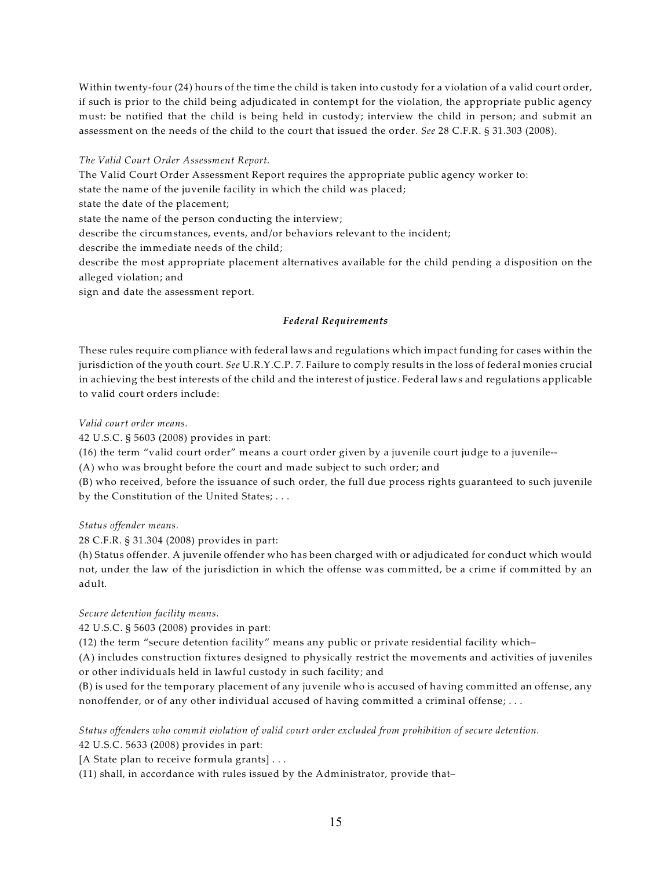Within twenty-four (24) hours of the time the child is taken into custody for a violation of a valid court order, if such is prior to the child being adjudicated in contempt for the violation, the appropriate public agency must: be notified that the child is being held in custody; interview the child in person; and submit an assessment on the needs of the child to the court that issued the order*. See* 28 C.F.R. § 31.303 (2008).

## *The Valid Court Order Assessment Report.*

The Valid Court Order Assessment Report requires the appropriate public agency worker to:

state the name of the juvenile facility in which the child was placed;

state the date of the placement;

state the name of the person conducting the interview;

describe the circumstances, events, and/or behaviors relevant to the incident;

describe the immediate needs of the child;

describe the most appropriate placement alternatives available for the child pending a disposition on the alleged violation; and

sign and date the assessment report.

# *Federal Requirements*

These rules require compliance with federal laws and regulations which impact funding for cases within the jurisdiction of the youth court. *See* U.R.Y.C.P. 7. Failure to comply results in the loss of federal monies crucial in achieving the best interests of the child and the interest of justice. Federal laws and regulations applicable to valid court orders include:

*Valid court order means.*

42 U.S.C. § 5603 (2008) provides in part:

(16) the term "valid court order" means a court order given by a juvenile court judge to a juvenile--

(A) who was brought before the court and made subject to such order; and

(B) who received, before the issuance of such order, the full due process rights guaranteed to such juvenile by the Constitution of the United States; . . .

#### *Status offender means.*

28 C.F.R. § 31.304 (2008) provides in part:

(h) Status offender. A juvenile offender who has been charged with or adjudicated for conduct which would not, under the law of the jurisdiction in which the offense was committed, be a crime if committed by an adult.

# *Secure detention facility means.*

42 U.S.C. § 5603 (2008) provides in part:

(12) the term "secure detention facility" means any public or private residential facility which–

(A) includes construction fixtures designed to physically restrict the movements and activities of juveniles or other individuals held in lawful custody in such facility; and

(B) is used for the temporary placement of any juvenile who is accused of having committed an offense, any nonoffender, or of any other individual accused of having committed a criminal offense; . . .

# *Status offenders who commit violation of valid court order excluded from prohibition of secure detention.*

42 U.S.C. 5633 (2008) provides in part:

[A State plan to receive formula grants] . . .

(11) shall, in accordance with rules issued by the Administrator, provide that–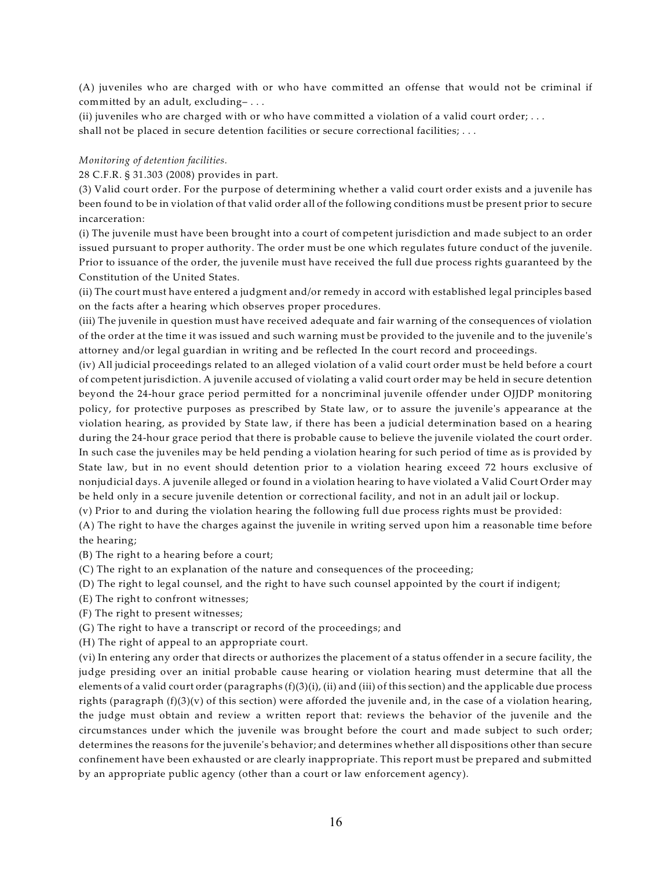(A) juveniles who are charged with or who have committed an offense that would not be criminal if committed by an adult, excluding– . . .

(ii) juveniles who are charged with or who have committed a violation of a valid court order;  $\dots$ shall not be placed in secure detention facilities or secure correctional facilities; . . .

### *Monitoring of detention facilities.*

28 C.F.R. § 31.303 (2008) provides in part.

(3) Valid court order. For the purpose of determining whether a valid court order exists and a juvenile has been found to be in violation of that valid order all of the following conditions must be present prior to secure incarceration:

(i) The juvenile must have been brought into a court of competent jurisdiction and made subject to an order issued pursuant to proper authority. The order must be one which regulates future conduct of the juvenile. Prior to issuance of the order, the juvenile must have received the full due process rights guaranteed by the Constitution of the United States.

(ii) The court must have entered a judgment and/or remedy in accord with established legal principles based on the facts after a hearing which observes proper procedures.

(iii) The juvenile in question must have received adequate and fair warning of the consequences of violation of the order at the time it was issued and such warning must be provided to the juvenile and to the juvenile's attorney and/or legal guardian in writing and be reflected In the court record and proceedings.

(iv) All judicial proceedings related to an alleged violation of a valid court order must be held before a court of competent jurisdiction. A juvenile accused of violating a valid court order may be held in secure detention beyond the 24-hour grace period permitted for a noncriminal juvenile offender under OJJDP monitoring policy, for protective purposes as prescribed by State law, or to assure the juvenile's appearance at the violation hearing, as provided by State law, if there has been a judicial determination based on a hearing during the 24-hour grace period that there is probable cause to believe the juvenile violated the court order. In such case the juveniles may be held pending a violation hearing for such period of time as is provided by State law, but in no event should detention prior to a violation hearing exceed 72 hours exclusive of nonjudicial days. A juvenile alleged or found in a violation hearing to have violated a Valid Court Order may be held only in a secure juvenile detention or correctional facility, and not in an adult jail or lockup.

(v) Prior to and during the violation hearing the following full due process rights must be provided:

(A) The right to have the charges against the juvenile in writing served upon him a reasonable time before the hearing;

(B) The right to a hearing before a court;

(C) The right to an explanation of the nature and consequences of the proceeding;

(D) The right to legal counsel, and the right to have such counsel appointed by the court if indigent;

- (E) The right to confront witnesses;
- (F) The right to present witnesses;
- (G) The right to have a transcript or record of the proceedings; and
- (H) The right of appeal to an appropriate court.

(vi) In entering any order that directs or authorizes the placement of a status offender in a secure facility, the judge presiding over an initial probable cause hearing or violation hearing must determine that all the elements of a valid court order (paragraphs  $(f)(3)(i)$ , (ii) and (iii) of this section) and the applicable due process rights (paragraph  $(f)(3)(v)$  of this section) were afforded the juvenile and, in the case of a violation hearing, the judge must obtain and review a written report that: reviews the behavior of the juvenile and the circumstances under which the juvenile was brought before the court and made subject to such order; determines the reasons for the juvenile's behavior; and determines whether all dispositions other than secure confinement have been exhausted or are clearly inappropriate. This report must be prepared and submitted by an appropriate public agency (other than a court or law enforcement agency).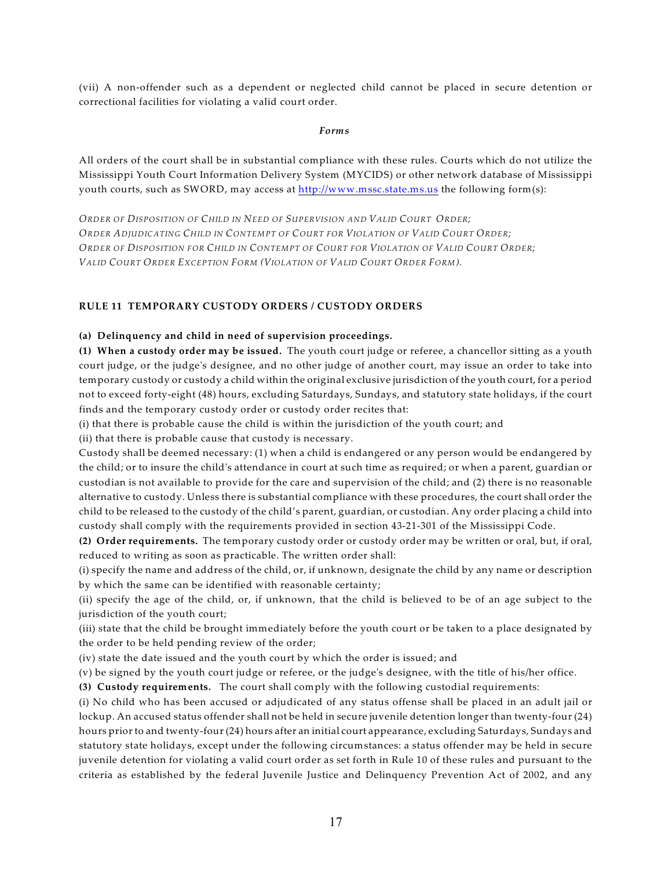(vii) A non-offender such as a dependent or neglected child cannot be placed in secure detention or correctional facilities for violating a valid court order.

#### *Forms*

All orders of the court shall be in substantial compliance with these rules. Courts which do not utilize the Mississippi Youth Court Information Delivery System (MYCIDS) or other network database of Mississippi youth courts, such as SWORD, may access at <http://www.mssc.state.ms.us> the following form(s):

*ORDER OF DISPOSITION OF CHILD IN NEED OF SUPERVISION AND VALID COURT ORDER; ORDER ADJUDICATING CHILD IN CONTEMPT OF COURT FOR VIOLATION OF VALID COURT ORDER; ORDER OF DISPOSITION FOR CHILD IN CONTEMPT OF COURT FOR VIOLATION OF VALID COURT ORDER; VALID COURT ORDER EXCEPTION FORM (VIOLATION OF VALID COURT ORDER FORM).*

## **RULE 11 TEMPORARY CUSTODY ORDERS / CUSTODY ORDERS**

### **(a) Delinquency and child in need of supervision proceedings.**

**(1) When a custody order may be issued.** The youth court judge or referee, a chancellor sitting as a youth court judge, or the judge's designee, and no other judge of another court, may issue an order to take into temporary custody or custody a child within the original exclusive jurisdiction of the youth court, for a period not to exceed forty-eight (48) hours, excluding Saturdays, Sundays, and statutory state holidays, if the court finds and the temporary custody order or custody order recites that:

(i) that there is probable cause the child is within the jurisdiction of the youth court; and

(ii) that there is probable cause that custody is necessary.

Custody shall be deemed necessary: (1) when a child is endangered or any person would be endangered by the child; or to insure the child's attendance in court at such time as required; or when a parent, guardian or custodian is not available to provide for the care and supervision of the child; and (2) there is no reasonable alternative to custody. Unless there is substantial compliance with these procedures, the court shall order the child to be released to the custody of the child's parent, guardian, or custodian. Any order placing a child into custody shall comply with the requirements provided in section 43-21-301 of the Mississippi Code.

**(2) Order requirements.** The temporary custody order or custody order may be written or oral, but, if oral, reduced to writing as soon as practicable. The written order shall:

(i) specify the name and address of the child, or, if unknown, designate the child by any name or description by which the same can be identified with reasonable certainty;

(ii) specify the age of the child, or, if unknown, that the child is believed to be of an age subject to the jurisdiction of the youth court;

(iii) state that the child be brought immediately before the youth court or be taken to a place designated by the order to be held pending review of the order;

(iv) state the date issued and the youth court by which the order is issued; and

(v) be signed by the youth court judge or referee, or the judge's designee, with the title of his/her office.

**(3) Custody requirements.** The court shall comply with the following custodial requirements:

(i) No child who has been accused or adjudicated of any status offense shall be placed in an adult jail or lockup. An accused status offender shall not be held in secure juvenile detention longer than twenty-four (24) hours prior to and twenty-four (24) hours after an initial court appearance, excluding Saturdays, Sundays and statutory state holidays, except under the following circumstances: a status offender may be held in secure juvenile detention for violating a valid court order as set forth in Rule 10 of these rules and pursuant to the criteria as established by the federal Juvenile Justice and Delinquency Prevention Act of 2002, and any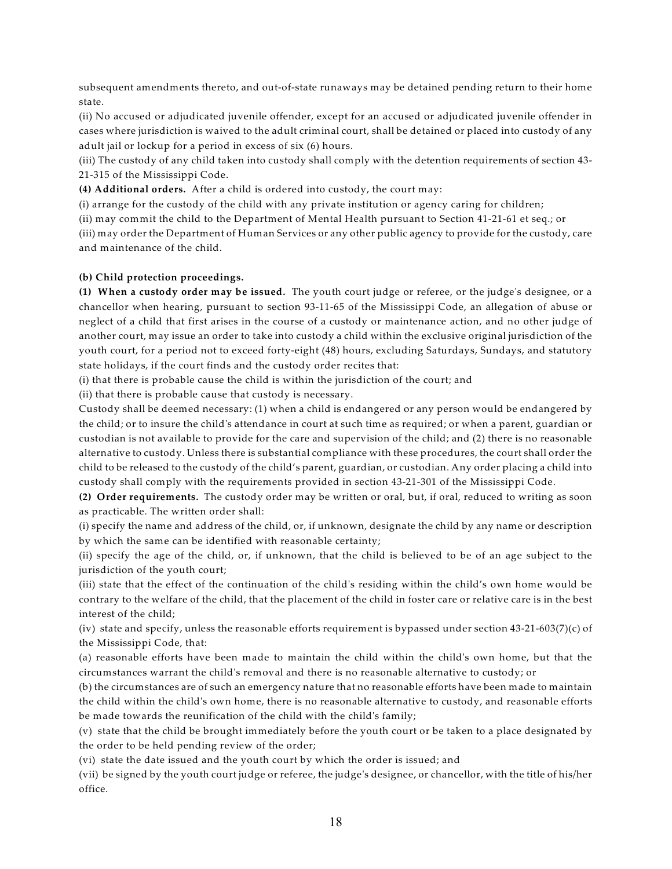subsequent amendments thereto, and out-of-state runaways may be detained pending return to their home state.

(ii) No accused or adjudicated juvenile offender, except for an accused or adjudicated juvenile offender in cases where jurisdiction is waived to the adult criminal court, shall be detained or placed into custody of any adult jail or lockup for a period in excess of six (6) hours.

(iii) The custody of any child taken into custody shall comply with the detention requirements of section 43- 21-315 of the Mississippi Code.

**(4) Additional orders.** After a child is ordered into custody, the court may:

(i) arrange for the custody of the child with any private institution or agency caring for children;

(ii) may commit the child to the Department of Mental Health pursuant to Section 41-21-61 et seq.; or

(iii) may order the Department of Human Services or any other public agency to provide for the custody, care and maintenance of the child.

## **(b) Child protection proceedings.**

**(1) When a custody order may be issued.** The youth court judge or referee, or the judge's designee, or a chancellor when hearing, pursuant to section 93-11-65 of the Mississippi Code, an allegation of abuse or neglect of a child that first arises in the course of a custody or maintenance action, and no other judge of another court, may issue an order to take into custody a child within the exclusive original jurisdiction of the youth court, for a period not to exceed forty-eight (48) hours, excluding Saturdays, Sundays, and statutory state holidays, if the court finds and the custody order recites that:

(i) that there is probable cause the child is within the jurisdiction of the court; and

(ii) that there is probable cause that custody is necessary.

Custody shall be deemed necessary: (1) when a child is endangered or any person would be endangered by the child; or to insure the child's attendance in court at such time as required; or when a parent, guardian or custodian is not available to provide for the care and supervision of the child; and (2) there is no reasonable alternative to custody. Unless there is substantial compliance with these procedures, the court shall order the child to be released to the custody of the child's parent, guardian, or custodian. Any order placing a child into custody shall comply with the requirements provided in section 43-21-301 of the Mississippi Code.

**(2) Order requirements.** The custody order may be written or oral, but, if oral, reduced to writing as soon as practicable. The written order shall:

(i) specify the name and address of the child, or, if unknown, designate the child by any name or description by which the same can be identified with reasonable certainty;

(ii) specify the age of the child, or, if unknown, that the child is believed to be of an age subject to the jurisdiction of the youth court;

(iii) state that the effect of the continuation of the child's residing within the child's own home would be contrary to the welfare of the child, that the placement of the child in foster care or relative care is in the best interest of the child;

(iv) state and specify, unless the reasonable efforts requirement is bypassed under section 43-21-603(7)(c) of the Mississippi Code, that:

(a) reasonable efforts have been made to maintain the child within the child's own home, but that the circumstances warrant the child's removal and there is no reasonable alternative to custody; or

(b) the circumstances are of such an emergency nature that no reasonable efforts have been made to maintain the child within the child's own home, there is no reasonable alternative to custody, and reasonable efforts be made towards the reunification of the child with the child's family;

(v) state that the child be brought immediately before the youth court or be taken to a place designated by the order to be held pending review of the order;

(vi) state the date issued and the youth court by which the order is issued; and

(vii) be signed by the youth court judge or referee, the judge's designee, or chancellor, with the title of his/her office.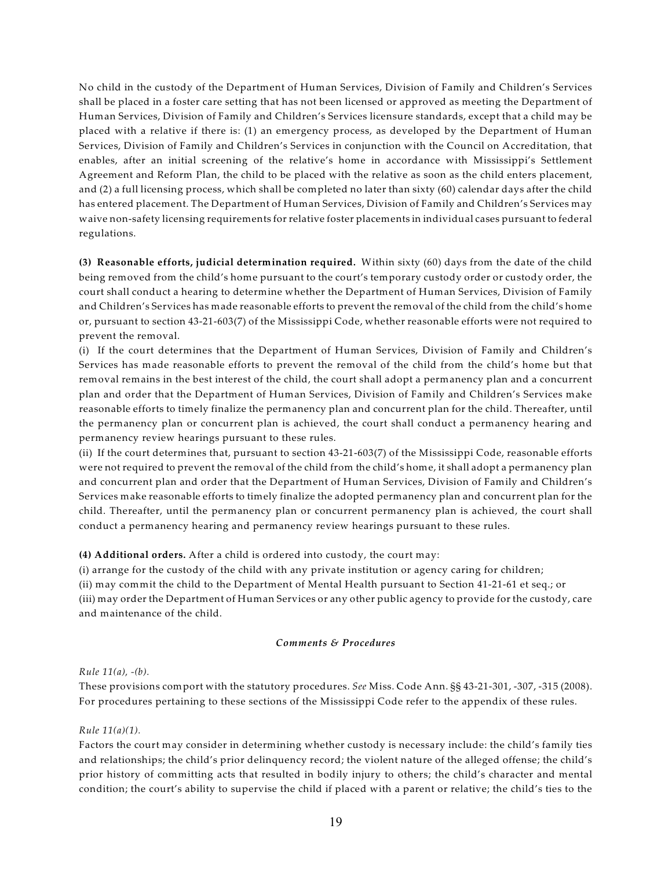No child in the custody of the Department of Human Services, Division of Family and Children's Services shall be placed in a foster care setting that has not been licensed or approved as meeting the Department of Human Services, Division of Family and Children's Services licensure standards, except that a child may be placed with a relative if there is: (1) an emergency process, as developed by the Department of Human Services, Division of Family and Children's Services in conjunction with the Council on Accreditation, that enables, after an initial screening of the relative's home in accordance with Mississippi's Settlement Agreement and Reform Plan, the child to be placed with the relative as soon as the child enters placement, and (2) a full licensing process, which shall be completed no later than sixty (60) calendar days after the child has entered placement. The Department of Human Services, Division of Family and Children's Services may waive non-safety licensing requirements for relative foster placements in individual cases pursuant to federal regulations.

**(3) Reasonable efforts, judicial determination required.** Within sixty (60) days from the date of the child being removed from the child's home pursuant to the court's temporary custody order or custody order, the court shall conduct a hearing to determine whether the Department of Human Services, Division of Family and Children's Services has made reasonable efforts to prevent the removal of the child from the child's home or, pursuant to section 43-21-603(7) of the Mississippi Code, whether reasonable efforts were not required to prevent the removal.

(i) If the court determines that the Department of Human Services, Division of Family and Children's Services has made reasonable efforts to prevent the removal of the child from the child's home but that removal remains in the best interest of the child, the court shall adopt a permanency plan and a concurrent plan and order that the Department of Human Services, Division of Family and Children's Services make reasonable efforts to timely finalize the permanency plan and concurrent plan for the child. Thereafter, until the permanency plan or concurrent plan is achieved, the court shall conduct a permanency hearing and permanency review hearings pursuant to these rules.

(ii) If the court determines that, pursuant to section 43-21-603(7) of the Mississippi Code, reasonable efforts were not required to prevent the removal of the child from the child's home, it shall adopt a permanency plan and concurrent plan and order that the Department of Human Services, Division of Family and Children's Services make reasonable efforts to timely finalize the adopted permanency plan and concurrent plan for the child. Thereafter, until the permanency plan or concurrent permanency plan is achieved, the court shall conduct a permanency hearing and permanency review hearings pursuant to these rules.

**(4) Additional orders.** After a child is ordered into custody, the court may:

(i) arrange for the custody of the child with any private institution or agency caring for children;

(ii) may commit the child to the Department of Mental Health pursuant to Section 41-21-61 et seq.; or

(iii) may order the Department of Human Services or any other public agency to provide for the custody, care and maintenance of the child.

#### *Comments & Procedures*

# *Rule 11(a), -(b).*

These provisions comport with the statutory procedures. *See* Miss. Code Ann. §§ 43-21-301, -307, -315 (2008). For procedures pertaining to these sections of the Mississippi Code refer to the appendix of these rules.

#### *Rule 11(a)(1).*

Factors the court may consider in determining whether custody is necessary include: the child's family ties and relationships; the child's prior delinquency record; the violent nature of the alleged offense; the child's prior history of committing acts that resulted in bodily injury to others; the child's character and mental condition; the court's ability to supervise the child if placed with a parent or relative; the child's ties to the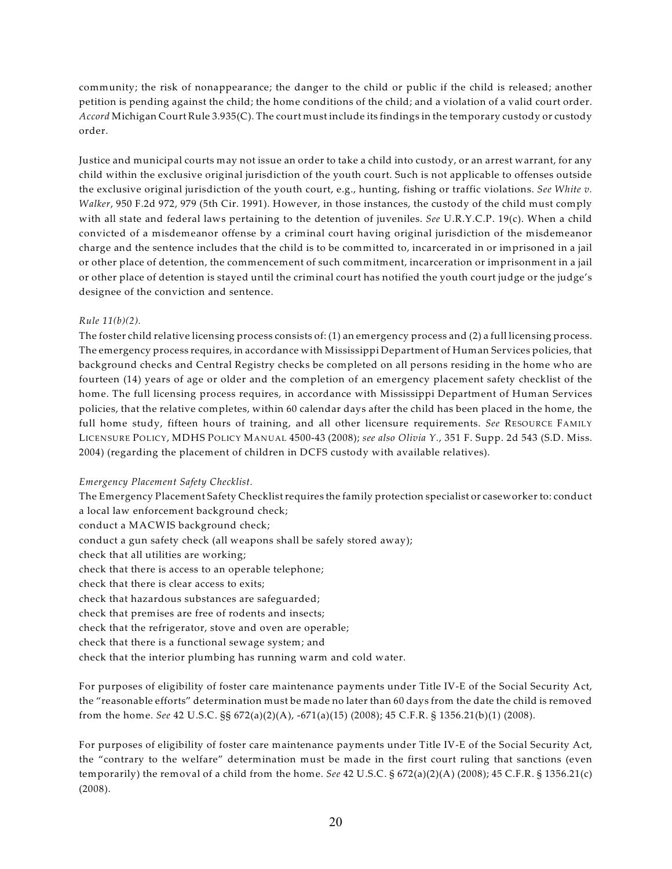community; the risk of nonappearance; the danger to the child or public if the child is released; another petition is pending against the child; the home conditions of the child; and a violation of a valid court order. *Accord* Michigan Court Rule 3.935(C). The court must include its findings in the temporary custody or custody order.

Justice and municipal courts may not issue an order to take a child into custody, or an arrest warrant, for any child within the exclusive original jurisdiction of the youth court. Such is not applicable to offenses outside the exclusive original jurisdiction of the youth court, e.g., hunting, fishing or traffic violations. *See White v. Walker*, 950 F.2d 972, 979 (5th Cir. 1991). However, in those instances, the custody of the child must comply with all state and federal laws pertaining to the detention of juveniles. *See* U.R.Y.C.P. 19(c). When a child convicted of a misdemeanor offense by a criminal court having original jurisdiction of the misdemeanor charge and the sentence includes that the child is to be committed to, incarcerated in or imprisoned in a jail or other place of detention, the commencement of such commitment, incarceration or imprisonment in a jail or other place of detention is stayed until the criminal court has notified the youth court judge or the judge's designee of the conviction and sentence.

# *Rule 11(b)(2).*

The foster child relative licensing process consists of: (1) an emergency process and (2) a full licensing process. The emergency process requires, in accordance with Mississippi Department of Human Services policies, that background checks and Central Registry checks be completed on all persons residing in the home who are fourteen (14) years of age or older and the completion of an emergency placement safety checklist of the home. The full licensing process requires, in accordance with Mississippi Department of Human Services policies, that the relative completes, within 60 calendar days after the child has been placed in the home, the full home study, fifteen hours of training, and all other licensure requirements. *See* RESOURCE FAMILY LICENSURE POLICY, MDHS POLICY MANUAL 4500-43 (2008); *see also Olivia Y.*, 351 F. Supp. 2d 543 (S.D. Miss. 2004) (regarding the placement of children in DCFS custody with available relatives).

# *Emergency Placement Safety Checklist.*

The Emergency Placement Safety Checklist requires the family protection specialist or caseworker to: conduct a local law enforcement background check; conduct a MACWIS background check; conduct a gun safety check (all weapons shall be safely stored away); check that all utilities are working; check that there is access to an operable telephone; check that there is clear access to exits; check that hazardous substances are safeguarded; check that premises are free of rodents and insects; check that the refrigerator, stove and oven are operable; check that there is a functional sewage system; and

check that the interior plumbing has running warm and cold water.

For purposes of eligibility of foster care maintenance payments under Title IV-E of the Social Security Act, the "reasonable efforts" determination must be made no later than 60 days from the date the child is removed from the home. *See* 42 U.S.C. §§ 672(a)(2)(A), -671(a)(15) (2008); 45 C.F.R. § 1356.21(b)(1) (2008).

For purposes of eligibility of foster care maintenance payments under Title IV-E of the Social Security Act, the "contrary to the welfare" determination must be made in the first court ruling that sanctions (even temporarily) the removal of a child from the home. *See* 42 U.S.C. § 672(a)(2)(A) (2008); 45 C.F.R. § 1356.21(c) (2008).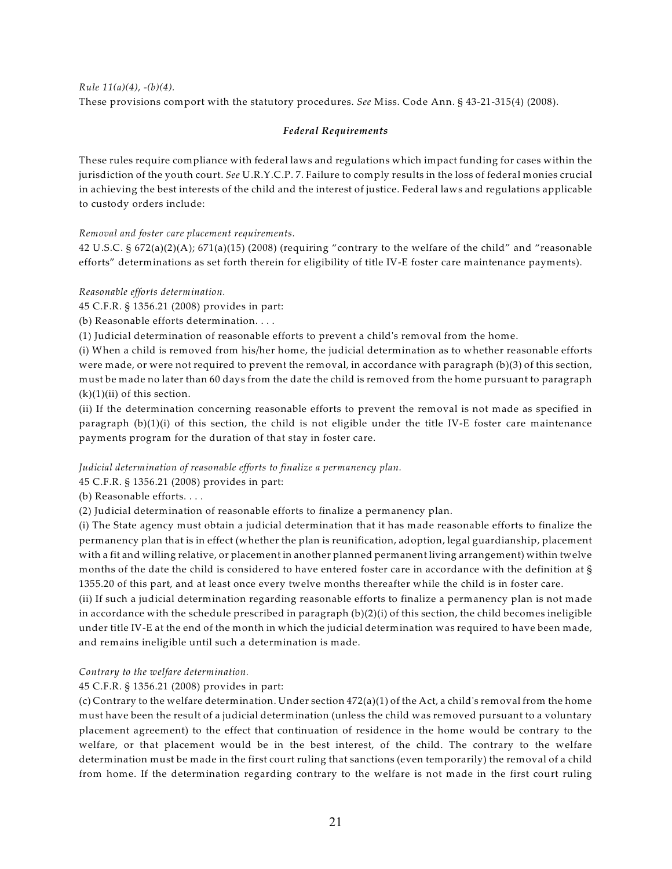## *Rule 11(a)(4), -(b)(4).*

These provisions comport with the statutory procedures. *See* Miss. Code Ann. § 43-21-315(4) (2008).

## *Federal Requirements*

These rules require compliance with federal laws and regulations which impact funding for cases within the jurisdiction of the youth court. *See* U.R.Y.C.P. 7. Failure to comply results in the loss of federal monies crucial in achieving the best interests of the child and the interest of justice. Federal laws and regulations applicable to custody orders include:

#### *Removal and foster care placement requirements.*

42 U.S.C. § 672(a)(2)(A); 671(a)(15) (2008) (requiring "contrary to the welfare of the child" and "reasonable efforts" determinations as set forth therein for eligibility of title IV-E foster care maintenance payments).

## *Reasonable efforts determination.*

45 C.F.R. § 1356.21 (2008) provides in part:

(b) Reasonable efforts determination. . . .

(1) Judicial determination of reasonable efforts to prevent a child's removal from the home.

(i) When a child is removed from his/her home, the judicial determination as to whether reasonable efforts were made, or were not required to prevent the removal, in accordance with paragraph (b)(3) of this section, must be made no later than 60 days from the date the child is removed from the home pursuant to paragraph  $(k)(1)(ii)$  of this section.

(ii) If the determination concerning reasonable efforts to prevent the removal is not made as specified in paragraph  $(b)(1)(i)$  of this section, the child is not eligible under the title IV-E foster care maintenance payments program for the duration of that stay in foster care.

#### *Judicial determination of reasonable efforts to finalize a permanency plan.*

45 C.F.R. § 1356.21 (2008) provides in part:

(b) Reasonable efforts. . . .

(2) Judicial determination of reasonable efforts to finalize a permanency plan.

(i) The State agency must obtain a judicial determination that it has made reasonable efforts to finalize the permanency plan that is in effect (whether the plan is reunification, adoption, legal guardianship, placement with a fit and willing relative, or placement in another planned permanent living arrangement) within twelve months of the date the child is considered to have entered foster care in accordance with the definition at § 1355.20 of this part, and at least once every twelve months thereafter while the child is in foster care.

(ii) If such a judicial determination regarding reasonable efforts to finalize a permanency plan is not made in accordance with the schedule prescribed in paragraph  $(b)(2)(i)$  of this section, the child becomes ineligible under title IV-E at the end of the month in which the judicial determination was required to have been made, and remains ineligible until such a determination is made.

# *Contrary to the welfare determination.*

# 45 C.F.R. § 1356.21 (2008) provides in part:

(c) Contrary to the welfare determination. Under section  $472(a)(1)$  of the Act, a child's removal from the home must have been the result of a judicial determination (unless the child was removed pursuant to a voluntary placement agreement) to the effect that continuation of residence in the home would be contrary to the welfare, or that placement would be in the best interest, of the child. The contrary to the welfare determination must be made in the first court ruling that sanctions (even temporarily) the removal of a child from home. If the determination regarding contrary to the welfare is not made in the first court ruling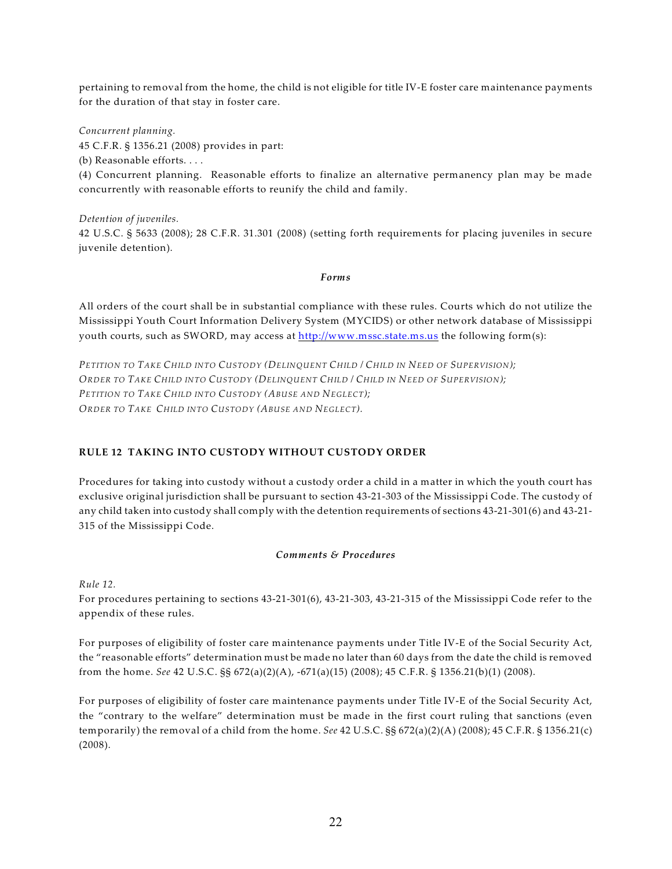pertaining to removal from the home, the child is not eligible for title IV-E foster care maintenance payments for the duration of that stay in foster care.

*Concurrent planning.* 45 C.F.R. § 1356.21 (2008) provides in part: (b) Reasonable efforts. . . . (4) Concurrent planning. Reasonable efforts to finalize an alternative permanency plan may be made concurrently with reasonable efforts to reunify the child and family.

*Detention of juveniles.* 42 U.S.C. § 5633 (2008); 28 C.F.R. 31.301 (2008) (setting forth requirements for placing juveniles in secure juvenile detention).

## *Forms*

All orders of the court shall be in substantial compliance with these rules. Courts which do not utilize the Mississippi Youth Court Information Delivery System (MYCIDS) or other network database of Mississippi youth courts, such as SWORD, may access at <http://www.mssc.state.ms.us> the following form(s):

PETITION TO TAKE CHILD INTO CUSTODY (DELINQUENT CHILD / CHILD IN NEED OF SUPERVISION); *ORDER TO TAKE CHILD INTO CUSTODY (DELINQUENT CHILD / CHILD IN NEED OF SUPERVISION); PETITION TO TAKE CHILD INTO CUSTODY (ABUSE AND NEGLECT); ORDER TO TAKE CHILD INTO CUSTODY (ABUSE AND NEGLECT).*

# **RULE 12 TAKING INTO CUSTODY WITHOUT CUSTODY ORDER**

Procedures for taking into custody without a custody order a child in a matter in which the youth court has exclusive original jurisdiction shall be pursuant to section 43-21-303 of the Mississippi Code. The custody of any child taken into custody shall comply with the detention requirements of sections 43-21-301(6) and 43-21- 315 of the Mississippi Code.

# *Comments & Procedures*

*Rule 12.*

For procedures pertaining to sections 43-21-301(6), 43-21-303, 43-21-315 of the Mississippi Code refer to the appendix of these rules.

For purposes of eligibility of foster care maintenance payments under Title IV-E of the Social Security Act, the "reasonable efforts" determination must be made no later than 60 days from the date the child is removed from the home. *See* 42 U.S.C. §§ 672(a)(2)(A), -671(a)(15) (2008); 45 C.F.R. § 1356.21(b)(1) (2008).

For purposes of eligibility of foster care maintenance payments under Title IV-E of the Social Security Act, the "contrary to the welfare" determination must be made in the first court ruling that sanctions (even temporarily) the removal of a child from the home. *See* 42 U.S.C. §§ 672(a)(2)(A) (2008); 45 C.F.R. § 1356.21(c) (2008).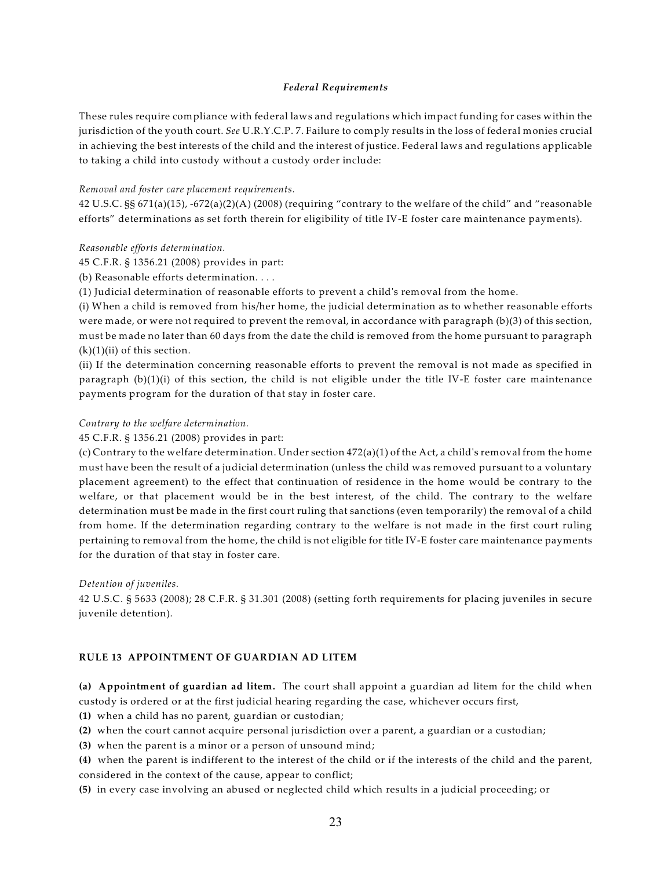## *Federal Requirements*

These rules require compliance with federal laws and regulations which impact funding for cases within the jurisdiction of the youth court. *See* U.R.Y.C.P. 7. Failure to comply results in the loss of federal monies crucial in achieving the best interests of the child and the interest of justice. Federal laws and regulations applicable to taking a child into custody without a custody order include:

#### *Removal and foster care placement requirements.*

42 U.S.C. §§ 671(a)(15), -672(a)(2)(A) (2008) (requiring "contrary to the welfare of the child" and "reasonable efforts" determinations as set forth therein for eligibility of title IV-E foster care maintenance payments).

#### *Reasonable efforts determination.*

45 C.F.R. § 1356.21 (2008) provides in part:

(b) Reasonable efforts determination. . . .

(1) Judicial determination of reasonable efforts to prevent a child's removal from the home.

(i) When a child is removed from his/her home, the judicial determination as to whether reasonable efforts were made, or were not required to prevent the removal, in accordance with paragraph (b)(3) of this section, must be made no later than 60 days from the date the child is removed from the home pursuant to paragraph  $(k)(1)(ii)$  of this section.

(ii) If the determination concerning reasonable efforts to prevent the removal is not made as specified in paragraph  $(b)(1)(i)$  of this section, the child is not eligible under the title IV-E foster care maintenance payments program for the duration of that stay in foster care.

## *Contrary to the welfare determination.*

45 C.F.R. § 1356.21 (2008) provides in part:

(c) Contrary to the welfare determination. Under section  $472(a)(1)$  of the Act, a child's removal from the home must have been the result of a judicial determination (unless the child was removed pursuant to a voluntary placement agreement) to the effect that continuation of residence in the home would be contrary to the welfare, or that placement would be in the best interest, of the child. The contrary to the welfare determination must be made in the first court ruling that sanctions (even temporarily) the removal of a child from home. If the determination regarding contrary to the welfare is not made in the first court ruling pertaining to removal from the home, the child is not eligible for title IV-E foster care maintenance payments for the duration of that stay in foster care.

#### *Detention of juveniles.*

42 U.S.C. § 5633 (2008); 28 C.F.R. § 31.301 (2008) (setting forth requirements for placing juveniles in secure juvenile detention).

#### **RULE 13 APPOINTMENT OF GUARDIAN AD LITEM**

**(a) Appointment of guardian ad litem.** The court shall appoint a guardian ad litem for the child when custody is ordered or at the first judicial hearing regarding the case, whichever occurs first,

**(1)** when a child has no parent, guardian or custodian;

**(2)** when the court cannot acquire personal jurisdiction over a parent, a guardian or a custodian;

**(3)** when the parent is a minor or a person of unsound mind;

**(4)** when the parent is indifferent to the interest of the child or if the interests of the child and the parent, considered in the context of the cause, appear to conflict;

**(5)** in every case involving an abused or neglected child which results in a judicial proceeding; or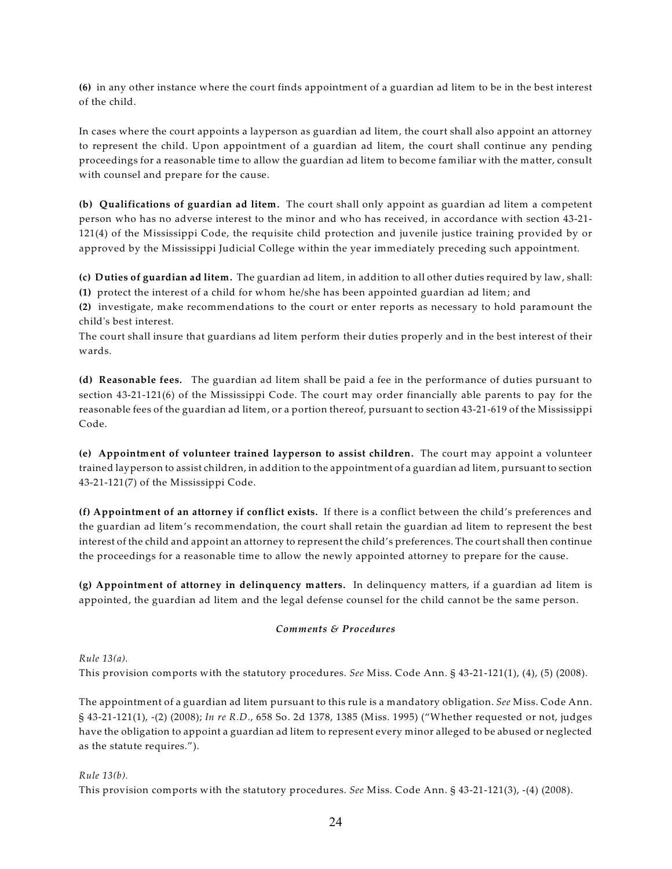**(6)** in any other instance where the court finds appointment of a guardian ad litem to be in the best interest of the child.

In cases where the court appoints a layperson as guardian ad litem, the court shall also appoint an attorney to represent the child. Upon appointment of a guardian ad litem, the court shall continue any pending proceedings for a reasonable time to allow the guardian ad litem to become familiar with the matter, consult with counsel and prepare for the cause.

**(b) Qualifications of guardian ad litem.** The court shall only appoint as guardian ad litem a competent person who has no adverse interest to the minor and who has received, in accordance with section 43-21- 121(4) of the Mississippi Code, the requisite child protection and juvenile justice training provided by or approved by the Mississippi Judicial College within the year immediately preceding such appointment.

**(c) Duties of guardian ad litem.** The guardian ad litem, in addition to all other duties required by law, shall: **(1)** protect the interest of a child for whom he/she has been appointed guardian ad litem; and

**(2)** investigate, make recommendations to the court or enter reports as necessary to hold paramount the child's best interest.

The court shall insure that guardians ad litem perform their duties properly and in the best interest of their wards.

**(d) Reasonable fees.** The guardian ad litem shall be paid a fee in the performance of duties pursuant to section 43-21-121(6) of the Mississippi Code. The court may order financially able parents to pay for the reasonable fees of the guardian ad litem, or a portion thereof, pursuant to section 43-21-619 of the Mississippi Code.

**(e) Appointment of volunteer trained layperson to assist children.** The court may appoint a volunteer trained layperson to assist children, in addition to the appointment of a guardian ad litem, pursuant to section 43-21-121(7) of the Mississippi Code.

**(f) Appointment of an attorney if conflict exists.** If there is a conflict between the child's preferences and the guardian ad litem's recommendation, the court shall retain the guardian ad litem to represent the best interest of the child and appoint an attorney to represent the child's preferences. The court shall then continue the proceedings for a reasonable time to allow the newly appointed attorney to prepare for the cause.

**(g) Appointment of attorney in delinquency matters.** In delinquency matters, if a guardian ad litem is appointed, the guardian ad litem and the legal defense counsel for the child cannot be the same person.

# *Comments & Procedures*

*Rule 13(a).*

This provision comports with the statutory procedures. *See* Miss. Code Ann. § 43-21-121(1), (4), (5) (2008).

The appointment of a guardian ad litem pursuant to this rule is a mandatory obligation. *See* Miss. Code Ann. § 43-21-121(1), -(2) (2008); *In re R.D.*, 658 So. 2d 1378, 1385 (Miss. 1995) ("Whether requested or not, judges have the obligation to appoint a guardian ad litem to represent every minor alleged to be abused or neglected as the statute requires.").

*Rule 13(b).* 

This provision comports with the statutory procedures. *See* Miss. Code Ann. § 43-21-121(3), -(4) (2008).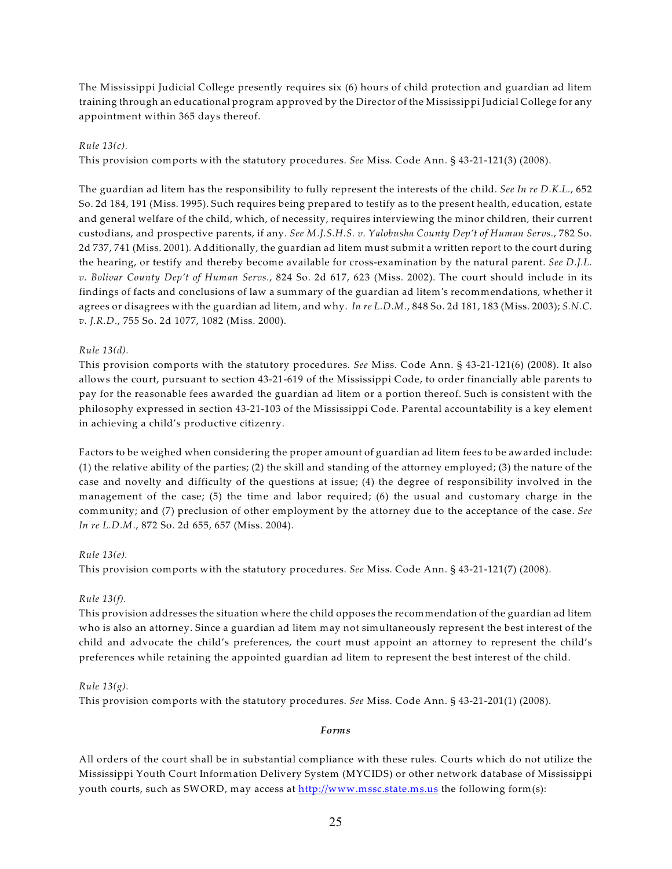The Mississippi Judicial College presently requires six (6) hours of child protection and guardian ad litem training through an educational program approved by the Director of the Mississippi Judicial College for any appointment within 365 days thereof.

## *Rule 13(c).*

This provision comports with the statutory procedures. *See* Miss. Code Ann. § 43-21-121(3) (2008).

The guardian ad litem has the responsibility to fully represent the interests of the child. *See In re D.K.L.*, 652 So. 2d 184, 191 (Miss. 1995). Such requires being prepared to testify as to the present health, education, estate and general welfare of the child, which, of necessity, requires interviewing the minor children, their current custodians, and prospective parents, if any. *See M.J.S.H.S. v. Yalobusha County Dep't of Human Servs.*, 782 So. 2d 737, 741 (Miss. 2001)*.* Additionally, the guardian ad litem must submit a written report to the court during the hearing, or testify and thereby become available for cross-examination by the natural parent. *See D.J.L. v. Bolivar County Dep't of Human Servs.*, 824 So. 2d 617, 623 (Miss. 2002). The court should include in its findings of facts and conclusions of law a summary of the guardian ad litem's recommendations, whether it agrees or disagrees with the guardian ad litem, and why. *In re L.D.M.*, 848 So. 2d 181, 183 (Miss. 2003); *S.N.C. v. J.R.D.*, 755 So. 2d 1077, 1082 (Miss. 2000).

#### *Rule 13(d).*

This provision comports with the statutory procedures. *See* Miss. Code Ann. § 43-21-121(6) (2008). It also allows the court, pursuant to section 43-21-619 of the Mississippi Code, to order financially able parents to pay for the reasonable fees awarded the guardian ad litem or a portion thereof. Such is consistent with the philosophy expressed in section 43-21-103 of the Mississippi Code. Parental accountability is a key element in achieving a child's productive citizenry.

Factors to be weighed when considering the proper amount of guardian ad litem fees to be awarded include: (1) the relative ability of the parties; (2) the skill and standing of the attorney employed; (3) the nature of the case and novelty and difficulty of the questions at issue; (4) the degree of responsibility involved in the management of the case; (5) the time and labor required; (6) the usual and customary charge in the community; and (7) preclusion of other employment by the attorney due to the acceptance of the case. *See In re L.D.M.*, 872 So. 2d 655, 657 (Miss. 2004).

#### *Rule 13(e).*

This provision comports with the statutory procedures. *See* Miss. Code Ann. § 43-21-121(7) (2008).

#### *Rule 13(f).*

This provision addresses the situation where the child opposes the recommendation of the guardian ad litem who is also an attorney. Since a guardian ad litem may not simultaneously represent the best interest of the child and advocate the child's preferences, the court must appoint an attorney to represent the child's preferences while retaining the appointed guardian ad litem to represent the best interest of the child.

#### *Rule 13(g).*

This provision comports with the statutory procedures. *See* Miss. Code Ann. § 43-21-201(1) (2008).

#### *Forms*

All orders of the court shall be in substantial compliance with these rules. Courts which do not utilize the Mississippi Youth Court Information Delivery System (MYCIDS) or other network database of Mississippi youth courts, such as SWORD, may access at <http://www.mssc.state.ms.us> the following form(s):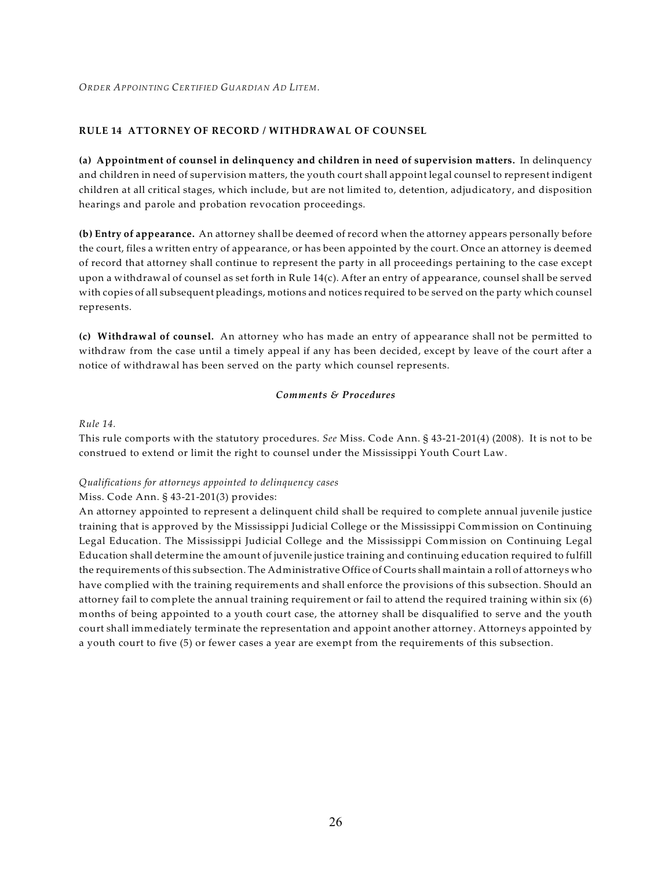# **RULE 14 ATTORNEY OF RECORD / WITHDRAWAL OF COUNSEL**

**(a) Appointment of counsel in delinquency and children in need of supervision matters.** In delinquency and children in need of supervision matters, the youth court shall appoint legal counsel to represent indigent children at all critical stages, which include, but are not limited to, detention, adjudicatory, and disposition hearings and parole and probation revocation proceedings.

**(b) Entry of appearance.** An attorney shall be deemed of record when the attorney appears personally before the court, files a written entry of appearance, or has been appointed by the court. Once an attorney is deemed of record that attorney shall continue to represent the party in all proceedings pertaining to the case except upon a withdrawal of counsel as set forth in Rule 14(c). After an entry of appearance, counsel shall be served with copies of all subsequent pleadings, motions and notices required to be served on the party which counsel represents.

**(c) Withdrawal of counsel.** An attorney who has made an entry of appearance shall not be permitted to withdraw from the case until a timely appeal if any has been decided, except by leave of the court after a notice of withdrawal has been served on the party which counsel represents.

# *Comments & Procedures*

# *Rule 14.*

This rule comports with the statutory procedures. *See* Miss. Code Ann. § 43-21-201(4) (2008). It is not to be construed to extend or limit the right to counsel under the Mississippi Youth Court Law.

# *Qualifications for attorneys appointed to delinquency cases*

# Miss. Code Ann. § 43-21-201(3) provides:

An attorney appointed to represent a delinquent child shall be required to complete annual juvenile justice training that is approved by the Mississippi Judicial College or the Mississippi Commission on Continuing Legal Education. The Mississippi Judicial College and the Mississippi Commission on Continuing Legal Education shall determine the amount of juvenile justice training and continuing education required to fulfill the requirements of this subsection. The Administrative Office of Courts shall maintain a roll of attorneys who have complied with the training requirements and shall enforce the provisions of this subsection. Should an attorney fail to complete the annual training requirement or fail to attend the required training within six (6) months of being appointed to a youth court case, the attorney shall be disqualified to serve and the youth court shall immediately terminate the representation and appoint another attorney. Attorneys appointed by a youth court to five (5) or fewer cases a year are exempt from the requirements of this subsection.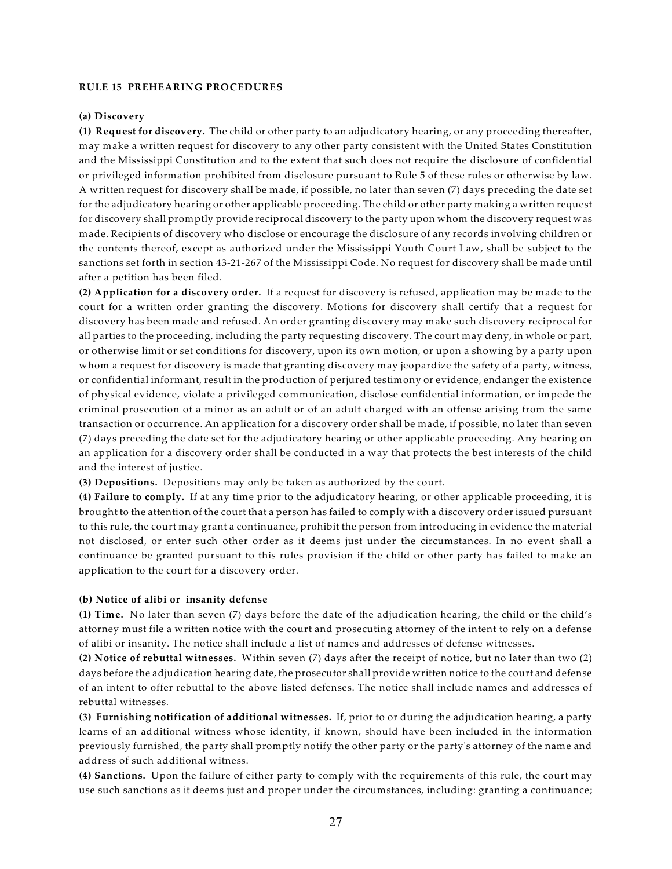#### **RULE 15 PREHEARING PROCEDURES**

#### **(a) Discovery**

**(1) Request for discovery.** The child or other party to an adjudicatory hearing, or any proceeding thereafter, may make a written request for discovery to any other party consistent with the United States Constitution and the Mississippi Constitution and to the extent that such does not require the disclosure of confidential or privileged information prohibited from disclosure pursuant to Rule 5 of these rules or otherwise by law. A written request for discovery shall be made, if possible, no later than seven (7) days preceding the date set for the adjudicatory hearing or other applicable proceeding. The child or other party making a written request for discovery shall promptly provide reciprocal discovery to the party upon whom the discovery request was made. Recipients of discovery who disclose or encourage the disclosure of any records involving children or the contents thereof, except as authorized under the Mississippi Youth Court Law, shall be subject to the sanctions set forth in section 43-21-267 of the Mississippi Code. No request for discovery shall be made until after a petition has been filed.

**(2) Application for a discovery order.** If a request for discovery is refused, application may be made to the court for a written order granting the discovery. Motions for discovery shall certify that a request for discovery has been made and refused. An order granting discovery may make such discovery reciprocal for all parties to the proceeding, including the party requesting discovery. The court may deny, in whole or part, or otherwise limit or set conditions for discovery, upon its own motion, or upon a showing by a party upon whom a request for discovery is made that granting discovery may jeopardize the safety of a party, witness, or confidential informant, result in the production of perjured testimony or evidence, endanger the existence of physical evidence, violate a privileged communication, disclose confidential information, or impede the criminal prosecution of a minor as an adult or of an adult charged with an offense arising from the same transaction or occurrence. An application for a discovery order shall be made, if possible, no later than seven (7) days preceding the date set for the adjudicatory hearing or other applicable proceeding. Any hearing on an application for a discovery order shall be conducted in a way that protects the best interests of the child and the interest of justice.

**(3) Depositions.** Depositions may only be taken as authorized by the court.

**(4) Failure to comply.** If at any time prior to the adjudicatory hearing, or other applicable proceeding, it is brought to the attention of the court that a person has failed to comply with a discovery order issued pursuant to this rule, the court may grant a continuance, prohibit the person from introducing in evidence the material not disclosed, or enter such other order as it deems just under the circumstances. In no event shall a continuance be granted pursuant to this rules provision if the child or other party has failed to make an application to the court for a discovery order.

#### **(b) Notice of alibi or insanity defense**

**(1) Time.** No later than seven (7) days before the date of the adjudication hearing, the child or the child's attorney must file a written notice with the court and prosecuting attorney of the intent to rely on a defense of alibi or insanity. The notice shall include a list of names and addresses of defense witnesses.

**(2) Notice of rebuttal witnesses.** Within seven (7) days after the receipt of notice, but no later than two (2) days before the adjudication hearing date, the prosecutor shall provide written notice to the court and defense of an intent to offer rebuttal to the above listed defenses. The notice shall include names and addresses of rebuttal witnesses.

**(3) Furnishing notification of additional witnesses.** If, prior to or during the adjudication hearing, a party learns of an additional witness whose identity, if known, should have been included in the information previously furnished, the party shall promptly notify the other party or the party's attorney of the name and address of such additional witness.

**(4) Sanctions.** Upon the failure of either party to comply with the requirements of this rule, the court may use such sanctions as it deems just and proper under the circumstances, including: granting a continuance;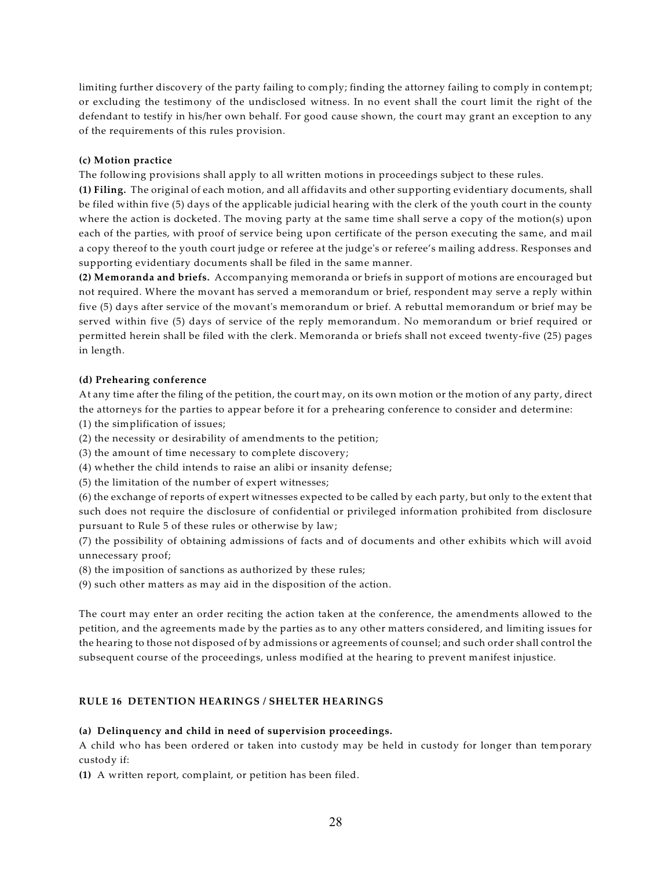limiting further discovery of the party failing to comply; finding the attorney failing to comply in contempt; or excluding the testimony of the undisclosed witness. In no event shall the court limit the right of the defendant to testify in his/her own behalf. For good cause shown, the court may grant an exception to any of the requirements of this rules provision.

## **(c) Motion practice**

The following provisions shall apply to all written motions in proceedings subject to these rules.

**(1) Filing.** The original of each motion, and all affidavits and other supporting evidentiary documents, shall be filed within five (5) days of the applicable judicial hearing with the clerk of the youth court in the county where the action is docketed. The moving party at the same time shall serve a copy of the motion(s) upon each of the parties, with proof of service being upon certificate of the person executing the same, and mail a copy thereof to the youth court judge or referee at the judge's or referee's mailing address. Responses and supporting evidentiary documents shall be filed in the same manner.

**(2) Memoranda and briefs.** Accompanying memoranda or briefs in support of motions are encouraged but not required. Where the movant has served a memorandum or brief, respondent may serve a reply within five (5) days after service of the movant's memorandum or brief. A rebuttal memorandum or brief may be served within five (5) days of service of the reply memorandum. No memorandum or brief required or permitted herein shall be filed with the clerk. Memoranda or briefs shall not exceed twenty-five (25) pages in length.

#### **(d) Prehearing conference**

At any time after the filing of the petition, the court may, on its own motion or the motion of any party, direct the attorneys for the parties to appear before it for a prehearing conference to consider and determine:

- (1) the simplification of issues;
- (2) the necessity or desirability of amendments to the petition;
- (3) the amount of time necessary to complete discovery;
- (4) whether the child intends to raise an alibi or insanity defense;
- (5) the limitation of the number of expert witnesses;

(6) the exchange of reports of expert witnesses expected to be called by each party, but only to the extent that such does not require the disclosure of confidential or privileged information prohibited from disclosure pursuant to Rule 5 of these rules or otherwise by law;

(7) the possibility of obtaining admissions of facts and of documents and other exhibits which will avoid unnecessary proof;

- (8) the imposition of sanctions as authorized by these rules;
- (9) such other matters as may aid in the disposition of the action.

The court may enter an order reciting the action taken at the conference, the amendments allowed to the petition, and the agreements made by the parties as to any other matters considered, and limiting issues for the hearing to those not disposed of by admissions or agreements of counsel; and such order shall control the subsequent course of the proceedings, unless modified at the hearing to prevent manifest injustice.

# **RULE 16 DETENTION HEARINGS / SHELTER HEARINGS**

#### **(a) Delinquency and child in need of supervision proceedings.**

A child who has been ordered or taken into custody may be held in custody for longer than temporary custody if:

**(1)** A written report, complaint, or petition has been filed.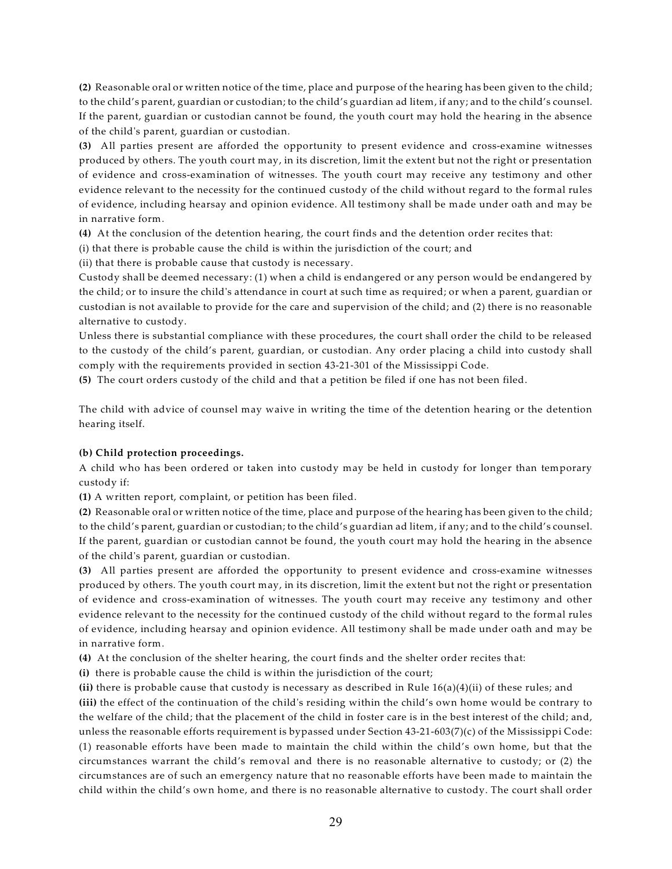**(2)** Reasonable oral or written notice of the time, place and purpose of the hearing has been given to the child; to the child's parent, guardian or custodian; to the child's guardian ad litem, if any; and to the child's counsel. If the parent, guardian or custodian cannot be found, the youth court may hold the hearing in the absence of the child's parent, guardian or custodian.

**(3)** All parties present are afforded the opportunity to present evidence and cross-examine witnesses produced by others. The youth court may, in its discretion, limit the extent but not the right or presentation of evidence and cross-examination of witnesses. The youth court may receive any testimony and other evidence relevant to the necessity for the continued custody of the child without regard to the formal rules of evidence, including hearsay and opinion evidence. All testimony shall be made under oath and may be in narrative form.

**(4)** At the conclusion of the detention hearing, the court finds and the detention order recites that:

(i) that there is probable cause the child is within the jurisdiction of the court; and

(ii) that there is probable cause that custody is necessary.

Custody shall be deemed necessary: (1) when a child is endangered or any person would be endangered by the child; or to insure the child's attendance in court at such time as required; or when a parent, guardian or custodian is not available to provide for the care and supervision of the child; and (2) there is no reasonable alternative to custody.

Unless there is substantial compliance with these procedures, the court shall order the child to be released to the custody of the child's parent, guardian, or custodian. Any order placing a child into custody shall comply with the requirements provided in section 43-21-301 of the Mississippi Code.

**(5)** The court orders custody of the child and that a petition be filed if one has not been filed.

The child with advice of counsel may waive in writing the time of the detention hearing or the detention hearing itself.

# **(b) Child protection proceedings.**

A child who has been ordered or taken into custody may be held in custody for longer than temporary custody if:

**(1)** A written report, complaint, or petition has been filed.

**(2)** Reasonable oral or written notice of the time, place and purpose of the hearing has been given to the child; to the child's parent, guardian or custodian; to the child's guardian ad litem, if any; and to the child's counsel. If the parent, guardian or custodian cannot be found, the youth court may hold the hearing in the absence of the child's parent, guardian or custodian.

**(3)** All parties present are afforded the opportunity to present evidence and cross-examine witnesses produced by others. The youth court may, in its discretion, limit the extent but not the right or presentation of evidence and cross-examination of witnesses. The youth court may receive any testimony and other evidence relevant to the necessity for the continued custody of the child without regard to the formal rules of evidence, including hearsay and opinion evidence. All testimony shall be made under oath and may be in narrative form.

**(4)** At the conclusion of the shelter hearing, the court finds and the shelter order recites that:

**(i)** there is probable cause the child is within the jurisdiction of the court;

**(ii)** there is probable cause that custody is necessary as described in Rule 16(a)(4)(ii) of these rules; and **(iii)** the effect of the continuation of the child's residing within the child's own home would be contrary to the welfare of the child; that the placement of the child in foster care is in the best interest of the child; and, unless the reasonable efforts requirement is bypassed under Section 43-21-603(7)(c) of the Mississippi Code: (1) reasonable efforts have been made to maintain the child within the child's own home, but that the circumstances warrant the child's removal and there is no reasonable alternative to custody; or (2) the circumstances are of such an emergency nature that no reasonable efforts have been made to maintain the child within the child's own home, and there is no reasonable alternative to custody. The court shall order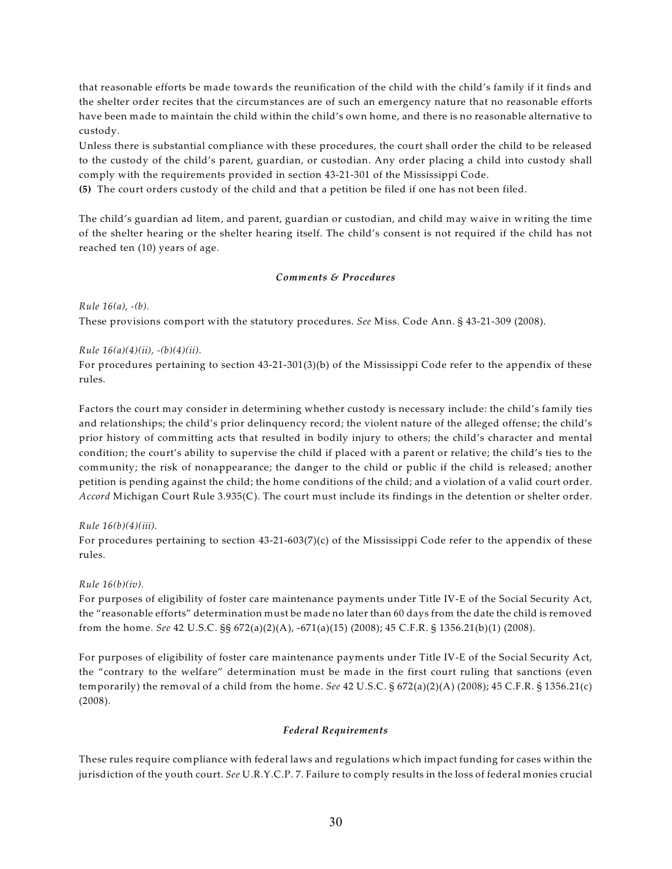that reasonable efforts be made towards the reunification of the child with the child's family if it finds and the shelter order recites that the circumstances are of such an emergency nature that no reasonable efforts have been made to maintain the child within the child's own home, and there is no reasonable alternative to custody.

Unless there is substantial compliance with these procedures, the court shall order the child to be released to the custody of the child's parent, guardian, or custodian. Any order placing a child into custody shall comply with the requirements provided in section 43-21-301 of the Mississippi Code.

**(5)** The court orders custody of the child and that a petition be filed if one has not been filed.

The child's guardian ad litem, and parent, guardian or custodian, and child may waive in writing the time of the shelter hearing or the shelter hearing itself. The child's consent is not required if the child has not reached ten (10) years of age.

## *Comments & Procedures*

*Rule 16(a), -(b).* These provisions comport with the statutory procedures. *See* Miss. Code Ann. § 43-21-309 (2008).

# *Rule 16(a)(4)(ii), -(b)(4)(ii).*

For procedures pertaining to section 43-21-301(3)(b) of the Mississippi Code refer to the appendix of these rules.

Factors the court may consider in determining whether custody is necessary include: the child's family ties and relationships; the child's prior delinquency record; the violent nature of the alleged offense; the child's prior history of committing acts that resulted in bodily injury to others; the child's character and mental condition; the court's ability to supervise the child if placed with a parent or relative; the child's ties to the community; the risk of nonappearance; the danger to the child or public if the child is released; another petition is pending against the child; the home conditions of the child; and a violation of a valid court order. *Accord* Michigan Court Rule 3.935(C). The court must include its findings in the detention or shelter order.

# *Rule 16(b)(4)(iii).*

For procedures pertaining to section 43-21-603(7)(c) of the Mississippi Code refer to the appendix of these rules.

#### *Rule 16(b)(iv).*

For purposes of eligibility of foster care maintenance payments under Title IV-E of the Social Security Act, the "reasonable efforts" determination must be made no later than 60 days from the date the child is removed from the home. *See* 42 U.S.C. §§ 672(a)(2)(A), -671(a)(15) (2008); 45 C.F.R. § 1356.21(b)(1) (2008).

For purposes of eligibility of foster care maintenance payments under Title IV-E of the Social Security Act, the "contrary to the welfare" determination must be made in the first court ruling that sanctions (even temporarily) the removal of a child from the home. *See* 42 U.S.C. § 672(a)(2)(A) (2008); 45 C.F.R. § 1356.21(c) (2008).

# *Federal Requirements*

These rules require compliance with federal laws and regulations which impact funding for cases within the jurisdiction of the youth court. *See* U.R.Y.C.P. 7. Failure to comply results in the loss of federal monies crucial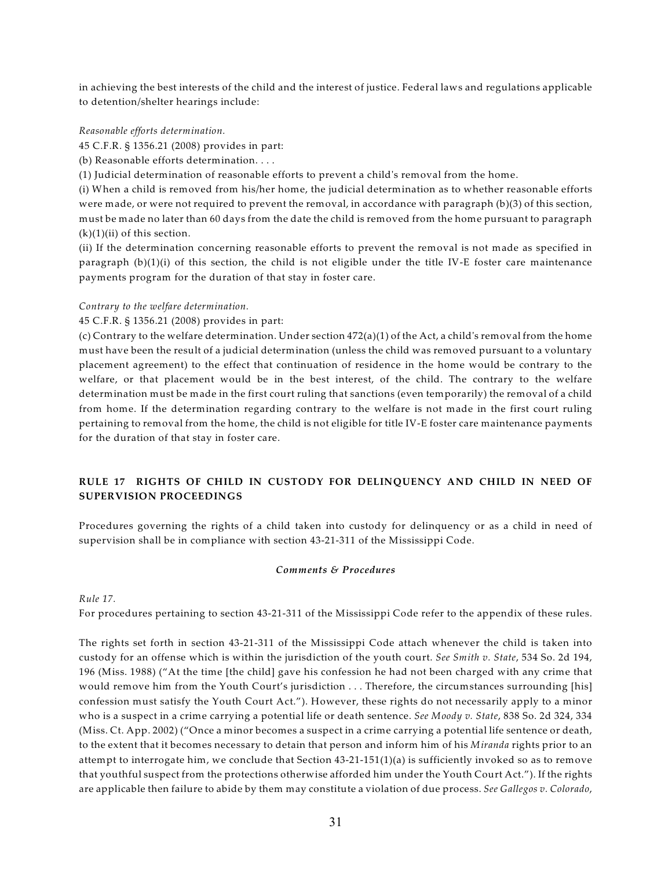in achieving the best interests of the child and the interest of justice. Federal laws and regulations applicable to detention/shelter hearings include:

#### *Reasonable efforts determination.*

45 C.F.R. § 1356.21 (2008) provides in part:

(b) Reasonable efforts determination. . . .

(1) Judicial determination of reasonable efforts to prevent a child's removal from the home.

(i) When a child is removed from his/her home, the judicial determination as to whether reasonable efforts were made, or were not required to prevent the removal, in accordance with paragraph (b)(3) of this section, must be made no later than 60 days from the date the child is removed from the home pursuant to paragraph  $(k)(1)(ii)$  of this section.

(ii) If the determination concerning reasonable efforts to prevent the removal is not made as specified in paragraph  $(b)(1)(i)$  of this section, the child is not eligible under the title IV-E foster care maintenance payments program for the duration of that stay in foster care.

#### *Contrary to the welfare determination.*

45 C.F.R. § 1356.21 (2008) provides in part:

(c) Contrary to the welfare determination. Under section 472(a)(1) of the Act, a child's removal from the home must have been the result of a judicial determination (unless the child was removed pursuant to a voluntary placement agreement) to the effect that continuation of residence in the home would be contrary to the welfare, or that placement would be in the best interest, of the child. The contrary to the welfare determination must be made in the first court ruling that sanctions (even temporarily) the removal of a child from home. If the determination regarding contrary to the welfare is not made in the first court ruling pertaining to removal from the home, the child is not eligible for title IV-E foster care maintenance payments for the duration of that stay in foster care.

# **RULE 17 RIGHTS OF CHILD IN CUSTODY FOR DELINQUENCY AND CHILD IN NEED OF SUPERVISION PROCEEDINGS**

Procedures governing the rights of a child taken into custody for delinquency or as a child in need of supervision shall be in compliance with section 43-21-311 of the Mississippi Code.

#### *Comments & Procedures*

*Rule 17.*

For procedures pertaining to section 43-21-311 of the Mississippi Code refer to the appendix of these rules.

The rights set forth in section 43-21-311 of the Mississippi Code attach whenever the child is taken into custody for an offense which is within the jurisdiction of the youth court. *See Smith v. State*, 534 So. 2d 194, 196 (Miss. 1988) ("At the time [the child] gave his confession he had not been charged with any crime that would remove him from the Youth Court's jurisdiction . . . Therefore, the circumstances surrounding [his] confession must satisfy the Youth Court Act."). However, these rights do not necessarily apply to a minor who is a suspect in a crime carrying a potential life or death sentence. *See Moody v. State*, 838 So. 2d 324, 334 (Miss. Ct. App. 2002) ("Once a minor becomes a suspect in a crime carrying a potential life sentence or death, to the extent that it becomes necessary to detain that person and inform him of his *Miranda* rights prior to an attempt to interrogate him, we conclude that Section 43-21-151(1)(a) is sufficiently invoked so as to remove that youthful suspect from the protections otherwise afforded him under the Youth Court Act."). If the rights are applicable then failure to abide by them may constitute a violation of due process. *See Gallegos v. Colorado*,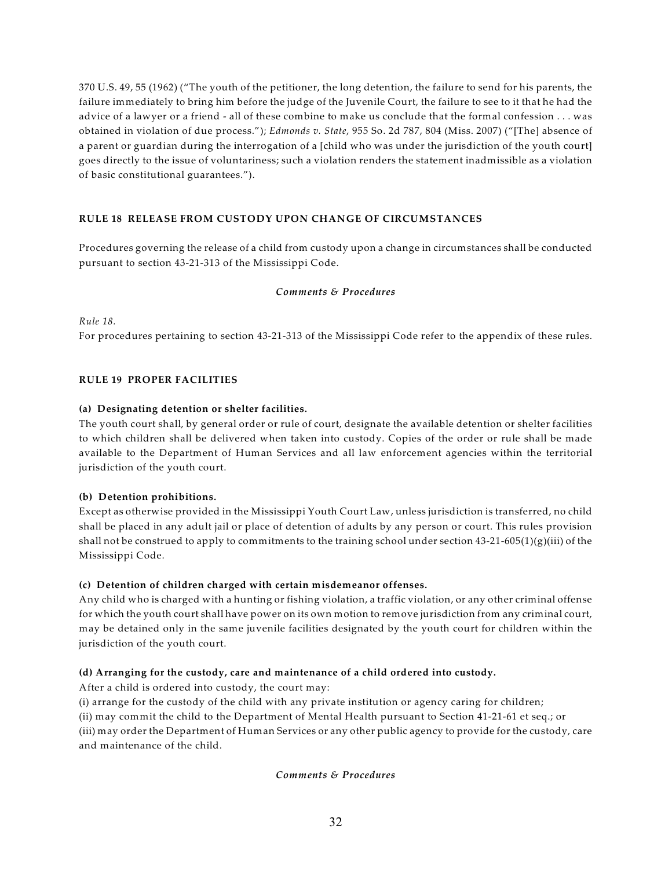370 U.S. 49, 55 (1962) ("The youth of the petitioner, the long detention, the failure to send for his parents, the failure immediately to bring him before the judge of the Juvenile Court, the failure to see to it that he had the advice of a lawyer or a friend - all of these combine to make us conclude that the formal confession . . . was obtained in violation of due process."); *Edmonds v. State*, 955 So. 2d 787, 804 (Miss. 2007) ("[The] absence of a parent or guardian during the interrogation of a [child who was under the jurisdiction of the youth court] goes directly to the issue of voluntariness; such a violation renders the statement inadmissible as a violation of basic constitutional guarantees.").

# **RULE 18 RELEASE FROM CUSTODY UPON CHANGE OF CIRCUMSTANCES**

Procedures governing the release of a child from custody upon a change in circumstances shall be conducted pursuant to section 43-21-313 of the Mississippi Code.

# *Comments & Procedures*

*Rule 18.*

For procedures pertaining to section 43-21-313 of the Mississippi Code refer to the appendix of these rules.

# **RULE 19 PROPER FACILITIES**

## **(a) Designating detention or shelter facilities.**

The youth court shall, by general order or rule of court, designate the available detention or shelter facilities to which children shall be delivered when taken into custody. Copies of the order or rule shall be made available to the Department of Human Services and all law enforcement agencies within the territorial jurisdiction of the youth court.

# **(b) Detention prohibitions.**

Except as otherwise provided in the Mississippi Youth Court Law, unless jurisdiction is transferred, no child shall be placed in any adult jail or place of detention of adults by any person or court. This rules provision shall not be construed to apply to commitments to the training school under section  $43-21-605(1)(g)(iii)$  of the Mississippi Code.

# **(c) Detention of children charged with certain misdemeanor offenses.**

Any child who is charged with a hunting or fishing violation, a traffic violation, or any other criminal offense for which the youth court shall have power on its own motion to remove jurisdiction from any criminal court, may be detained only in the same juvenile facilities designated by the youth court for children within the jurisdiction of the youth court.

# **(d) Arranging for the custody, care and maintenance of a child ordered into custody.**

After a child is ordered into custody, the court may:

(i) arrange for the custody of the child with any private institution or agency caring for children;

(ii) may commit the child to the Department of Mental Health pursuant to Section 41-21-61 et seq.; or (iii) may order the Department of Human Services or any other public agency to provide for the custody, care and maintenance of the child.

# *Comments & Procedures*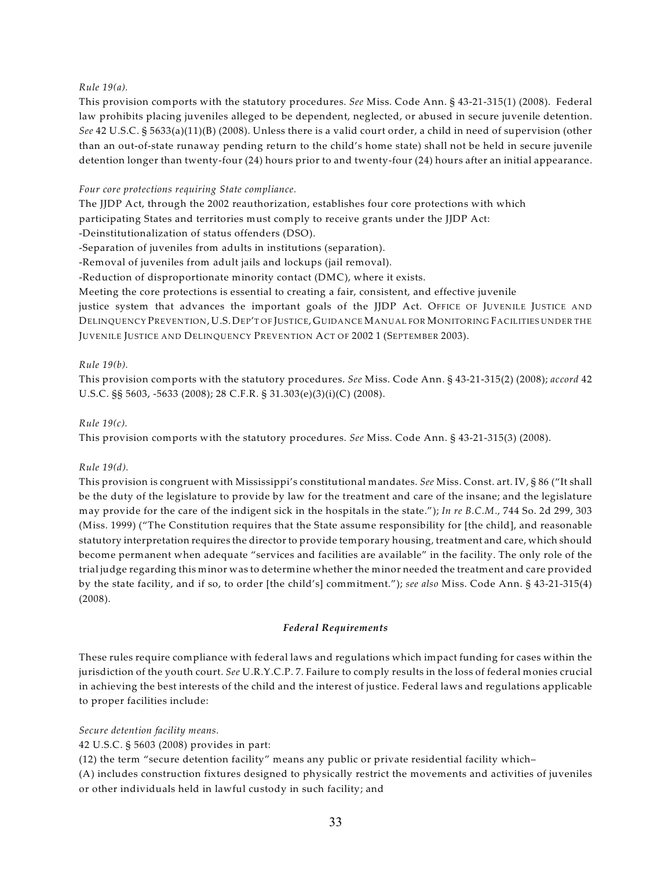# *Rule 19(a).*

This provision comports with the statutory procedures. *See* Miss. Code Ann. § 43-21-315(1) (2008). Federal law prohibits placing juveniles alleged to be dependent, neglected, or abused in secure juvenile detention. *See* 42 U.S.C. § 5633(a)(11)(B) (2008). Unless there is a valid court order, a child in need of supervision (other than an out-of-state runaway pending return to the child's home state) shall not be held in secure juvenile detention longer than twenty-four (24) hours prior to and twenty-four (24) hours after an initial appearance.

### *Four core protections requiring State compliance.*

The JJDP Act, through the 2002 reauthorization, establishes four core protections with which participating States and territories must comply to receive grants under the JJDP Act:

-Deinstitutionalization of status offenders (DSO).

-Separation of juveniles from adults in institutions (separation).

-Removal of juveniles from adult jails and lockups (jail removal).

-Reduction of disproportionate minority contact (DMC), where it exists.

Meeting the core protections is essential to creating a fair, consistent, and effective juvenile

justice system that advances the important goals of the JJDP Act. OFFICE OF JUVENILE JUSTICE AND DELINQUENCY PREVENTION, U.S. DEP'T OF JUSTICE, GUIDANCE MANUAL FOR MONITORING FACILITIES UNDER THE JUVENILE JUSTICE AND DELINQUENCY PREVEN TION ACT OF 2002 1 (SEPTEMBER 2003).

## *Rule 19(b).*

This provision comports with the statutory procedures. *See* Miss. Code Ann. § 43-21-315(2) (2008); *accord* 42 U.S.C. §§ 5603, -5633 (2008); 28 C.F.R. § 31.303(e)(3)(i)(C) (2008).

## *Rule 19(c).*

This provision comports with the statutory procedures. *See* Miss. Code Ann. § 43-21-315(3) (2008).

#### *Rule 19(d).*

This provision is congruent with Mississippi's constitutional mandates. *See* Miss. Const. art. IV, § 86 ("It shall be the duty of the legislature to provide by law for the treatment and care of the insane; and the legislature may provide for the care of the indigent sick in the hospitals in the state."); *In re B.C.M.,* 744 So. 2d 299, 303 (Miss. 1999) ("The Constitution requires that the State assume responsibility for [the child], and reasonable statutory interpretation requires the director to provide temporary housing, treatment and care, which should become permanent when adequate "services and facilities are available" in the facility. The only role of the trial judge regarding this minor was to determine whether the minor needed the treatment and care provided by the state facility, and if so, to order [the child's] commitment."); *see also* Miss. Code Ann. § 43-21-315(4) (2008).

# *Federal Requirements*

These rules require compliance with federal laws and regulations which impact funding for cases within the jurisdiction of the youth court. *See* U.R.Y.C.P. 7. Failure to comply results in the loss of federal monies crucial in achieving the best interests of the child and the interest of justice. Federal laws and regulations applicable to proper facilities include:

#### *Secure detention facility means.*

42 U.S.C. § 5603 (2008) provides in part:

(12) the term "secure detention facility" means any public or private residential facility which–

(A) includes construction fixtures designed to physically restrict the movements and activities of juveniles or other individuals held in lawful custody in such facility; and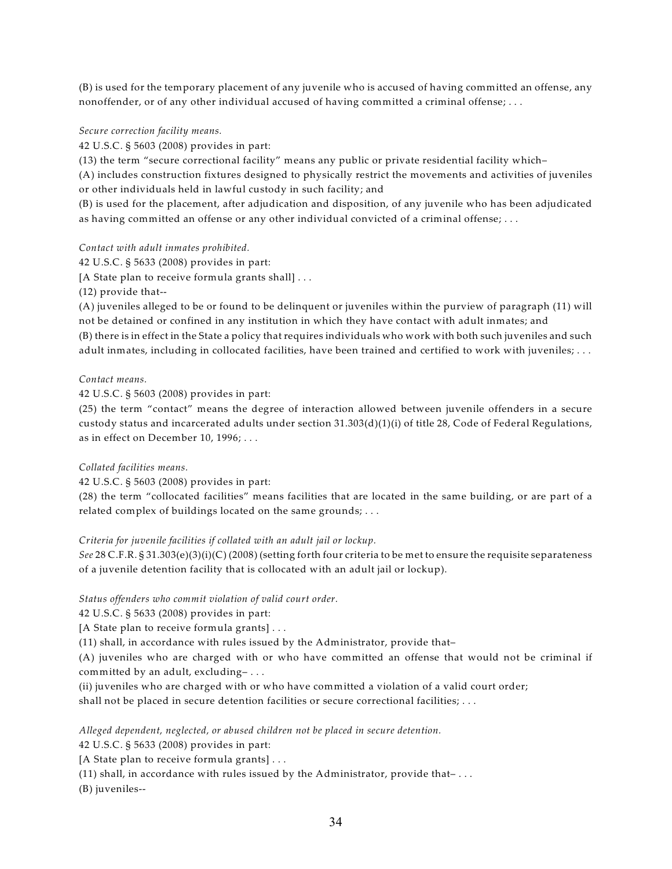(B) is used for the temporary placement of any juvenile who is accused of having committed an offense, any nonoffender, or of any other individual accused of having committed a criminal offense; . . .

### *Secure correction facility means.*

42 U.S.C. § 5603 (2008) provides in part:

(13) the term "secure correctional facility" means any public or private residential facility which–

(A) includes construction fixtures designed to physically restrict the movements and activities of juveniles or other individuals held in lawful custody in such facility; and

(B) is used for the placement, after adjudication and disposition, of any juvenile who has been adjudicated as having committed an offense or any other individual convicted of a criminal offense; . . .

## *Contact with adult inmates prohibited.*

42 U.S.C. § 5633 (2008) provides in part:

[A State plan to receive formula grants shall] . . .

(12) provide that--

(A) juveniles alleged to be or found to be delinquent or juveniles within the purview of paragraph (11) will not be detained or confined in any institution in which they have contact with adult inmates; and

(B) there is in effect in the State a policy that requires individuals who work with both such juveniles and such adult inmates, including in collocated facilities, have been trained and certified to work with juveniles; . . .

## *Contact means.*

42 U.S.C. § 5603 (2008) provides in part:

(25) the term "contact" means the degree of interaction allowed between juvenile offenders in a secure custody status and incarcerated adults under section 31.303(d)(1)(i) of title 28, Code of Federal Regulations, as in effect on December 10, 1996; . . .

# *Collated facilities means.*

42 U.S.C. § 5603 (2008) provides in part:

(28) the term "collocated facilities" means facilities that are located in the same building, or are part of a related complex of buildings located on the same grounds; . . .

# *Criteria for juvenile facilities if collated with an adult jail or lockup.*

*See* 28 C.F.R. § 31.303(e)(3)(i)(C) (2008) (setting forth four criteria to be met to ensure the requisite separateness of a juvenile detention facility that is collocated with an adult jail or lockup).

# *Status offenders who commit violation of valid court order.*

42 U.S.C. § 5633 (2008) provides in part:

[A State plan to receive formula grants] . . .

(11) shall, in accordance with rules issued by the Administrator, provide that–

(A) juveniles who are charged with or who have committed an offense that would not be criminal if committed by an adult, excluding– . . .

(ii) juveniles who are charged with or who have committed a violation of a valid court order; shall not be placed in secure detention facilities or secure correctional facilities; . . .

*Alleged dependent, neglected, or abused children not be placed in secure detention.*

42 U.S.C. § 5633 (2008) provides in part:

[A State plan to receive formula grants] . . .

(11) shall, in accordance with rules issued by the Administrator, provide that- $\dots$ 

(B) juveniles--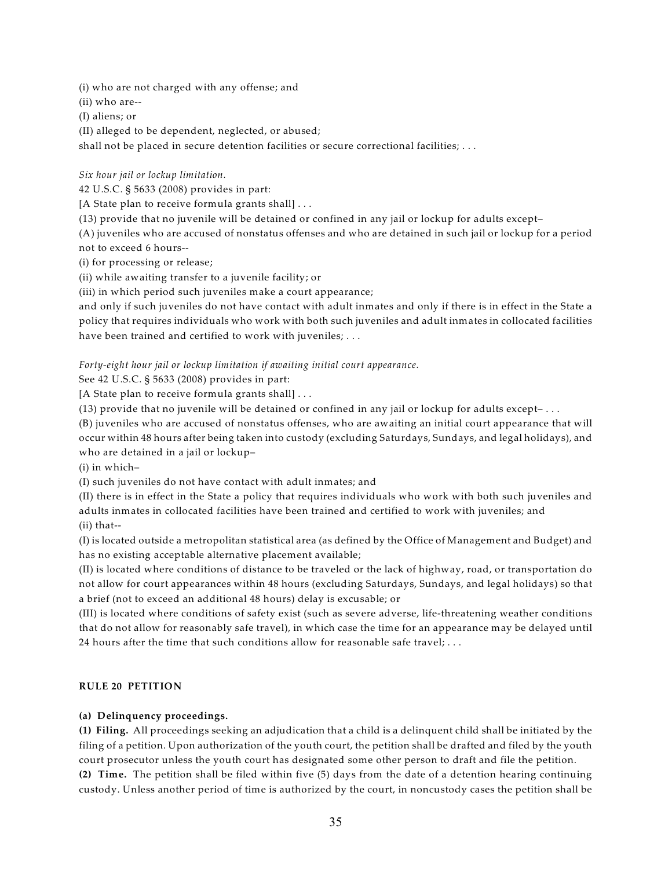(i) who are not charged with any offense; and

(ii) who are--

(I) aliens; or

(II) alleged to be dependent, neglected, or abused;

shall not be placed in secure detention facilities or secure correctional facilities; . . .

*Six hour jail or lockup limitation.* 

42 U.S.C. § 5633 (2008) provides in part:

[A State plan to receive formula grants shall] . . .

(13) provide that no juvenile will be detained or confined in any jail or lockup for adults except–

(A) juveniles who are accused of nonstatus offenses and who are detained in such jail or lockup for a period not to exceed 6 hours--

(i) for processing or release;

(ii) while awaiting transfer to a juvenile facility; or

(iii) in which period such juveniles make a court appearance;

and only if such juveniles do not have contact with adult inmates and only if there is in effect in the State a policy that requires individuals who work with both such juveniles and adult inmates in collocated facilities have been trained and certified to work with juveniles; ...

*Forty-eight hour jail or lockup limitation if awaiting initial court appearance.*

See 42 U.S.C. § 5633 (2008) provides in part:

[A State plan to receive formula grants shall] . . .

(13) provide that no juvenile will be detained or confined in any jail or lockup for adults except–  $\dots$ 

(B) juveniles who are accused of nonstatus offenses, who are awaiting an initial court appearance that will occur within 48 hours after being taken into custody (excluding Saturdays, Sundays, and legal holidays), and who are detained in a jail or lockup–

(i) in which–

(I) such juveniles do not have contact with adult inmates; and

(II) there is in effect in the State a policy that requires individuals who work with both such juveniles and adults inmates in collocated facilities have been trained and certified to work with juveniles; and (ii) that--

(I) is located outside a metropolitan statistical area (as defined by the Office of Management and Budget) and has no existing acceptable alternative placement available;

(II) is located where conditions of distance to be traveled or the lack of highway, road, or transportation do not allow for court appearances within 48 hours (excluding Saturdays, Sundays, and legal holidays) so that a brief (not to exceed an additional 48 hours) delay is excusable; or

(III) is located where conditions of safety exist (such as severe adverse, life-threatening weather conditions that do not allow for reasonably safe travel), in which case the time for an appearance may be delayed until 24 hours after the time that such conditions allow for reasonable safe travel; . . .

# **RULE 20 PETITION**

# **(a) Delinquency proceedings.**

**(1) Filing.** All proceedings seeking an adjudication that a child is a delinquent child shall be initiated by the filing of a petition. Upon authorization of the youth court, the petition shall be drafted and filed by the youth court prosecutor unless the youth court has designated some other person to draft and file the petition. **(2) Time.** The petition shall be filed within five (5) days from the date of a detention hearing continuing

custody. Unless another period of time is authorized by the court, in noncustody cases the petition shall be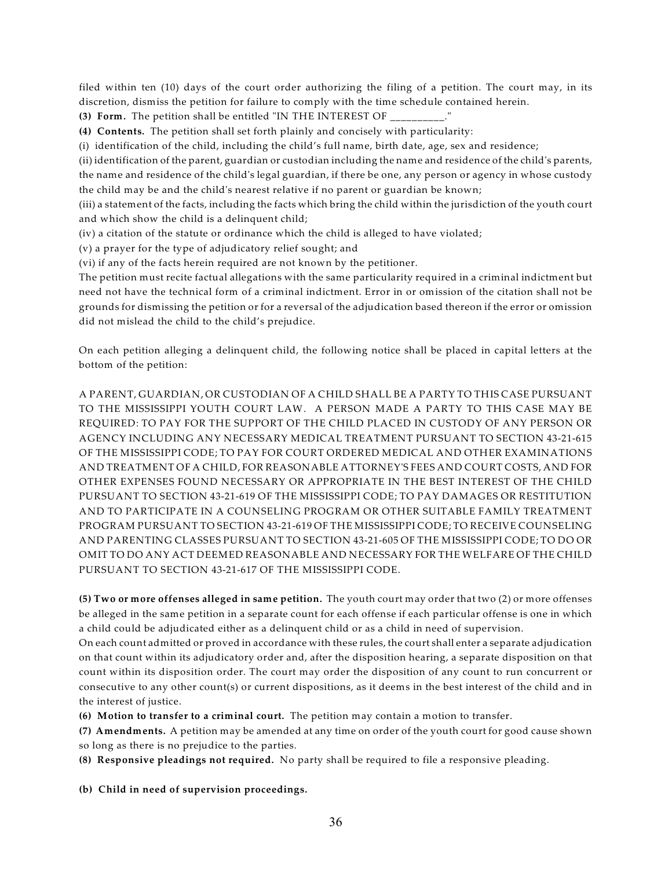filed within ten (10) days of the court order authorizing the filing of a petition. The court may, in its discretion, dismiss the petition for failure to comply with the time schedule contained herein.

**(3) Form.** The petition shall be entitled "IN THE INTEREST OF \_\_\_\_\_\_\_\_\_\_\_\_\_\_\_\_\_\_

**(4) Contents.** The petition shall set forth plainly and concisely with particularity:

(i) identification of the child, including the child's full name, birth date, age, sex and residence;

(ii) identification of the parent, guardian or custodian including the name and residence of the child's parents, the name and residence of the child's legal guardian, if there be one, any person or agency in whose custody the child may be and the child's nearest relative if no parent or guardian be known;

(iii) a statement of the facts, including the facts which bring the child within the jurisdiction of the youth court and which show the child is a delinquent child;

(iv) a citation of the statute or ordinance which the child is alleged to have violated;

(v) a prayer for the type of adjudicatory relief sought; and

(vi) if any of the facts herein required are not known by the petitioner.

The petition must recite factual allegations with the same particularity required in a criminal indictment but need not have the technical form of a criminal indictment. Error in or omission of the citation shall not be grounds for dismissing the petition or for a reversal of the adjudication based thereon if the error or omission did not mislead the child to the child's prejudice.

On each petition alleging a delinquent child, the following notice shall be placed in capital letters at the bottom of the petition:

A PARENT, GUARDIAN, OR CUSTODIAN OF A CHILD SHALL BE A PARTY TO THIS CASE PURSUANT TO THE MISSISSIPPI YOUTH COURT LAW. A PERSON MADE A PARTY TO THIS CASE MAY BE REQUIRED: TO PAY FOR THE SUPPORT OF THE CHILD PLACED IN CUSTODY OF ANY PERSON OR AGENCY INCLUDING ANY NECESSARY MEDICAL TREATMENT PURSUANT TO SECTION 43-21-615 OF THE MISSISSIPPI CODE; TO PAY FOR COURT ORDERED MEDICAL AND OTHER EXAMINATIONS AND TREATMENT OF A CHILD, FOR REASONABLE ATTORNEY'S FEES AND COURT COSTS, AND FOR OTHER EXPENSES FOUND NECESSARY OR APPROPRIATE IN THE BEST INTEREST OF THE CHILD PURSUANT TO SECTION 43-21-619 OF THE MISSISSIPPI CODE; TO PAY DAMAGES OR RESTITUTION AND TO PARTICIPATE IN A COUNSELING PROGRAM OR OTHER SUITABLE FAMILY TREATMENT PROGRAM PURSUANT TO SECTION 43-21-619 OF THE MISSISSIPPI CODE; TO RECEIVE COUNSELING AND PARENTING CLASSES PURSUANT TO SECTION 43-21-605 OF THE MISSISSIPPI CODE; TO DO OR OMIT TO DO ANY ACT DEEMED REASONABLE AND NECESSARY FOR THE WELFARE OF THE CHILD PURSUANT TO SECTION 43-21-617 OF THE MISSISSIPPI CODE.

**(5) Two or more offenses alleged in same petition.** The youth court may order that two (2) or more offenses be alleged in the same petition in a separate count for each offense if each particular offense is one in which a child could be adjudicated either as a delinquent child or as a child in need of supervision.

On each count admitted or proved in accordance with these rules, the court shall enter a separate adjudication on that count within its adjudicatory order and, after the disposition hearing, a separate disposition on that count within its disposition order. The court may order the disposition of any count to run concurrent or consecutive to any other count(s) or current dispositions, as it deems in the best interest of the child and in the interest of justice.

**(6) Motion to transfer to a criminal court.** The petition may contain a motion to transfer.

**(7) Amendments.** A petition may be amended at any time on order of the youth court for good cause shown so long as there is no prejudice to the parties.

**(8) Responsive pleadings not required.** No party shall be required to file a responsive pleading.

**(b) Child in need of supervision proceedings.**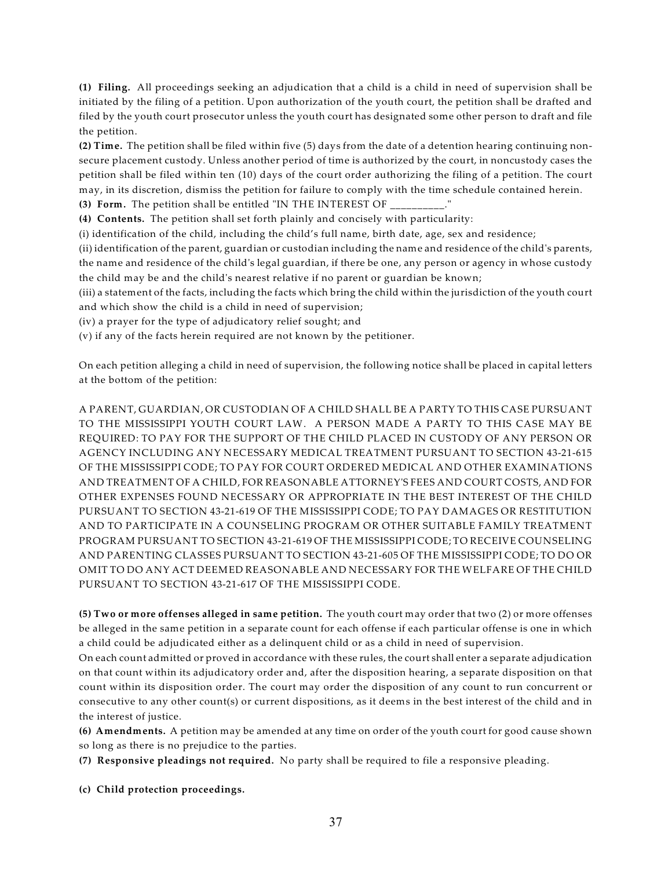**(1) Filing.** All proceedings seeking an adjudication that a child is a child in need of supervision shall be initiated by the filing of a petition. Upon authorization of the youth court, the petition shall be drafted and filed by the youth court prosecutor unless the youth court has designated some other person to draft and file the petition.

**(2) Time.** The petition shall be filed within five (5) days from the date of a detention hearing continuing nonsecure placement custody. Unless another period of time is authorized by the court, in noncustody cases the petition shall be filed within ten (10) days of the court order authorizing the filing of a petition. The court may, in its discretion, dismiss the petition for failure to comply with the time schedule contained herein.

**(3) Form.** The petition shall be entitled "IN THE INTEREST OF \_\_\_\_\_\_\_\_\_\_."

**(4) Contents.** The petition shall set forth plainly and concisely with particularity:

(i) identification of the child, including the child's full name, birth date, age, sex and residence;

(ii) identification of the parent, guardian or custodian including the name and residence of the child's parents, the name and residence of the child's legal guardian, if there be one, any person or agency in whose custody the child may be and the child's nearest relative if no parent or guardian be known;

(iii) a statement of the facts, including the facts which bring the child within the jurisdiction of the youth court and which show the child is a child in need of supervision;

(iv) a prayer for the type of adjudicatory relief sought; and

(v) if any of the facts herein required are not known by the petitioner.

On each petition alleging a child in need of supervision, the following notice shall be placed in capital letters at the bottom of the petition:

A PARENT, GUARDIAN, OR CUSTODIAN OF A CHILD SHALL BE A PARTY TO THIS CASE PURSUANT TO THE MISSISSIPPI YOUTH COURT LAW. A PERSON MADE A PARTY TO THIS CASE MAY BE REQUIRED: TO PAY FOR THE SUPPORT OF THE CHILD PLACED IN CUSTODY OF ANY PERSON OR AGENCY INCLUDING ANY NECESSARY MEDICAL TREATMENT PURSUANT TO SECTION 43-21-615 OF THE MISSISSIPPI CODE; TO PAY FOR COURT ORDERED MEDICAL AND OTHER EXAMINATIONS AND TREATMENT OF A CHILD, FOR REASONABLE ATTORNEY'S FEES AND COURT COSTS, AND FOR OTHER EXPENSES FOUND NECESSARY OR APPROPRIATE IN THE BEST INTEREST OF THE CHILD PURSUANT TO SECTION 43-21-619 OF THE MISSISSIPPI CODE; TO PAY DAMAGES OR RESTITUTION AND TO PARTICIPATE IN A COUNSELING PROGRAM OR OTHER SUITABLE FAMILY TREATMENT PROGRAM PURSUANT TO SECTION 43-21-619 OF THE MISSISSIPPI CODE; TO RECEIVE COUNSELING AND PARENTING CLASSES PURSUANT TO SECTION 43-21-605 OF THE MISSISSIPPI CODE; TO DO OR OMIT TO DO ANY ACT DEEMED REASONABLE AND NECESSARY FOR THE WELFARE OF THE CHILD PURSUANT TO SECTION 43-21-617 OF THE MISSISSIPPI CODE.

**(5) Two or more offenses alleged in same petition.** The youth court may order that two (2) or more offenses be alleged in the same petition in a separate count for each offense if each particular offense is one in which a child could be adjudicated either as a delinquent child or as a child in need of supervision.

On each count admitted or proved in accordance with these rules, the court shall enter a separate adjudication on that count within its adjudicatory order and, after the disposition hearing, a separate disposition on that count within its disposition order. The court may order the disposition of any count to run concurrent or consecutive to any other count(s) or current dispositions, as it deems in the best interest of the child and in the interest of justice.

**(6) Amendments.** A petition may be amended at any time on order of the youth court for good cause shown so long as there is no prejudice to the parties.

**(7) Responsive pleadings not required.** No party shall be required to file a responsive pleading.

**(c) Child protection proceedings.**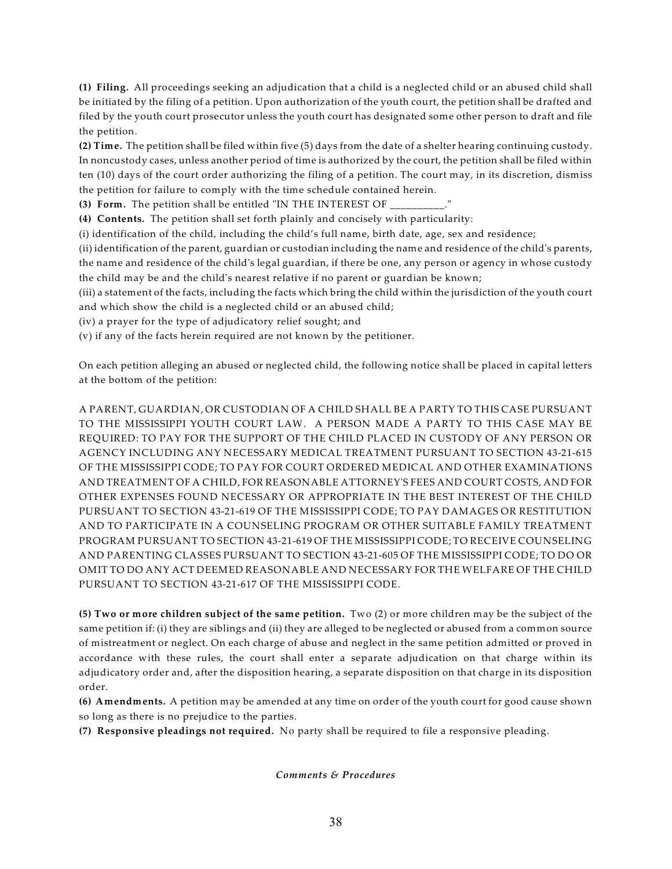**(1) Filing.** All proceedings seeking an adjudication that a child is a neglected child or an abused child shall be initiated by the filing of a petition. Upon authorization of the youth court, the petition shall be drafted and filed by the youth court prosecutor unless the youth court has designated some other person to draft and file the petition.

**(2) Time.** The petition shall be filed within five (5) days from the date of a shelter hearing continuing custody. In noncustody cases, unless another period of time is authorized by the court, the petition shall be filed within ten (10) days of the court order authorizing the filing of a petition. The court may, in its discretion, dismiss the petition for failure to comply with the time schedule contained herein.

**(3) Form.** The petition shall be entitled "IN THE INTEREST OF \_\_\_\_\_\_

**(4) Contents.** The petition shall set forth plainly and concisely with particularity:

(i) identification of the child, including the child's full name, birth date, age, sex and residence;

(ii) identification of the parent, guardian or custodian including the name and residence of the child's parents, the name and residence of the child's legal guardian, if there be one, any person or agency in whose custody the child may be and the child's nearest relative if no parent or guardian be known;

(iii) a statement of the facts, including the facts which bring the child within the jurisdiction of the youth court and which show the child is a neglected child or an abused child;

(iv) a prayer for the type of adjudicatory relief sought; and

(v) if any of the facts herein required are not known by the petitioner.

On each petition alleging an abused or neglected child, the following notice shall be placed in capital letters at the bottom of the petition:

A PARENT, GUARDIAN, OR CUSTODIAN OF A CHILD SHALL BE A PARTY TO THIS CASE PURSUANT TO THE MISSISSIPPI YOUTH COURT LAW. A PERSON MADE A PARTY TO THIS CASE MAY BE REQUIRED: TO PAY FOR THE SUPPORT OF THE CHILD PLACED IN CUSTODY OF ANY PERSON OR AGENCY INCLUDING ANY NECESSARY MEDICAL TREATMENT PURSUANT TO SECTION 43-21-615 OF THE MISSISSIPPI CODE; TO PAY FOR COURT ORDERED MEDICAL AND OTHER EXAMINATIONS AND TREATMENT OF A CHILD, FOR REASONABLE ATTORNEY'S FEES AND COURT COSTS, AND FOR OTHER EXPENSES FOUND NECESSARY OR APPROPRIATE IN THE BEST INTEREST OF THE CHILD PURSUANT TO SECTION 43-21-619 OF THE MISSISSIPPI CODE; TO PAY DAMAGES OR RESTITUTION AND TO PARTICIPATE IN A COUNSELING PROGRAM OR OTHER SUITABLE FAMILY TREATMENT PROGRAM PURSUANT TO SECTION 43-21-619 OF THE MISSISSIPPI CODE; TO RECEIVE COUNSELING AND PARENTING CLASSES PURSUANT TO SECTION 43-21-605 OF THE MISSISSIPPI CODE; TO DO OR OMIT TO DO ANY ACT DEEMED REASONABLE AND NECESSARY FOR THE WELFARE OF THE CHILD PURSUANT TO SECTION 43-21-617 OF THE MISSISSIPPI CODE.

**(5) Two or more children subject of the same petition.** Two (2) or more children may be the subject of the same petition if: (i) they are siblings and (ii) they are alleged to be neglected or abused from a common source of mistreatment or neglect. On each charge of abuse and neglect in the same petition admitted or proved in accordance with these rules, the court shall enter a separate adjudication on that charge within its adjudicatory order and, after the disposition hearing, a separate disposition on that charge in its disposition order.

**(6) Amendments.** A petition may be amended at any time on order of the youth court for good cause shown so long as there is no prejudice to the parties.

**(7) Responsive pleadings not required.** No party shall be required to file a responsive pleading.

*Comments & Procedures*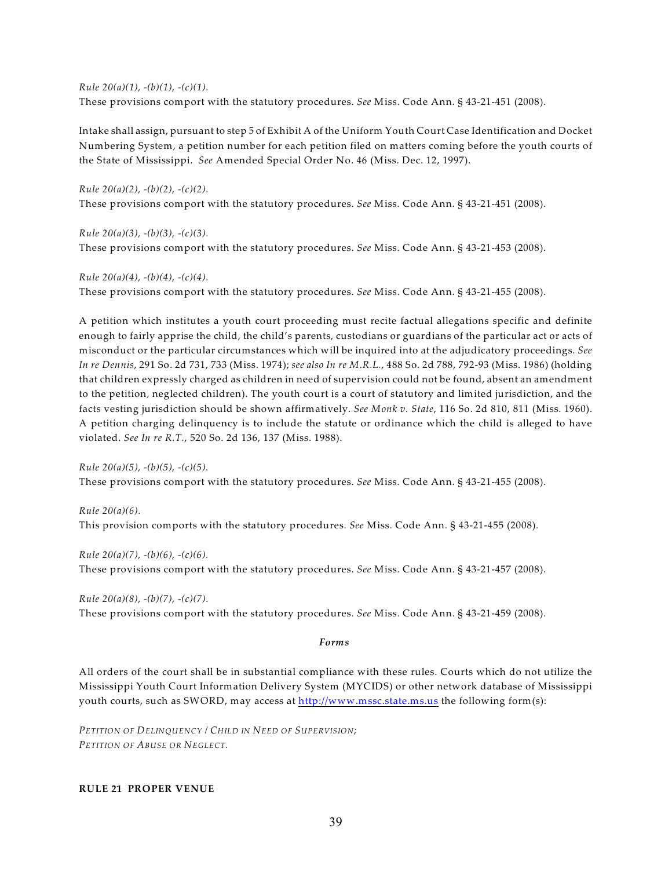### *Rule 20(a)(1), -(b)(1), -(c)(1).*

These provisions comport with the statutory procedures. *See* Miss. Code Ann. § 43-21-451 (2008).

Intake shall assign, pursuant to step 5 of Exhibit A of the Uniform Youth Court Case Identification and Docket Numbering System, a petition number for each petition filed on matters coming before the youth courts of the State of Mississippi. *See* Amended Special Order No. 46 (Miss. Dec. 12, 1997).

### *Rule 20(a)(2), -(b)(2), -(c)(2).*

These provisions comport with the statutory procedures. *See* Miss. Code Ann. § 43-21-451 (2008).

*Rule 20(a)(3), -(b)(3), -(c)(3).* These provisions comport with the statutory procedures. *See* Miss. Code Ann. § 43-21-453 (2008).

### *Rule 20(a)(4), -(b)(4), -(c)(4).*

These provisions comport with the statutory procedures. *See* Miss. Code Ann. § 43-21-455 (2008).

A petition which institutes a youth court proceeding must recite factual allegations specific and definite enough to fairly apprise the child, the child's parents, custodians or guardians of the particular act or acts of misconduct or the particular circumstances which will be inquired into at the adjudicatory proceedings. *See In re Dennis*, 291 So. 2d 731, 733 (Miss. 1974); *see also In re M.R.L.*, 488 So. 2d 788, 792-93 (Miss. 1986) (holding that children expressly charged as children in need of supervision could not be found, absent an amendment to the petition, neglected children). The youth court is a court of statutory and limited jurisdiction, and the facts vesting jurisdiction should be shown affirmatively. *See Monk v. State*, 116 So. 2d 810, 811 (Miss. 1960). A petition charging delinquency is to include the statute or ordinance which the child is alleged to have violated. *See In re R.T.*, 520 So. 2d 136, 137 (Miss. 1988).

*Rule 20(a)(5), -(b)(5), -(c)(5).* 

These provisions comport with the statutory procedures. *See* Miss. Code Ann. § 43-21-455 (2008).

*Rule 20(a)(6).* This provision comports with the statutory procedures. *See* Miss. Code Ann. § 43-21-455 (2008).

*Rule 20(a)(7), -(b)(6), -(c)(6).*  These provisions comport with the statutory procedures. *See* Miss. Code Ann. § 43-21-457 (2008).

*Rule 20(a)(8), -(b)(7), -(c)(7).* These provisions comport with the statutory procedures. *See* Miss. Code Ann. § 43-21-459 (2008).

*Forms* 

All orders of the court shall be in substantial compliance with these rules. Courts which do not utilize the Mississippi Youth Court Information Delivery System (MYCIDS) or other network database of Mississippi youth courts, such as SWORD, may access at <http://www.mssc.state.ms.us> the following form(s):

*PETITION OF DELINQUENCY / CHILD IN NEED OF SUPERVISION; PETITION OF ABUSE OR NEGLECT.*

## **RULE 21 PROPER VENUE**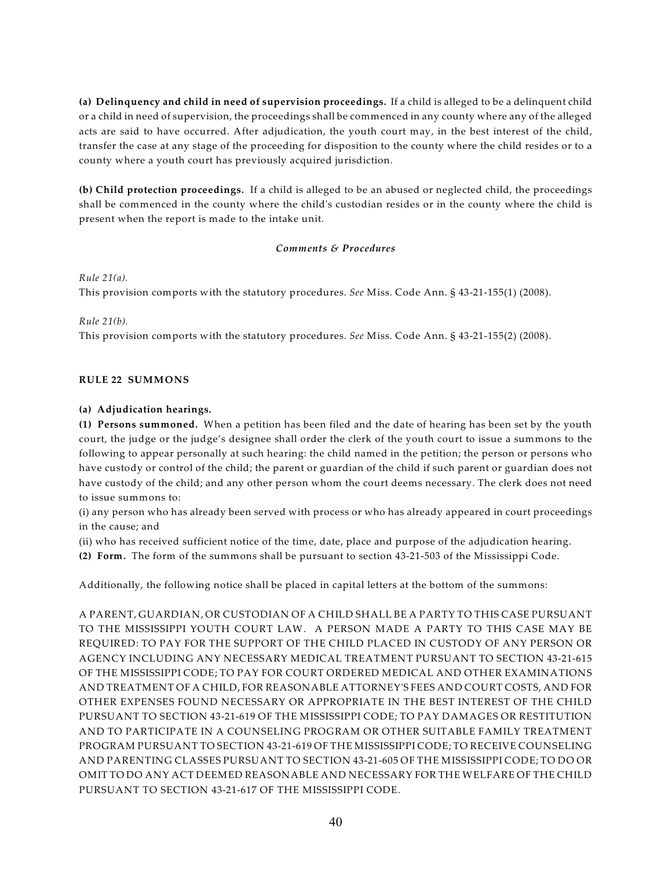**(a) Delinquency and child in need of supervision proceedings.** If a child is alleged to be a delinquent child or a child in need of supervision, the proceedings shall be commenced in any county where any of the alleged acts are said to have occurred. After adjudication, the youth court may, in the best interest of the child, transfer the case at any stage of the proceeding for disposition to the county where the child resides or to a county where a youth court has previously acquired jurisdiction.

**(b) Child protection proceedings.** If a child is alleged to be an abused or neglected child, the proceedings shall be commenced in the county where the child's custodian resides or in the county where the child is present when the report is made to the intake unit.

# *Comments & Procedures*

*Rule 21(a).*

This provision comports with the statutory procedures. *See* Miss. Code Ann. § 43-21-155(1) (2008).

*Rule 21(b).* This provision comports with the statutory procedures. *See* Miss. Code Ann. § 43-21-155(2) (2008).

# **RULE 22 SUMMONS**

## **(a) Adjudication hearings.**

**(1) Persons summoned.** When a petition has been filed and the date of hearing has been set by the youth court, the judge or the judge's designee shall order the clerk of the youth court to issue a summons to the following to appear personally at such hearing: the child named in the petition; the person or persons who have custody or control of the child; the parent or guardian of the child if such parent or guardian does not have custody of the child; and any other person whom the court deems necessary. The clerk does not need to issue summons to:

(i) any person who has already been served with process or who has already appeared in court proceedings in the cause; and

(ii) who has received sufficient notice of the time, date, place and purpose of the adjudication hearing.

**(2) Form.** The form of the summons shall be pursuant to section 43-21-503 of the Mississippi Code.

Additionally, the following notice shall be placed in capital letters at the bottom of the summons:

A PARENT, GUARDIAN, OR CUSTODIAN OF A CHILD SHALL BE A PARTY TO THIS CASE PURSUANT TO THE MISSISSIPPI YOUTH COURT LAW. A PERSON MADE A PARTY TO THIS CASE MAY BE REQUIRED: TO PAY FOR THE SUPPORT OF THE CHILD PLACED IN CUSTODY OF ANY PERSON OR AGENCY INCLUDING ANY NECESSARY MEDICAL TREATMENT PURSUANT TO SECTION 43-21-615 OF THE MISSISSIPPI CODE; TO PAY FOR COURT ORDERED MEDICAL AND OTHER EXAMINATIONS AND TREATMENT OF A CHILD, FOR REASONABLE ATTORNEY'S FEES AND COURT COSTS, AND FOR OTHER EXPENSES FOUND NECESSARY OR APPROPRIATE IN THE BEST INTEREST OF THE CHILD PURSUANT TO SECTION 43-21-619 OF THE MISSISSIPPI CODE; TO PAY DAMAGES OR RESTITUTION AND TO PARTICIPATE IN A COUNSELING PROGRAM OR OTHER SUITABLE FAMILY TREATMENT PROGRAM PURSUANT TO SECTION 43-21-619 OF THE MISSISSIPPI CODE; TO RECEIVE COUNSELING AND PARENTING CLASSES PURSUANT TO SECTION 43-21-605 OF THE MISSISSIPPI CODE; TO DO OR OMIT TO DO ANY ACT DEEMED REASONABLE AND NECESSARY FOR THE WELFARE OF THE CHILD PURSUANT TO SECTION 43-21-617 OF THE MISSISSIPPI CODE.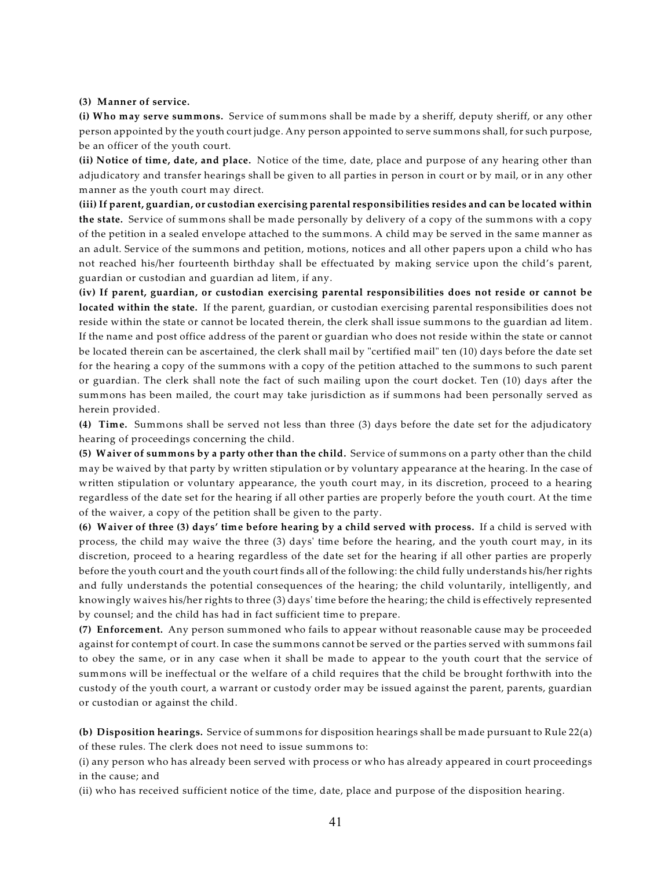### **(3) Manner of service.**

**(i) Who may serve summons.** Service of summons shall be made by a sheriff, deputy sheriff, or any other person appointed by the youth court judge. Any person appointed to serve summons shall, for such purpose, be an officer of the youth court.

**(ii) Notice of time, date, and place.** Notice of the time, date, place and purpose of any hearing other than adjudicatory and transfer hearings shall be given to all parties in person in court or by mail, or in any other manner as the youth court may direct.

**(iii) If parent, guardian, or custodian exercising parental responsibilities resides and can be located within the state.** Service of summons shall be made personally by delivery of a copy of the summons with a copy of the petition in a sealed envelope attached to the summons. A child may be served in the same manner as an adult. Service of the summons and petition, motions, notices and all other papers upon a child who has not reached his/her fourteenth birthday shall be effectuated by making service upon the child's parent, guardian or custodian and guardian ad litem, if any.

**(iv) If parent, guardian, or custodian exercising parental responsibilities does not reside or cannot be located within the state.** If the parent, guardian, or custodian exercising parental responsibilities does not reside within the state or cannot be located therein, the clerk shall issue summons to the guardian ad litem. If the name and post office address of the parent or guardian who does not reside within the state or cannot be located therein can be ascertained, the clerk shall mail by "certified mail" ten (10) days before the date set for the hearing a copy of the summons with a copy of the petition attached to the summons to such parent or guardian. The clerk shall note the fact of such mailing upon the court docket. Ten (10) days after the summons has been mailed, the court may take jurisdiction as if summons had been personally served as herein provided.

**(4) Time.** Summons shall be served not less than three (3) days before the date set for the adjudicatory hearing of proceedings concerning the child.

**(5) Waiver of summons by a party other than the child.** Service of summons on a party other than the child may be waived by that party by written stipulation or by voluntary appearance at the hearing. In the case of written stipulation or voluntary appearance, the youth court may, in its discretion, proceed to a hearing regardless of the date set for the hearing if all other parties are properly before the youth court. At the time of the waiver, a copy of the petition shall be given to the party.

**(6) Waiver of three (3) days' time before hearing by a child served with process.** If a child is served with process, the child may waive the three (3) days' time before the hearing, and the youth court may, in its discretion, proceed to a hearing regardless of the date set for the hearing if all other parties are properly before the youth court and the youth court finds all of the following: the child fully understands his/her rights and fully understands the potential consequences of the hearing; the child voluntarily, intelligently, and knowingly waives his/her rights to three (3) days' time before the hearing; the child is effectively represented by counsel; and the child has had in fact sufficient time to prepare.

**(7) Enforcement.** Any person summoned who fails to appear without reasonable cause may be proceeded against for contempt of court. In case the summons cannot be served or the parties served with summons fail to obey the same, or in any case when it shall be made to appear to the youth court that the service of summons will be ineffectual or the welfare of a child requires that the child be brought forthwith into the custody of the youth court, a warrant or custody order may be issued against the parent, parents, guardian or custodian or against the child.

**(b) Disposition hearings.** Service of summons for disposition hearings shall be made pursuant to Rule 22(a) of these rules. The clerk does not need to issue summons to:

(i) any person who has already been served with process or who has already appeared in court proceedings in the cause; and

(ii) who has received sufficient notice of the time, date, place and purpose of the disposition hearing.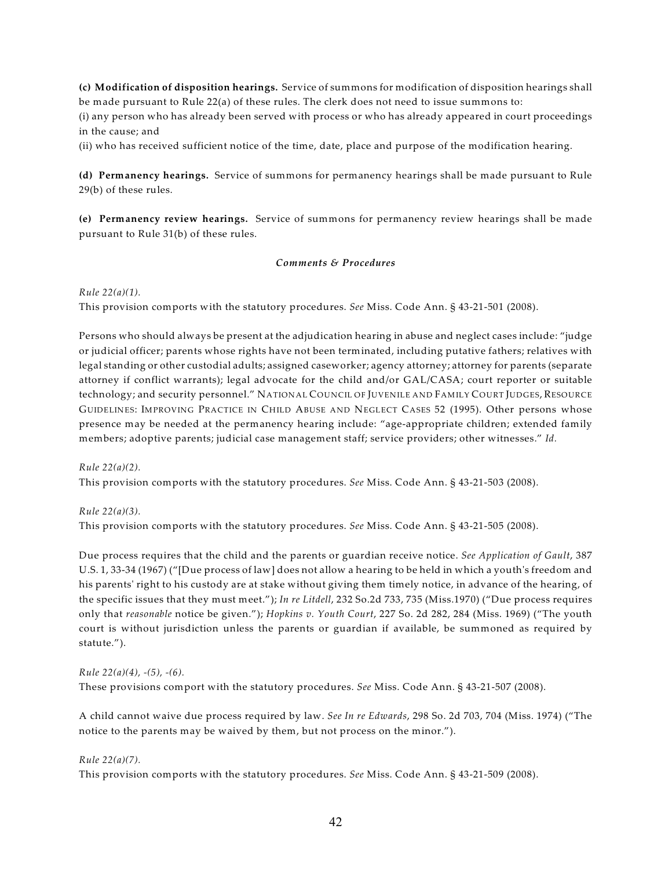**(c) Modification of disposition hearings.** Service of summons for modification of disposition hearings shall be made pursuant to Rule 22(a) of these rules. The clerk does not need to issue summons to:

(i) any person who has already been served with process or who has already appeared in court proceedings in the cause; and

(ii) who has received sufficient notice of the time, date, place and purpose of the modification hearing.

**(d) Permanency hearings.** Service of summons for permanency hearings shall be made pursuant to Rule 29(b) of these rules.

**(e) Permanency review hearings.** Service of summons for permanency review hearings shall be made pursuant to Rule 31(b) of these rules.

### *Comments & Procedures*

*Rule 22(a)(1).*

This provision comports with the statutory procedures. *See* Miss. Code Ann. § 43-21-501 (2008).

Persons who should always be present at the adjudication hearing in abuse and neglect cases include: "judge or judicial officer; parents whose rights have not been terminated, including putative fathers; relatives with legal standing or other custodial adults; assigned caseworker; agency attorney; attorney for parents (separate attorney if conflict warrants); legal advocate for the child and/or GAL/CASA; court reporter or suitable technology; and security personnel." NATIONAL COUNCIL OF JUVENILE AND FAMILY COURT JUDGES, RESOURCE GUIDELINES: IMPROVING PRACTICE IN CHILD ABUSE AND NEGLECT CASES 52 (1995). Other persons whose presence may be needed at the permanency hearing include: "age-appropriate children; extended family members; adoptive parents; judicial case management staff; service providers; other witnesses." *Id.*

*Rule 22(a)(2).*

This provision comports with the statutory procedures. *See* Miss. Code Ann. § 43-21-503 (2008).

### *Rule 22(a)(3).*

This provision comports with the statutory procedures. *See* Miss. Code Ann. § 43-21-505 (2008).

Due process requires that the child and the parents or guardian receive notice. *See Application of Gault*, 387 U.S. 1, 33-34 (1967) ("[Due process of law] does not allow a hearing to be held in which a youth's freedom and his parents' right to his custody are at stake without giving them timely notice, in advance of the hearing, of the specific issues that they must meet."); *In re Litdell*, 232 So.2d 733, 735 (Miss.1970) ("Due process requires only that *reasonable* notice be given."); *Hopkins v. Youth Court*, 227 So. 2d 282, 284 (Miss. 1969) ("The youth court is without jurisdiction unless the parents or guardian if available, be summoned as required by statute.").

### *Rule 22(a)(4), -(5), -(6).*

These provisions comport with the statutory procedures. *See* Miss. Code Ann. § 43-21-507 (2008).

A child cannot waive due process required by law. *See In re Edwards*, 298 So. 2d 703, 704 (Miss. 1974) ("The notice to the parents may be waived by them, but not process on the minor.").

### *Rule 22(a)(7).*

This provision comports with the statutory procedures. *See* Miss. Code Ann. § 43-21-509 (2008).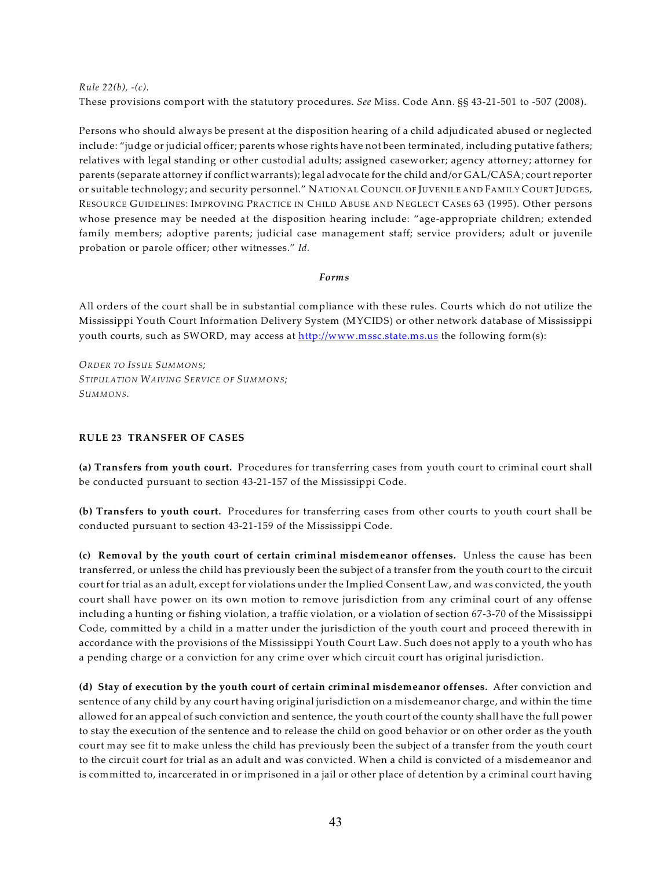### *Rule 22(b), -(c).*

These provisions comport with the statutory procedures. *See* Miss. Code Ann. §§ 43-21-501 to -507 (2008).

Persons who should always be present at the disposition hearing of a child adjudicated abused or neglected include: "judge or judicial officer; parents whose rights have not been terminated, including putative fathers; relatives with legal standing or other custodial adults; assigned caseworker; agency attorney; attorney for parents (separate attorney if conflict warrants); legal advocate for the child and/or GAL/CASA; court reporter or suitable technology; and security personnel." NATIONAL COUNCIL OF JUVENILE AND FAMILY COURT JUDGES, RESOURCE GUIDELINES: IMPROVING PRACTICE IN CHILD ABUSE AND NEGLECT CASES 63 (1995). Other persons whose presence may be needed at the disposition hearing include: "age-appropriate children; extended family members; adoptive parents; judicial case management staff; service providers; adult or juvenile probation or parole officer; other witnesses." *Id.*

### *Forms*

All orders of the court shall be in substantial compliance with these rules. Courts which do not utilize the Mississippi Youth Court Information Delivery System (MYCIDS) or other network database of Mississippi youth courts, such as SWORD, may access at <http://www.mssc.state.ms.us> the following form(s):

*ORDER TO ISSUE SUMMONS; STIPULATION WAIVING SERVICE OF SUMMONS; SUMMONS.*

## **RULE 23 TRANSFER OF CASES**

**(a) Transfers from youth court.** Procedures for transferring cases from youth court to criminal court shall be conducted pursuant to section 43-21-157 of the Mississippi Code.

**(b) Transfers to youth court.** Procedures for transferring cases from other courts to youth court shall be conducted pursuant to section 43-21-159 of the Mississippi Code.

**(c) Removal by the youth court of certain criminal misdemeanor offenses.** Unless the cause has been transferred, or unless the child has previously been the subject of a transfer from the youth court to the circuit court for trial as an adult, except for violations under the Implied Consent Law, and was convicted, the youth court shall have power on its own motion to remove jurisdiction from any criminal court of any offense including a hunting or fishing violation, a traffic violation, or a violation of section 67-3-70 of the Mississippi Code, committed by a child in a matter under the jurisdiction of the youth court and proceed therewith in accordance with the provisions of the Mississippi Youth Court Law. Such does not apply to a youth who has a pending charge or a conviction for any crime over which circuit court has original jurisdiction.

**(d) Stay of execution by the youth court of certain criminal misdemeanor offenses.** After conviction and sentence of any child by any court having original jurisdiction on a misdemeanor charge, and within the time allowed for an appeal of such conviction and sentence, the youth court of the county shall have the full power to stay the execution of the sentence and to release the child on good behavior or on other order as the youth court may see fit to make unless the child has previously been the subject of a transfer from the youth court to the circuit court for trial as an adult and was convicted. When a child is convicted of a misdemeanor and is committed to, incarcerated in or imprisoned in a jail or other place of detention by a criminal court having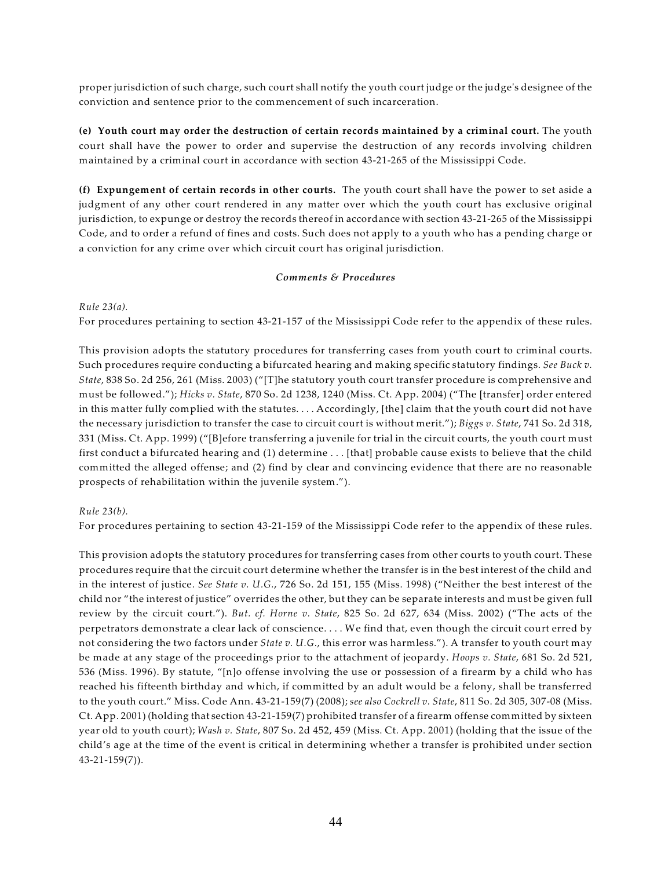proper jurisdiction of such charge, such court shall notify the youth court judge or the judge's designee of the conviction and sentence prior to the commencement of such incarceration.

**(e) Youth court may order the destruction of certain records maintained by a criminal court.** The youth court shall have the power to order and supervise the destruction of any records involving children maintained by a criminal court in accordance with section 43-21-265 of the Mississippi Code.

**(f) Expungement of certain records in other courts.** The youth court shall have the power to set aside a judgment of any other court rendered in any matter over which the youth court has exclusive original jurisdiction, to expunge or destroy the records thereof in accordance with section 43-21-265 of the Mississippi Code, and to order a refund of fines and costs. Such does not apply to a youth who has a pending charge or a conviction for any crime over which circuit court has original jurisdiction.

### *Comments & Procedures*

*Rule 23(a).*

For procedures pertaining to section 43-21-157 of the Mississippi Code refer to the appendix of these rules.

This provision adopts the statutory procedures for transferring cases from youth court to criminal courts. Such procedures require conducting a bifurcated hearing and making specific statutory findings. *See Buck v. State*, 838 So. 2d 256, 261 (Miss. 2003) ("[T]he statutory youth court transfer procedure is comprehensive and must be followed."); *Hicks v. State*, 870 So. 2d 1238, 1240 (Miss. Ct. App. 2004) ("The [transfer] order entered in this matter fully complied with the statutes. . . . Accordingly, [the] claim that the youth court did not have the necessary jurisdiction to transfer the case to circuit court is without merit."); *Biggs v. State*, 741 So. 2d 318, 331 (Miss. Ct. App. 1999) ("[B]efore transferring a juvenile for trial in the circuit courts, the youth court must first conduct a bifurcated hearing and (1) determine . . . [that] probable cause exists to believe that the child committed the alleged offense; and (2) find by clear and convincing evidence that there are no reasonable prospects of rehabilitation within the juvenile system.").

## *Rule 23(b).*

For procedures pertaining to section 43-21-159 of the Mississippi Code refer to the appendix of these rules.

This provision adopts the statutory procedures for transferring cases from other courts to youth court. These procedures require that the circuit court determine whether the transfer is in the best interest of the child and in the interest of justice. *See State v. U.G.*, 726 So. 2d 151, 155 (Miss. 1998) ("Neither the best interest of the child nor "the interest of justice" overrides the other, but they can be separate interests and must be given full review by the circuit court."). *But. cf. Horne v. State*, 825 So. 2d 627, 634 (Miss. 2002) ("The acts of the perpetrators demonstrate a clear lack of conscience. . . . We find that, even though the circuit court erred by not considering the two factors under *State v. U.G.*, this error was harmless."). A transfer to youth court may be made at any stage of the proceedings prior to the attachment of jeopardy. *Hoops v. State*, 681 So. 2d 521, 536 (Miss. 1996). By statute, "[n]o offense involving the use or possession of a firearm by a child who has reached his fifteenth birthday and which, if committed by an adult would be a felony, shall be transferred to the youth court." Miss. Code Ann. 43-21-159(7) (2008); *see also Cockrell v. State*, 811 So. 2d 305, 307-08 (Miss. Ct. App. 2001) (holding that section 43-21-159(7) prohibited transfer of a firearm offense committed by sixteen year old to youth court); *Wash v. State*, 807 So. 2d 452, 459 (Miss. Ct. App. 2001) (holding that the issue of the child's age at the time of the event is critical in determining whether a transfer is prohibited under section 43-21-159(7)).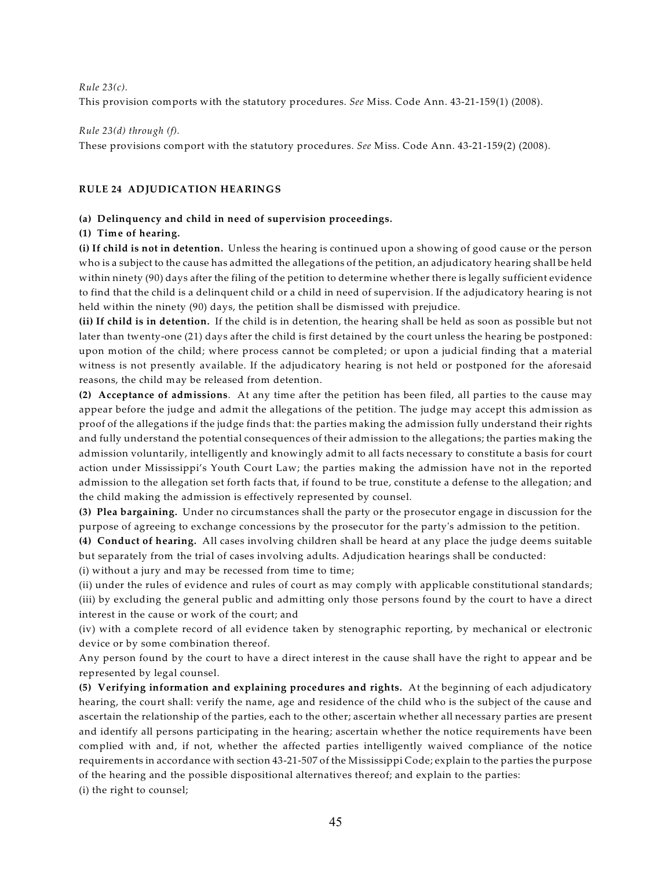#### *Rule 23(c).*

This provision comports with the statutory procedures. *See* Miss. Code Ann. 43-21-159(1) (2008).

#### *Rule 23(d) through (f).*

These provisions comport with the statutory procedures. *See* Miss. Code Ann. 43-21-159(2) (2008).

### **RULE 24 ADJUDICATION HEARINGS**

#### **(a) Delinquency and child in need of supervision proceedings.**

#### **(1) Time of hearing.**

**(i) If child is not in detention.** Unless the hearing is continued upon a showing of good cause or the person who is a subject to the cause has admitted the allegations of the petition, an adjudicatory hearing shall be held within ninety (90) days after the filing of the petition to determine whether there is legally sufficient evidence to find that the child is a delinquent child or a child in need of supervision. If the adjudicatory hearing is not held within the ninety (90) days, the petition shall be dismissed with prejudice.

**(ii) If child is in detention.** If the child is in detention, the hearing shall be held as soon as possible but not later than twenty-one (21) days after the child is first detained by the court unless the hearing be postponed: upon motion of the child; where process cannot be completed; or upon a judicial finding that a material witness is not presently available. If the adjudicatory hearing is not held or postponed for the aforesaid reasons, the child may be released from detention.

**(2) Acceptance of admissions**. At any time after the petition has been filed, all parties to the cause may appear before the judge and admit the allegations of the petition. The judge may accept this admission as proof of the allegations if the judge finds that: the parties making the admission fully understand their rights and fully understand the potential consequences of their admission to the allegations; the parties making the admission voluntarily, intelligently and knowingly admit to all facts necessary to constitute a basis for court action under Mississippi's Youth Court Law; the parties making the admission have not in the reported admission to the allegation set forth facts that, if found to be true, constitute a defense to the allegation; and the child making the admission is effectively represented by counsel.

**(3) Plea bargaining.** Under no circumstances shall the party or the prosecutor engage in discussion for the purpose of agreeing to exchange concessions by the prosecutor for the party's admission to the petition.

**(4) Conduct of hearing.** All cases involving children shall be heard at any place the judge deems suitable but separately from the trial of cases involving adults. Adjudication hearings shall be conducted:

(i) without a jury and may be recessed from time to time;

(ii) under the rules of evidence and rules of court as may comply with applicable constitutional standards; (iii) by excluding the general public and admitting only those persons found by the court to have a direct interest in the cause or work of the court; and

(iv) with a complete record of all evidence taken by stenographic reporting, by mechanical or electronic device or by some combination thereof.

Any person found by the court to have a direct interest in the cause shall have the right to appear and be represented by legal counsel.

**(5) Verifying information and explaining procedures and rights.** At the beginning of each adjudicatory hearing, the court shall: verify the name, age and residence of the child who is the subject of the cause and ascertain the relationship of the parties, each to the other; ascertain whether all necessary parties are present and identify all persons participating in the hearing; ascertain whether the notice requirements have been complied with and, if not, whether the affected parties intelligently waived compliance of the notice requirements in accordance with section 43-21-507 of the Mississippi Code; explain to the parties the purpose of the hearing and the possible dispositional alternatives thereof; and explain to the parties: (i) the right to counsel;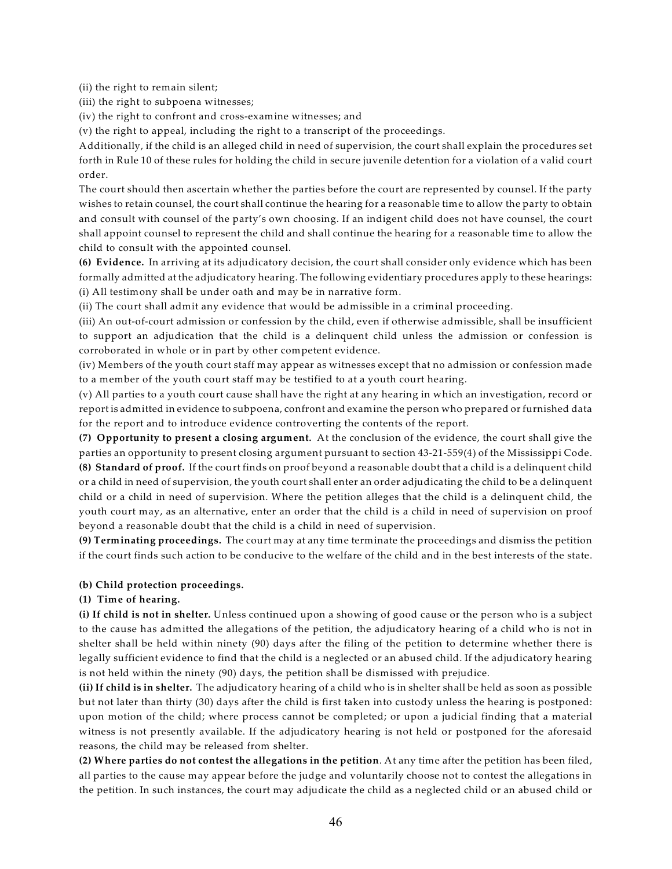(ii) the right to remain silent;

(iii) the right to subpoena witnesses;

(iv) the right to confront and cross-examine witnesses; and

(v) the right to appeal, including the right to a transcript of the proceedings.

Additionally, if the child is an alleged child in need of supervision, the court shall explain the procedures set forth in Rule 10 of these rules for holding the child in secure juvenile detention for a violation of a valid court order.

The court should then ascertain whether the parties before the court are represented by counsel. If the party wishes to retain counsel, the court shall continue the hearing for a reasonable time to allow the party to obtain and consult with counsel of the party's own choosing. If an indigent child does not have counsel, the court shall appoint counsel to represent the child and shall continue the hearing for a reasonable time to allow the child to consult with the appointed counsel.

**(6) Evidence.** In arriving at its adjudicatory decision, the court shall consider only evidence which has been formally admitted at the adjudicatory hearing. The following evidentiary procedures apply to these hearings: (i) All testimony shall be under oath and may be in narrative form.

(ii) The court shall admit any evidence that would be admissible in a criminal proceeding.

(iii) An out-of-court admission or confession by the child, even if otherwise admissible, shall be insufficient to support an adjudication that the child is a delinquent child unless the admission or confession is corroborated in whole or in part by other competent evidence.

(iv) Members of the youth court staff may appear as witnesses except that no admission or confession made to a member of the youth court staff may be testified to at a youth court hearing.

(v) All parties to a youth court cause shall have the right at any hearing in which an investigation, record or report is admitted in evidence to subpoena, confront and examine the person who prepared or furnished data for the report and to introduce evidence controverting the contents of the report.

**(7) Opportunity to present a closing argument.** At the conclusion of the evidence, the court shall give the parties an opportunity to present closing argument pursuant to section 43-21-559(4) of the Mississippi Code. **(8) Standard of proof.** If the court finds on proof beyond a reasonable doubt that a child is a delinquent child or a child in need of supervision, the youth court shall enter an order adjudicating the child to be a delinquent child or a child in need of supervision. Where the petition alleges that the child is a delinquent child, the youth court may, as an alternative, enter an order that the child is a child in need of supervision on proof beyond a reasonable doubt that the child is a child in need of supervision.

**(9) Terminating proceedings.** The court may at any time terminate the proceedings and dismiss the petition if the court finds such action to be conducive to the welfare of the child and in the best interests of the state.

### **(b) Child protection proceedings.**

#### **(1) Time of hearing.**

**(i) If child is not in shelter.** Unless continued upon a showing of good cause or the person who is a subject to the cause has admitted the allegations of the petition, the adjudicatory hearing of a child who is not in shelter shall be held within ninety (90) days after the filing of the petition to determine whether there is legally sufficient evidence to find that the child is a neglected or an abused child. If the adjudicatory hearing is not held within the ninety (90) days, the petition shall be dismissed with prejudice.

**(ii) If child is in shelter.** The adjudicatory hearing of a child who is in shelter shall be held as soon as possible but not later than thirty (30) days after the child is first taken into custody unless the hearing is postponed: upon motion of the child; where process cannot be completed; or upon a judicial finding that a material witness is not presently available. If the adjudicatory hearing is not held or postponed for the aforesaid reasons, the child may be released from shelter.

**(2) Where parties do not contest the allegations in the petition**. At any time after the petition has been filed, all parties to the cause may appear before the judge and voluntarily choose not to contest the allegations in the petition. In such instances, the court may adjudicate the child as a neglected child or an abused child or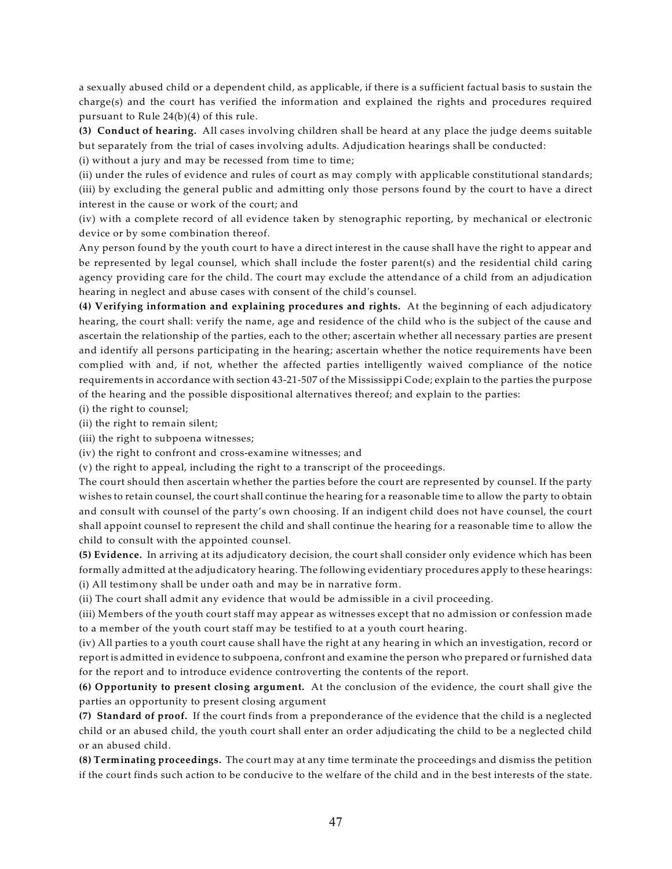a sexually abused child or a dependent child, as applicable, if there is a sufficient factual basis to sustain the charge(s) and the court has verified the information and explained the rights and procedures required pursuant to Rule 24(b)(4) of this rule.

**(3) Conduct of hearing.** All cases involving children shall be heard at any place the judge deems suitable but separately from the trial of cases involving adults. Adjudication hearings shall be conducted:

(i) without a jury and may be recessed from time to time;

(ii) under the rules of evidence and rules of court as may comply with applicable constitutional standards; (iii) by excluding the general public and admitting only those persons found by the court to have a direct interest in the cause or work of the court; and

(iv) with a complete record of all evidence taken by stenographic reporting, by mechanical or electronic device or by some combination thereof.

Any person found by the youth court to have a direct interest in the cause shall have the right to appear and be represented by legal counsel, which shall include the foster parent(s) and the residential child caring agency providing care for the child. The court may exclude the attendance of a child from an adjudication hearing in neglect and abuse cases with consent of the child's counsel.

**(4) Verifying information and explaining procedures and rights.** At the beginning of each adjudicatory hearing, the court shall: verify the name, age and residence of the child who is the subject of the cause and ascertain the relationship of the parties, each to the other; ascertain whether all necessary parties are present and identify all persons participating in the hearing; ascertain whether the notice requirements have been complied with and, if not, whether the affected parties intelligently waived compliance of the notice requirements in accordance with section 43-21-507 of the Mississippi Code; explain to the parties the purpose of the hearing and the possible dispositional alternatives thereof; and explain to the parties:

(i) the right to counsel;

(ii) the right to remain silent;

(iii) the right to subpoena witnesses;

(iv) the right to confront and cross-examine witnesses; and

(v) the right to appeal, including the right to a transcript of the proceedings.

The court should then ascertain whether the parties before the court are represented by counsel. If the party wishes to retain counsel, the court shall continue the hearing for a reasonable time to allow the party to obtain and consult with counsel of the party's own choosing. If an indigent child does not have counsel, the court shall appoint counsel to represent the child and shall continue the hearing for a reasonable time to allow the child to consult with the appointed counsel.

**(5) Evidence.** In arriving at its adjudicatory decision, the court shall consider only evidence which has been formally admitted at the adjudicatory hearing. The following evidentiary procedures apply to these hearings: (i) All testimony shall be under oath and may be in narrative form.

(ii) The court shall admit any evidence that would be admissible in a civil proceeding.

(iii) Members of the youth court staff may appear as witnesses except that no admission or confession made to a member of the youth court staff may be testified to at a youth court hearing.

(iv) All parties to a youth court cause shall have the right at any hearing in which an investigation, record or report is admitted in evidence to subpoena, confront and examine the person who prepared or furnished data for the report and to introduce evidence controverting the contents of the report.

**(6) Opportunity to present closing argument.** At the conclusion of the evidence, the court shall give the parties an opportunity to present closing argument

**(7) Standard of proof.** If the court finds from a preponderance of the evidence that the child is a neglected child or an abused child, the youth court shall enter an order adjudicating the child to be a neglected child or an abused child.

**(8) Terminating proceedings.** The court may at any time terminate the proceedings and dismiss the petition if the court finds such action to be conducive to the welfare of the child and in the best interests of the state.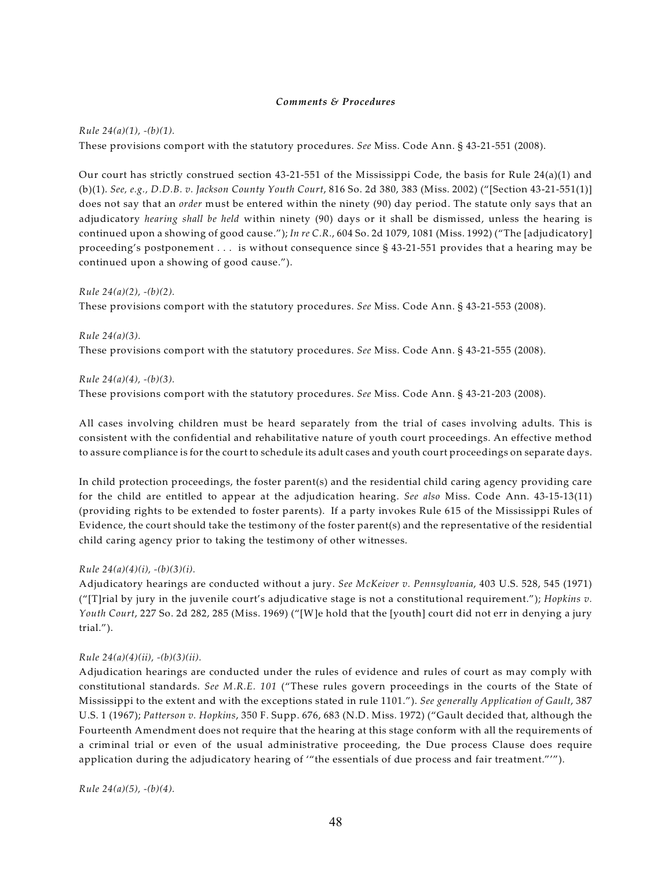### *Comments & Procedures*

### *Rule 24(a)(1), -(b)(1).*

These provisions comport with the statutory procedures. *See* Miss. Code Ann. § 43-21-551 (2008).

Our court has strictly construed section 43-21-551 of the Mississippi Code, the basis for Rule 24(a)(1) and (b)(1). *See, e.g., D.D.B. v. Jackson County Youth Court*, 816 So. 2d 380, 383 (Miss. 2002) ("[Section 43-21-551(1)] does not say that an *order* must be entered within the ninety (90) day period. The statute only says that an adjudicatory *hearing shall be held* within ninety (90) days or it shall be dismissed, unless the hearing is continued upon a showing of good cause."); *In re C.R.*, 604 So. 2d 1079, 1081 (Miss. 1992) ("The [adjudicatory] proceeding's postponement . . . is without consequence since § 43-21-551 provides that a hearing may be continued upon a showing of good cause.").

*Rule 24(a)(2), -(b)(2).* These provisions comport with the statutory procedures. *See* Miss. Code Ann. § 43-21-553 (2008).

*Rule 24(a)(3).* These provisions comport with the statutory procedures. *See* Miss. Code Ann. § 43-21-555 (2008).

*Rule 24(a)(4), -(b)(3).*

These provisions comport with the statutory procedures. *See* Miss. Code Ann. § 43-21-203 (2008).

All cases involving children must be heard separately from the trial of cases involving adults. This is consistent with the confidential and rehabilitative nature of youth court proceedings. An effective method to assure compliance is for the court to schedule its adult cases and youth court proceedings on separate days.

In child protection proceedings, the foster parent(s) and the residential child caring agency providing care for the child are entitled to appear at the adjudication hearing. *See also* Miss. Code Ann. 43-15-13(11) (providing rights to be extended to foster parents). If a party invokes Rule 615 of the Mississippi Rules of Evidence, the court should take the testimony of the foster parent(s) and the representative of the residential child caring agency prior to taking the testimony of other witnesses.

### *Rule 24(a)(4)(i), -(b)(3)(i).*

Adjudicatory hearings are conducted without a jury. *See McKeiver v. Pennsylvania*, 403 U.S. 528, 545 (1971) ("[T]rial by jury in the juvenile court's adjudicative stage is not a constitutional requirement."); *Hopkins v. Youth Court*, 227 So. 2d 282, 285 (Miss. 1969) ("[W]e hold that the [youth] court did not err in denying a jury trial.").

### *Rule 24(a)(4)(ii), -(b)(3)(ii).*

Adjudication hearings are conducted under the rules of evidence and rules of court as may comply with constitutional standards. *See M.R.E. 101* ("These rules govern proceedings in the courts of the State of Mississippi to the extent and with the exceptions stated in rule 1101."). *See generally Application of Gault*, 387 U.S. 1 (1967); *Patterson v. Hopkins*, 350 F. Supp. 676, 683 (N.D. Miss. 1972) ("Gault decided that, although the Fourteenth Amendment does not require that the hearing at this stage conform with all the requirements of a criminal trial or even of the usual administrative proceeding, the Due process Clause does require application during the adjudicatory hearing of '"the essentials of due process and fair treatment."'").

*Rule 24(a)(5), -(b)(4).*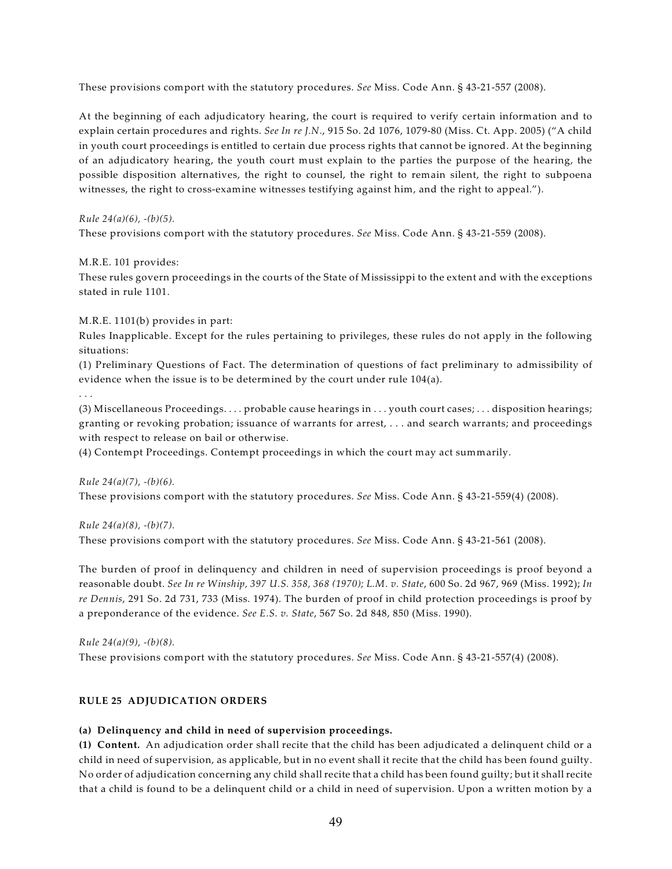These provisions comport with the statutory procedures. *See* Miss. Code Ann. § 43-21-557 (2008).

At the beginning of each adjudicatory hearing, the court is required to verify certain information and to explain certain procedures and rights. *See In re J.N.*, 915 So. 2d 1076, 1079-80 (Miss. Ct. App. 2005) ("A child in youth court proceedings is entitled to certain due process rights that cannot be ignored. At the beginning of an adjudicatory hearing, the youth court must explain to the parties the purpose of the hearing, the possible disposition alternatives, the right to counsel, the right to remain silent, the right to subpoena witnesses, the right to cross-examine witnesses testifying against him, and the right to appeal.").

### *Rule 24(a)(6), -(b)(5).*

These provisions comport with the statutory procedures. *See* Miss. Code Ann. § 43-21-559 (2008).

### M.R.E. 101 provides:

These rules govern proceedings in the courts of the State of Mississippi to the extent and with the exceptions stated in rule 1101.

### M.R.E. 1101(b) provides in part:

Rules Inapplicable. Except for the rules pertaining to privileges, these rules do not apply in the following situations:

(1) Preliminary Questions of Fact. The determination of questions of fact preliminary to admissibility of evidence when the issue is to be determined by the court under rule 104(a).

. . .

(3) Miscellaneous Proceedings. . . . probable cause hearings in . . . youth court cases; . . . disposition hearings; granting or revoking probation; issuance of warrants for arrest, . . . and search warrants; and proceedings with respect to release on bail or otherwise.

(4) Contempt Proceedings. Contempt proceedings in which the court may act summarily.

### *Rule 24(a)(7), -(b)(6).*

These provisions comport with the statutory procedures. *See* Miss. Code Ann. § 43-21-559(4) (2008).

*Rule 24(a)(8), -(b)(7).*

These provisions comport with the statutory procedures. *See* Miss. Code Ann. § 43-21-561 (2008).

The burden of proof in delinquency and children in need of supervision proceedings is proof beyond a reasonable doubt. *See In re Winship, 397 U.S. 358, 368 (1970); L.M. v. State*, 600 So. 2d 967, 969 (Miss. 1992); *In re Dennis*, 291 So. 2d 731, 733 (Miss. 1974). The burden of proof in child protection proceedings is proof by a preponderance of the evidence. *See E.S. v. State*, 567 So. 2d 848, 850 (Miss. 1990).

*Rule 24(a)(9), -(b)(8).*

These provisions comport with the statutory procedures. *See* Miss. Code Ann. § 43-21-557(4) (2008).

## **RULE 25 ADJUDICATION ORDERS**

## **(a) Delinquency and child in need of supervision proceedings.**

**(1) Content.** An adjudication order shall recite that the child has been adjudicated a delinquent child or a child in need of supervision, as applicable, but in no event shall it recite that the child has been found guilty. No order of adjudication concerning any child shall recite that a child has been found guilty; but it shall recite that a child is found to be a delinquent child or a child in need of supervision. Upon a written motion by a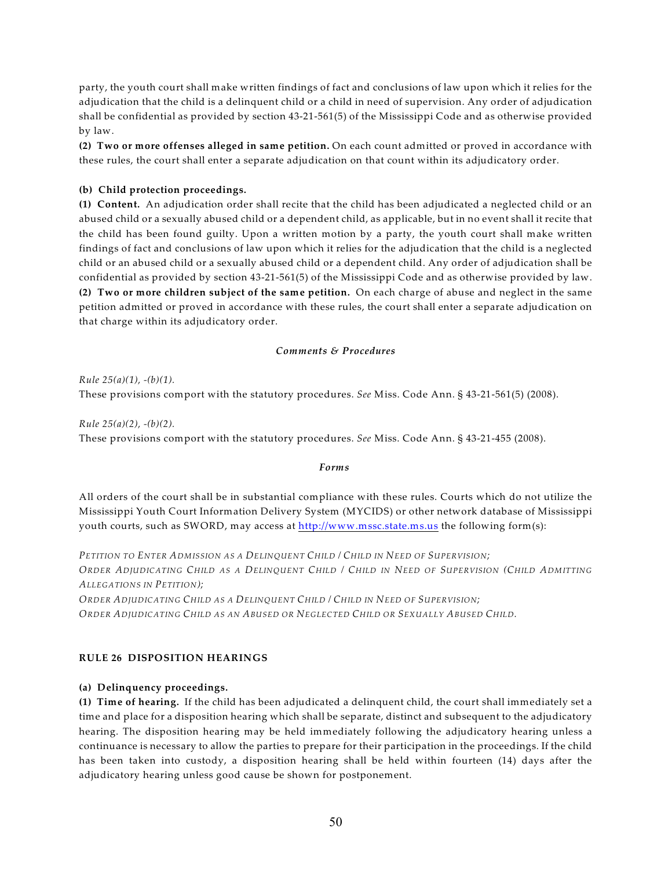party, the youth court shall make written findings of fact and conclusions of law upon which it relies for the adjudication that the child is a delinquent child or a child in need of supervision. Any order of adjudication shall be confidential as provided by section 43-21-561(5) of the Mississippi Code and as otherwise provided by law.

**(2) Two or more offenses alleged in same petition.** On each count admitted or proved in accordance with these rules, the court shall enter a separate adjudication on that count within its adjudicatory order.

## **(b) Child protection proceedings.**

**(1) Content.** An adjudication order shall recite that the child has been adjudicated a neglected child or an abused child or a sexually abused child or a dependent child, as applicable, but in no event shall it recite that the child has been found guilty. Upon a written motion by a party, the youth court shall make written findings of fact and conclusions of law upon which it relies for the adjudication that the child is a neglected child or an abused child or a sexually abused child or a dependent child. Any order of adjudication shall be confidential as provided by section 43-21-561(5) of the Mississippi Code and as otherwise provided by law. **(2) Two or more children subject of the same petition.** On each charge of abuse and neglect in the same petition admitted or proved in accordance with these rules, the court shall enter a separate adjudication on that charge within its adjudicatory order.

### *Comments & Procedures*

*Rule 25(a)(1), -(b)(1).* These provisions comport with the statutory procedures. *See* Miss. Code Ann. § 43-21-561(5) (2008).

*Rule 25(a)(2), -(b)(2).* These provisions comport with the statutory procedures. *See* Miss. Code Ann. § 43-21-455 (2008).

### *Forms*

All orders of the court shall be in substantial compliance with these rules. Courts which do not utilize the Mississippi Youth Court Information Delivery System (MYCIDS) or other network database of Mississippi youth courts, such as SWORD, may access at <http://www.mssc.state.ms.us> the following form(s):

*PETITION TO ENTER ADMISSION AS A DELINQUENT CHILD / CHILD IN NEED OF SUPERVISION;* ORDER ADJUDICATING CHILD AS A DELINQUENT CHILD / CHILD IN NEED OF SUPERVISION (CHILD ADMITTING *ALLEGATIONS IN PETITION); ORDER ADJUDICATING CHILD AS A DELINQUENT CHILD / CHILD IN NEED OF SUPERVISION; ORDER ADJUDICATING CHILD AS AN ABUSED OR NEGLECTED CHILD OR SEXUALLY ABUSED CHILD.*

## **RULE 26 DISPOSITION HEARINGS**

### **(a) Delinquency proceedings.**

**(1) Time of hearing.** If the child has been adjudicated a delinquent child, the court shall immediately set a time and place for a disposition hearing which shall be separate, distinct and subsequent to the adjudicatory hearing. The disposition hearing may be held immediately following the adjudicatory hearing unless a continuance is necessary to allow the parties to prepare for their participation in the proceedings. If the child has been taken into custody, a disposition hearing shall be held within fourteen (14) days after the adjudicatory hearing unless good cause be shown for postponement.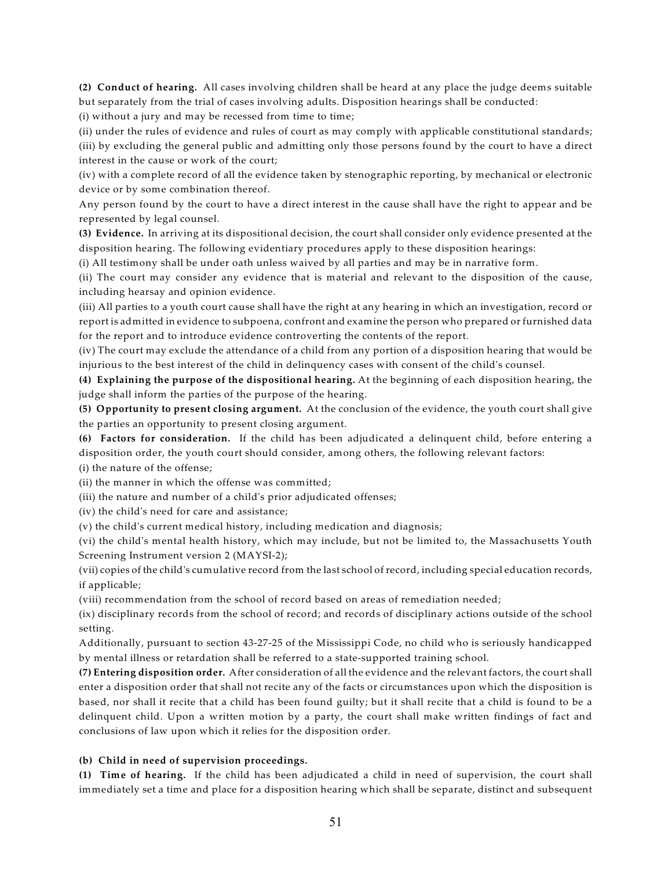**(2) Conduct of hearing.** All cases involving children shall be heard at any place the judge deems suitable but separately from the trial of cases involving adults. Disposition hearings shall be conducted:

(i) without a jury and may be recessed from time to time;

(ii) under the rules of evidence and rules of court as may comply with applicable constitutional standards; (iii) by excluding the general public and admitting only those persons found by the court to have a direct interest in the cause or work of the court;

(iv) with a complete record of all the evidence taken by stenographic reporting, by mechanical or electronic device or by some combination thereof.

Any person found by the court to have a direct interest in the cause shall have the right to appear and be represented by legal counsel.

**(3) Evidence.** In arriving at its dispositional decision, the court shall consider only evidence presented at the disposition hearing. The following evidentiary procedures apply to these disposition hearings:

(i) All testimony shall be under oath unless waived by all parties and may be in narrative form.

(ii) The court may consider any evidence that is material and relevant to the disposition of the cause, including hearsay and opinion evidence.

(iii) All parties to a youth court cause shall have the right at any hearing in which an investigation, record or report is admitted in evidence to subpoena, confront and examine the person who prepared or furnished data for the report and to introduce evidence controverting the contents of the report.

(iv) The court may exclude the attendance of a child from any portion of a disposition hearing that would be injurious to the best interest of the child in delinquency cases with consent of the child's counsel.

**(4) Explaining the purpose of the dispositional hearing.** At the beginning of each disposition hearing, the judge shall inform the parties of the purpose of the hearing.

**(5) Opportunity to present closing argument.** At the conclusion of the evidence, the youth court shall give the parties an opportunity to present closing argument.

**(6) Factors for consideration.** If the child has been adjudicated a delinquent child, before entering a disposition order, the youth court should consider, among others, the following relevant factors: (i) the nature of the offense;

(ii) the manner in which the offense was committed;

(iii) the nature and number of a child's prior adjudicated offenses;

(iv) the child's need for care and assistance;

(v) the child's current medical history, including medication and diagnosis;

(vi) the child's mental health history, which may include, but not be limited to, the Massachusetts Youth Screening Instrument version 2 (MAYSI-2);

(vii) copies of the child's cumulative record from the last school of record, including special education records, if applicable;

(viii) recommendation from the school of record based on areas of remediation needed;

(ix) disciplinary records from the school of record; and records of disciplinary actions outside of the school setting.

Additionally, pursuant to section 43-27-25 of the Mississippi Code, no child who is seriously handicapped by mental illness or retardation shall be referred to a state-supported training school.

**(7) Entering disposition order.** After consideration of all the evidence and the relevant factors, the court shall enter a disposition order that shall not recite any of the facts or circumstances upon which the disposition is based, nor shall it recite that a child has been found guilty; but it shall recite that a child is found to be a delinquent child. Upon a written motion by a party, the court shall make written findings of fact and conclusions of law upon which it relies for the disposition order.

### **(b) Child in need of supervision proceedings.**

**(1) Time of hearing.** If the child has been adjudicated a child in need of supervision, the court shall immediately set a time and place for a disposition hearing which shall be separate, distinct and subsequent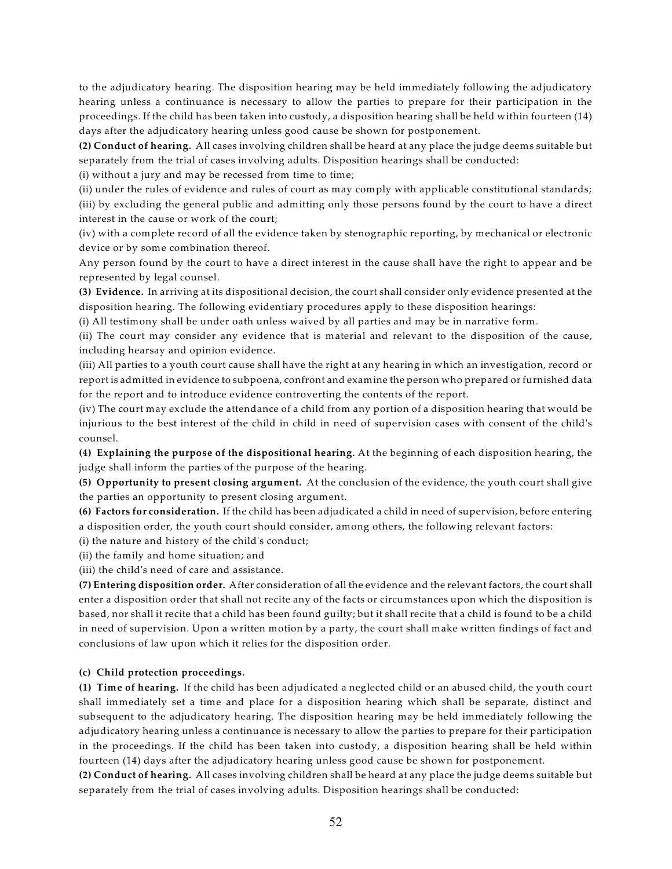to the adjudicatory hearing. The disposition hearing may be held immediately following the adjudicatory hearing unless a continuance is necessary to allow the parties to prepare for their participation in the proceedings. If the child has been taken into custody, a disposition hearing shall be held within fourteen (14) days after the adjudicatory hearing unless good cause be shown for postponement.

**(2) Conduct of hearing.** All cases involving children shall be heard at any place the judge deems suitable but separately from the trial of cases involving adults. Disposition hearings shall be conducted:

(i) without a jury and may be recessed from time to time;

(ii) under the rules of evidence and rules of court as may comply with applicable constitutional standards; (iii) by excluding the general public and admitting only those persons found by the court to have a direct interest in the cause or work of the court;

(iv) with a complete record of all the evidence taken by stenographic reporting, by mechanical or electronic device or by some combination thereof.

Any person found by the court to have a direct interest in the cause shall have the right to appear and be represented by legal counsel.

**(3) Evidence.** In arriving at its dispositional decision, the court shall consider only evidence presented at the disposition hearing. The following evidentiary procedures apply to these disposition hearings:

(i) All testimony shall be under oath unless waived by all parties and may be in narrative form.

(ii) The court may consider any evidence that is material and relevant to the disposition of the cause, including hearsay and opinion evidence.

(iii) All parties to a youth court cause shall have the right at any hearing in which an investigation, record or report is admitted in evidence to subpoena, confront and examine the person who prepared or furnished data for the report and to introduce evidence controverting the contents of the report.

(iv) The court may exclude the attendance of a child from any portion of a disposition hearing that would be injurious to the best interest of the child in child in need of supervision cases with consent of the child's counsel.

**(4) Explaining the purpose of the dispositional hearing.** At the beginning of each disposition hearing, the judge shall inform the parties of the purpose of the hearing.

**(5) Opportunity to present closing argument.** At the conclusion of the evidence, the youth court shall give the parties an opportunity to present closing argument.

**(6) Factors for consideration.** If the child has been adjudicated a child in need of supervision, before entering a disposition order, the youth court should consider, among others, the following relevant factors:

(i) the nature and history of the child's conduct;

(ii) the family and home situation; and

(iii) the child's need of care and assistance.

**(7) Entering disposition order.** After consideration of all the evidence and the relevant factors, the court shall enter a disposition order that shall not recite any of the facts or circumstances upon which the disposition is based, nor shall it recite that a child has been found guilty; but it shall recite that a child is found to be a child in need of supervision. Upon a written motion by a party, the court shall make written findings of fact and conclusions of law upon which it relies for the disposition order.

## **(c) Child protection proceedings.**

**(1) Time of hearing.** If the child has been adjudicated a neglected child or an abused child, the youth court shall immediately set a time and place for a disposition hearing which shall be separate, distinct and subsequent to the adjudicatory hearing. The disposition hearing may be held immediately following the adjudicatory hearing unless a continuance is necessary to allow the parties to prepare for their participation in the proceedings. If the child has been taken into custody, a disposition hearing shall be held within fourteen (14) days after the adjudicatory hearing unless good cause be shown for postponement.

**(2) Conduct of hearing.** All cases involving children shall be heard at any place the judge deems suitable but separately from the trial of cases involving adults. Disposition hearings shall be conducted: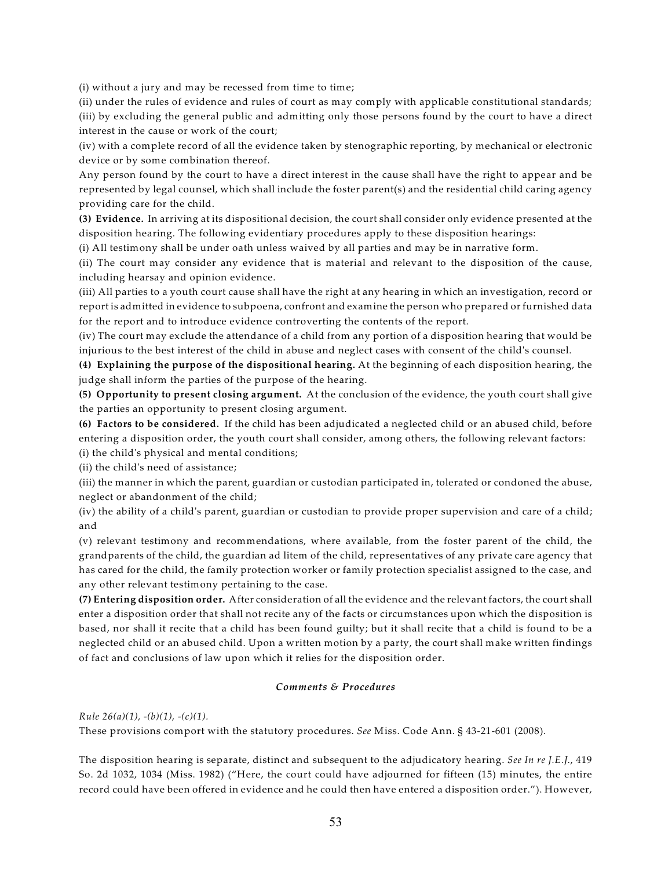(i) without a jury and may be recessed from time to time;

(ii) under the rules of evidence and rules of court as may comply with applicable constitutional standards; (iii) by excluding the general public and admitting only those persons found by the court to have a direct interest in the cause or work of the court;

(iv) with a complete record of all the evidence taken by stenographic reporting, by mechanical or electronic device or by some combination thereof.

Any person found by the court to have a direct interest in the cause shall have the right to appear and be represented by legal counsel, which shall include the foster parent(s) and the residential child caring agency providing care for the child.

**(3) Evidence.** In arriving at its dispositional decision, the court shall consider only evidence presented at the disposition hearing. The following evidentiary procedures apply to these disposition hearings:

(i) All testimony shall be under oath unless waived by all parties and may be in narrative form.

(ii) The court may consider any evidence that is material and relevant to the disposition of the cause, including hearsay and opinion evidence.

(iii) All parties to a youth court cause shall have the right at any hearing in which an investigation, record or report is admitted in evidence to subpoena, confront and examine the person who prepared or furnished data for the report and to introduce evidence controverting the contents of the report.

(iv) The court may exclude the attendance of a child from any portion of a disposition hearing that would be injurious to the best interest of the child in abuse and neglect cases with consent of the child's counsel.

**(4) Explaining the purpose of the dispositional hearing.** At the beginning of each disposition hearing, the judge shall inform the parties of the purpose of the hearing.

**(5) Opportunity to present closing argument.** At the conclusion of the evidence, the youth court shall give the parties an opportunity to present closing argument.

**(6) Factors to be considered.** If the child has been adjudicated a neglected child or an abused child, before entering a disposition order, the youth court shall consider, among others, the following relevant factors: (i) the child's physical and mental conditions;

(ii) the child's need of assistance;

(iii) the manner in which the parent, guardian or custodian participated in, tolerated or condoned the abuse, neglect or abandonment of the child;

(iv) the ability of a child's parent, guardian or custodian to provide proper supervision and care of a child; and

(v) relevant testimony and recommendations, where available, from the foster parent of the child, the grandparents of the child, the guardian ad litem of the child, representatives of any private care agency that has cared for the child, the family protection worker or family protection specialist assigned to the case, and any other relevant testimony pertaining to the case.

**(7) Entering disposition order.** After consideration of all the evidence and the relevant factors, the court shall enter a disposition order that shall not recite any of the facts or circumstances upon which the disposition is based, nor shall it recite that a child has been found guilty; but it shall recite that a child is found to be a neglected child or an abused child. Upon a written motion by a party, the court shall make written findings of fact and conclusions of law upon which it relies for the disposition order.

## *Comments & Procedures*

*Rule 26(a)(1), -(b)(1), -(c)(1).*

These provisions comport with the statutory procedures. *See* Miss. Code Ann. § 43-21-601 (2008).

The disposition hearing is separate, distinct and subsequent to the adjudicatory hearing. *See In re J.E.J.*, 419 So. 2d 1032, 1034 (Miss. 1982) ("Here, the court could have adjourned for fifteen (15) minutes, the entire record could have been offered in evidence and he could then have entered a disposition order."). However,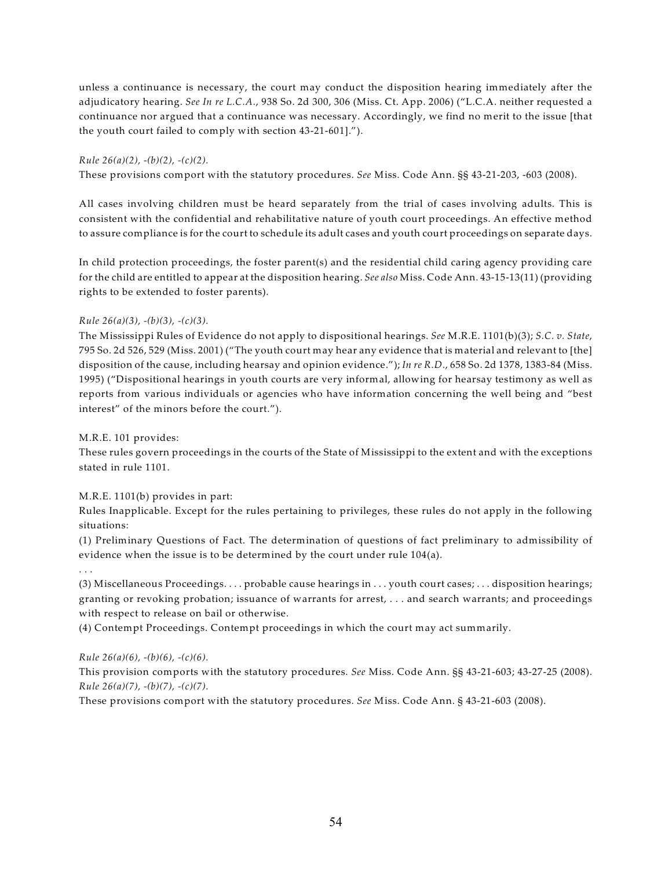unless a continuance is necessary, the court may conduct the disposition hearing immediately after the adjudicatory hearing. *See In re L.C.A.*, 938 So. 2d 300, 306 (Miss. Ct. App. 2006) ("L.C.A. neither requested a continuance nor argued that a continuance was necessary. Accordingly, we find no merit to the issue [that the youth court failed to comply with section 43-21-601].").

## *Rule 26(a)(2), -(b)(2), -(c)(2).*

These provisions comport with the statutory procedures. *See* Miss. Code Ann. §§ 43-21-203, -603 (2008).

All cases involving children must be heard separately from the trial of cases involving adults. This is consistent with the confidential and rehabilitative nature of youth court proceedings. An effective method to assure compliance is for the court to schedule its adult cases and youth court proceedings on separate days.

In child protection proceedings, the foster parent(s) and the residential child caring agency providing care for the child are entitled to appear at the disposition hearing. *See also* Miss. Code Ann. 43-15-13(11) (providing rights to be extended to foster parents).

# *Rule 26(a)(3), -(b)(3), -(c)(3).*

The Mississippi Rules of Evidence do not apply to dispositional hearings. *See* M.R.E. 1101(b)(3); *S.C. v. State*, 795 So. 2d 526, 529 (Miss. 2001) ("The youth court may hear any evidence that is material and relevant to [the] disposition of the cause, including hearsay and opinion evidence."); *In re R.D.*, 658 So. 2d 1378, 1383-84 (Miss. 1995) ("Dispositional hearings in youth courts are very informal, allowing for hearsay testimony as well as reports from various individuals or agencies who have information concerning the well being and "best interest" of the minors before the court.").

## M.R.E. 101 provides:

These rules govern proceedings in the courts of the State of Mississippi to the extent and with the exceptions stated in rule 1101.

## M.R.E. 1101(b) provides in part:

Rules Inapplicable. Except for the rules pertaining to privileges, these rules do not apply in the following situations:

(1) Preliminary Questions of Fact. The determination of questions of fact preliminary to admissibility of evidence when the issue is to be determined by the court under rule 104(a).

. . .

(3) Miscellaneous Proceedings. . . . probable cause hearings in . . . youth court cases; . . . disposition hearings; granting or revoking probation; issuance of warrants for arrest, . . . and search warrants; and proceedings with respect to release on bail or otherwise.

(4) Contempt Proceedings. Contempt proceedings in which the court may act summarily.

## *Rule 26(a)(6), -(b)(6), -(c)(6).*

This provision comports with the statutory procedures. *See* Miss. Code Ann. §§ 43-21-603; 43-27-25 (2008). *Rule 26(a)(7), -(b)(7), -(c)(7).*

These provisions comport with the statutory procedures. *See* Miss. Code Ann. § 43-21-603 (2008).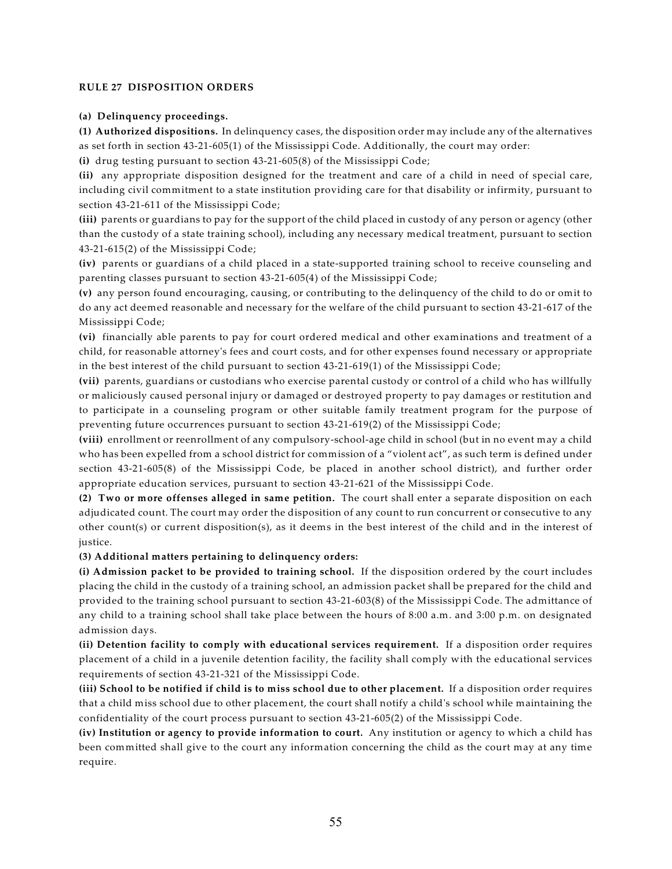### **RULE 27 DISPOSITION ORDERS**

### **(a) Delinquency proceedings.**

**(1) Authorized dispositions.** In delinquency cases, the disposition order may include any of the alternatives as set forth in section 43-21-605(1) of the Mississippi Code. Additionally, the court may order:

**(i)** drug testing pursuant to section 43-21-605(8) of the Mississippi Code;

**(ii)** any appropriate disposition designed for the treatment and care of a child in need of special care, including civil commitment to a state institution providing care for that disability or infirmity, pursuant to section 43-21-611 of the Mississippi Code;

**(iii)** parents or guardians to pay for the support of the child placed in custody of any person or agency (other than the custody of a state training school), including any necessary medical treatment, pursuant to section 43-21-615(2) of the Mississippi Code;

**(iv)** parents or guardians of a child placed in a state-supported training school to receive counseling and parenting classes pursuant to section 43-21-605(4) of the Mississippi Code;

**(v)** any person found encouraging, causing, or contributing to the delinquency of the child to do or omit to do any act deemed reasonable and necessary for the welfare of the child pursuant to section 43-21-617 of the Mississippi Code;

**(vi)** financially able parents to pay for court ordered medical and other examinations and treatment of a child, for reasonable attorney's fees and court costs, and for other expenses found necessary or appropriate in the best interest of the child pursuant to section 43-21-619(1) of the Mississippi Code;

**(vii)** parents, guardians or custodians who exercise parental custody or control of a child who has willfully or maliciously caused personal injury or damaged or destroyed property to pay damages or restitution and to participate in a counseling program or other suitable family treatment program for the purpose of preventing future occurrences pursuant to section 43-21-619(2) of the Mississippi Code;

**(viii)** enrollment or reenrollment of any compulsory-school-age child in school (but in no event may a child who has been expelled from a school district for commission of a "violent act", as such term is defined under section 43-21-605(8) of the Mississippi Code, be placed in another school district), and further order appropriate education services, pursuant to section 43-21-621 of the Mississippi Code.

**(2) Two or more offenses alleged in same petition.** The court shall enter a separate disposition on each adjudicated count. The court may order the disposition of any count to run concurrent or consecutive to any other count(s) or current disposition(s), as it deems in the best interest of the child and in the interest of justice.

### **(3) Additional matters pertaining to delinquency orders:**

**(i) Admission packet to be provided to training school.** If the disposition ordered by the court includes placing the child in the custody of a training school, an admission packet shall be prepared for the child and provided to the training school pursuant to section 43-21-603(8) of the Mississippi Code. The admittance of any child to a training school shall take place between the hours of 8:00 a.m. and 3:00 p.m. on designated admission days.

**(ii) Detention facility to comply with educational services requirement.** If a disposition order requires placement of a child in a juvenile detention facility, the facility shall comply with the educational services requirements of section 43-21-321 of the Mississippi Code.

**(iii) School to be notified if child is to miss school due to other placement.** If a disposition order requires that a child miss school due to other placement, the court shall notify a child's school while maintaining the confidentiality of the court process pursuant to section 43-21-605(2) of the Mississippi Code.

**(iv) Institution or agency to provide information to court.** Any institution or agency to which a child has been committed shall give to the court any information concerning the child as the court may at any time require.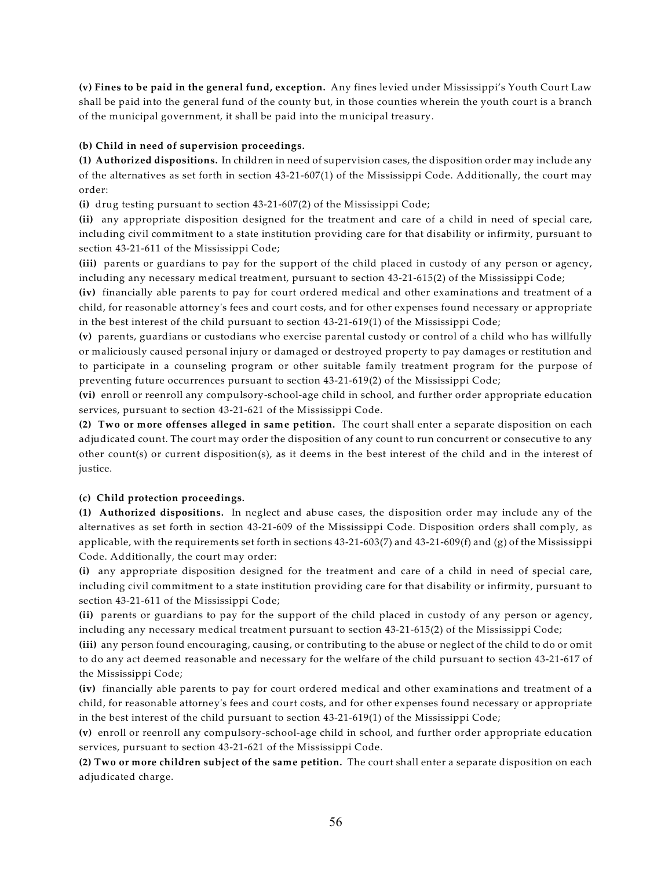**(v) Fines to be paid in the general fund, exception.** Any fines levied under Mississippi's Youth Court Law shall be paid into the general fund of the county but, in those counties wherein the youth court is a branch of the municipal government, it shall be paid into the municipal treasury.

# **(b) Child in need of supervision proceedings.**

**(1) Authorized dispositions.** In children in need of supervision cases, the disposition order may include any of the alternatives as set forth in section 43-21-607(1) of the Mississippi Code. Additionally, the court may order:

**(i)** drug testing pursuant to section 43-21-607(2) of the Mississippi Code;

**(ii)** any appropriate disposition designed for the treatment and care of a child in need of special care, including civil commitment to a state institution providing care for that disability or infirmity, pursuant to section 43-21-611 of the Mississippi Code;

**(iii)** parents or guardians to pay for the support of the child placed in custody of any person or agency, including any necessary medical treatment, pursuant to section 43-21-615(2) of the Mississippi Code;

**(iv)** financially able parents to pay for court ordered medical and other examinations and treatment of a child, for reasonable attorney's fees and court costs, and for other expenses found necessary or appropriate in the best interest of the child pursuant to section 43-21-619(1) of the Mississippi Code;

**(v)** parents, guardians or custodians who exercise parental custody or control of a child who has willfully or maliciously caused personal injury or damaged or destroyed property to pay damages or restitution and to participate in a counseling program or other suitable family treatment program for the purpose of preventing future occurrences pursuant to section 43-21-619(2) of the Mississippi Code;

**(vi)** enroll or reenroll any compulsory-school-age child in school, and further order appropriate education services, pursuant to section 43-21-621 of the Mississippi Code.

**(2) Two or more offenses alleged in same petition.** The court shall enter a separate disposition on each adjudicated count. The court may order the disposition of any count to run concurrent or consecutive to any other count(s) or current disposition(s), as it deems in the best interest of the child and in the interest of justice.

## **(c) Child protection proceedings.**

**(1) Authorized dispositions.** In neglect and abuse cases, the disposition order may include any of the alternatives as set forth in section 43-21-609 of the Mississippi Code. Disposition orders shall comply, as applicable, with the requirements set forth in sections 43-21-603(7) and 43-21-609(f) and (g) of the Mississippi Code. Additionally, the court may order:

**(i)** any appropriate disposition designed for the treatment and care of a child in need of special care, including civil commitment to a state institution providing care for that disability or infirmity, pursuant to section 43-21-611 of the Mississippi Code;

**(ii)** parents or guardians to pay for the support of the child placed in custody of any person or agency, including any necessary medical treatment pursuant to section 43-21-615(2) of the Mississippi Code;

**(iii)** any person found encouraging, causing, or contributing to the abuse or neglect of the child to do or omit to do any act deemed reasonable and necessary for the welfare of the child pursuant to section 43-21-617 of the Mississippi Code;

**(iv)** financially able parents to pay for court ordered medical and other examinations and treatment of a child, for reasonable attorney's fees and court costs, and for other expenses found necessary or appropriate in the best interest of the child pursuant to section 43-21-619(1) of the Mississippi Code;

**(v)** enroll or reenroll any compulsory-school-age child in school, and further order appropriate education services, pursuant to section 43-21-621 of the Mississippi Code.

**(2) Two or more children subject of the same petition.** The court shall enter a separate disposition on each adjudicated charge.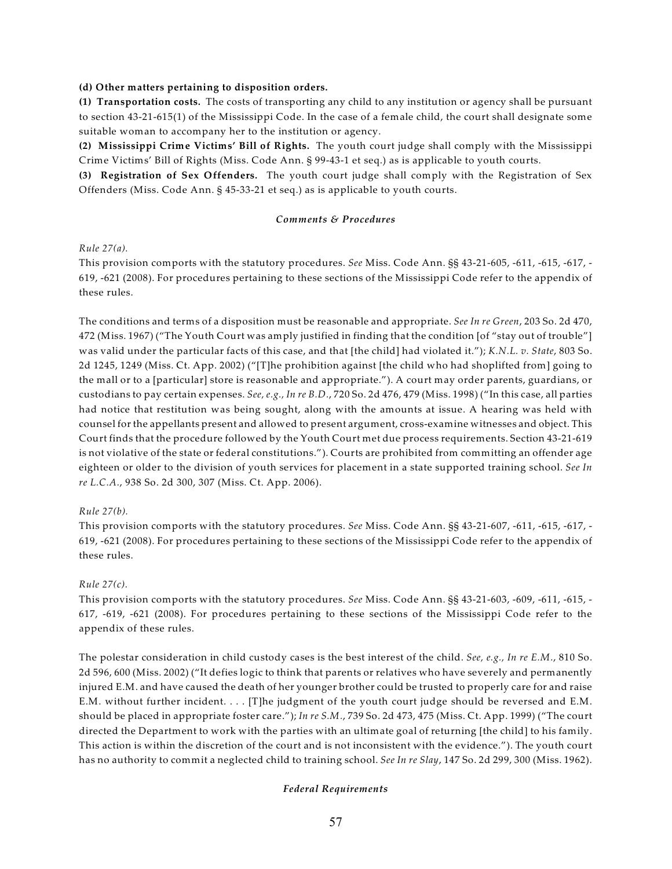#### **(d) Other matters pertaining to disposition orders.**

**(1) Transportation costs.** The costs of transporting any child to any institution or agency shall be pursuant to section 43-21-615(1) of the Mississippi Code. In the case of a female child, the court shall designate some suitable woman to accompany her to the institution or agency.

**(2) Mississippi Crime Victims' Bill of Rights.** The youth court judge shall comply with the Mississippi Crime Victims' Bill of Rights (Miss. Code Ann. § 99-43-1 et seq.) as is applicable to youth courts.

**(3) Registration of Sex Offenders.** The youth court judge shall comply with the Registration of Sex Offenders (Miss. Code Ann. § 45-33-21 et seq.) as is applicable to youth courts.

### *Comments & Procedures*

#### *Rule 27(a).*

This provision comports with the statutory procedures. *See* Miss. Code Ann. §§ 43-21-605, -611, -615, -617, - 619, -621 (2008). For procedures pertaining to these sections of the Mississippi Code refer to the appendix of these rules.

The conditions and terms of a disposition must be reasonable and appropriate. *See In re Green*, 203 So. 2d 470, 472 (Miss. 1967) ("The Youth Court was amply justified in finding that the condition [of "stay out of trouble"] was valid under the particular facts of this case, and that [the child] had violated it."); *K.N.L. v. State*, 803 So. 2d 1245, 1249 (Miss. Ct. App. 2002) ("[T]he prohibition against [the child who had shoplifted from] going to the mall or to a [particular] store is reasonable and appropriate."). A court may order parents, guardians, or custodians to pay certain expenses. *See, e.g., In re B.D.*, 720 So. 2d 476, 479 (Miss. 1998) ("In this case, all parties had notice that restitution was being sought, along with the amounts at issue. A hearing was held with counsel for the appellants present and allowed to present argument, cross-examine witnesses and object. This Court finds that the procedure followed by the Youth Court met due process requirements. Section 43-21-619 is not violative of the state or federal constitutions."). Courts are prohibited from committing an offender age eighteen or older to the division of youth services for placement in a state supported training school. *See In re L.C.A.*, 938 So. 2d 300, 307 (Miss. Ct. App. 2006).

### *Rule 27(b).*

This provision comports with the statutory procedures. *See* Miss. Code Ann. §§ 43-21-607, -611, -615, -617, - 619, -621 (2008). For procedures pertaining to these sections of the Mississippi Code refer to the appendix of these rules.

#### *Rule 27(c).*

This provision comports with the statutory procedures. *See* Miss. Code Ann. §§ 43-21-603, -609, -611, -615, - 617, -619, -621 (2008). For procedures pertaining to these sections of the Mississippi Code refer to the appendix of these rules.

The polestar consideration in child custody cases is the best interest of the child. *See, e.g., In re E.M.*, 810 So. 2d 596, 600 (Miss. 2002) ("It defies logic to think that parents or relatives who have severely and permanently injured E.M. and have caused the death of her younger brother could be trusted to properly care for and raise E.M. without further incident. . . . [T]he judgment of the youth court judge should be reversed and E.M. should be placed in appropriate foster care."); *In re S.M.*, 739 So. 2d 473, 475 (Miss. Ct. App. 1999) ("The court directed the Department to work with the parties with an ultimate goal of returning [the child] to his family. This action is within the discretion of the court and is not inconsistent with the evidence."). The youth court has no authority to commit a neglected child to training school. *See In re Slay*, 147 So. 2d 299, 300 (Miss. 1962).

#### *Federal Requirements*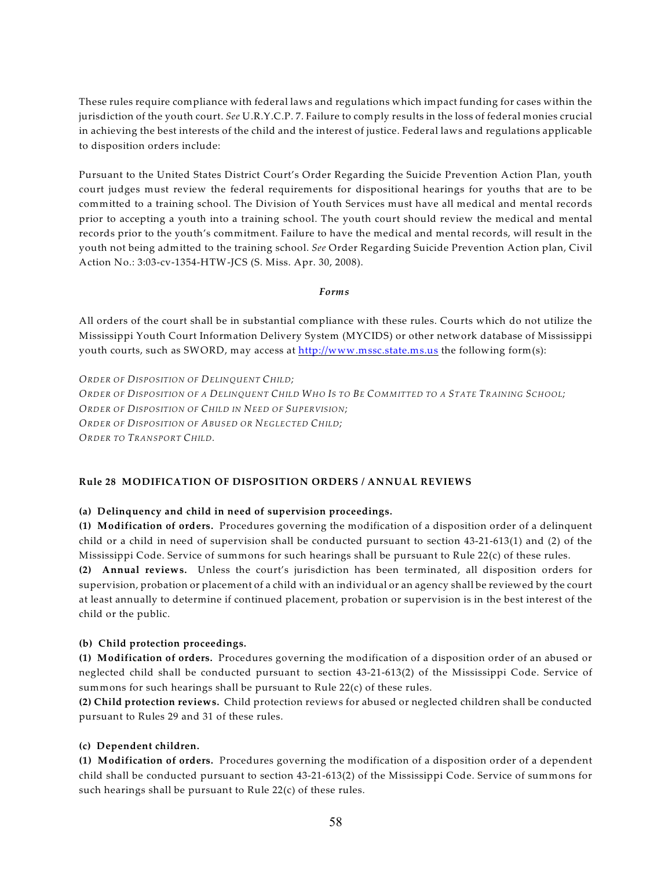These rules require compliance with federal laws and regulations which impact funding for cases within the jurisdiction of the youth court. *See* U.R.Y.C.P. 7. Failure to comply results in the loss of federal monies crucial in achieving the best interests of the child and the interest of justice. Federal laws and regulations applicable to disposition orders include:

Pursuant to the United States District Court's Order Regarding the Suicide Prevention Action Plan, youth court judges must review the federal requirements for dispositional hearings for youths that are to be committed to a training school. The Division of Youth Services must have all medical and mental records prior to accepting a youth into a training school. The youth court should review the medical and mental records prior to the youth's commitment. Failure to have the medical and mental records, will result in the youth not being admitted to the training school. *See* Order Regarding Suicide Prevention Action plan, Civil Action No.: 3:03-cv-1354-HTW-JCS (S. Miss. Apr. 30, 2008).

### *Forms*

All orders of the court shall be in substantial compliance with these rules. Courts which do not utilize the Mississippi Youth Court Information Delivery System (MYCIDS) or other network database of Mississippi youth courts, such as SWORD, may access at <http://www.mssc.state.ms.us> the following form(s):

*ORDER OF DISPOSITION OF DELINQUENT CHILD;* ORDER OF DISPOSITION OF A DELINQUENT CHILD WHO IS TO BE COMMITTED TO A STATE TRAINING SCHOOL; *ORDER OF DISPOSITION OF CHILD IN NEED OF SUPERVISION; ORDER OF DISPOSITION OF ABUSED OR NEGLECTED CHILD; ORDER TO TRANSPORT CHILD.*

## **Rule 28 MODIFICATION OF DISPOSITION ORDERS / ANNUAL REVIEWS**

# **(a) Delinquency and child in need of supervision proceedings.**

**(1) Modification of orders.** Procedures governing the modification of a disposition order of a delinquent child or a child in need of supervision shall be conducted pursuant to section 43-21-613(1) and (2) of the Mississippi Code. Service of summons for such hearings shall be pursuant to Rule 22(c) of these rules.

**(2) Annual reviews.** Unless the court's jurisdiction has been terminated, all disposition orders for supervision, probation or placement of a child with an individual or an agency shall be reviewed by the court at least annually to determine if continued placement, probation or supervision is in the best interest of the child or the public.

## **(b) Child protection proceedings.**

**(1) Modification of orders.** Procedures governing the modification of a disposition order of an abused or neglected child shall be conducted pursuant to section 43-21-613(2) of the Mississippi Code. Service of summons for such hearings shall be pursuant to Rule 22(c) of these rules.

**(2) Child protection reviews.** Child protection reviews for abused or neglected children shall be conducted pursuant to Rules 29 and 31 of these rules.

## **(c) Dependent children.**

**(1) Modification of orders.** Procedures governing the modification of a disposition order of a dependent child shall be conducted pursuant to section 43-21-613(2) of the Mississippi Code. Service of summons for such hearings shall be pursuant to Rule 22(c) of these rules.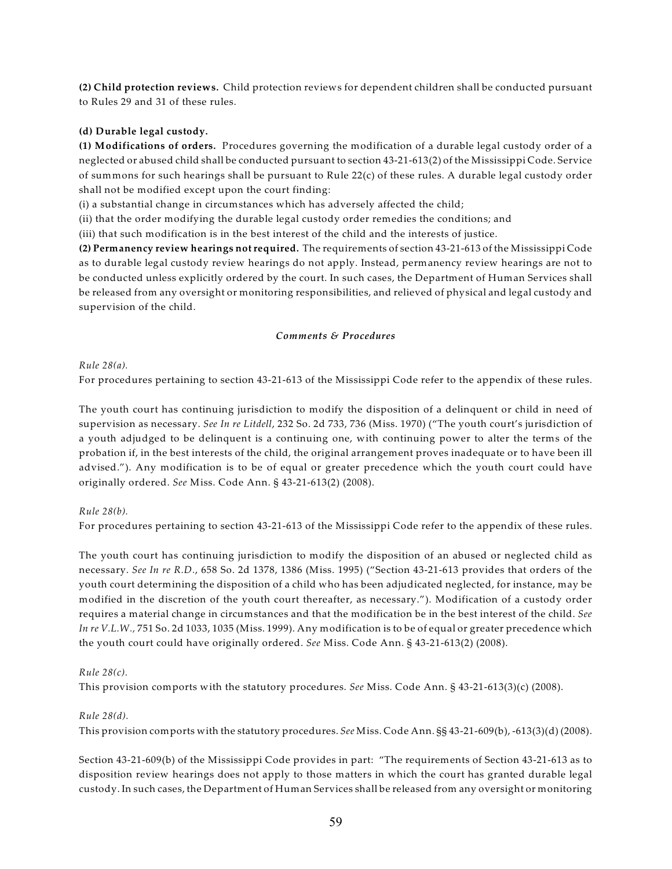**(2) Child protection reviews.** Child protection reviews for dependent children shall be conducted pursuant to Rules 29 and 31 of these rules.

### **(d) Durable legal custody.**

**(1) Modifications of orders.** Procedures governing the modification of a durable legal custody order of a neglected or abused child shall be conducted pursuant to section 43-21-613(2) of the Mississippi Code. Service of summons for such hearings shall be pursuant to Rule 22(c) of these rules. A durable legal custody order shall not be modified except upon the court finding:

(i) a substantial change in circumstances which has adversely affected the child;

(ii) that the order modifying the durable legal custody order remedies the conditions; and

(iii) that such modification is in the best interest of the child and the interests of justice.

**(2) Permanency review hearings not required.** The requirements of section 43-21-613 of the Mississippi Code as to durable legal custody review hearings do not apply. Instead, permanency review hearings are not to be conducted unless explicitly ordered by the court. In such cases, the Department of Human Services shall be released from any oversight or monitoring responsibilities, and relieved of physical and legal custody and supervision of the child.

### *Comments & Procedures*

### *Rule 28(a).*

For procedures pertaining to section 43-21-613 of the Mississippi Code refer to the appendix of these rules.

The youth court has continuing jurisdiction to modify the disposition of a delinquent or child in need of supervision as necessary. *See In re Litdell*, 232 So. 2d 733, 736 (Miss. 1970) ("The youth court's jurisdiction of a youth adjudged to be delinquent is a continuing one, with continuing power to alter the terms of the probation if, in the best interests of the child, the original arrangement proves inadequate or to have been ill advised."). Any modification is to be of equal or greater precedence which the youth court could have originally ordered. *See* Miss. Code Ann. § 43-21-613(2) (2008).

## *Rule 28(b).*

For procedures pertaining to section 43-21-613 of the Mississippi Code refer to the appendix of these rules.

The youth court has continuing jurisdiction to modify the disposition of an abused or neglected child as necessary. *See In re R.D.*, 658 So. 2d 1378, 1386 (Miss. 1995) ("Section 43-21-613 provides that orders of the youth court determining the disposition of a child who has been adjudicated neglected, for instance, may be modified in the discretion of the youth court thereafter, as necessary."). Modification of a custody order requires a material change in circumstances and that the modification be in the best interest of the child. *See In re V.L.W.,* 751 So. 2d 1033, 1035 (Miss. 1999). Any modification is to be of equal or greater precedence which the youth court could have originally ordered. *See* Miss. Code Ann. § 43-21-613(2) (2008).

## *Rule 28(c).*

This provision comports with the statutory procedures. *See* Miss. Code Ann. § 43-21-613(3)(c) (2008).

## *Rule 28(d).*

This provision comports with the statutory procedures. *See* Miss. Code Ann. §§ 43-21-609(b), -613(3)(d) (2008).

Section 43-21-609(b) of the Mississippi Code provides in part: "The requirements of Section 43-21-613 as to disposition review hearings does not apply to those matters in which the court has granted durable legal custody. In such cases, the Department of Human Services shall be released from any oversight or monitoring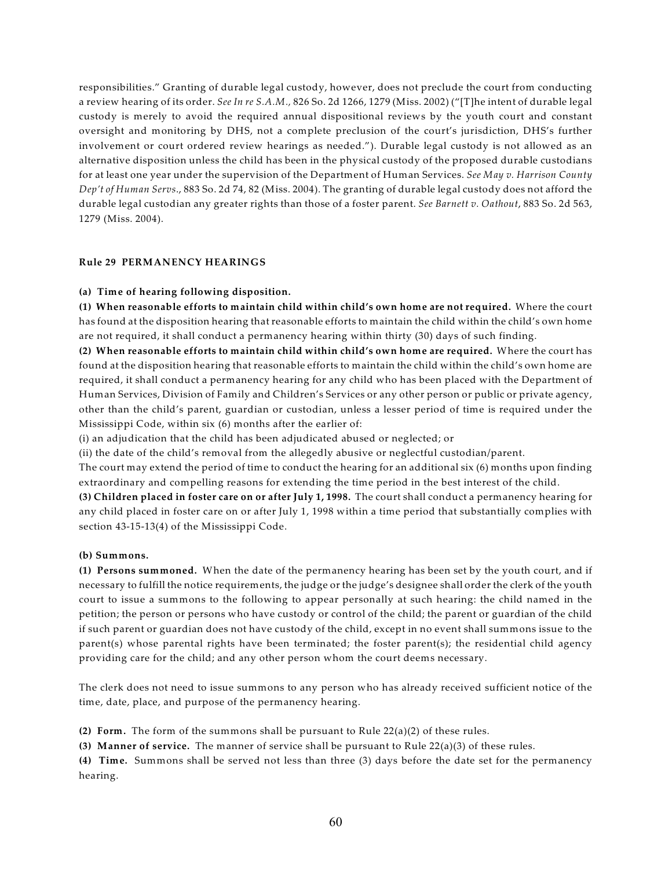responsibilities." Granting of durable legal custody, however, does not preclude the court from conducting a review hearing of its order. *See In re S.A.M.,* 826 So. 2d 1266, 1279 (Miss. 2002) ("[T]he intent of durable legal custody is merely to avoid the required annual dispositional reviews by the youth court and constant oversight and monitoring by DHS, not a complete preclusion of the court's jurisdiction, DHS's further involvement or court ordered review hearings as needed."). Durable legal custody is not allowed as an alternative disposition unless the child has been in the physical custody of the proposed durable custodians for at least one year under the supervision of the Department of Human Services. *See May v. Harrison County Dep't of Human Servs*., 883 So. 2d 74, 82 (Miss. 2004). The granting of durable legal custody does not afford the durable legal custodian any greater rights than those of a foster parent. *See Barnett v. Oathout*, 883 So. 2d 563, 1279 (Miss. 2004).

### **Rule 29 PERMANENCY HEARINGS**

### **(a) Time of hearing following disposition.**

**(1) When reasonable efforts to maintain child within child's own home are not required.** Where the court has found at the disposition hearing that reasonable efforts to maintain the child within the child's own home are not required, it shall conduct a permanency hearing within thirty (30) days of such finding.

**(2) When reasonable efforts to maintain child within child's own home are required.** Where the court has found at the disposition hearing that reasonable efforts to maintain the child within the child's own home are required, it shall conduct a permanency hearing for any child who has been placed with the Department of Human Services, Division of Family and Children's Services or any other person or public or private agency, other than the child's parent, guardian or custodian, unless a lesser period of time is required under the Mississippi Code, within six (6) months after the earlier of:

(i) an adjudication that the child has been adjudicated abused or neglected; or

(ii) the date of the child's removal from the allegedly abusive or neglectful custodian/parent.

The court may extend the period of time to conduct the hearing for an additional six (6) months upon finding extraordinary and compelling reasons for extending the time period in the best interest of the child.

**(3) Children placed in foster care on or after July 1, 1998.** The court shall conduct a permanency hearing for any child placed in foster care on or after July 1, 1998 within a time period that substantially complies with section 43-15-13(4) of the Mississippi Code.

### **(b) Summons.**

**(1) Persons summoned.** When the date of the permanency hearing has been set by the youth court, and if necessary to fulfill the notice requirements, the judge or the judge's designee shall order the clerk of the youth court to issue a summons to the following to appear personally at such hearing: the child named in the petition; the person or persons who have custody or control of the child; the parent or guardian of the child if such parent or guardian does not have custody of the child, except in no event shall summons issue to the parent(s) whose parental rights have been terminated; the foster parent(s); the residential child agency providing care for the child; and any other person whom the court deems necessary.

The clerk does not need to issue summons to any person who has already received sufficient notice of the time, date, place, and purpose of the permanency hearing.

**(2) Form.** The form of the summons shall be pursuant to Rule  $22(a)(2)$  of these rules.

**(3) Manner of service.** The manner of service shall be pursuant to Rule 22(a)(3) of these rules.

**(4) Time.** Summons shall be served not less than three (3) days before the date set for the permanency hearing.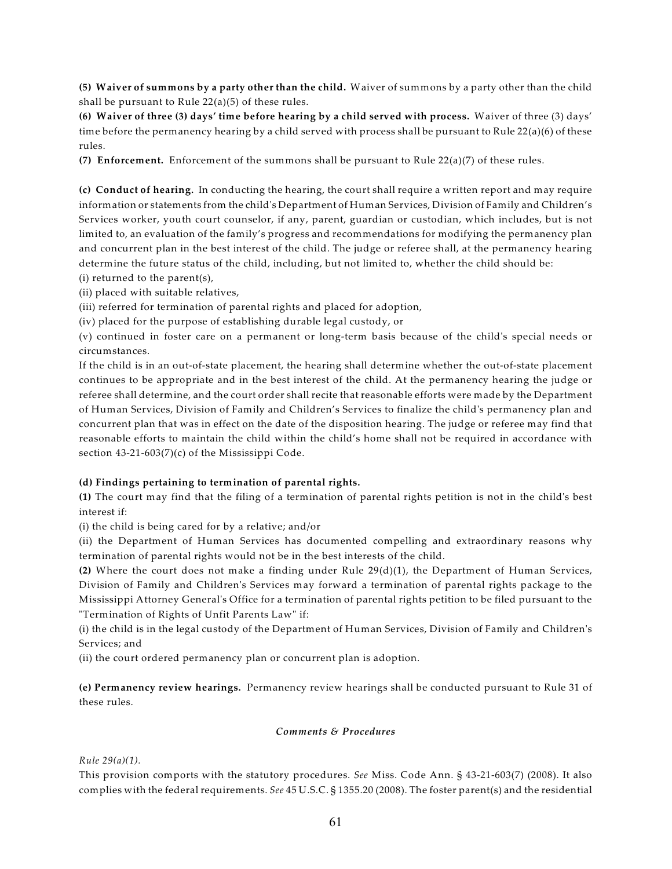**(5) Waiver of summons by a party other than the child.** Waiver of summons by a party other than the child shall be pursuant to Rule 22(a)(5) of these rules.

**(6) Waiver of three (3) days' time before hearing by a child served with process.** Waiver of three (3) days' time before the permanency hearing by a child served with process shall be pursuant to Rule 22(a)(6) of these rules.

**(7) Enforcement.** Enforcement of the summons shall be pursuant to Rule 22(a)(7) of these rules.

**(c) Conduct of hearing.** In conducting the hearing, the court shall require a written report and may require information or statements from the child's Department of Human Services, Division of Family and Children's Services worker, youth court counselor, if any, parent, guardian or custodian, which includes, but is not limited to, an evaluation of the family's progress and recommendations for modifying the permanency plan and concurrent plan in the best interest of the child. The judge or referee shall, at the permanency hearing determine the future status of the child, including, but not limited to, whether the child should be:

(i) returned to the parent(s),

(ii) placed with suitable relatives,

(iii) referred for termination of parental rights and placed for adoption,

(iv) placed for the purpose of establishing durable legal custody, or

(v) continued in foster care on a permanent or long-term basis because of the child's special needs or circumstances.

If the child is in an out-of-state placement, the hearing shall determine whether the out-of-state placement continues to be appropriate and in the best interest of the child. At the permanency hearing the judge or referee shall determine, and the court order shall recite that reasonable efforts were made by the Department of Human Services, Division of Family and Children's Services to finalize the child's permanency plan and concurrent plan that was in effect on the date of the disposition hearing. The judge or referee may find that reasonable efforts to maintain the child within the child's home shall not be required in accordance with section 43-21-603(7)(c) of the Mississippi Code.

## **(d) Findings pertaining to termination of parental rights.**

**(1)** The court may find that the filing of a termination of parental rights petition is not in the child's best interest if:

(i) the child is being cared for by a relative; and/or

(ii) the Department of Human Services has documented compelling and extraordinary reasons why termination of parental rights would not be in the best interests of the child.

**(2)** Where the court does not make a finding under Rule 29(d)(1), the Department of Human Services, Division of Family and Children's Services may forward a termination of parental rights package to the Mississippi Attorney General's Office for a termination of parental rights petition to be filed pursuant to the "Termination of Rights of Unfit Parents Law" if:

(i) the child is in the legal custody of the Department of Human Services, Division of Family and Children's Services; and

(ii) the court ordered permanency plan or concurrent plan is adoption.

**(e) Permanency review hearings.** Permanency review hearings shall be conducted pursuant to Rule 31 of these rules.

### *Comments & Procedures*

*Rule 29(a)(1).*

This provision comports with the statutory procedures. *See* Miss. Code Ann. § 43-21-603(7) (2008). It also complies with the federal requirements. *See* 45 U.S.C. § 1355.20 (2008). The foster parent(s) and the residential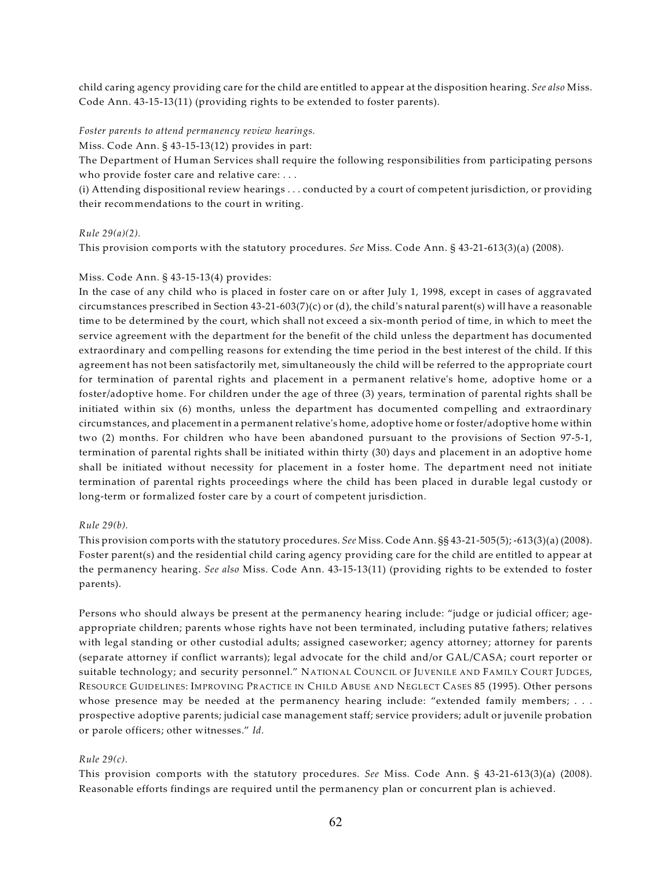child caring agency providing care for the child are entitled to appear at the disposition hearing. *See also* Miss. Code Ann. 43-15-13(11) (providing rights to be extended to foster parents).

*Foster parents to attend permanency review hearings.* 

Miss. Code Ann. § 43-15-13(12) provides in part:

The Department of Human Services shall require the following responsibilities from participating persons who provide foster care and relative care: . . .

(i) Attending dispositional review hearings . . . conducted by a court of competent jurisdiction, or providing their recommendations to the court in writing.

### *Rule 29(a)(2).*

This provision comports with the statutory procedures. *See* Miss. Code Ann. § 43-21-613(3)(a) (2008).

### Miss. Code Ann. § 43-15-13(4) provides:

In the case of any child who is placed in foster care on or after July 1, 1998, except in cases of aggravated circumstances prescribed in Section  $43-21-603(7)(c)$  or (d), the child's natural parent(s) will have a reasonable time to be determined by the court, which shall not exceed a six-month period of time, in which to meet the service agreement with the department for the benefit of the child unless the department has documented extraordinary and compelling reasons for extending the time period in the best interest of the child. If this agreement has not been satisfactorily met, simultaneously the child will be referred to the appropriate court for termination of parental rights and placement in a permanent relative's home, adoptive home or a foster/adoptive home. For children under the age of three (3) years, termination of parental rights shall be initiated within six (6) months, unless the department has documented compelling and extraordinary circumstances, and placement in a permanent relative's home, adoptive home or foster/adoptive home within two (2) months. For children who have been abandoned pursuant to the provisions of Section 97-5-1, termination of parental rights shall be initiated within thirty (30) days and placement in an adoptive home shall be initiated without necessity for placement in a foster home. The department need not initiate termination of parental rights proceedings where the child has been placed in durable legal custody or long-term or formalized foster care by a court of competent jurisdiction.

### *Rule 29(b).*

This provision comports with the statutory procedures. *See* Miss. Code Ann. §§ 43-21-505(5); -613(3)(a) (2008). Foster parent(s) and the residential child caring agency providing care for the child are entitled to appear at the permanency hearing. *See also* Miss. Code Ann. 43-15-13(11) (providing rights to be extended to foster parents).

Persons who should always be present at the permanency hearing include: "judge or judicial officer; ageappropriate children; parents whose rights have not been terminated, including putative fathers; relatives with legal standing or other custodial adults; assigned caseworker; agency attorney; attorney for parents (separate attorney if conflict warrants); legal advocate for the child and/or GAL/CASA; court reporter or suitable technology; and security personnel." NATIONAL COUNCIL OF JUVENILE AND FAMILY COURT JUDGES, RESOURCE GUIDELINES: IMPROVING PRACTICE IN CHILD ABUSE AND NEGLECT CASES 85 (1995). Other persons whose presence may be needed at the permanency hearing include: "extended family members; . . . prospective adoptive parents; judicial case management staff; service providers; adult or juvenile probation or parole officers; other witnesses." *Id.*

### *Rule 29(c).*

This provision comports with the statutory procedures. *See* Miss. Code Ann. § 43-21-613(3)(a) (2008). Reasonable efforts findings are required until the permanency plan or concurrent plan is achieved.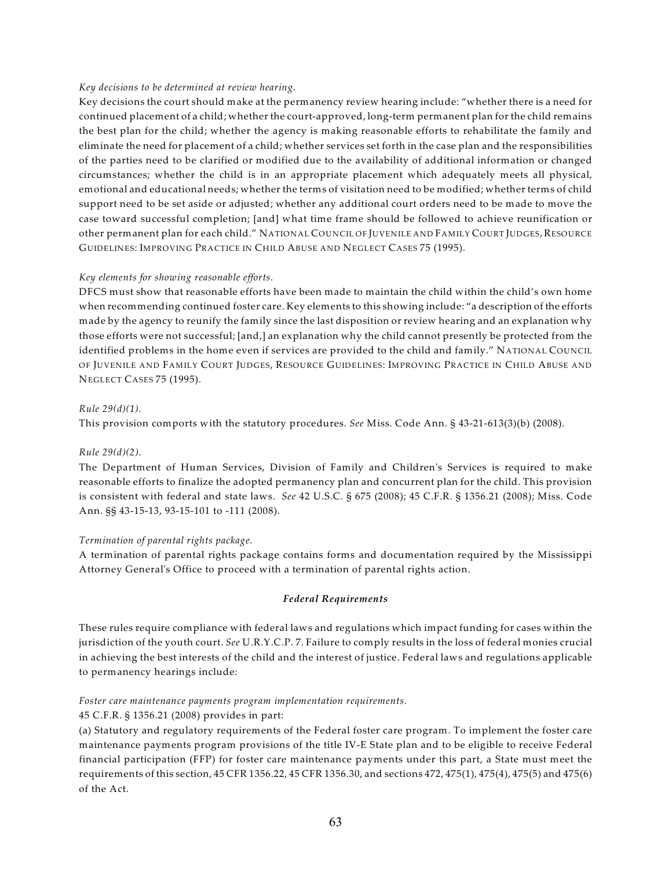### *Key decisions to be determined at review hearing.*

Key decisions the court should make at the permanency review hearing include: "whether there is a need for continued placement of a child; whether the court-approved, long-term permanent plan for the child remains the best plan for the child; whether the agency is making reasonable efforts to rehabilitate the family and eliminate the need for placement of a child; whether services set forth in the case plan and the responsibilities of the parties need to be clarified or modified due to the availability of additional information or changed circumstances; whether the child is in an appropriate placement which adequately meets all physical, emotional and educational needs; whether the terms of visitation need to be modified; whether terms of child support need to be set aside or adjusted; whether any additional court orders need to be made to move the case toward successful completion; [and] what time frame should be followed to achieve reunification or other permanent plan for each child." NATIONAL COUNCIL OF JUVENILE AND FAMILY COURT JUDGES, RESOURCE GUIDELINES: IMPROVING PRACTICE IN CHILD ABUSE AND NEGLECT CASES 75 (1995).

## *Key elements for showing reasonable efforts.*

DFCS must show that reasonable efforts have been made to maintain the child within the child's own home when recommending continued foster care. Key elements to this showing include: "a description of the efforts made by the agency to reunify the family since the last disposition or review hearing and an explanation why those efforts were not successful; [and,] an explanation why the child cannot presently be protected from the identified problems in the home even if services are provided to the child and family." NATIONAL COUNCIL OF JUVENILE AND FAMILY COURT JUDGES, RESOURCE GUIDELINES: IMPROVING PRACTICE IN CHILD ABUSE AND NEGLECT CASES 75 (1995).

### *Rule 29(d)(1).*

This provision comports with the statutory procedures. *See* Miss. Code Ann. § 43-21-613(3)(b) (2008).

## *Rule 29(d)(2)*.

The Department of Human Services, Division of Family and Children's Services is required to make reasonable efforts to finalize the adopted permanency plan and concurrent plan for the child. This provision is consistent with federal and state laws. *See* 42 U.S.C. § 675 (2008); 45 C.F.R. § 1356.21 (2008); Miss. Code Ann. §§ 43-15-13, 93-15-101 to -111 (2008).

### *Termination of parental rights package.*

A termination of parental rights package contains forms and documentation required by the Mississippi Attorney General's Office to proceed with a termination of parental rights action.

### *Federal Requirements*

These rules require compliance with federal laws and regulations which impact funding for cases within the jurisdiction of the youth court. *See* U.R.Y.C.P. 7. Failure to comply results in the loss of federal monies crucial in achieving the best interests of the child and the interest of justice. Federal laws and regulations applicable to permanency hearings include:

### *Foster care maintenance payments program implementation requirements.*

45 C.F.R. § 1356.21 (2008) provides in part:

(a) Statutory and regulatory requirements of the Federal foster care program. To implement the foster care maintenance payments program provisions of the title IV-E State plan and to be eligible to receive Federal financial participation (FFP) for foster care maintenance payments under this part, a State must meet the requirements of this section, 45 CFR 1356.22, 45 CFR 1356.30, and sections 472, 475(1), 475(4), 475(5) and 475(6) of the Act.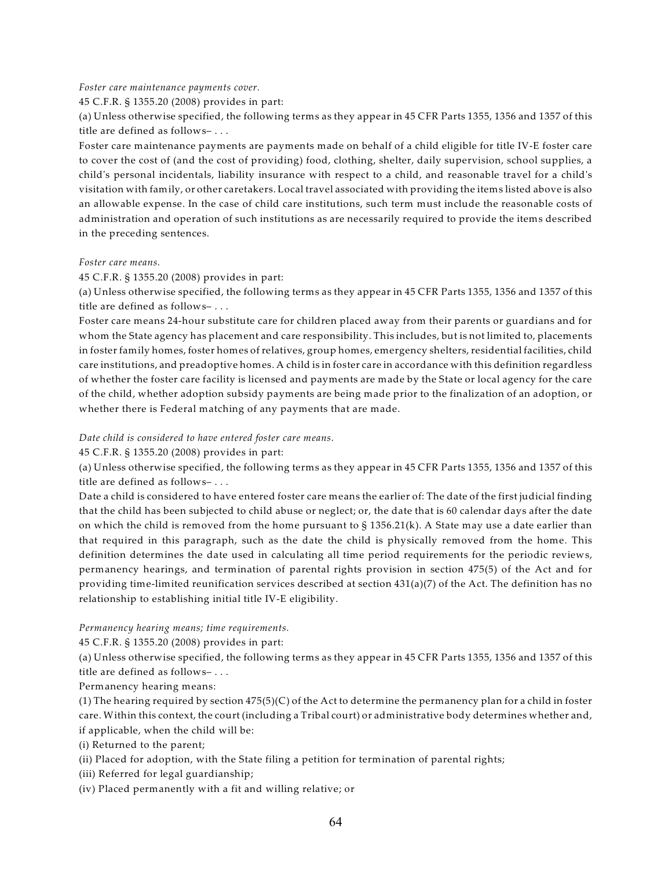### *Foster care maintenance payments cover.*

45 C.F.R. § 1355.20 (2008) provides in part:

(a) Unless otherwise specified, the following terms as they appear in 45 CFR Parts 1355, 1356 and 1357 of this title are defined as follows– . . .

Foster care maintenance payments are payments made on behalf of a child eligible for title IV-E foster care to cover the cost of (and the cost of providing) food, clothing, shelter, daily supervision, school supplies, a child's personal incidentals, liability insurance with respect to a child, and reasonable travel for a child's visitation with family, or other caretakers. Local travel associated with providing the items listed above is also an allowable expense. In the case of child care institutions, such term must include the reasonable costs of administration and operation of such institutions as are necessarily required to provide the items described in the preceding sentences.

### *Foster care means.*

45 C.F.R. § 1355.20 (2008) provides in part:

(a) Unless otherwise specified, the following terms as they appear in 45 CFR Parts 1355, 1356 and 1357 of this title are defined as follows– . . .

Foster care means 24-hour substitute care for children placed away from their parents or guardians and for whom the State agency has placement and care responsibility. This includes, but is not limited to, placements in foster family homes, foster homes of relatives, group homes, emergency shelters, residential facilities, child care institutions, and preadoptive homes. A child is in foster care in accordance with this definition regardless of whether the foster care facility is licensed and payments are made by the State or local agency for the care of the child, whether adoption subsidy payments are being made prior to the finalization of an adoption, or whether there is Federal matching of any payments that are made.

### *Date child is considered to have entered foster care means.*

45 C.F.R. § 1355.20 (2008) provides in part:

(a) Unless otherwise specified, the following terms as they appear in 45 CFR Parts 1355, 1356 and 1357 of this title are defined as follows– . . .

Date a child is considered to have entered foster care means the earlier of: The date of the first judicial finding that the child has been subjected to child abuse or neglect; or, the date that is 60 calendar days after the date on which the child is removed from the home pursuant to § 1356.21(k). A State may use a date earlier than that required in this paragraph, such as the date the child is physically removed from the home. This definition determines the date used in calculating all time period requirements for the periodic reviews, permanency hearings, and termination of parental rights provision in section 475(5) of the Act and for providing time-limited reunification services described at section 431(a)(7) of the Act. The definition has no relationship to establishing initial title IV-E eligibility.

## *Permanency hearing means; time requirements.*

45 C.F.R. § 1355.20 (2008) provides in part:

(a) Unless otherwise specified, the following terms as they appear in 45 CFR Parts 1355, 1356 and 1357 of this title are defined as follows– . . .

Permanency hearing means:

(1) The hearing required by section  $475(5)(C)$  of the Act to determine the permanency plan for a child in foster care. Within this context, the court (including a Tribal court) or administrative body determines whether and, if applicable, when the child will be:

(i) Returned to the parent;

(ii) Placed for adoption, with the State filing a petition for termination of parental rights;

(iii) Referred for legal guardianship;

(iv) Placed permanently with a fit and willing relative; or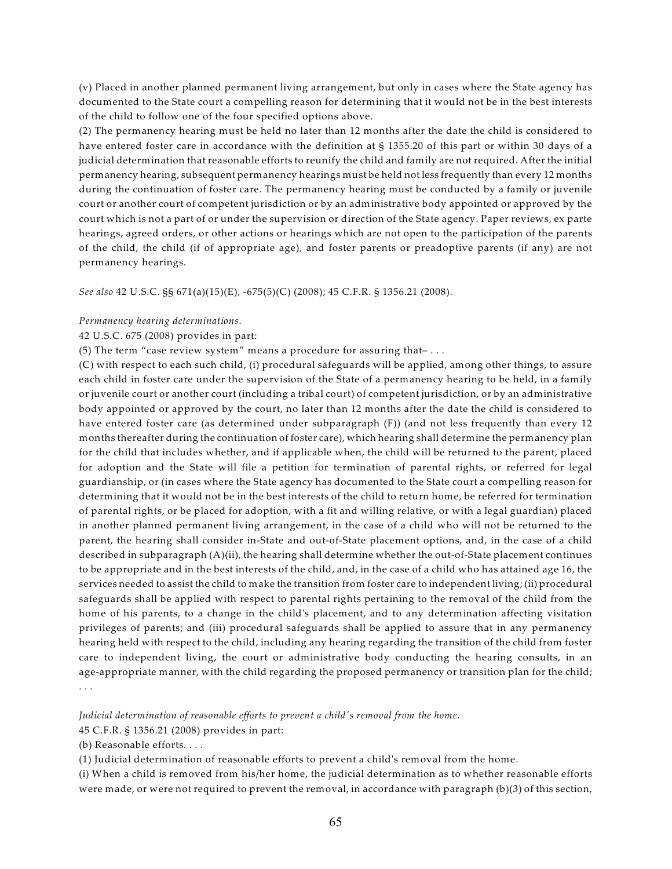(v) Placed in another planned permanent living arrangement, but only in cases where the State agency has documented to the State court a compelling reason for determining that it would not be in the best interests of the child to follow one of the four specified options above.

(2) The permanency hearing must be held no later than 12 months after the date the child is considered to have entered foster care in accordance with the definition at § 1355.20 of this part or within 30 days of a judicial determination that reasonable efforts to reunify the child and family are not required. After the initial permanency hearing, subsequent permanency hearings must be held not less frequently than every 12 months during the continuation of foster care. The permanency hearing must be conducted by a family or juvenile court or another court of competent jurisdiction or by an administrative body appointed or approved by the court which is not a part of or under the supervision or direction of the State agency. Paper reviews, ex parte hearings, agreed orders, or other actions or hearings which are not open to the participation of the parents of the child, the child (if of appropriate age), and foster parents or preadoptive parents (if any) are not permanency hearings.

*See also* 42 U.S.C. §§ 671(a)(15)(E), -675(5)(C) (2008); 45 C.F.R. § 1356.21 (2008).

#### *Permanency hearing determinations.*

#### 42 U.S.C. 675 (2008) provides in part:

(5) The term "case review system" means a procedure for assuring that- $\dots$ 

(C) with respect to each such child, (i) procedural safeguards will be applied, among other things, to assure each child in foster care under the supervision of the State of a permanency hearing to be held, in a family or juvenile court or another court (including a tribal court) of competent jurisdiction, or by an administrative body appointed or approved by the court, no later than 12 months after the date the child is considered to have entered foster care (as determined under subparagraph (F)) (and not less frequently than every 12 months thereafter during the continuation of foster care), which hearing shall determine the permanency plan for the child that includes whether, and if applicable when, the child will be returned to the parent, placed for adoption and the State will file a petition for termination of parental rights, or referred for legal guardianship, or (in cases where the State agency has documented to the State court a compelling reason for determining that it would not be in the best interests of the child to return home, be referred for termination of parental rights, or be placed for adoption, with a fit and willing relative, or with a legal guardian) placed in another planned permanent living arrangement, in the case of a child who will not be returned to the parent, the hearing shall consider in-State and out-of-State placement options, and, in the case of a child described in subparagraph (A)(ii), the hearing shall determine whether the out-of-State placement continues to be appropriate and in the best interests of the child, and, in the case of a child who has attained age 16, the services needed to assist the child to make the transition from foster care to independent living; (ii) procedural safeguards shall be applied with respect to parental rights pertaining to the removal of the child from the home of his parents, to a change in the child's placement, and to any determination affecting visitation privileges of parents; and (iii) procedural safeguards shall be applied to assure that in any permanency hearing held with respect to the child, including any hearing regarding the transition of the child from foster care to independent living, the court or administrative body conducting the hearing consults, in an age-appropriate manner, with the child regarding the proposed permanency or transition plan for the child; . . .

*Judicial determination of reasonable efforts to prevent a child's removal from the home.*

45 C.F.R. § 1356.21 (2008) provides in part:

(b) Reasonable efforts. . . .

(1) Judicial determination of reasonable efforts to prevent a child's removal from the home.

(i) When a child is removed from his/her home, the judicial determination as to whether reasonable efforts were made, or were not required to prevent the removal, in accordance with paragraph (b)(3) of this section,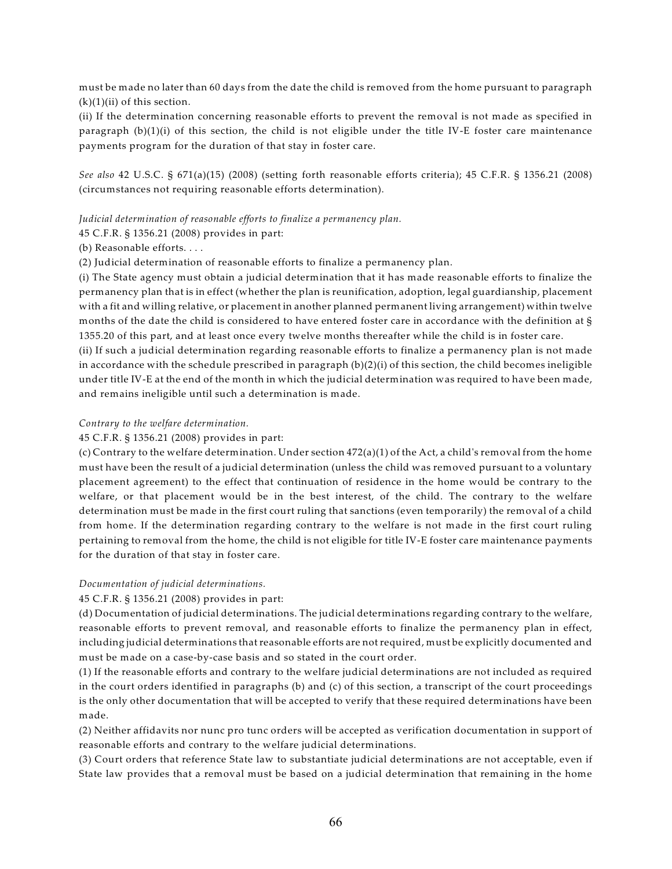must be made no later than 60 days from the date the child is removed from the home pursuant to paragraph  $(k)(1)(ii)$  of this section.

(ii) If the determination concerning reasonable efforts to prevent the removal is not made as specified in paragraph  $(b)(1)(i)$  of this section, the child is not eligible under the title IV-E foster care maintenance payments program for the duration of that stay in foster care.

*See also* 42 U.S.C. § 671(a)(15) (2008) (setting forth reasonable efforts criteria); 45 C.F.R. § 1356.21 (2008) (circumstances not requiring reasonable efforts determination).

*Judicial determination of reasonable efforts to finalize a permanency plan.*

45 C.F.R. § 1356.21 (2008) provides in part:

(b) Reasonable efforts. . . .

(2) Judicial determination of reasonable efforts to finalize a permanency plan.

(i) The State agency must obtain a judicial determination that it has made reasonable efforts to finalize the permanency plan that is in effect (whether the plan is reunification, adoption, legal guardianship, placement with a fit and willing relative, or placement in another planned permanent living arrangement) within twelve months of the date the child is considered to have entered foster care in accordance with the definition at § 1355.20 of this part, and at least once every twelve months thereafter while the child is in foster care.

(ii) If such a judicial determination regarding reasonable efforts to finalize a permanency plan is not made in accordance with the schedule prescribed in paragraph  $(b)(2)(i)$  of this section, the child becomes ineligible under title IV-E at the end of the month in which the judicial determination was required to have been made, and remains ineligible until such a determination is made.

### *Contrary to the welfare determination.*

#### 45 C.F.R. § 1356.21 (2008) provides in part:

(c) Contrary to the welfare determination. Under section  $472(a)(1)$  of the Act, a child's removal from the home must have been the result of a judicial determination (unless the child was removed pursuant to a voluntary placement agreement) to the effect that continuation of residence in the home would be contrary to the welfare, or that placement would be in the best interest, of the child. The contrary to the welfare determination must be made in the first court ruling that sanctions (even temporarily) the removal of a child from home. If the determination regarding contrary to the welfare is not made in the first court ruling pertaining to removal from the home, the child is not eligible for title IV-E foster care maintenance payments for the duration of that stay in foster care.

### *Documentation of judicial determinations.*

### 45 C.F.R. § 1356.21 (2008) provides in part:

(d) Documentation of judicial determinations. The judicial determinations regarding contrary to the welfare, reasonable efforts to prevent removal, and reasonable efforts to finalize the permanency plan in effect, including judicial determinations that reasonable efforts are not required, must be explicitly documented and must be made on a case-by-case basis and so stated in the court order.

(1) If the reasonable efforts and contrary to the welfare judicial determinations are not included as required in the court orders identified in paragraphs (b) and (c) of this section, a transcript of the court proceedings is the only other documentation that will be accepted to verify that these required determinations have been made.

(2) Neither affidavits nor nunc pro tunc orders will be accepted as verification documentation in support of reasonable efforts and contrary to the welfare judicial determinations.

(3) Court orders that reference State law to substantiate judicial determinations are not acceptable, even if State law provides that a removal must be based on a judicial determination that remaining in the home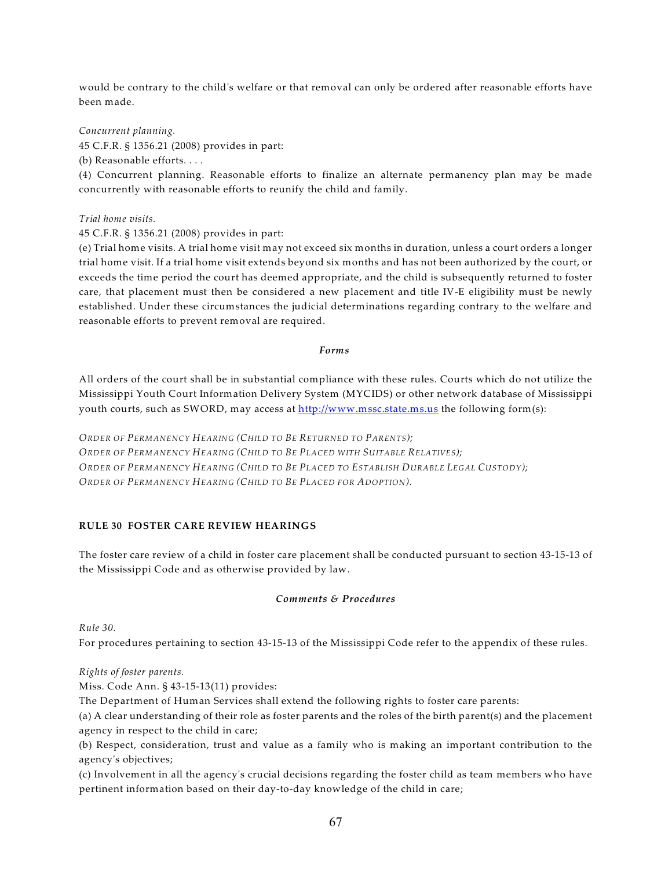would be contrary to the child's welfare or that removal can only be ordered after reasonable efforts have been made.

*Concurrent planning.*

45 C.F.R. § 1356.21 (2008) provides in part:

(b) Reasonable efforts. . . .

(4) Concurrent planning. Reasonable efforts to finalize an alternate permanency plan may be made concurrently with reasonable efforts to reunify the child and family.

*Trial home visits.*

45 C.F.R. § 1356.21 (2008) provides in part:

(e) Trial home visits. A trial home visit may not exceed six months in duration, unless a court orders a longer trial home visit. If a trial home visit extends beyond six months and has not been authorized by the court, or exceeds the time period the court has deemed appropriate, and the child is subsequently returned to foster care, that placement must then be considered a new placement and title IV-E eligibility must be newly established. Under these circumstances the judicial determinations regarding contrary to the welfare and reasonable efforts to prevent removal are required.

### *Forms*

All orders of the court shall be in substantial compliance with these rules. Courts which do not utilize the Mississippi Youth Court Information Delivery System (MYCIDS) or other network database of Mississippi youth courts, such as SWORD, may access at <http://www.mssc.state.ms.us> the following form(s):

*ORDER OF PERMANENCY HEARING (CHILD TO BE RETURNED TO PARENTS); ORDER OF PERMANENCY HEARING (CHILD TO BE PLACED WITH SUITABLE RELATIVES);* ORDER OF PERMANENCY HEARING (CHILD TO BE PLACED TO ESTABLISH DURABLE LEGAL CUSTODY); *ORDER OF PERMANENCY HEARING (CHILD TO BE PLACED FOR ADOPTION).*

## **RULE 30 FOSTER CARE REVIEW HEARINGS**

The foster care review of a child in foster care placement shall be conducted pursuant to section 43-15-13 of the Mississippi Code and as otherwise provided by law.

## *Comments & Procedures*

*Rule 30.*

For procedures pertaining to section 43-15-13 of the Mississippi Code refer to the appendix of these rules.

*Rights of foster parents.*

Miss. Code Ann. § 43-15-13(11) provides:

The Department of Human Services shall extend the following rights to foster care parents:

(a) A clear understanding of their role as foster parents and the roles of the birth parent(s) and the placement agency in respect to the child in care;

(b) Respect, consideration, trust and value as a family who is making an important contribution to the agency's objectives;

(c) Involvement in all the agency's crucial decisions regarding the foster child as team members who have pertinent information based on their day-to-day knowledge of the child in care;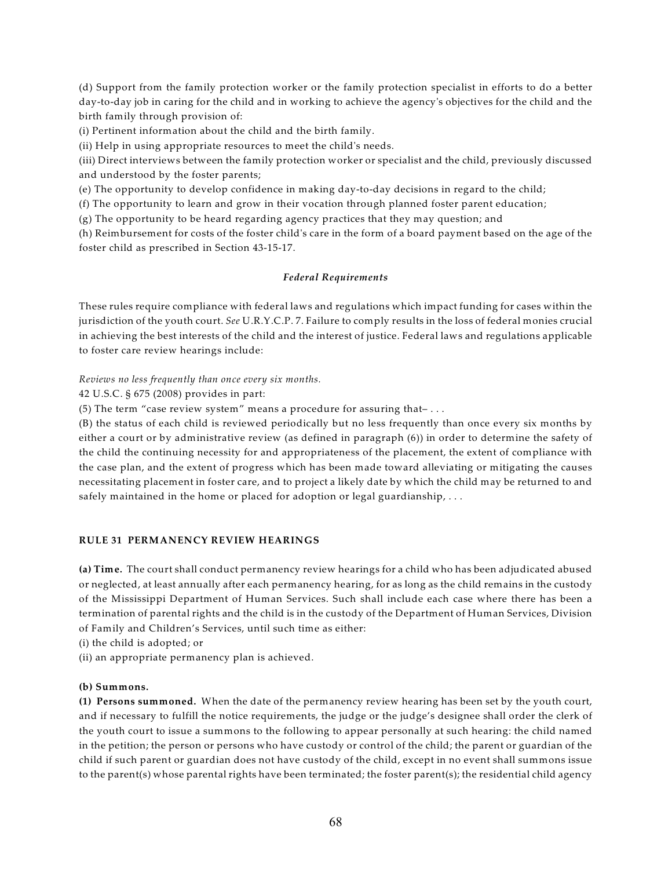(d) Support from the family protection worker or the family protection specialist in efforts to do a better day-to-day job in caring for the child and in working to achieve the agency's objectives for the child and the birth family through provision of:

(i) Pertinent information about the child and the birth family.

(ii) Help in using appropriate resources to meet the child's needs.

(iii) Direct interviews between the family protection worker or specialist and the child, previously discussed and understood by the foster parents;

(e) The opportunity to develop confidence in making day-to-day decisions in regard to the child;

(f) The opportunity to learn and grow in their vocation through planned foster parent education;

(g) The opportunity to be heard regarding agency practices that they may question; and

(h) Reimbursement for costs of the foster child's care in the form of a board payment based on the age of the foster child as prescribed in Section 43-15-17.

### *Federal Requirements*

These rules require compliance with federal laws and regulations which impact funding for cases within the jurisdiction of the youth court. *See* U.R.Y.C.P. 7. Failure to comply results in the loss of federal monies crucial in achieving the best interests of the child and the interest of justice. Federal laws and regulations applicable to foster care review hearings include:

*Reviews no less frequently than once every six months.*

42 U.S.C. § 675 (2008) provides in part:

(5) The term "case review system" means a procedure for assuring that- $\dots$ 

(B) the status of each child is reviewed periodically but no less frequently than once every six months by either a court or by administrative review (as defined in paragraph (6)) in order to determine the safety of the child the continuing necessity for and appropriateness of the placement, the extent of compliance with the case plan, and the extent of progress which has been made toward alleviating or mitigating the causes necessitating placement in foster care, and to project a likely date by which the child may be returned to and safely maintained in the home or placed for adoption or legal guardianship, . . .

### **RULE 31 PERMANENCY REVIEW HEARINGS**

**(a) Time.** The court shall conduct permanency review hearings for a child who has been adjudicated abused or neglected, at least annually after each permanency hearing, for as long as the child remains in the custody of the Mississippi Department of Human Services. Such shall include each case where there has been a termination of parental rights and the child is in the custody of the Department of Human Services, Division of Family and Children's Services, until such time as either:

(i) the child is adopted; or

(ii) an appropriate permanency plan is achieved.

### **(b) Summons.**

**(1) Persons summoned.** When the date of the permanency review hearing has been set by the youth court, and if necessary to fulfill the notice requirements, the judge or the judge's designee shall order the clerk of the youth court to issue a summons to the following to appear personally at such hearing: the child named in the petition; the person or persons who have custody or control of the child; the parent or guardian of the child if such parent or guardian does not have custody of the child, except in no event shall summons issue to the parent(s) whose parental rights have been terminated; the foster parent(s); the residential child agency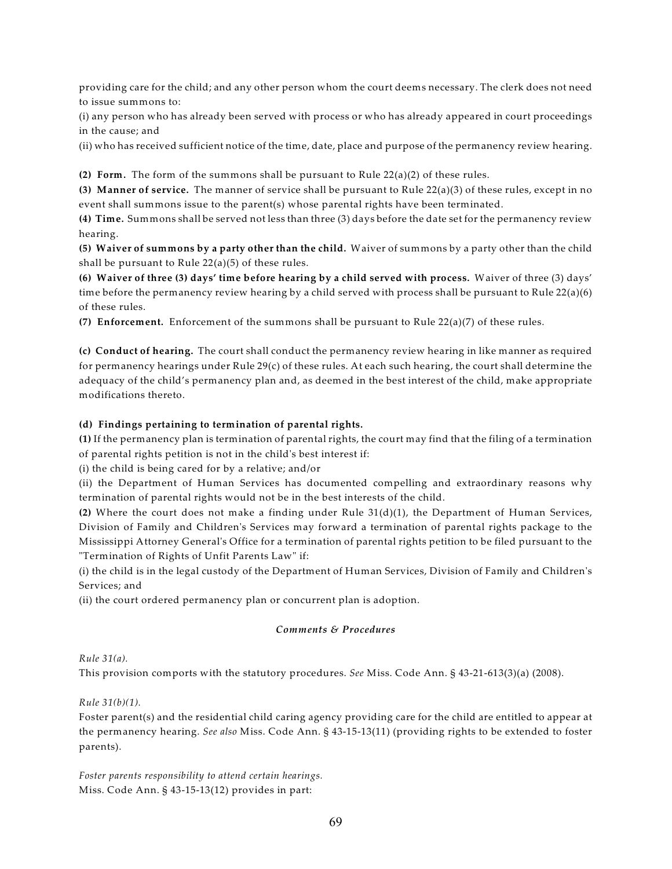providing care for the child; and any other person whom the court deems necessary. The clerk does not need to issue summons to:

(i) any person who has already been served with process or who has already appeared in court proceedings in the cause; and

(ii) who has received sufficient notice of the time, date, place and purpose of the permanency review hearing.

**(2) Form.** The form of the summons shall be pursuant to Rule 22(a)(2) of these rules.

**(3) Manner of service.** The manner of service shall be pursuant to Rule 22(a)(3) of these rules, except in no event shall summons issue to the parent(s) whose parental rights have been terminated.

**(4) Time.** Summons shall be served not less than three (3) days before the date set for the permanency review hearing.

**(5) Waiver of summons by a party other than the child.** Waiver of summons by a party other than the child shall be pursuant to Rule 22(a)(5) of these rules.

**(6) Waiver of three (3) days' time before hearing by a child served with process.** Waiver of three (3) days' time before the permanency review hearing by a child served with process shall be pursuant to Rule  $22(a)(6)$ of these rules.

**(7) Enforcement.** Enforcement of the summons shall be pursuant to Rule 22(a)(7) of these rules.

**(c) Conduct of hearing.** The court shall conduct the permanency review hearing in like manner as required for permanency hearings under Rule 29(c) of these rules. At each such hearing, the court shall determine the adequacy of the child's permanency plan and, as deemed in the best interest of the child, make appropriate modifications thereto.

### **(d) Findings pertaining to termination of parental rights.**

**(1)** If the permanency plan is termination of parental rights, the court may find that the filing of a termination of parental rights petition is not in the child's best interest if:

(i) the child is being cared for by a relative; and/or

(ii) the Department of Human Services has documented compelling and extraordinary reasons why termination of parental rights would not be in the best interests of the child.

**(2)** Where the court does not make a finding under Rule 31(d)(1), the Department of Human Services, Division of Family and Children's Services may forward a termination of parental rights package to the Mississippi Attorney General's Office for a termination of parental rights petition to be filed pursuant to the "Termination of Rights of Unfit Parents Law" if:

(i) the child is in the legal custody of the Department of Human Services, Division of Family and Children's Services; and

(ii) the court ordered permanency plan or concurrent plan is adoption.

### *Comments & Procedures*

*Rule 31(a).*

This provision comports with the statutory procedures. *See* Miss. Code Ann. § 43-21-613(3)(a) (2008).

### *Rule 31(b)(1).*

Foster parent(s) and the residential child caring agency providing care for the child are entitled to appear at the permanency hearing. *See also* Miss. Code Ann. § 43-15-13(11) (providing rights to be extended to foster parents).

*Foster parents responsibility to attend certain hearings.*  Miss. Code Ann. § 43-15-13(12) provides in part: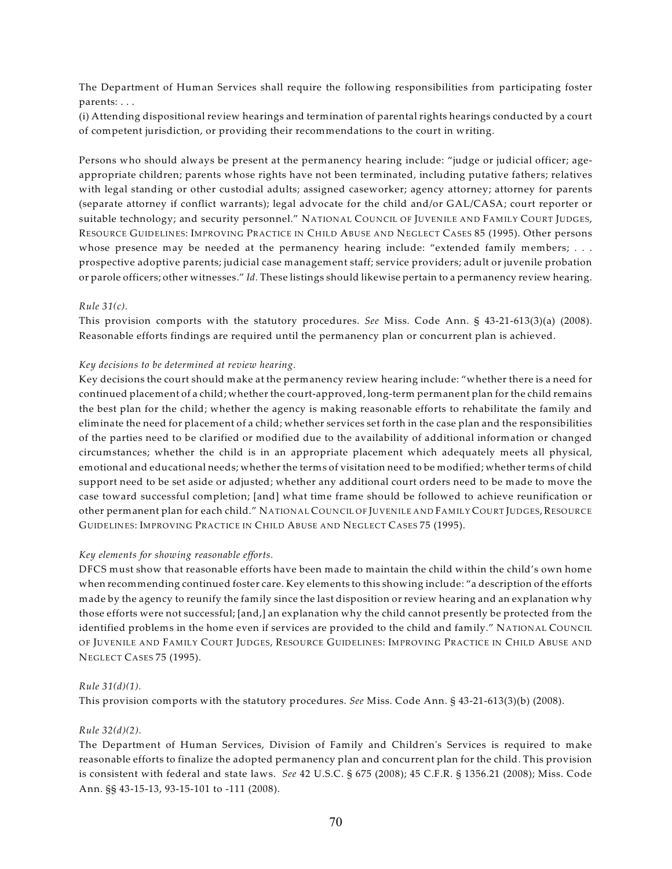The Department of Human Services shall require the following responsibilities from participating foster parents: . . .

(i) Attending dispositional review hearings and termination of parental rights hearings conducted by a court of competent jurisdiction, or providing their recommendations to the court in writing.

Persons who should always be present at the permanency hearing include: "judge or judicial officer; ageappropriate children; parents whose rights have not been terminated, including putative fathers; relatives with legal standing or other custodial adults; assigned caseworker; agency attorney; attorney for parents (separate attorney if conflict warrants); legal advocate for the child and/or GAL/CASA; court reporter or suitable technology; and security personnel." NATIONAL COUNCIL OF JUVENILE AND FAMILY COURT JUDGES, RESOURCE GUIDELINES: IMPROVING PRACTICE IN CHILD ABUSE AND NEGLECT CASES 85 (1995). Other persons whose presence may be needed at the permanency hearing include: "extended family members; . . . prospective adoptive parents; judicial case management staff; service providers; adult or juvenile probation or parole officers; other witnesses." *Id.* These listings should likewise pertain to a permanency review hearing.

### *Rule 31(c).*

This provision comports with the statutory procedures. *See* Miss. Code Ann. § 43-21-613(3)(a) (2008). Reasonable efforts findings are required until the permanency plan or concurrent plan is achieved.

### *Key decisions to be determined at review hearing.*

Key decisions the court should make at the permanency review hearing include: "whether there is a need for continued placement of a child; whether the court-approved, long-term permanent plan for the child remains the best plan for the child; whether the agency is making reasonable efforts to rehabilitate the family and eliminate the need for placement of a child; whether services set forth in the case plan and the responsibilities of the parties need to be clarified or modified due to the availability of additional information or changed circumstances; whether the child is in an appropriate placement which adequately meets all physical, emotional and educational needs; whether the terms of visitation need to be modified; whether terms of child support need to be set aside or adjusted; whether any additional court orders need to be made to move the case toward successful completion; [and] what time frame should be followed to achieve reunification or other permanent plan for each child." NATIONAL COUNCIL OF JUVENILE AND FAMILY COURT JUDGES,RESOURCE GUIDELINES: IMPROVING PRACTICE IN CHILD ABUSE AND NEGLECT CASES 75 (1995).

### *Key elements for showing reasonable efforts.*

DFCS must show that reasonable efforts have been made to maintain the child within the child's own home when recommending continued foster care. Key elements to this showing include: "a description of the efforts made by the agency to reunify the family since the last disposition or review hearing and an explanation why those efforts were not successful; [and,] an explanation why the child cannot presently be protected from the identified problems in the home even if services are provided to the child and family." NATIONAL COUNCIL OF JUVENILE AND FAMILY COURT JUDGES, RESOURCE GUIDELINES: IMPROVING PRACTICE IN CHILD ABUSE AND NEGLECT CASES 75 (1995).

#### *Rule 31(d)(1).*

This provision comports with the statutory procedures. *See* Miss. Code Ann. § 43-21-613(3)(b) (2008).

#### *Rule 32(d)(2)*.

The Department of Human Services, Division of Family and Children's Services is required to make reasonable efforts to finalize the adopted permanency plan and concurrent plan for the child. This provision is consistent with federal and state laws. *See* 42 U.S.C. § 675 (2008); 45 C.F.R. § 1356.21 (2008); Miss. Code Ann. §§ 43-15-13, 93-15-101 to -111 (2008).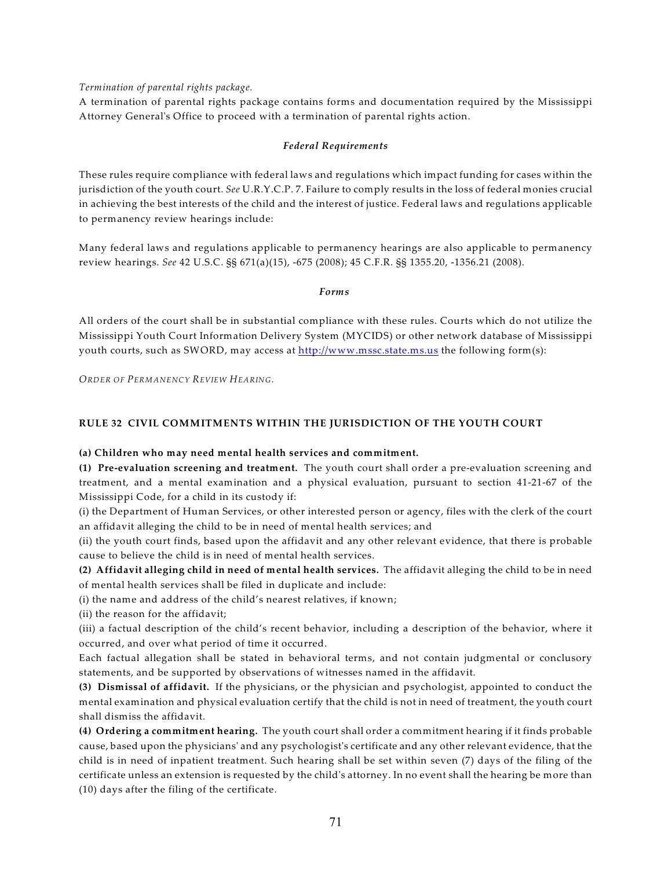*Termination of parental rights package.*

A termination of parental rights package contains forms and documentation required by the Mississippi Attorney General's Office to proceed with a termination of parental rights action.

### *Federal Requirements*

These rules require compliance with federal laws and regulations which impact funding for cases within the jurisdiction of the youth court. *See* U.R.Y.C.P. 7. Failure to comply results in the loss of federal monies crucial in achieving the best interests of the child and the interest of justice. Federal laws and regulations applicable to permanency review hearings include:

Many federal laws and regulations applicable to permanency hearings are also applicable to permanency review hearings. *See* 42 U.S.C. §§ 671(a)(15), -675 (2008); 45 C.F.R. §§ 1355.20, -1356.21 (2008).

*Forms* 

All orders of the court shall be in substantial compliance with these rules. Courts which do not utilize the Mississippi Youth Court Information Delivery System (MYCIDS) or other network database of Mississippi youth courts, such as SWORD, may access at <http://www.mssc.state.ms.us> the following form(s):

*ORDER OF PERMANENCY REVIEW HEARING.*

## **RULE 32 CIVIL COMMITMENTS WITHIN THE JURISDICTION OF THE YOUTH COURT**

# **(a) Children who may need mental health services and commitment.**

**(1) Pre-evaluation screening and treatment.** The youth court shall order a pre-evaluation screening and treatment, and a mental examination and a physical evaluation, pursuant to section 41-21-67 of the Mississippi Code, for a child in its custody if:

(i) the Department of Human Services, or other interested person or agency, files with the clerk of the court an affidavit alleging the child to be in need of mental health services; and

(ii) the youth court finds, based upon the affidavit and any other relevant evidence, that there is probable cause to believe the child is in need of mental health services.

**(2) Affidavit alleging child in need of mental health services.** The affidavit alleging the child to be in need of mental health services shall be filed in duplicate and include:

(i) the name and address of the child's nearest relatives, if known;

(ii) the reason for the affidavit;

(iii) a factual description of the child's recent behavior, including a description of the behavior, where it occurred, and over what period of time it occurred.

Each factual allegation shall be stated in behavioral terms, and not contain judgmental or conclusory statements, and be supported by observations of witnesses named in the affidavit.

**(3) Dismissal of affidavit.** If the physicians, or the physician and psychologist, appointed to conduct the mental examination and physical evaluation certify that the child is not in need of treatment, the youth court shall dismiss the affidavit.

**(4) Ordering a commitment hearing.** The youth court shall order a commitment hearing if it finds probable cause, based upon the physicians' and any psychologist's certificate and any other relevant evidence, that the child is in need of inpatient treatment. Such hearing shall be set within seven (7) days of the filing of the certificate unless an extension is requested by the child's attorney. In no event shall the hearing be more than (10) days after the filing of the certificate.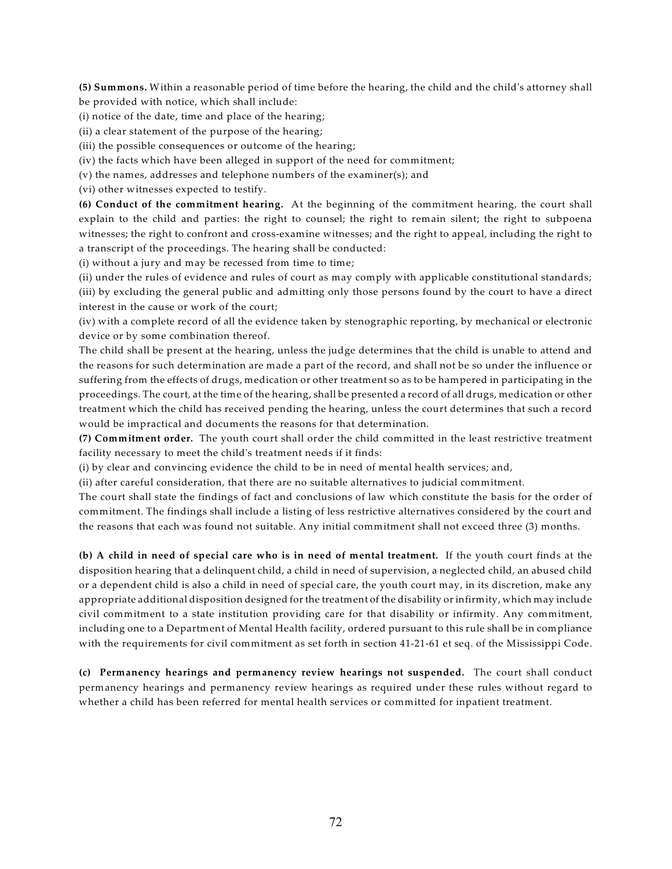**(5) Summons.** Within a reasonable period of time before the hearing, the child and the child's attorney shall be provided with notice, which shall include:

(i) notice of the date, time and place of the hearing;

(ii) a clear statement of the purpose of the hearing;

(iii) the possible consequences or outcome of the hearing;

(iv) the facts which have been alleged in support of the need for commitment;

(v) the names, addresses and telephone numbers of the examiner(s); and

(vi) other witnesses expected to testify.

**(6) Conduct of the commitment hearing.** At the beginning of the commitment hearing, the court shall explain to the child and parties: the right to counsel; the right to remain silent; the right to subpoena witnesses; the right to confront and cross-examine witnesses; and the right to appeal, including the right to a transcript of the proceedings. The hearing shall be conducted:

(i) without a jury and may be recessed from time to time;

(ii) under the rules of evidence and rules of court as may comply with applicable constitutional standards; (iii) by excluding the general public and admitting only those persons found by the court to have a direct interest in the cause or work of the court;

(iv) with a complete record of all the evidence taken by stenographic reporting, by mechanical or electronic device or by some combination thereof.

The child shall be present at the hearing, unless the judge determines that the child is unable to attend and the reasons for such determination are made a part of the record, and shall not be so under the influence or suffering from the effects of drugs, medication or other treatment so as to be hampered in participating in the proceedings. The court, at the time of the hearing, shall be presented a record of all drugs, medication or other treatment which the child has received pending the hearing, unless the court determines that such a record would be impractical and documents the reasons for that determination.

**(7) Commitment order.** The youth court shall order the child committed in the least restrictive treatment facility necessary to meet the child's treatment needs if it finds:

(i) by clear and convincing evidence the child to be in need of mental health services; and,

(ii) after careful consideration, that there are no suitable alternatives to judicial commitment.

The court shall state the findings of fact and conclusions of law which constitute the basis for the order of commitment. The findings shall include a listing of less restrictive alternatives considered by the court and the reasons that each was found not suitable. Any initial commitment shall not exceed three (3) months.

**(b) A child in need of special care who is in need of mental treatment.** If the youth court finds at the disposition hearing that a delinquent child, a child in need of supervision, a neglected child, an abused child or a dependent child is also a child in need of special care, the youth court may, in its discretion, make any appropriate additional disposition designed for the treatment of the disability or infirmity, which may include civil commitment to a state institution providing care for that disability or infirmity. Any commitment, including one to a Department of Mental Health facility, ordered pursuant to this rule shall be in compliance with the requirements for civil commitment as set forth in section 41-21-61 et seq. of the Mississippi Code.

**(c) Permanency hearings and permanency review hearings not suspended.** The court shall conduct permanency hearings and permanency review hearings as required under these rules without regard to whether a child has been referred for mental health services or committed for inpatient treatment.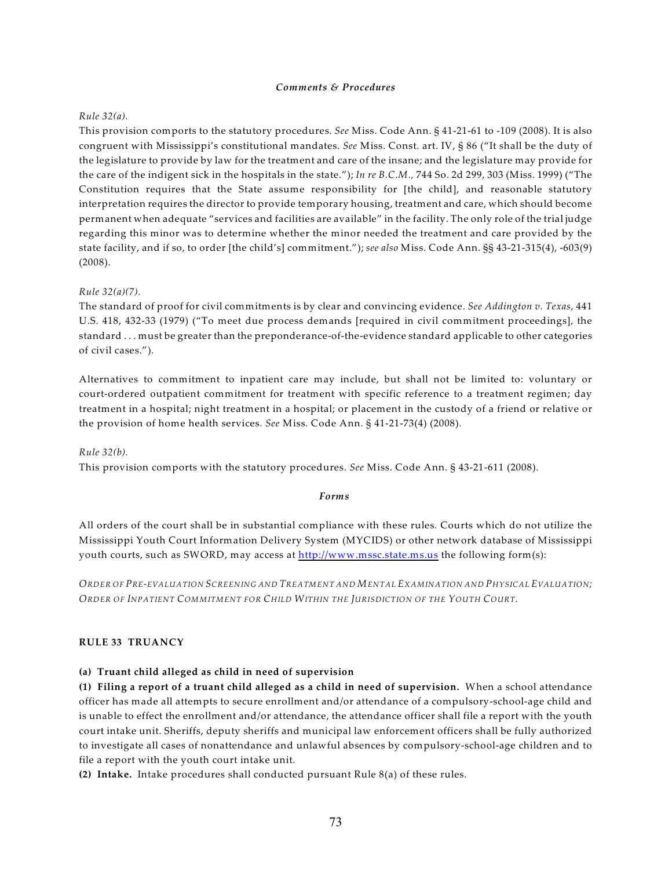#### *Comments & Procedures*

#### *Rule 32(a).*

This provision comports to the statutory procedures. *See* Miss. Code Ann. § 41-21-61 to -109 (2008). It is also congruent with Mississippi's constitutional mandates. *See* Miss. Const. art. IV, § 86 ("It shall be the duty of the legislature to provide by law for the treatment and care of the insane; and the legislature may provide for the care of the indigent sick in the hospitals in the state."); *In re B.C.M.,* 744 So. 2d 299, 303 (Miss. 1999) ("The Constitution requires that the State assume responsibility for [the child], and reasonable statutory interpretation requires the director to provide temporary housing, treatment and care, which should become permanent when adequate "services and facilities are available" in the facility. The only role of the trial judge regarding this minor was to determine whether the minor needed the treatment and care provided by the state facility, and if so, to order [the child's] commitment."); *see also* Miss. Code Ann. §§ 43-21-315(4), -603(9) (2008).

#### *Rule 32(a)(7).*

The standard of proof for civil commitments is by clear and convincing evidence. *See Addington v. Texas*, 441 U.S. 418, 432-33 (1979) ("To meet due process demands [required in civil commitment proceedings], the standard . . . must be greater than the preponderance-of-the-evidence standard applicable to other categories of civil cases.").

Alternatives to commitment to inpatient care may include, but shall not be limited to: voluntary or court-ordered outpatient commitment for treatment with specific reference to a treatment regimen; day treatment in a hospital; night treatment in a hospital; or placement in the custody of a friend or relative or the provision of home health services. *See* Miss. Code Ann. § 41-21-73(4) (2008).

*Rule 32(b).* This provision comports with the statutory procedures. *See* Miss. Code Ann. § 43-21-611 (2008).

#### *Forms*

All orders of the court shall be in substantial compliance with these rules. Courts which do not utilize the Mississippi Youth Court Information Delivery System (MYCIDS) or other network database of Mississippi youth courts, such as SWORD, may access at <http://www.mssc.state.ms.us> the following form(s):

ORDER OF PRE-EVALUATION SCREENING AND TREATMENT AND MENTAL EXAMINATION AND PHYSICAL EVALUATION; *ORDER OF INPATIENT COMMITMENT FOR CHILD WITHIN THE JURISDICTION OF THE YOUTH COURT.*

#### **RULE 33 TRUANCY**

#### **(a) Truant child alleged as child in need of supervision**

**(1) Filing a report of a truant child alleged as a child in need of supervision.** When a school attendance officer has made all attempts to secure enrollment and/or attendance of a compulsory-school-age child and is unable to effect the enrollment and/or attendance, the attendance officer shall file a report with the youth court intake unit. Sheriffs, deputy sheriffs and municipal law enforcement officers shall be fully authorized to investigate all cases of nonattendance and unlawful absences by compulsory-school-age children and to file a report with the youth court intake unit.

**(2) Intake.** Intake procedures shall conducted pursuant Rule 8(a) of these rules.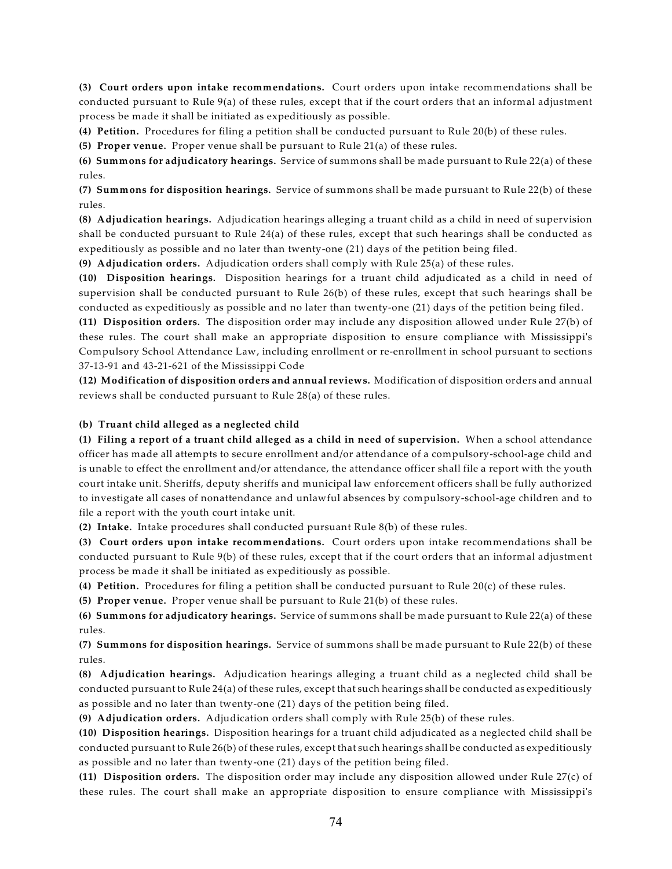**(3) Court orders upon intake recommendations.** Court orders upon intake recommendations shall be conducted pursuant to Rule 9(a) of these rules, except that if the court orders that an informal adjustment process be made it shall be initiated as expeditiously as possible.

**(4) Petition.** Procedures for filing a petition shall be conducted pursuant to Rule 20(b) of these rules.

**(5) Proper venue.** Proper venue shall be pursuant to Rule 21(a) of these rules.

**(6) Summons for adjudicatory hearings.** Service of summons shall be made pursuant to Rule 22(a) of these rules.

**(7) Summons for disposition hearings.** Service of summons shall be made pursuant to Rule 22(b) of these rules.

**(8) Adjudication hearings.** Adjudication hearings alleging a truant child as a child in need of supervision shall be conducted pursuant to Rule 24(a) of these rules, except that such hearings shall be conducted as expeditiously as possible and no later than twenty-one (21) days of the petition being filed.

**(9) Adjudication orders.** Adjudication orders shall comply with Rule 25(a) of these rules.

**(10) Disposition hearings.** Disposition hearings for a truant child adjudicated as a child in need of supervision shall be conducted pursuant to Rule 26(b) of these rules, except that such hearings shall be conducted as expeditiously as possible and no later than twenty-one (21) days of the petition being filed.

**(11) Disposition orders.** The disposition order may include any disposition allowed under Rule 27(b) of these rules. The court shall make an appropriate disposition to ensure compliance with Mississippi's Compulsory School Attendance Law, including enrollment or re-enrollment in school pursuant to sections 37-13-91 and 43-21-621 of the Mississippi Code

**(12) Modification of disposition orders and annual reviews.** Modification of disposition orders and annual reviews shall be conducted pursuant to Rule 28(a) of these rules.

#### **(b) Truant child alleged as a neglected child**

**(1) Filing a report of a truant child alleged as a child in need of supervision.** When a school attendance officer has made all attempts to secure enrollment and/or attendance of a compulsory-school-age child and is unable to effect the enrollment and/or attendance, the attendance officer shall file a report with the youth court intake unit. Sheriffs, deputy sheriffs and municipal law enforcement officers shall be fully authorized to investigate all cases of nonattendance and unlawful absences by compulsory-school-age children and to file a report with the youth court intake unit.

**(2) Intake.** Intake procedures shall conducted pursuant Rule 8(b) of these rules.

**(3) Court orders upon intake recommendations.** Court orders upon intake recommendations shall be conducted pursuant to Rule 9(b) of these rules, except that if the court orders that an informal adjustment process be made it shall be initiated as expeditiously as possible.

**(4) Petition.** Procedures for filing a petition shall be conducted pursuant to Rule 20(c) of these rules.

**(5) Proper venue.** Proper venue shall be pursuant to Rule 21(b) of these rules.

**(6) Summons for adjudicatory hearings.** Service of summons shall be made pursuant to Rule 22(a) of these rules.

**(7) Summons for disposition hearings.** Service of summons shall be made pursuant to Rule 22(b) of these rules.

**(8) Adjudication hearings.** Adjudication hearings alleging a truant child as a neglected child shall be conducted pursuant to Rule 24(a) of these rules, except that such hearings shall be conducted as expeditiously as possible and no later than twenty-one (21) days of the petition being filed.

**(9) Adjudication orders.** Adjudication orders shall comply with Rule 25(b) of these rules.

**(10) Disposition hearings.** Disposition hearings for a truant child adjudicated as a neglected child shall be conducted pursuant to Rule 26(b) of these rules, except that such hearings shall be conducted as expeditiously as possible and no later than twenty-one (21) days of the petition being filed.

**(11) Disposition orders.** The disposition order may include any disposition allowed under Rule 27(c) of these rules. The court shall make an appropriate disposition to ensure compliance with Mississippi's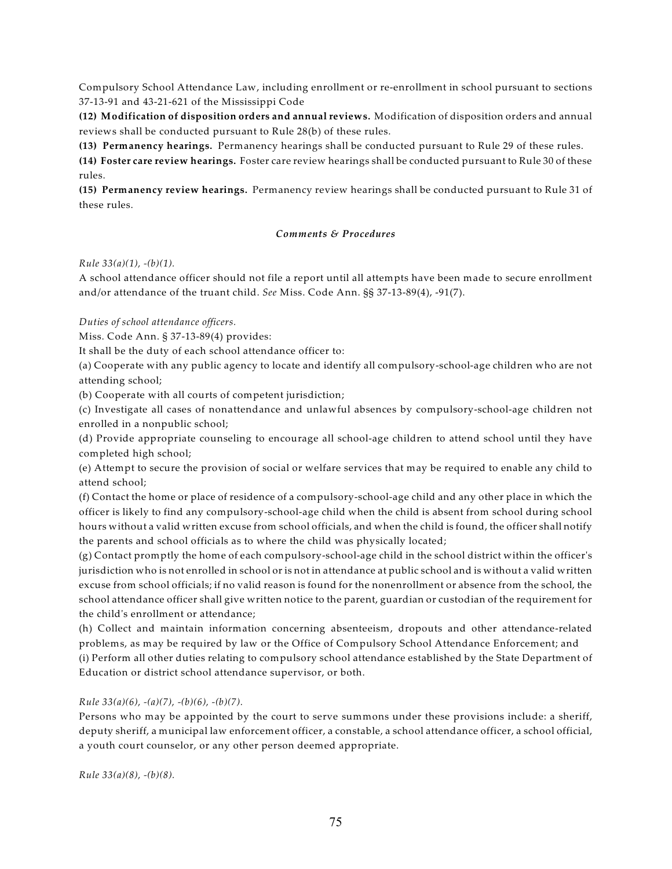Compulsory School Attendance Law, including enrollment or re-enrollment in school pursuant to sections 37-13-91 and 43-21-621 of the Mississippi Code

**(12) Modification of disposition orders and annual reviews.** Modification of disposition orders and annual reviews shall be conducted pursuant to Rule 28(b) of these rules.

**(13) Permanency hearings.** Permanency hearings shall be conducted pursuant to Rule 29 of these rules.

**(14) Foster care review hearings.** Foster care review hearings shall be conducted pursuant to Rule 30 of these rules.

**(15) Permanency review hearings.** Permanency review hearings shall be conducted pursuant to Rule 31 of these rules.

#### *Comments & Procedures*

*Rule 33(a)(1), -(b)(1).*

A school attendance officer should not file a report until all attempts have been made to secure enrollment and/or attendance of the truant child. *See* Miss. Code Ann. §§ 37-13-89(4), -91(7).

*Duties of school attendance officers.*

Miss. Code Ann. § 37-13-89(4) provides:

It shall be the duty of each school attendance officer to:

(a) Cooperate with any public agency to locate and identify all compulsory-school-age children who are not attending school;

(b) Cooperate with all courts of competent jurisdiction;

(c) Investigate all cases of nonattendance and unlawful absences by compulsory-school-age children not enrolled in a nonpublic school;

(d) Provide appropriate counseling to encourage all school-age children to attend school until they have completed high school;

(e) Attempt to secure the provision of social or welfare services that may be required to enable any child to attend school;

(f) Contact the home or place of residence of a compulsory-school-age child and any other place in which the officer is likely to find any compulsory-school-age child when the child is absent from school during school hours without a valid written excuse from school officials, and when the child is found, the officer shall notify the parents and school officials as to where the child was physically located;

(g) Contact promptly the home of each compulsory-school-age child in the school district within the officer's jurisdiction who is not enrolled in school or is not in attendance at public school and is without a valid written excuse from school officials; if no valid reason is found for the nonenrollment or absence from the school, the school attendance officer shall give written notice to the parent, guardian or custodian of the requirement for the child's enrollment or attendance;

(h) Collect and maintain information concerning absenteeism, dropouts and other attendance-related problems, as may be required by law or the Office of Compulsory School Attendance Enforcement; and (i) Perform all other duties relating to compulsory school attendance established by the State Department of Education or district school attendance supervisor, or both.

#### *Rule 33(a)(6), -(a)(7), -(b)(6), -(b)(7).*

Persons who may be appointed by the court to serve summons under these provisions include: a sheriff, deputy sheriff, a municipal law enforcement officer, a constable, a school attendance officer, a school official, a youth court counselor, or any other person deemed appropriate.

*Rule 33(a)(8), -(b)(8).*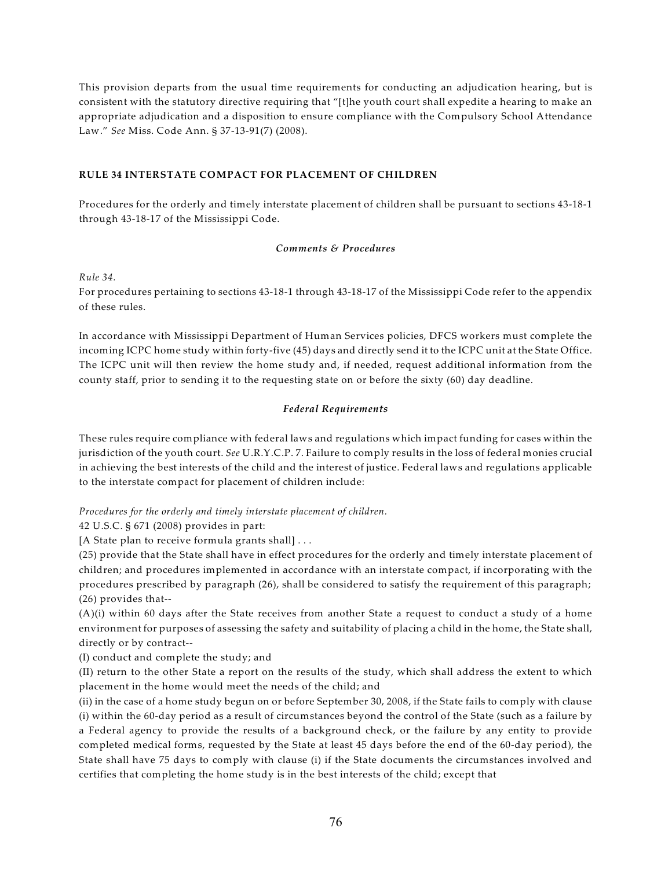This provision departs from the usual time requirements for conducting an adjudication hearing, but is consistent with the statutory directive requiring that "[t]he youth court shall expedite a hearing to make an appropriate adjudication and a disposition to ensure compliance with the Compulsory School Attendance Law." *See* Miss. Code Ann. § 37-13-91(7) (2008).

#### **RULE 34 INTERSTATE COMPACT FOR PLACEMENT OF CHILDREN**

Procedures for the orderly and timely interstate placement of children shall be pursuant to sections 43-18-1 through 43-18-17 of the Mississippi Code.

#### *Comments & Procedures*

*Rule 34.*

For procedures pertaining to sections 43-18-1 through 43-18-17 of the Mississippi Code refer to the appendix of these rules.

In accordance with Mississippi Department of Human Services policies, DFCS workers must complete the incoming ICPC home study within forty-five (45) days and directly send it to the ICPC unit at the State Office. The ICPC unit will then review the home study and, if needed, request additional information from the county staff, prior to sending it to the requesting state on or before the sixty (60) day deadline.

#### *Federal Requirements*

These rules require compliance with federal laws and regulations which impact funding for cases within the jurisdiction of the youth court. *See* U.R.Y.C.P. 7. Failure to comply results in the loss of federal monies crucial in achieving the best interests of the child and the interest of justice. Federal laws and regulations applicable to the interstate compact for placement of children include:

*Procedures for the orderly and timely interstate placement of children.*

42 U.S.C. § 671 (2008) provides in part:

[A State plan to receive formula grants shall] . . .

(25) provide that the State shall have in effect procedures for the orderly and timely interstate placement of children; and procedures implemented in accordance with an interstate compact, if incorporating with the procedures prescribed by paragraph (26), shall be considered to satisfy the requirement of this paragraph; (26) provides that--

(A)(i) within 60 days after the State receives from another State a request to conduct a study of a home environment for purposes of assessing the safety and suitability of placing a child in the home, the State shall, directly or by contract--

(I) conduct and complete the study; and

(II) return to the other State a report on the results of the study, which shall address the extent to which placement in the home would meet the needs of the child; and

(ii) in the case of a home study begun on or before September 30, 2008, if the State fails to comply with clause (i) within the 60-day period as a result of circumstances beyond the control of the State (such as a failure by a Federal agency to provide the results of a background check, or the failure by any entity to provide completed medical forms, requested by the State at least 45 days before the end of the 60-day period), the State shall have 75 days to comply with clause (i) if the State documents the circumstances involved and certifies that completing the home study is in the best interests of the child; except that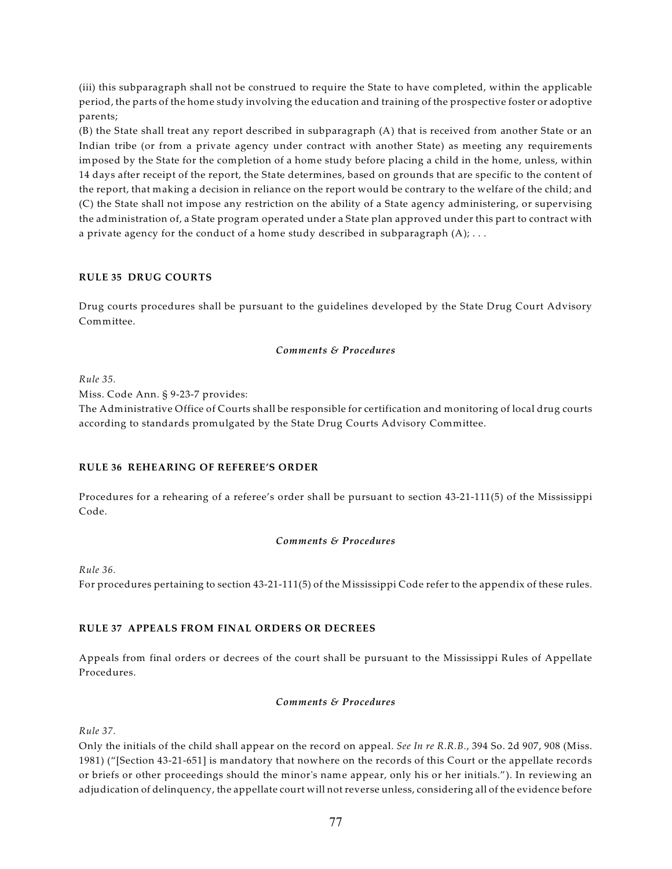(iii) this subparagraph shall not be construed to require the State to have completed, within the applicable period, the parts of the home study involving the education and training of the prospective foster or adoptive parents;

(B) the State shall treat any report described in subparagraph (A) that is received from another State or an Indian tribe (or from a private agency under contract with another State) as meeting any requirements imposed by the State for the completion of a home study before placing a child in the home, unless, within 14 days after receipt of the report, the State determines, based on grounds that are specific to the content of the report, that making a decision in reliance on the report would be contrary to the welfare of the child; and (C) the State shall not impose any restriction on the ability of a State agency administering, or supervising the administration of, a State program operated under a State plan approved under this part to contract with a private agency for the conduct of a home study described in subparagraph  $(A)$ ; ...

#### **RULE 35 DRUG COURTS**

Drug courts procedures shall be pursuant to the guidelines developed by the State Drug Court Advisory Committee.

#### *Comments & Procedures*

*Rule 35.*

Miss. Code Ann. § 9-23-7 provides:

The Administrative Office of Courts shall be responsible for certification and monitoring of local drug courts according to standards promulgated by the State Drug Courts Advisory Committee.

#### **RULE 36 REHEARING OF REFEREE'S ORDER**

Procedures for a rehearing of a referee's order shall be pursuant to section 43-21-111(5) of the Mississippi Code.

#### *Comments & Procedures*

*Rule 36.*

For procedures pertaining to section 43-21-111(5) of the Mississippi Code refer to the appendix of these rules.

#### **RULE 37 APPEALS FROM FINAL ORDERS OR DECREES**

Appeals from final orders or decrees of the court shall be pursuant to the Mississippi Rules of Appellate Procedures.

#### *Comments & Procedures*

*Rule 37.*

Only the initials of the child shall appear on the record on appeal. *See In re R.R.B.*, 394 So. 2d 907, 908 (Miss. 1981) ("[Section 43-21-651] is mandatory that nowhere on the records of this Court or the appellate records or briefs or other proceedings should the minor's name appear, only his or her initials."). In reviewing an adjudication of delinquency, the appellate court will not reverse unless, considering all of the evidence before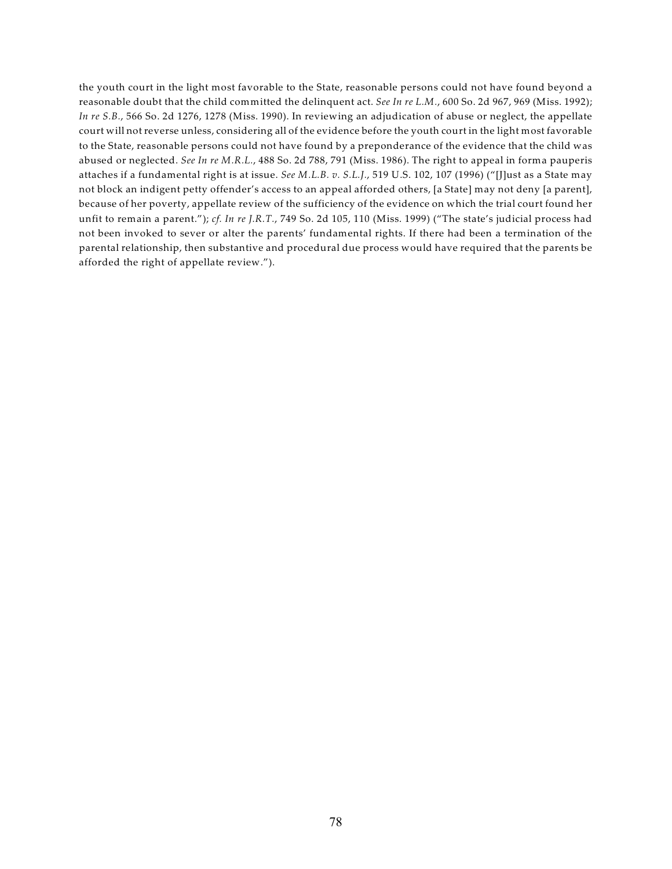the youth court in the light most favorable to the State, reasonable persons could not have found beyond a reasonable doubt that the child committed the delinquent act. *See In re L.M.*, 600 So. 2d 967, 969 (Miss. 1992); *In re S.B.*, 566 So. 2d 1276, 1278 (Miss. 1990). In reviewing an adjudication of abuse or neglect, the appellate court will not reverse unless, considering all of the evidence before the youth court in the light most favorable to the State, reasonable persons could not have found by a preponderance of the evidence that the child was abused or neglected. *See In re M.R.L.*, 488 So. 2d 788, 791 (Miss. 1986). The right to appeal in forma pauperis attaches if a fundamental right is at issue. *See M.L.B. v. S.L.J.*, 519 U.S. 102, 107 (1996) ("[J]ust as a State may not block an indigent petty offender's access to an appeal afforded others, [a State] may not deny [a parent], because of her poverty, appellate review of the sufficiency of the evidence on which the trial court found her unfit to remain a parent."); *cf. In re J.R.T.*, 749 So. 2d 105, 110 (Miss. 1999) ("The state's judicial process had not been invoked to sever or alter the parents' fundamental rights. If there had been a termination of the parental relationship, then substantive and procedural due process would have required that the parents be afforded the right of appellate review.").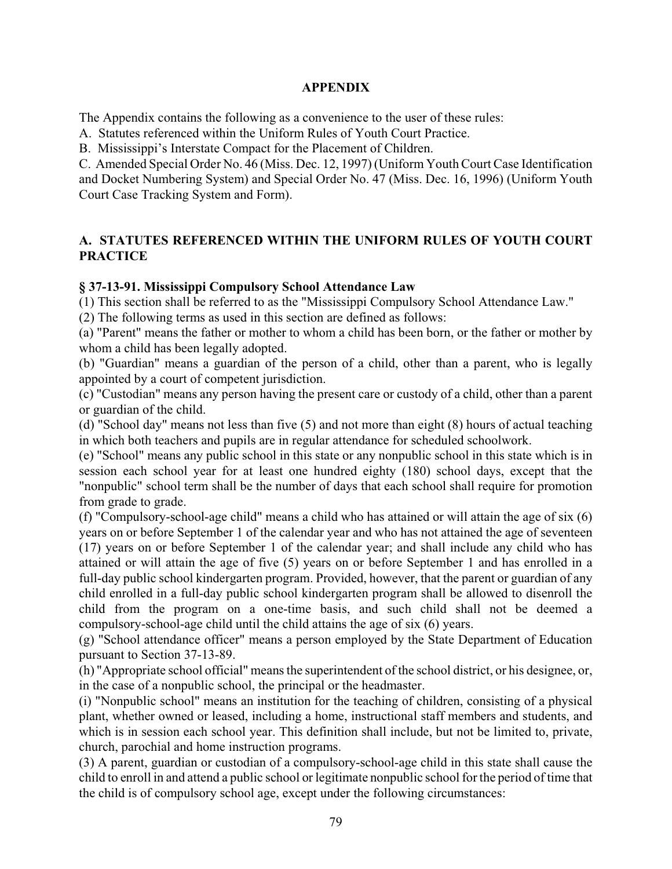### **APPENDIX**

The Appendix contains the following as a convenience to the user of these rules:

A. Statutes referenced within the Uniform Rules of Youth Court Practice.

B. Mississippi's Interstate Compact for the Placement of Children.

C. Amended Special Order No. 46 (Miss. Dec. 12, 1997) (Uniform Youth Court Case Identification and Docket Numbering System) and Special Order No. 47 (Miss. Dec. 16, 1996) (Uniform Youth Court Case Tracking System and Form).

### **A. STATUTES REFERENCED WITHIN THE UNIFORM RULES OF YOUTH COURT PRACTICE**

### **§ 37-13-91. Mississippi Compulsory School Attendance Law**

(1) This section shall be referred to as the "Mississippi Compulsory School Attendance Law."

(2) The following terms as used in this section are defined as follows:

(a) "Parent" means the father or mother to whom a child has been born, or the father or mother by whom a child has been legally adopted.

(b) "Guardian" means a guardian of the person of a child, other than a parent, who is legally appointed by a court of competent jurisdiction.

(c) "Custodian" means any person having the present care or custody of a child, other than a parent or guardian of the child.

(d) "School day" means not less than five (5) and not more than eight (8) hours of actual teaching in which both teachers and pupils are in regular attendance for scheduled schoolwork.

(e) "School" means any public school in this state or any nonpublic school in this state which is in session each school year for at least one hundred eighty (180) school days, except that the "nonpublic" school term shall be the number of days that each school shall require for promotion from grade to grade.

(f) "Compulsory-school-age child" means a child who has attained or will attain the age of six (6) years on or before September 1 of the calendar year and who has not attained the age of seventeen (17) years on or before September 1 of the calendar year; and shall include any child who has attained or will attain the age of five (5) years on or before September 1 and has enrolled in a full-day public school kindergarten program. Provided, however, that the parent or guardian of any child enrolled in a full-day public school kindergarten program shall be allowed to disenroll the child from the program on a one-time basis, and such child shall not be deemed a compulsory-school-age child until the child attains the age of six (6) years.

(g) "School attendance officer" means a person employed by the State Department of Education pursuant to Section 37-13-89.

(h) "Appropriate school official" means the superintendent of the school district, or his designee, or, in the case of a nonpublic school, the principal or the headmaster.

(i) "Nonpublic school" means an institution for the teaching of children, consisting of a physical plant, whether owned or leased, including a home, instructional staff members and students, and which is in session each school year. This definition shall include, but not be limited to, private, church, parochial and home instruction programs.

(3) A parent, guardian or custodian of a compulsory-school-age child in this state shall cause the child to enroll in and attend a public school or legitimate nonpublic school for the period of time that the child is of compulsory school age, except under the following circumstances: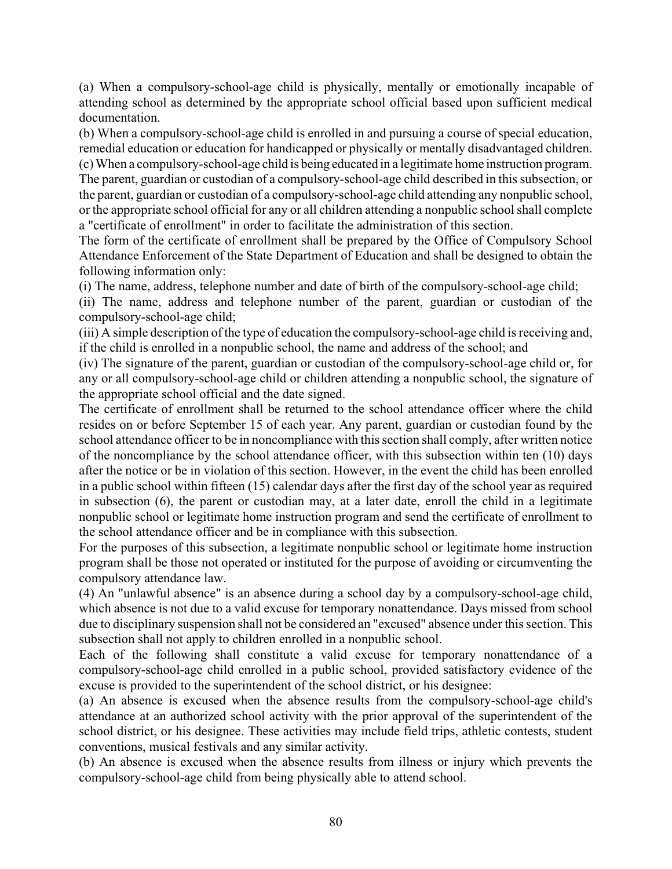(a) When a compulsory-school-age child is physically, mentally or emotionally incapable of attending school as determined by the appropriate school official based upon sufficient medical documentation.

(b) When a compulsory-school-age child is enrolled in and pursuing a course of special education, remedial education or education for handicapped or physically or mentally disadvantaged children.

(c) When a compulsory-school-age child is being educated in a legitimate home instruction program. The parent, guardian or custodian of a compulsory-school-age child described in this subsection, or the parent, guardian or custodian of a compulsory-school-age child attending any nonpublic school, or the appropriate school official for any or all children attending a nonpublic school shall complete a "certificate of enrollment" in order to facilitate the administration of this section.

The form of the certificate of enrollment shall be prepared by the Office of Compulsory School Attendance Enforcement of the State Department of Education and shall be designed to obtain the following information only:

(i) The name, address, telephone number and date of birth of the compulsory-school-age child;

(ii) The name, address and telephone number of the parent, guardian or custodian of the compulsory-school-age child;

(iii) A simple description of the type of education the compulsory-school-age child is receiving and, if the child is enrolled in a nonpublic school, the name and address of the school; and

(iv) The signature of the parent, guardian or custodian of the compulsory-school-age child or, for any or all compulsory-school-age child or children attending a nonpublic school, the signature of the appropriate school official and the date signed.

The certificate of enrollment shall be returned to the school attendance officer where the child resides on or before September 15 of each year. Any parent, guardian or custodian found by the school attendance officer to be in noncompliance with this section shall comply, after written notice of the noncompliance by the school attendance officer, with this subsection within ten (10) days after the notice or be in violation of this section. However, in the event the child has been enrolled in a public school within fifteen (15) calendar days after the first day of the school year as required in subsection (6), the parent or custodian may, at a later date, enroll the child in a legitimate nonpublic school or legitimate home instruction program and send the certificate of enrollment to the school attendance officer and be in compliance with this subsection.

For the purposes of this subsection, a legitimate nonpublic school or legitimate home instruction program shall be those not operated or instituted for the purpose of avoiding or circumventing the compulsory attendance law.

(4) An "unlawful absence" is an absence during a school day by a compulsory-school-age child, which absence is not due to a valid excuse for temporary nonattendance. Days missed from school due to disciplinary suspension shall not be considered an "excused" absence under this section. This subsection shall not apply to children enrolled in a nonpublic school.

Each of the following shall constitute a valid excuse for temporary nonattendance of a compulsory-school-age child enrolled in a public school, provided satisfactory evidence of the excuse is provided to the superintendent of the school district, or his designee:

(a) An absence is excused when the absence results from the compulsory-school-age child's attendance at an authorized school activity with the prior approval of the superintendent of the school district, or his designee. These activities may include field trips, athletic contests, student conventions, musical festivals and any similar activity.

(b) An absence is excused when the absence results from illness or injury which prevents the compulsory-school-age child from being physically able to attend school.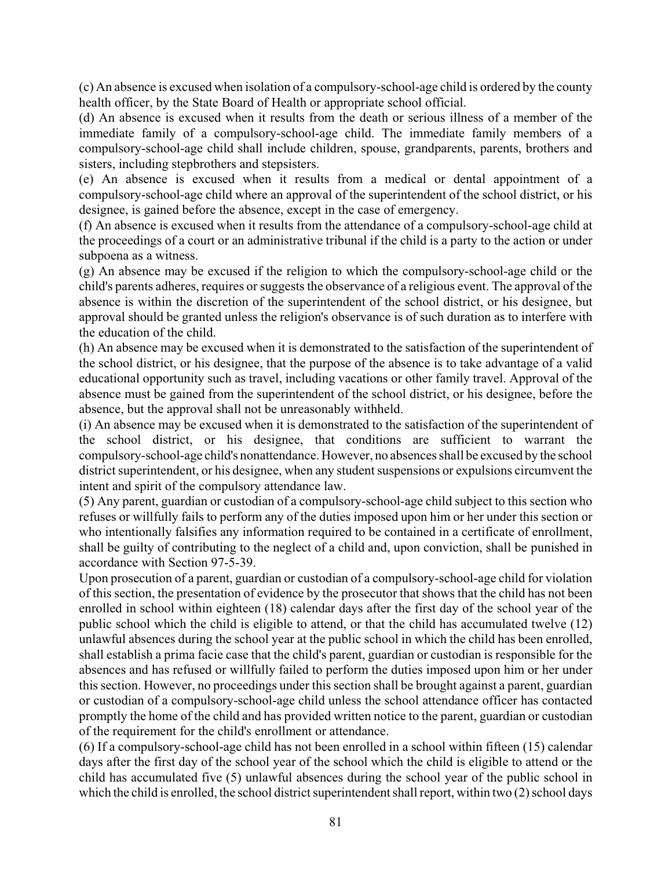(c) An absence is excused when isolation of a compulsory-school-age child is ordered by the county health officer, by the State Board of Health or appropriate school official.

(d) An absence is excused when it results from the death or serious illness of a member of the immediate family of a compulsory-school-age child. The immediate family members of a compulsory-school-age child shall include children, spouse, grandparents, parents, brothers and sisters, including stepbrothers and stepsisters.

(e) An absence is excused when it results from a medical or dental appointment of a compulsory-school-age child where an approval of the superintendent of the school district, or his designee, is gained before the absence, except in the case of emergency.

(f) An absence is excused when it results from the attendance of a compulsory-school-age child at the proceedings of a court or an administrative tribunal if the child is a party to the action or under subpoena as a witness.

(g) An absence may be excused if the religion to which the compulsory-school-age child or the child's parents adheres, requires or suggests the observance of a religious event. The approval of the absence is within the discretion of the superintendent of the school district, or his designee, but approval should be granted unless the religion's observance is of such duration as to interfere with the education of the child.

(h) An absence may be excused when it is demonstrated to the satisfaction of the superintendent of the school district, or his designee, that the purpose of the absence is to take advantage of a valid educational opportunity such as travel, including vacations or other family travel. Approval of the absence must be gained from the superintendent of the school district, or his designee, before the absence, but the approval shall not be unreasonably withheld.

(i) An absence may be excused when it is demonstrated to the satisfaction of the superintendent of the school district, or his designee, that conditions are sufficient to warrant the compulsory-school-age child's nonattendance. However, no absences shall be excused by the school district superintendent, or his designee, when any student suspensions or expulsions circumvent the intent and spirit of the compulsory attendance law.

(5) Any parent, guardian or custodian of a compulsory-school-age child subject to this section who refuses or willfully fails to perform any of the duties imposed upon him or her under this section or who intentionally falsifies any information required to be contained in a certificate of enrollment, shall be guilty of contributing to the neglect of a child and, upon conviction, shall be punished in accordance with Section 97-5-39.

Upon prosecution of a parent, guardian or custodian of a compulsory-school-age child for violation of this section, the presentation of evidence by the prosecutor that shows that the child has not been enrolled in school within eighteen (18) calendar days after the first day of the school year of the public school which the child is eligible to attend, or that the child has accumulated twelve (12) unlawful absences during the school year at the public school in which the child has been enrolled, shall establish a prima facie case that the child's parent, guardian or custodian is responsible for the absences and has refused or willfully failed to perform the duties imposed upon him or her under this section. However, no proceedings under this section shall be brought against a parent, guardian or custodian of a compulsory-school-age child unless the school attendance officer has contacted promptly the home of the child and has provided written notice to the parent, guardian or custodian of the requirement for the child's enrollment or attendance.

(6) If a compulsory-school-age child has not been enrolled in a school within fifteen (15) calendar days after the first day of the school year of the school which the child is eligible to attend or the child has accumulated five (5) unlawful absences during the school year of the public school in which the child is enrolled, the school district superintendent shall report, within two (2) school days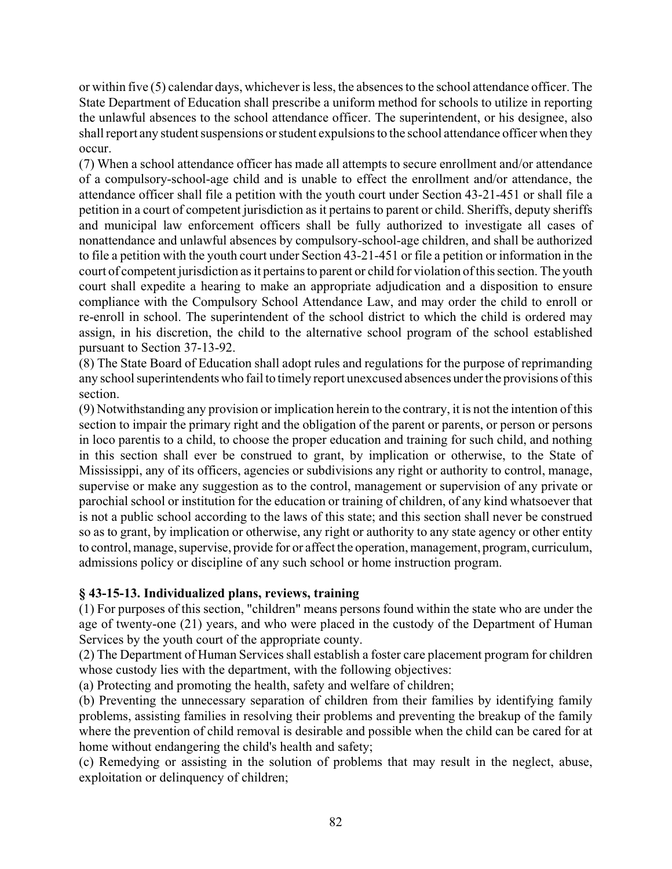or within five (5) calendar days, whichever is less, the absences to the school attendance officer. The State Department of Education shall prescribe a uniform method for schools to utilize in reporting the unlawful absences to the school attendance officer. The superintendent, or his designee, also shall report any student suspensions or student expulsions to the school attendance officer when they occur.

(7) When a school attendance officer has made all attempts to secure enrollment and/or attendance of a compulsory-school-age child and is unable to effect the enrollment and/or attendance, the attendance officer shall file a petition with the youth court under Section 43-21-451 or shall file a petition in a court of competent jurisdiction as it pertains to parent or child. Sheriffs, deputy sheriffs and municipal law enforcement officers shall be fully authorized to investigate all cases of nonattendance and unlawful absences by compulsory-school-age children, and shall be authorized to file a petition with the youth court under Section 43-21-451 or file a petition or information in the court of competent jurisdiction as it pertains to parent or child for violation of this section. The youth court shall expedite a hearing to make an appropriate adjudication and a disposition to ensure compliance with the Compulsory School Attendance Law, and may order the child to enroll or re-enroll in school. The superintendent of the school district to which the child is ordered may assign, in his discretion, the child to the alternative school program of the school established pursuant to Section 37-13-92.

(8) The State Board of Education shall adopt rules and regulations for the purpose of reprimanding any school superintendents who fail to timely report unexcused absences under the provisions of this section.

(9) Notwithstanding any provision or implication herein to the contrary, it is not the intention of this section to impair the primary right and the obligation of the parent or parents, or person or persons in loco parentis to a child, to choose the proper education and training for such child, and nothing in this section shall ever be construed to grant, by implication or otherwise, to the State of Mississippi, any of its officers, agencies or subdivisions any right or authority to control, manage, supervise or make any suggestion as to the control, management or supervision of any private or parochial school or institution for the education or training of children, of any kind whatsoever that is not a public school according to the laws of this state; and this section shall never be construed so as to grant, by implication or otherwise, any right or authority to any state agency or other entity to control, manage, supervise, provide for or affect the operation, management, program, curriculum, admissions policy or discipline of any such school or home instruction program.

## **§ 43-15-13. Individualized plans, reviews, training**

(1) For purposes of this section, "children" means persons found within the state who are under the age of twenty-one (21) years, and who were placed in the custody of the Department of Human Services by the youth court of the appropriate county.

(2) The Department of Human Services shall establish a foster care placement program for children whose custody lies with the department, with the following objectives:

(a) Protecting and promoting the health, safety and welfare of children;

(b) Preventing the unnecessary separation of children from their families by identifying family problems, assisting families in resolving their problems and preventing the breakup of the family where the prevention of child removal is desirable and possible when the child can be cared for at home without endangering the child's health and safety;

(c) Remedying or assisting in the solution of problems that may result in the neglect, abuse, exploitation or delinquency of children;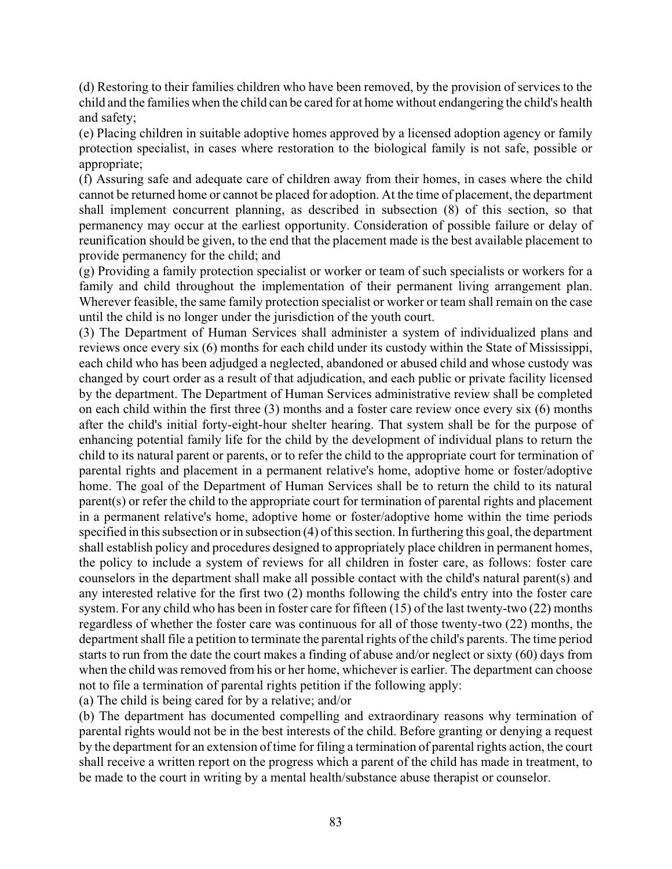(d) Restoring to their families children who have been removed, by the provision of services to the child and the families when the child can be cared for at home without endangering the child's health and safety;

(e) Placing children in suitable adoptive homes approved by a licensed adoption agency or family protection specialist, in cases where restoration to the biological family is not safe, possible or appropriate;

(f) Assuring safe and adequate care of children away from their homes, in cases where the child cannot be returned home or cannot be placed for adoption. At the time of placement, the department shall implement concurrent planning, as described in subsection (8) of this section, so that permanency may occur at the earliest opportunity. Consideration of possible failure or delay of reunification should be given, to the end that the placement made is the best available placement to provide permanency for the child; and

(g) Providing a family protection specialist or worker or team of such specialists or workers for a family and child throughout the implementation of their permanent living arrangement plan. Wherever feasible, the same family protection specialist or worker or team shall remain on the case until the child is no longer under the jurisdiction of the youth court.

(3) The Department of Human Services shall administer a system of individualized plans and reviews once every six (6) months for each child under its custody within the State of Mississippi, each child who has been adjudged a neglected, abandoned or abused child and whose custody was changed by court order as a result of that adjudication, and each public or private facility licensed by the department. The Department of Human Services administrative review shall be completed on each child within the first three (3) months and a foster care review once every six (6) months after the child's initial forty-eight-hour shelter hearing. That system shall be for the purpose of enhancing potential family life for the child by the development of individual plans to return the child to its natural parent or parents, or to refer the child to the appropriate court for termination of parental rights and placement in a permanent relative's home, adoptive home or foster/adoptive home. The goal of the Department of Human Services shall be to return the child to its natural parent(s) or refer the child to the appropriate court for termination of parental rights and placement in a permanent relative's home, adoptive home or foster/adoptive home within the time periods specified in this subsection or in subsection (4) of this section. In furthering this goal, the department shall establish policy and procedures designed to appropriately place children in permanent homes, the policy to include a system of reviews for all children in foster care, as follows: foster care counselors in the department shall make all possible contact with the child's natural parent(s) and any interested relative for the first two (2) months following the child's entry into the foster care system. For any child who has been in foster care for fifteen (15) of the last twenty-two (22) months regardless of whether the foster care was continuous for all of those twenty-two (22) months, the department shall file a petition to terminate the parental rights of the child's parents. The time period starts to run from the date the court makes a finding of abuse and/or neglect or sixty (60) days from when the child was removed from his or her home, whichever is earlier. The department can choose not to file a termination of parental rights petition if the following apply:

(a) The child is being cared for by a relative; and/or

(b) The department has documented compelling and extraordinary reasons why termination of parental rights would not be in the best interests of the child. Before granting or denying a request by the department for an extension of time for filing a termination of parental rights action, the court shall receive a written report on the progress which a parent of the child has made in treatment, to be made to the court in writing by a mental health/substance abuse therapist or counselor.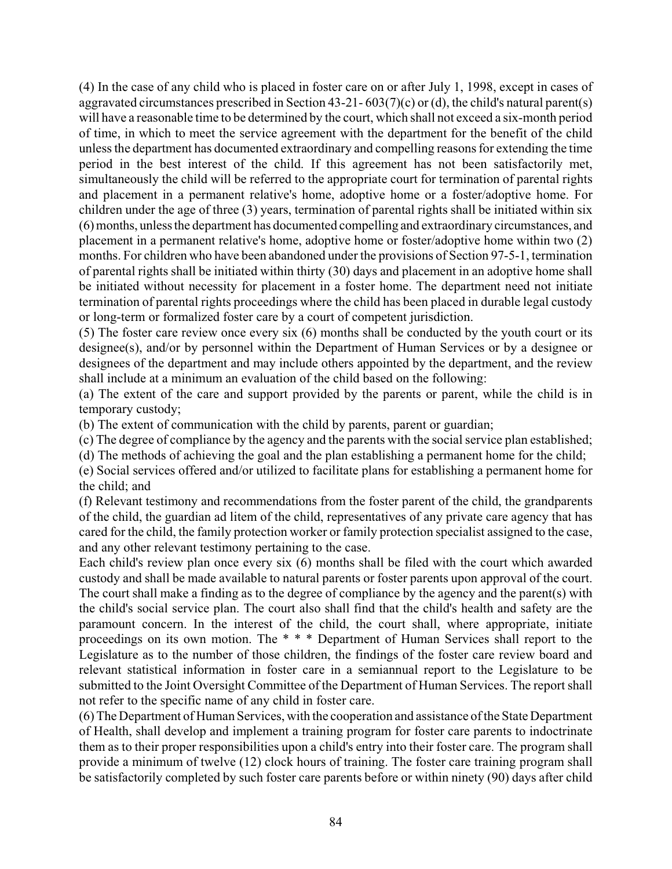(4) In the case of any child who is placed in foster care on or after July 1, 1998, except in cases of aggravated circumstances prescribed in Section 43-21- 603(7)(c) or (d), the child's natural parent(s) will have a reasonable time to be determined by the court, which shall not exceed a six-month period of time, in which to meet the service agreement with the department for the benefit of the child unless the department has documented extraordinary and compelling reasons for extending the time period in the best interest of the child. If this agreement has not been satisfactorily met, simultaneously the child will be referred to the appropriate court for termination of parental rights and placement in a permanent relative's home, adoptive home or a foster/adoptive home. For children under the age of three (3) years, termination of parental rights shall be initiated within six (6) months, unless the department has documented compelling and extraordinary circumstances, and placement in a permanent relative's home, adoptive home or foster/adoptive home within two (2) months. For children who have been abandoned under the provisions of Section 97-5-1, termination of parental rights shall be initiated within thirty (30) days and placement in an adoptive home shall be initiated without necessity for placement in a foster home. The department need not initiate termination of parental rights proceedings where the child has been placed in durable legal custody or long-term or formalized foster care by a court of competent jurisdiction.

(5) The foster care review once every six (6) months shall be conducted by the youth court or its designee(s), and/or by personnel within the Department of Human Services or by a designee or designees of the department and may include others appointed by the department, and the review shall include at a minimum an evaluation of the child based on the following:

(a) The extent of the care and support provided by the parents or parent, while the child is in temporary custody;

(b) The extent of communication with the child by parents, parent or guardian;

(c) The degree of compliance by the agency and the parents with the social service plan established;

(d) The methods of achieving the goal and the plan establishing a permanent home for the child;

(e) Social services offered and/or utilized to facilitate plans for establishing a permanent home for the child; and

(f) Relevant testimony and recommendations from the foster parent of the child, the grandparents of the child, the guardian ad litem of the child, representatives of any private care agency that has cared for the child, the family protection worker or family protection specialist assigned to the case, and any other relevant testimony pertaining to the case.

Each child's review plan once every six (6) months shall be filed with the court which awarded custody and shall be made available to natural parents or foster parents upon approval of the court. The court shall make a finding as to the degree of compliance by the agency and the parent(s) with the child's social service plan. The court also shall find that the child's health and safety are the paramount concern. In the interest of the child, the court shall, where appropriate, initiate proceedings on its own motion. The \* \* \* Department of Human Services shall report to the Legislature as to the number of those children, the findings of the foster care review board and relevant statistical information in foster care in a semiannual report to the Legislature to be submitted to the Joint Oversight Committee of the Department of Human Services. The report shall not refer to the specific name of any child in foster care.

(6) The Department of Human Services, with the cooperation and assistance of the State Department of Health, shall develop and implement a training program for foster care parents to indoctrinate them as to their proper responsibilities upon a child's entry into their foster care. The program shall provide a minimum of twelve (12) clock hours of training. The foster care training program shall be satisfactorily completed by such foster care parents before or within ninety (90) days after child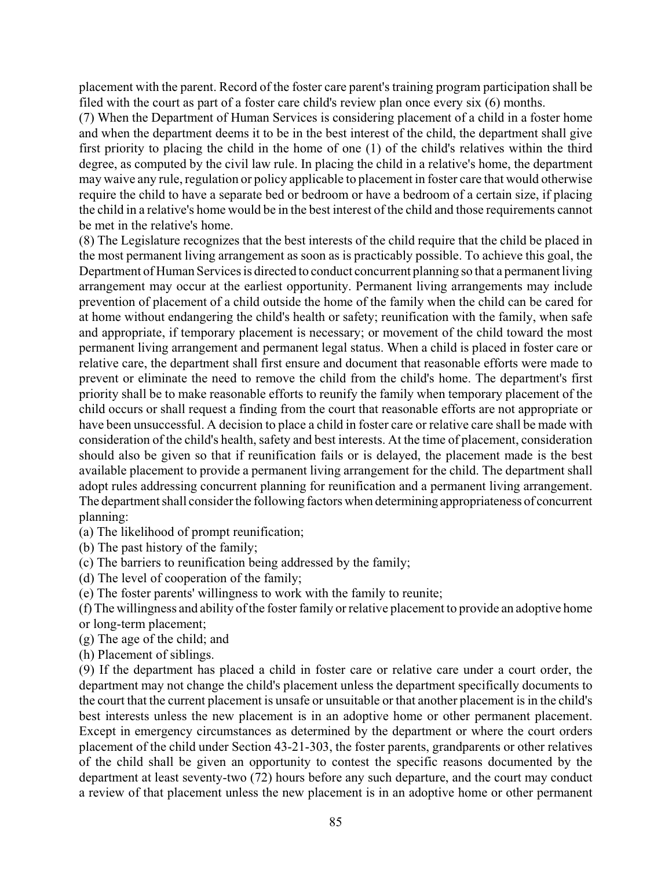placement with the parent. Record of the foster care parent's training program participation shall be filed with the court as part of a foster care child's review plan once every six (6) months.

(7) When the Department of Human Services is considering placement of a child in a foster home and when the department deems it to be in the best interest of the child, the department shall give first priority to placing the child in the home of one (1) of the child's relatives within the third degree, as computed by the civil law rule. In placing the child in a relative's home, the department may waive any rule, regulation or policy applicable to placement in foster care that would otherwise require the child to have a separate bed or bedroom or have a bedroom of a certain size, if placing the child in a relative's home would be in the best interest of the child and those requirements cannot be met in the relative's home.

(8) The Legislature recognizes that the best interests of the child require that the child be placed in the most permanent living arrangement as soon as is practicably possible. To achieve this goal, the Department of Human Services is directed to conduct concurrent planning so that a permanent living arrangement may occur at the earliest opportunity. Permanent living arrangements may include prevention of placement of a child outside the home of the family when the child can be cared for at home without endangering the child's health or safety; reunification with the family, when safe and appropriate, if temporary placement is necessary; or movement of the child toward the most permanent living arrangement and permanent legal status. When a child is placed in foster care or relative care, the department shall first ensure and document that reasonable efforts were made to prevent or eliminate the need to remove the child from the child's home. The department's first priority shall be to make reasonable efforts to reunify the family when temporary placement of the child occurs or shall request a finding from the court that reasonable efforts are not appropriate or have been unsuccessful. A decision to place a child in foster care or relative care shall be made with consideration of the child's health, safety and best interests. At the time of placement, consideration should also be given so that if reunification fails or is delayed, the placement made is the best available placement to provide a permanent living arrangement for the child. The department shall adopt rules addressing concurrent planning for reunification and a permanent living arrangement. The department shall consider the following factors when determining appropriateness of concurrent planning:

(a) The likelihood of prompt reunification;

(b) The past history of the family;

(c) The barriers to reunification being addressed by the family;

(d) The level of cooperation of the family;

(e) The foster parents' willingness to work with the family to reunite;

(f) The willingness and ability of the foster family or relative placement to provide an adoptive home or long-term placement;

(g) The age of the child; and

(h) Placement of siblings.

(9) If the department has placed a child in foster care or relative care under a court order, the department may not change the child's placement unless the department specifically documents to the court that the current placement is unsafe or unsuitable or that another placement is in the child's best interests unless the new placement is in an adoptive home or other permanent placement. Except in emergency circumstances as determined by the department or where the court orders placement of the child under Section 43-21-303, the foster parents, grandparents or other relatives of the child shall be given an opportunity to contest the specific reasons documented by the department at least seventy-two (72) hours before any such departure, and the court may conduct a review of that placement unless the new placement is in an adoptive home or other permanent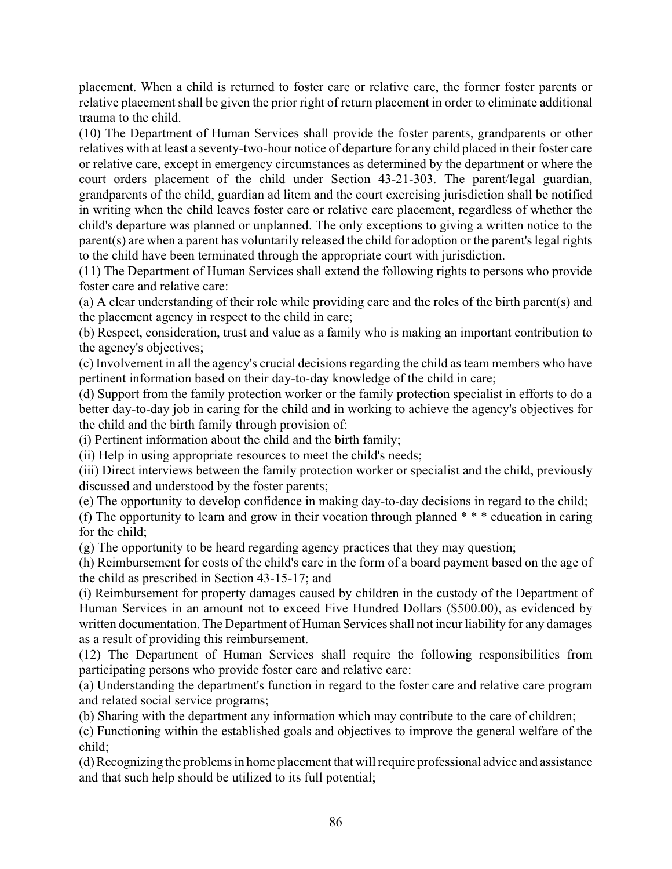placement. When a child is returned to foster care or relative care, the former foster parents or relative placement shall be given the prior right of return placement in order to eliminate additional trauma to the child.

(10) The Department of Human Services shall provide the foster parents, grandparents or other relatives with at least a seventy-two-hour notice of departure for any child placed in their foster care or relative care, except in emergency circumstances as determined by the department or where the court orders placement of the child under Section 43-21-303. The parent/legal guardian, grandparents of the child, guardian ad litem and the court exercising jurisdiction shall be notified in writing when the child leaves foster care or relative care placement, regardless of whether the child's departure was planned or unplanned. The only exceptions to giving a written notice to the parent(s) are when a parent has voluntarily released the child for adoption or the parent's legal rights to the child have been terminated through the appropriate court with jurisdiction.

(11) The Department of Human Services shall extend the following rights to persons who provide foster care and relative care:

(a) A clear understanding of their role while providing care and the roles of the birth parent(s) and the placement agency in respect to the child in care;

(b) Respect, consideration, trust and value as a family who is making an important contribution to the agency's objectives;

(c) Involvement in all the agency's crucial decisions regarding the child as team members who have pertinent information based on their day-to-day knowledge of the child in care;

(d) Support from the family protection worker or the family protection specialist in efforts to do a better day-to-day job in caring for the child and in working to achieve the agency's objectives for the child and the birth family through provision of:

(i) Pertinent information about the child and the birth family;

(ii) Help in using appropriate resources to meet the child's needs;

(iii) Direct interviews between the family protection worker or specialist and the child, previously discussed and understood by the foster parents;

(e) The opportunity to develop confidence in making day-to-day decisions in regard to the child;

(f) The opportunity to learn and grow in their vocation through planned \* \* \* education in caring for the child;

(g) The opportunity to be heard regarding agency practices that they may question;

(h) Reimbursement for costs of the child's care in the form of a board payment based on the age of the child as prescribed in Section 43-15-17; and

(i) Reimbursement for property damages caused by children in the custody of the Department of Human Services in an amount not to exceed Five Hundred Dollars (\$500.00), as evidenced by written documentation. The Department of Human Services shall not incur liability for any damages as a result of providing this reimbursement.

(12) The Department of Human Services shall require the following responsibilities from participating persons who provide foster care and relative care:

(a) Understanding the department's function in regard to the foster care and relative care program and related social service programs;

(b) Sharing with the department any information which may contribute to the care of children;

(c) Functioning within the established goals and objectives to improve the general welfare of the child;

(d) Recognizing the problems in home placement that will require professional advice and assistance and that such help should be utilized to its full potential;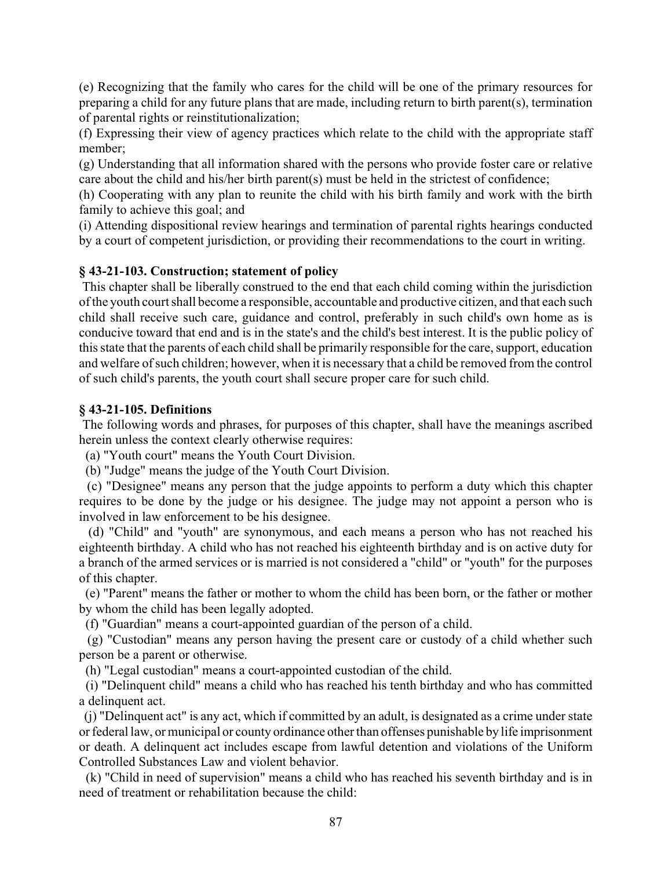(e) Recognizing that the family who cares for the child will be one of the primary resources for preparing a child for any future plans that are made, including return to birth parent(s), termination of parental rights or reinstitutionalization;

(f) Expressing their view of agency practices which relate to the child with the appropriate staff member;

(g) Understanding that all information shared with the persons who provide foster care or relative care about the child and his/her birth parent(s) must be held in the strictest of confidence;

(h) Cooperating with any plan to reunite the child with his birth family and work with the birth family to achieve this goal; and

(i) Attending dispositional review hearings and termination of parental rights hearings conducted by a court of competent jurisdiction, or providing their recommendations to the court in writing.

## **§ 43-21-103. Construction; statement of policy**

 This chapter shall be liberally construed to the end that each child coming within the jurisdiction of the youth court shall become a responsible, accountable and productive citizen, and that each such child shall receive such care, guidance and control, preferably in such child's own home as is conducive toward that end and is in the state's and the child's best interest. It is the public policy of this state that the parents of each child shall be primarily responsible for the care, support, education and welfare of such children; however, when it is necessary that a child be removed from the control of such child's parents, the youth court shall secure proper care for such child.

## **§ 43-21-105. Definitions**

 The following words and phrases, for purposes of this chapter, shall have the meanings ascribed herein unless the context clearly otherwise requires:

(a) "Youth court" means the Youth Court Division.

(b) "Judge" means the judge of the Youth Court Division.

 (c) "Designee" means any person that the judge appoints to perform a duty which this chapter requires to be done by the judge or his designee. The judge may not appoint a person who is involved in law enforcement to be his designee.

 (d) "Child" and "youth" are synonymous, and each means a person who has not reached his eighteenth birthday. A child who has not reached his eighteenth birthday and is on active duty for a branch of the armed services or is married is not considered a "child" or "youth" for the purposes of this chapter.

 (e) "Parent" means the father or mother to whom the child has been born, or the father or mother by whom the child has been legally adopted.

(f) "Guardian" means a court-appointed guardian of the person of a child.

 (g) "Custodian" means any person having the present care or custody of a child whether such person be a parent or otherwise.

(h) "Legal custodian" means a court-appointed custodian of the child.

 (i) "Delinquent child" means a child who has reached his tenth birthday and who has committed a delinquent act.

 (j) "Delinquent act" is any act, which if committed by an adult, is designated as a crime under state or federal law, or municipal or county ordinance other than offenses punishable by life imprisonment or death. A delinquent act includes escape from lawful detention and violations of the Uniform Controlled Substances Law and violent behavior.

 (k) "Child in need of supervision" means a child who has reached his seventh birthday and is in need of treatment or rehabilitation because the child: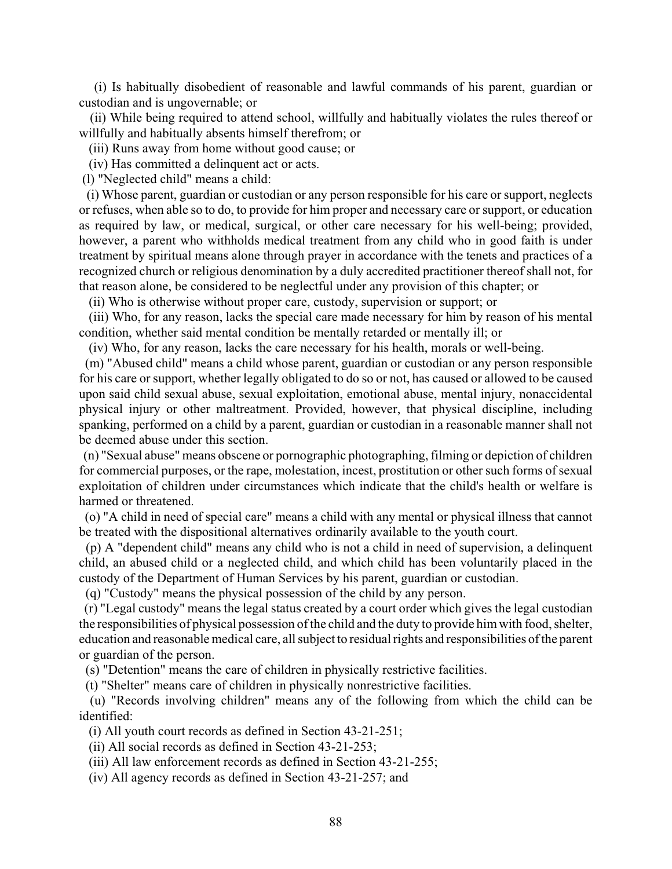(i) Is habitually disobedient of reasonable and lawful commands of his parent, guardian or custodian and is ungovernable; or

 (ii) While being required to attend school, willfully and habitually violates the rules thereof or willfully and habitually absents himself therefrom; or

(iii) Runs away from home without good cause; or

(iv) Has committed a delinquent act or acts.

(l) "Neglected child" means a child:

 (i) Whose parent, guardian or custodian or any person responsible for his care or support, neglects or refuses, when able so to do, to provide for him proper and necessary care or support, or education as required by law, or medical, surgical, or other care necessary for his well-being; provided, however, a parent who withholds medical treatment from any child who in good faith is under treatment by spiritual means alone through prayer in accordance with the tenets and practices of a recognized church or religious denomination by a duly accredited practitioner thereof shall not, for that reason alone, be considered to be neglectful under any provision of this chapter; or

(ii) Who is otherwise without proper care, custody, supervision or support; or

 (iii) Who, for any reason, lacks the special care made necessary for him by reason of his mental condition, whether said mental condition be mentally retarded or mentally ill; or

(iv) Who, for any reason, lacks the care necessary for his health, morals or well-being.

 (m) "Abused child" means a child whose parent, guardian or custodian or any person responsible for his care or support, whether legally obligated to do so or not, has caused or allowed to be caused upon said child sexual abuse, sexual exploitation, emotional abuse, mental injury, nonaccidental physical injury or other maltreatment. Provided, however, that physical discipline, including spanking, performed on a child by a parent, guardian or custodian in a reasonable manner shall not be deemed abuse under this section.

 (n) "Sexual abuse" means obscene or pornographic photographing, filming or depiction of children for commercial purposes, or the rape, molestation, incest, prostitution or other such forms of sexual exploitation of children under circumstances which indicate that the child's health or welfare is harmed or threatened.

 (o) "A child in need of special care" means a child with any mental or physical illness that cannot be treated with the dispositional alternatives ordinarily available to the youth court.

 (p) A "dependent child" means any child who is not a child in need of supervision, a delinquent child, an abused child or a neglected child, and which child has been voluntarily placed in the custody of the Department of Human Services by his parent, guardian or custodian.

(q) "Custody" means the physical possession of the child by any person.

 (r) "Legal custody" means the legal status created by a court order which gives the legal custodian the responsibilities of physical possession of the child and the duty to provide him with food, shelter, education and reasonable medical care, all subject to residual rights and responsibilities of the parent or guardian of the person.

(s) "Detention" means the care of children in physically restrictive facilities.

(t) "Shelter" means care of children in physically nonrestrictive facilities.

 (u) "Records involving children" means any of the following from which the child can be identified:

(i) All youth court records as defined in Section 43-21-251;

(ii) All social records as defined in Section 43-21-253;

(iii) All law enforcement records as defined in Section 43-21-255;

(iv) All agency records as defined in Section 43-21-257; and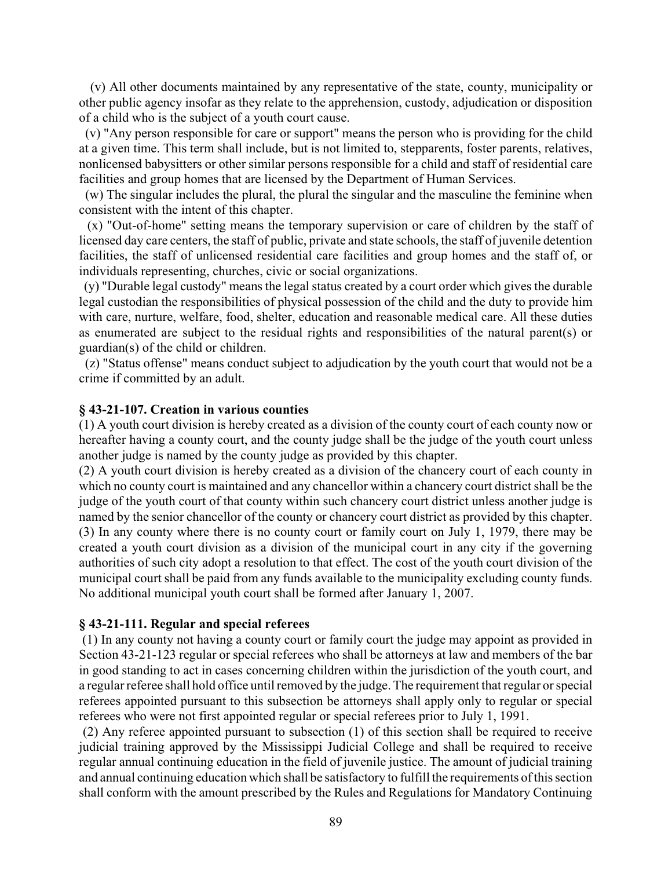(v) All other documents maintained by any representative of the state, county, municipality or other public agency insofar as they relate to the apprehension, custody, adjudication or disposition of a child who is the subject of a youth court cause.

 (v) "Any person responsible for care or support" means the person who is providing for the child at a given time. This term shall include, but is not limited to, stepparents, foster parents, relatives, nonlicensed babysitters or other similar persons responsible for a child and staff of residential care facilities and group homes that are licensed by the Department of Human Services.

 (w) The singular includes the plural, the plural the singular and the masculine the feminine when consistent with the intent of this chapter.

 (x) "Out-of-home" setting means the temporary supervision or care of children by the staff of licensed day care centers, the staff of public, private and state schools, the staff of juvenile detention facilities, the staff of unlicensed residential care facilities and group homes and the staff of, or individuals representing, churches, civic or social organizations.

 (y) "Durable legal custody" means the legal status created by a court order which gives the durable legal custodian the responsibilities of physical possession of the child and the duty to provide him with care, nurture, welfare, food, shelter, education and reasonable medical care. All these duties as enumerated are subject to the residual rights and responsibilities of the natural parent(s) or guardian(s) of the child or children.

 (z) "Status offense" means conduct subject to adjudication by the youth court that would not be a crime if committed by an adult.

#### **§ 43-21-107. Creation in various counties**

(1) A youth court division is hereby created as a division of the county court of each county now or hereafter having a county court, and the county judge shall be the judge of the youth court unless another judge is named by the county judge as provided by this chapter.

(2) A youth court division is hereby created as a division of the chancery court of each county in which no county court is maintained and any chancellor within a chancery court district shall be the judge of the youth court of that county within such chancery court district unless another judge is named by the senior chancellor of the county or chancery court district as provided by this chapter. (3) In any county where there is no county court or family court on July 1, 1979, there may be created a youth court division as a division of the municipal court in any city if the governing authorities of such city adopt a resolution to that effect. The cost of the youth court division of the municipal court shall be paid from any funds available to the municipality excluding county funds. No additional municipal youth court shall be formed after January 1, 2007.

## **§ 43-21-111. Regular and special referees**

 (1) In any county not having a county court or family court the judge may appoint as provided in Section 43-21-123 regular or special referees who shall be attorneys at law and members of the bar in good standing to act in cases concerning children within the jurisdiction of the youth court, and a regular referee shall hold office until removed by the judge. The requirement that regular or special referees appointed pursuant to this subsection be attorneys shall apply only to regular or special referees who were not first appointed regular or special referees prior to July 1, 1991.

 (2) Any referee appointed pursuant to subsection (1) of this section shall be required to receive judicial training approved by the Mississippi Judicial College and shall be required to receive regular annual continuing education in the field of juvenile justice. The amount of judicial training and annual continuing education which shall be satisfactory to fulfill the requirements of this section shall conform with the amount prescribed by the Rules and Regulations for Mandatory Continuing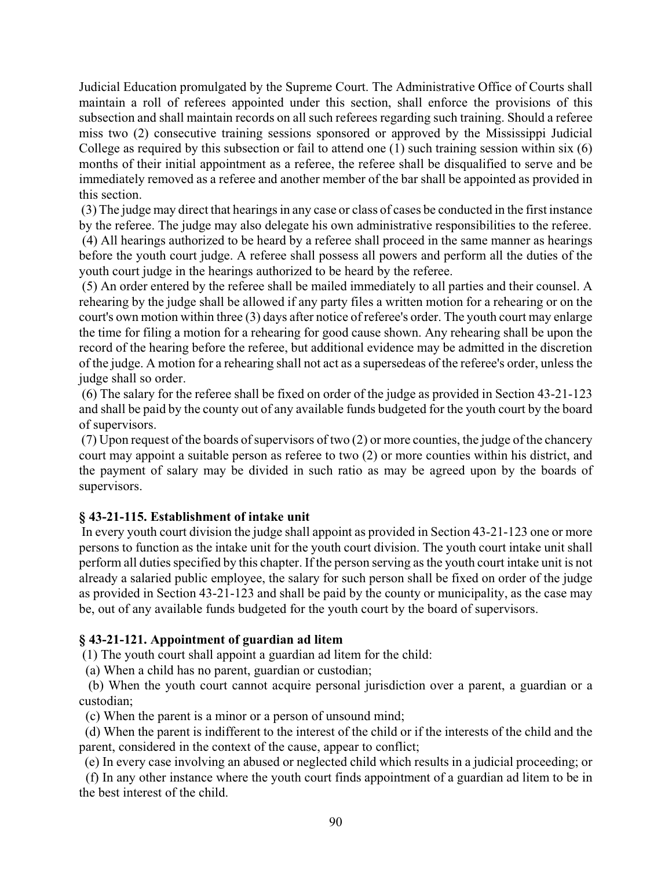Judicial Education promulgated by the Supreme Court. The Administrative Office of Courts shall maintain a roll of referees appointed under this section, shall enforce the provisions of this subsection and shall maintain records on all such referees regarding such training. Should a referee miss two (2) consecutive training sessions sponsored or approved by the Mississippi Judicial College as required by this subsection or fail to attend one (1) such training session within six (6) months of their initial appointment as a referee, the referee shall be disqualified to serve and be immediately removed as a referee and another member of the bar shall be appointed as provided in this section.

 (3) The judge may direct that hearings in any case or class of cases be conducted in the first instance by the referee. The judge may also delegate his own administrative responsibilities to the referee.

 (4) All hearings authorized to be heard by a referee shall proceed in the same manner as hearings before the youth court judge. A referee shall possess all powers and perform all the duties of the youth court judge in the hearings authorized to be heard by the referee.

 (5) An order entered by the referee shall be mailed immediately to all parties and their counsel. A rehearing by the judge shall be allowed if any party files a written motion for a rehearing or on the court's own motion within three (3) days after notice of referee's order. The youth court may enlarge the time for filing a motion for a rehearing for good cause shown. Any rehearing shall be upon the record of the hearing before the referee, but additional evidence may be admitted in the discretion of the judge. A motion for a rehearing shall not act as a supersedeas of the referee's order, unless the judge shall so order.

 (6) The salary for the referee shall be fixed on order of the judge as provided in Section 43-21-123 and shall be paid by the county out of any available funds budgeted for the youth court by the board of supervisors.

 (7) Upon request of the boards of supervisors of two (2) or more counties, the judge of the chancery court may appoint a suitable person as referee to two (2) or more counties within his district, and the payment of salary may be divided in such ratio as may be agreed upon by the boards of supervisors.

## **§ 43-21-115. Establishment of intake unit**

 In every youth court division the judge shall appoint as provided in Section 43-21-123 one or more persons to function as the intake unit for the youth court division. The youth court intake unit shall perform all duties specified by this chapter. If the person serving as the youth court intake unit is not already a salaried public employee, the salary for such person shall be fixed on order of the judge as provided in Section 43-21-123 and shall be paid by the county or municipality, as the case may be, out of any available funds budgeted for the youth court by the board of supervisors.

#### **§ 43-21-121. Appointment of guardian ad litem**

(1) The youth court shall appoint a guardian ad litem for the child:

(a) When a child has no parent, guardian or custodian;

 (b) When the youth court cannot acquire personal jurisdiction over a parent, a guardian or a custodian;

(c) When the parent is a minor or a person of unsound mind;

 (d) When the parent is indifferent to the interest of the child or if the interests of the child and the parent, considered in the context of the cause, appear to conflict;

(e) In every case involving an abused or neglected child which results in a judicial proceeding; or

 (f) In any other instance where the youth court finds appointment of a guardian ad litem to be in the best interest of the child.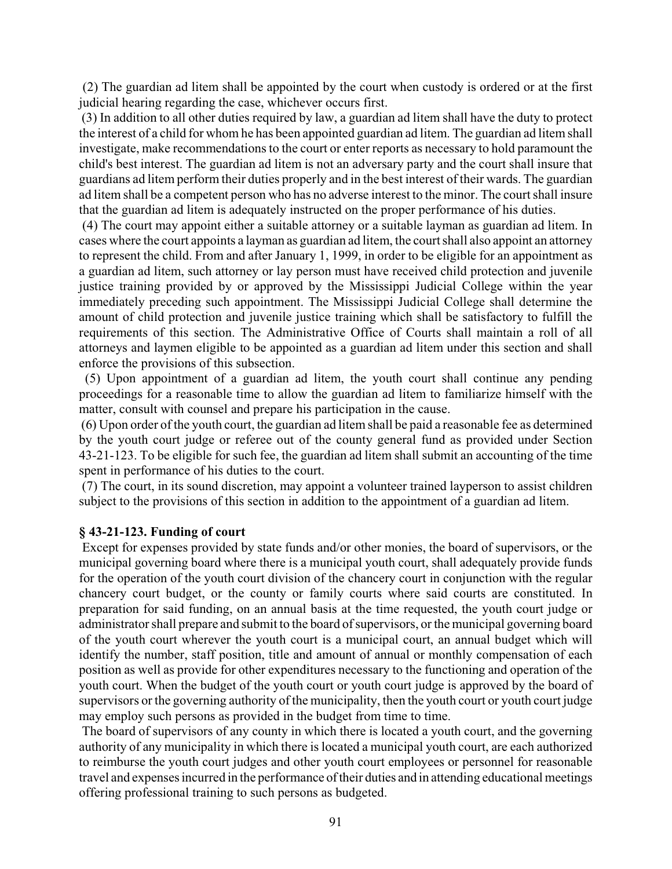(2) The guardian ad litem shall be appointed by the court when custody is ordered or at the first judicial hearing regarding the case, whichever occurs first.

 (3) In addition to all other duties required by law, a guardian ad litem shall have the duty to protect the interest of a child for whom he has been appointed guardian ad litem. The guardian ad litem shall investigate, make recommendations to the court or enter reports as necessary to hold paramount the child's best interest. The guardian ad litem is not an adversary party and the court shall insure that guardians ad litem perform their duties properly and in the best interest of their wards. The guardian ad litem shall be a competent person who has no adverse interest to the minor. The court shall insure that the guardian ad litem is adequately instructed on the proper performance of his duties.

 (4) The court may appoint either a suitable attorney or a suitable layman as guardian ad litem. In cases where the court appoints a layman as guardian ad litem, the court shall also appoint an attorney to represent the child. From and after January 1, 1999, in order to be eligible for an appointment as a guardian ad litem, such attorney or lay person must have received child protection and juvenile justice training provided by or approved by the Mississippi Judicial College within the year immediately preceding such appointment. The Mississippi Judicial College shall determine the amount of child protection and juvenile justice training which shall be satisfactory to fulfill the requirements of this section. The Administrative Office of Courts shall maintain a roll of all attorneys and laymen eligible to be appointed as a guardian ad litem under this section and shall enforce the provisions of this subsection.

 (5) Upon appointment of a guardian ad litem, the youth court shall continue any pending proceedings for a reasonable time to allow the guardian ad litem to familiarize himself with the matter, consult with counsel and prepare his participation in the cause.

 (6) Upon order of the youth court, the guardian ad litem shall be paid a reasonable fee as determined by the youth court judge or referee out of the county general fund as provided under Section 43-21-123. To be eligible for such fee, the guardian ad litem shall submit an accounting of the time spent in performance of his duties to the court.

 (7) The court, in its sound discretion, may appoint a volunteer trained layperson to assist children subject to the provisions of this section in addition to the appointment of a guardian ad litem.

#### **§ 43-21-123. Funding of court**

 Except for expenses provided by state funds and/or other monies, the board of supervisors, or the municipal governing board where there is a municipal youth court, shall adequately provide funds for the operation of the youth court division of the chancery court in conjunction with the regular chancery court budget, or the county or family courts where said courts are constituted. In preparation for said funding, on an annual basis at the time requested, the youth court judge or administrator shall prepare and submit to the board of supervisors, or the municipal governing board of the youth court wherever the youth court is a municipal court, an annual budget which will identify the number, staff position, title and amount of annual or monthly compensation of each position as well as provide for other expenditures necessary to the functioning and operation of the youth court. When the budget of the youth court or youth court judge is approved by the board of supervisors or the governing authority of the municipality, then the youth court or youth court judge may employ such persons as provided in the budget from time to time.

 The board of supervisors of any county in which there is located a youth court, and the governing authority of any municipality in which there is located a municipal youth court, are each authorized to reimburse the youth court judges and other youth court employees or personnel for reasonable travel and expenses incurred in the performance of their duties and in attending educational meetings offering professional training to such persons as budgeted.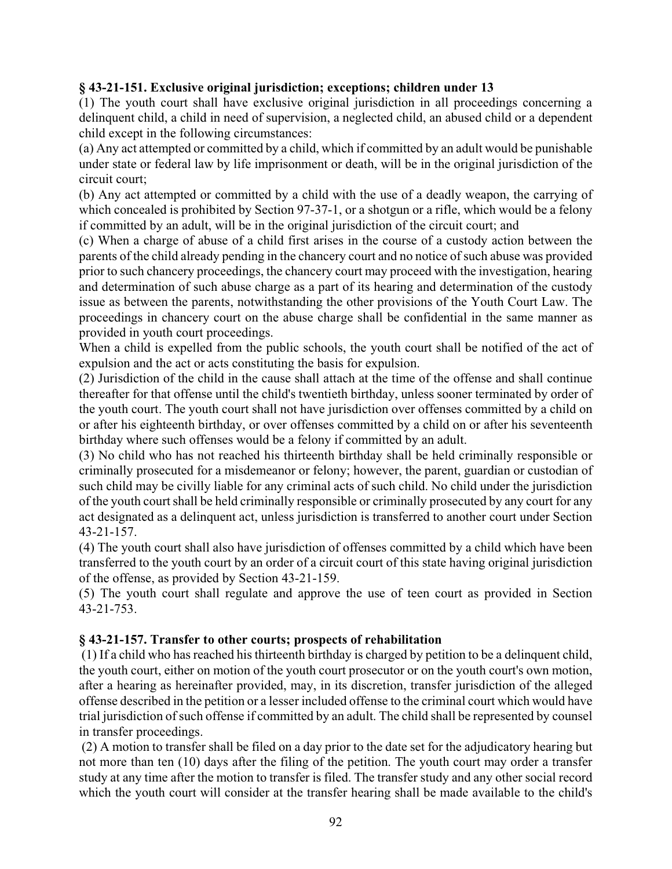## **§ 43-21-151. Exclusive original jurisdiction; exceptions; children under 13**

(1) The youth court shall have exclusive original jurisdiction in all proceedings concerning a delinquent child, a child in need of supervision, a neglected child, an abused child or a dependent child except in the following circumstances:

(a) Any act attempted or committed by a child, which if committed by an adult would be punishable under state or federal law by life imprisonment or death, will be in the original jurisdiction of the circuit court;

(b) Any act attempted or committed by a child with the use of a deadly weapon, the carrying of which concealed is prohibited by Section 97-37-1, or a shotgun or a rifle, which would be a felony if committed by an adult, will be in the original jurisdiction of the circuit court; and

(c) When a charge of abuse of a child first arises in the course of a custody action between the parents of the child already pending in the chancery court and no notice of such abuse was provided prior to such chancery proceedings, the chancery court may proceed with the investigation, hearing and determination of such abuse charge as a part of its hearing and determination of the custody issue as between the parents, notwithstanding the other provisions of the Youth Court Law. The proceedings in chancery court on the abuse charge shall be confidential in the same manner as provided in youth court proceedings.

When a child is expelled from the public schools, the youth court shall be notified of the act of expulsion and the act or acts constituting the basis for expulsion.

(2) Jurisdiction of the child in the cause shall attach at the time of the offense and shall continue thereafter for that offense until the child's twentieth birthday, unless sooner terminated by order of the youth court. The youth court shall not have jurisdiction over offenses committed by a child on or after his eighteenth birthday, or over offenses committed by a child on or after his seventeenth birthday where such offenses would be a felony if committed by an adult.

(3) No child who has not reached his thirteenth birthday shall be held criminally responsible or criminally prosecuted for a misdemeanor or felony; however, the parent, guardian or custodian of such child may be civilly liable for any criminal acts of such child. No child under the jurisdiction of the youth court shall be held criminally responsible or criminally prosecuted by any court for any act designated as a delinquent act, unless jurisdiction is transferred to another court under Section 43-21-157.

(4) The youth court shall also have jurisdiction of offenses committed by a child which have been transferred to the youth court by an order of a circuit court of this state having original jurisdiction of the offense, as provided by Section 43-21-159.

(5) The youth court shall regulate and approve the use of teen court as provided in Section 43-21-753.

## **§ 43-21-157. Transfer to other courts; prospects of rehabilitation**

 (1) If a child who has reached his thirteenth birthday is charged by petition to be a delinquent child, the youth court, either on motion of the youth court prosecutor or on the youth court's own motion, after a hearing as hereinafter provided, may, in its discretion, transfer jurisdiction of the alleged offense described in the petition or a lesser included offense to the criminal court which would have trial jurisdiction of such offense if committed by an adult. The child shall be represented by counsel in transfer proceedings.

 (2) A motion to transfer shall be filed on a day prior to the date set for the adjudicatory hearing but not more than ten (10) days after the filing of the petition. The youth court may order a transfer study at any time after the motion to transfer is filed. The transfer study and any other social record which the youth court will consider at the transfer hearing shall be made available to the child's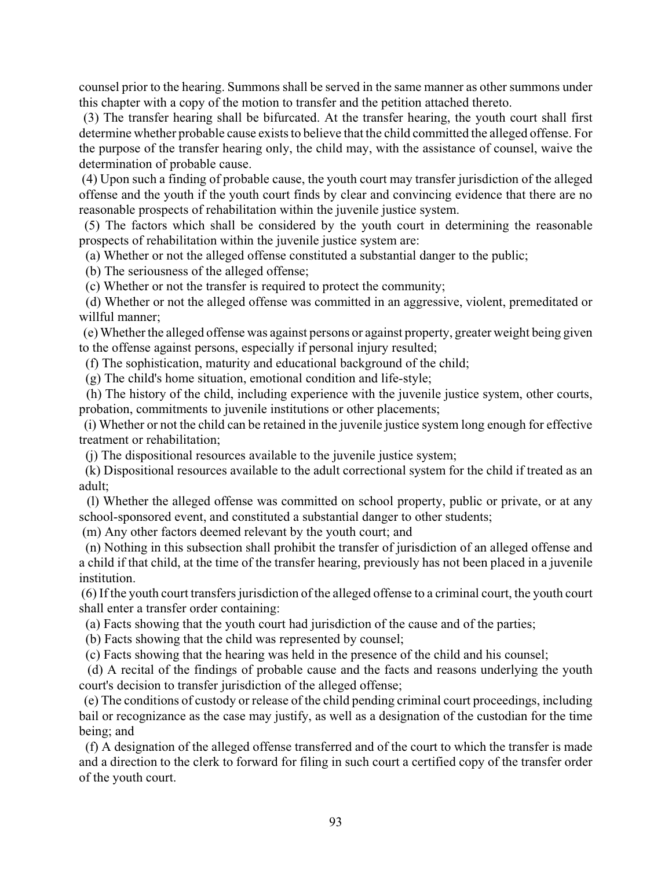counsel prior to the hearing. Summons shall be served in the same manner as other summons under this chapter with a copy of the motion to transfer and the petition attached thereto.

 (3) The transfer hearing shall be bifurcated. At the transfer hearing, the youth court shall first determine whether probable cause exists to believe that the child committed the alleged offense. For the purpose of the transfer hearing only, the child may, with the assistance of counsel, waive the determination of probable cause.

 (4) Upon such a finding of probable cause, the youth court may transfer jurisdiction of the alleged offense and the youth if the youth court finds by clear and convincing evidence that there are no reasonable prospects of rehabilitation within the juvenile justice system.

 (5) The factors which shall be considered by the youth court in determining the reasonable prospects of rehabilitation within the juvenile justice system are:

(a) Whether or not the alleged offense constituted a substantial danger to the public;

(b) The seriousness of the alleged offense;

(c) Whether or not the transfer is required to protect the community;

 (d) Whether or not the alleged offense was committed in an aggressive, violent, premeditated or willful manner;

 (e) Whether the alleged offense was against persons or against property, greater weight being given to the offense against persons, especially if personal injury resulted;

(f) The sophistication, maturity and educational background of the child;

(g) The child's home situation, emotional condition and life-style;

 (h) The history of the child, including experience with the juvenile justice system, other courts, probation, commitments to juvenile institutions or other placements;

 (i) Whether or not the child can be retained in the juvenile justice system long enough for effective treatment or rehabilitation;

(j) The dispositional resources available to the juvenile justice system;

 (k) Dispositional resources available to the adult correctional system for the child if treated as an adult;

 (l) Whether the alleged offense was committed on school property, public or private, or at any school-sponsored event, and constituted a substantial danger to other students;

(m) Any other factors deemed relevant by the youth court; and

 (n) Nothing in this subsection shall prohibit the transfer of jurisdiction of an alleged offense and a child if that child, at the time of the transfer hearing, previously has not been placed in a juvenile institution.

 (6) If the youth court transfers jurisdiction of the alleged offense to a criminal court, the youth court shall enter a transfer order containing:

(a) Facts showing that the youth court had jurisdiction of the cause and of the parties;

(b) Facts showing that the child was represented by counsel;

(c) Facts showing that the hearing was held in the presence of the child and his counsel;

 (d) A recital of the findings of probable cause and the facts and reasons underlying the youth court's decision to transfer jurisdiction of the alleged offense;

 (e) The conditions of custody or release of the child pending criminal court proceedings, including bail or recognizance as the case may justify, as well as a designation of the custodian for the time being; and

 (f) A designation of the alleged offense transferred and of the court to which the transfer is made and a direction to the clerk to forward for filing in such court a certified copy of the transfer order of the youth court.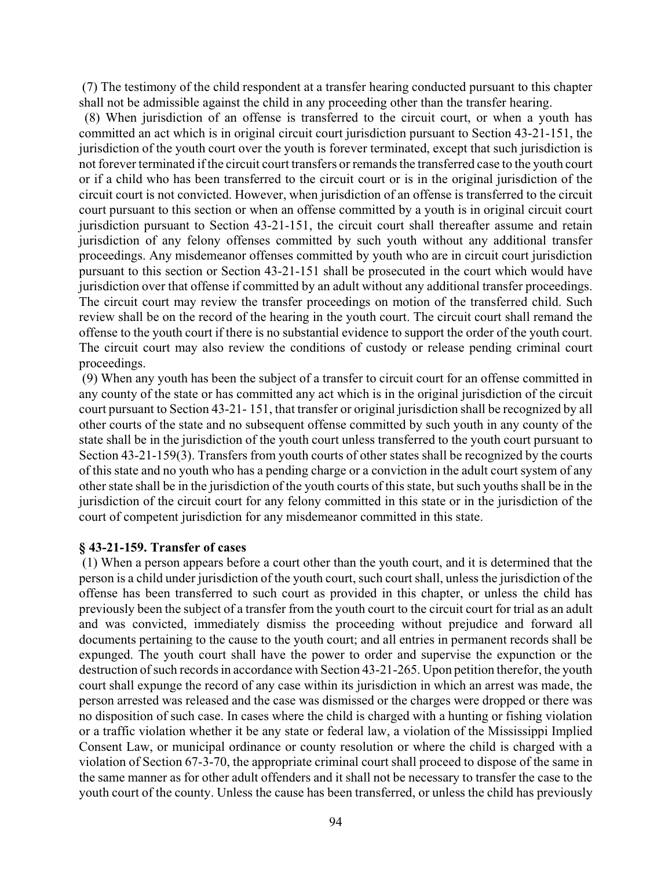(7) The testimony of the child respondent at a transfer hearing conducted pursuant to this chapter shall not be admissible against the child in any proceeding other than the transfer hearing.

 (8) When jurisdiction of an offense is transferred to the circuit court, or when a youth has committed an act which is in original circuit court jurisdiction pursuant to Section 43-21-151, the jurisdiction of the youth court over the youth is forever terminated, except that such jurisdiction is not forever terminated if the circuit court transfers or remands the transferred case to the youth court or if a child who has been transferred to the circuit court or is in the original jurisdiction of the circuit court is not convicted. However, when jurisdiction of an offense is transferred to the circuit court pursuant to this section or when an offense committed by a youth is in original circuit court jurisdiction pursuant to Section 43-21-151, the circuit court shall thereafter assume and retain jurisdiction of any felony offenses committed by such youth without any additional transfer proceedings. Any misdemeanor offenses committed by youth who are in circuit court jurisdiction pursuant to this section or Section 43-21-151 shall be prosecuted in the court which would have jurisdiction over that offense if committed by an adult without any additional transfer proceedings. The circuit court may review the transfer proceedings on motion of the transferred child. Such review shall be on the record of the hearing in the youth court. The circuit court shall remand the offense to the youth court if there is no substantial evidence to support the order of the youth court. The circuit court may also review the conditions of custody or release pending criminal court proceedings.

 (9) When any youth has been the subject of a transfer to circuit court for an offense committed in any county of the state or has committed any act which is in the original jurisdiction of the circuit court pursuant to Section 43-21- 151, that transfer or original jurisdiction shall be recognized by all other courts of the state and no subsequent offense committed by such youth in any county of the state shall be in the jurisdiction of the youth court unless transferred to the youth court pursuant to Section 43-21-159(3). Transfers from youth courts of other states shall be recognized by the courts of this state and no youth who has a pending charge or a conviction in the adult court system of any other state shall be in the jurisdiction of the youth courts of this state, but such youths shall be in the jurisdiction of the circuit court for any felony committed in this state or in the jurisdiction of the court of competent jurisdiction for any misdemeanor committed in this state.

#### **§ 43-21-159. Transfer of cases**

 (1) When a person appears before a court other than the youth court, and it is determined that the person is a child under jurisdiction of the youth court, such court shall, unless the jurisdiction of the offense has been transferred to such court as provided in this chapter, or unless the child has previously been the subject of a transfer from the youth court to the circuit court for trial as an adult and was convicted, immediately dismiss the proceeding without prejudice and forward all documents pertaining to the cause to the youth court; and all entries in permanent records shall be expunged. The youth court shall have the power to order and supervise the expunction or the destruction of such records in accordance with Section 43-21-265. Upon petition therefor, the youth court shall expunge the record of any case within its jurisdiction in which an arrest was made, the person arrested was released and the case was dismissed or the charges were dropped or there was no disposition of such case. In cases where the child is charged with a hunting or fishing violation or a traffic violation whether it be any state or federal law, a violation of the Mississippi Implied Consent Law, or municipal ordinance or county resolution or where the child is charged with a violation of Section 67-3-70, the appropriate criminal court shall proceed to dispose of the same in the same manner as for other adult offenders and it shall not be necessary to transfer the case to the youth court of the county. Unless the cause has been transferred, or unless the child has previously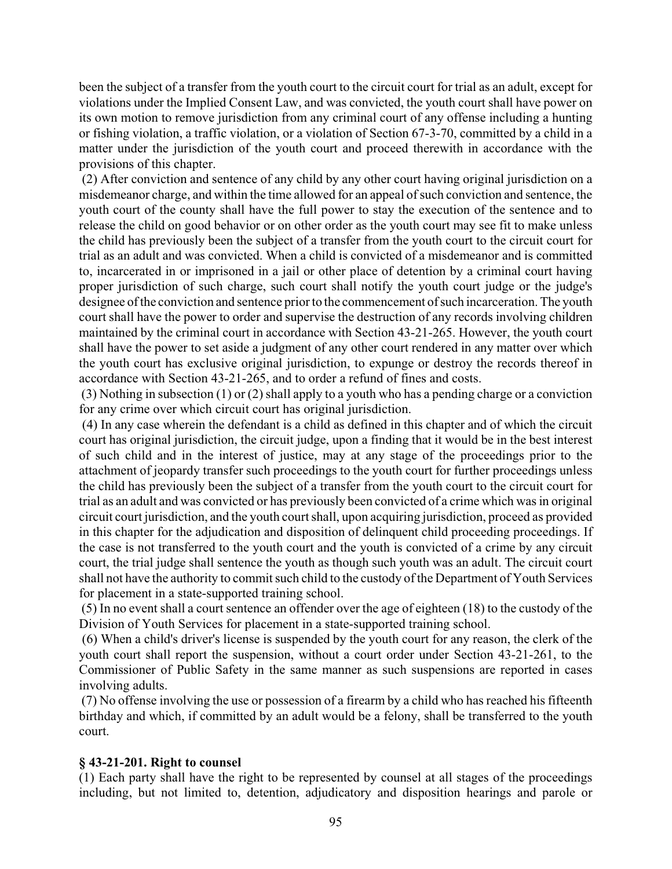been the subject of a transfer from the youth court to the circuit court for trial as an adult, except for violations under the Implied Consent Law, and was convicted, the youth court shall have power on its own motion to remove jurisdiction from any criminal court of any offense including a hunting or fishing violation, a traffic violation, or a violation of Section 67-3-70, committed by a child in a matter under the jurisdiction of the youth court and proceed therewith in accordance with the provisions of this chapter.

 (2) After conviction and sentence of any child by any other court having original jurisdiction on a misdemeanor charge, and within the time allowed for an appeal of such conviction and sentence, the youth court of the county shall have the full power to stay the execution of the sentence and to release the child on good behavior or on other order as the youth court may see fit to make unless the child has previously been the subject of a transfer from the youth court to the circuit court for trial as an adult and was convicted. When a child is convicted of a misdemeanor and is committed to, incarcerated in or imprisoned in a jail or other place of detention by a criminal court having proper jurisdiction of such charge, such court shall notify the youth court judge or the judge's designee of the conviction and sentence prior to the commencement of such incarceration. The youth court shall have the power to order and supervise the destruction of any records involving children maintained by the criminal court in accordance with Section 43-21-265. However, the youth court shall have the power to set aside a judgment of any other court rendered in any matter over which the youth court has exclusive original jurisdiction, to expunge or destroy the records thereof in accordance with Section 43-21-265, and to order a refund of fines and costs.

 (3) Nothing in subsection (1) or (2) shall apply to a youth who has a pending charge or a conviction for any crime over which circuit court has original jurisdiction.

 (4) In any case wherein the defendant is a child as defined in this chapter and of which the circuit court has original jurisdiction, the circuit judge, upon a finding that it would be in the best interest of such child and in the interest of justice, may at any stage of the proceedings prior to the attachment of jeopardy transfer such proceedings to the youth court for further proceedings unless the child has previously been the subject of a transfer from the youth court to the circuit court for trial as an adult and was convicted or has previously been convicted of a crime which was in original circuit court jurisdiction, and the youth court shall, upon acquiring jurisdiction, proceed as provided in this chapter for the adjudication and disposition of delinquent child proceeding proceedings. If the case is not transferred to the youth court and the youth is convicted of a crime by any circuit court, the trial judge shall sentence the youth as though such youth was an adult. The circuit court shall not have the authority to commit such child to the custody of the Department of Youth Services for placement in a state-supported training school.

 (5) In no event shall a court sentence an offender over the age of eighteen (18) to the custody of the Division of Youth Services for placement in a state-supported training school.

 (6) When a child's driver's license is suspended by the youth court for any reason, the clerk of the youth court shall report the suspension, without a court order under Section 43-21-261, to the Commissioner of Public Safety in the same manner as such suspensions are reported in cases involving adults.

 (7) No offense involving the use or possession of a firearm by a child who has reached his fifteenth birthday and which, if committed by an adult would be a felony, shall be transferred to the youth court.

## **§ 43-21-201. Right to counsel**

(1) Each party shall have the right to be represented by counsel at all stages of the proceedings including, but not limited to, detention, adjudicatory and disposition hearings and parole or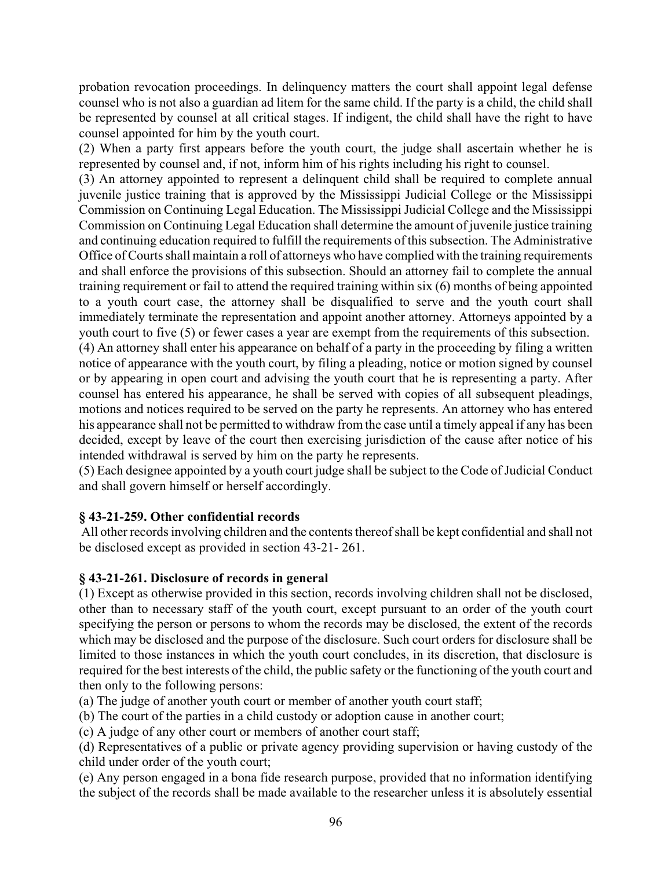probation revocation proceedings. In delinquency matters the court shall appoint legal defense counsel who is not also a guardian ad litem for the same child. If the party is a child, the child shall be represented by counsel at all critical stages. If indigent, the child shall have the right to have counsel appointed for him by the youth court.

(2) When a party first appears before the youth court, the judge shall ascertain whether he is represented by counsel and, if not, inform him of his rights including his right to counsel.

(3) An attorney appointed to represent a delinquent child shall be required to complete annual juvenile justice training that is approved by the Mississippi Judicial College or the Mississippi Commission on Continuing Legal Education. The Mississippi Judicial College and the Mississippi Commission on Continuing Legal Education shall determine the amount of juvenile justice training and continuing education required to fulfill the requirements of this subsection. The Administrative Office of Courts shall maintain a roll of attorneys who have complied with the training requirements and shall enforce the provisions of this subsection. Should an attorney fail to complete the annual training requirement or fail to attend the required training within six (6) months of being appointed to a youth court case, the attorney shall be disqualified to serve and the youth court shall immediately terminate the representation and appoint another attorney. Attorneys appointed by a youth court to five (5) or fewer cases a year are exempt from the requirements of this subsection. (4) An attorney shall enter his appearance on behalf of a party in the proceeding by filing a written notice of appearance with the youth court, by filing a pleading, notice or motion signed by counsel or by appearing in open court and advising the youth court that he is representing a party. After counsel has entered his appearance, he shall be served with copies of all subsequent pleadings, motions and notices required to be served on the party he represents. An attorney who has entered his appearance shall not be permitted to withdraw from the case until a timely appeal if any has been

decided, except by leave of the court then exercising jurisdiction of the cause after notice of his intended withdrawal is served by him on the party he represents.

(5) Each designee appointed by a youth court judge shall be subject to the Code of Judicial Conduct and shall govern himself or herself accordingly.

## **§ 43-21-259. Other confidential records**

 All other records involving children and the contents thereof shall be kept confidential and shall not be disclosed except as provided in section 43-21- 261.

## **§ 43-21-261. Disclosure of records in general**

(1) Except as otherwise provided in this section, records involving children shall not be disclosed, other than to necessary staff of the youth court, except pursuant to an order of the youth court specifying the person or persons to whom the records may be disclosed, the extent of the records which may be disclosed and the purpose of the disclosure. Such court orders for disclosure shall be limited to those instances in which the youth court concludes, in its discretion, that disclosure is required for the best interests of the child, the public safety or the functioning of the youth court and then only to the following persons:

(a) The judge of another youth court or member of another youth court staff;

(b) The court of the parties in a child custody or adoption cause in another court;

(c) A judge of any other court or members of another court staff;

(d) Representatives of a public or private agency providing supervision or having custody of the child under order of the youth court;

(e) Any person engaged in a bona fide research purpose, provided that no information identifying the subject of the records shall be made available to the researcher unless it is absolutely essential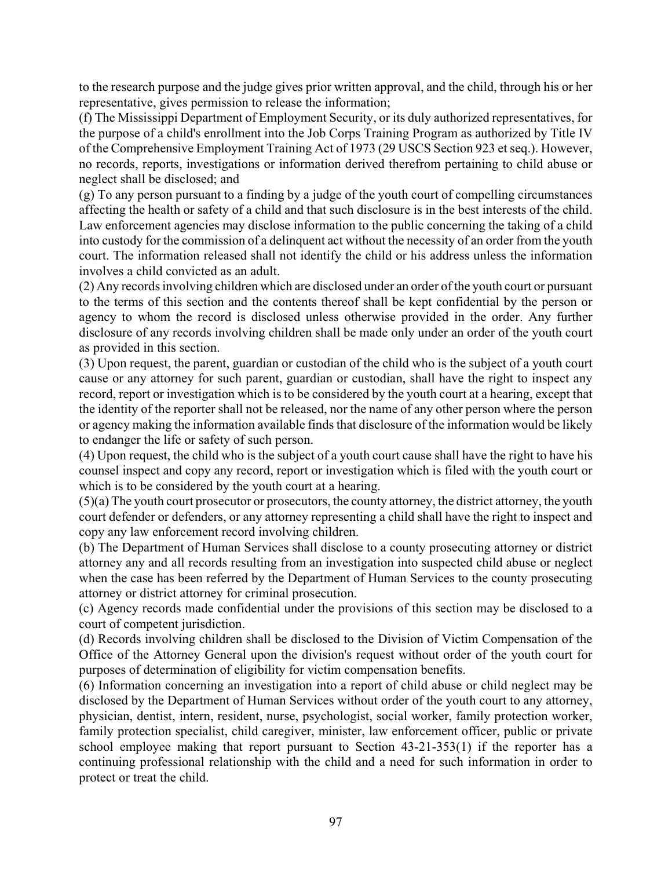to the research purpose and the judge gives prior written approval, and the child, through his or her representative, gives permission to release the information;

(f) The Mississippi Department of Employment Security, or its duly authorized representatives, for the purpose of a child's enrollment into the Job Corps Training Program as authorized by Title IV of the Comprehensive Employment Training Act of 1973 (29 USCS Section 923 et seq.). However, no records, reports, investigations or information derived therefrom pertaining to child abuse or neglect shall be disclosed; and

(g) To any person pursuant to a finding by a judge of the youth court of compelling circumstances affecting the health or safety of a child and that such disclosure is in the best interests of the child. Law enforcement agencies may disclose information to the public concerning the taking of a child into custody for the commission of a delinquent act without the necessity of an order from the youth court. The information released shall not identify the child or his address unless the information involves a child convicted as an adult.

(2) Any records involving children which are disclosed under an order of the youth court or pursuant to the terms of this section and the contents thereof shall be kept confidential by the person or agency to whom the record is disclosed unless otherwise provided in the order. Any further disclosure of any records involving children shall be made only under an order of the youth court as provided in this section.

(3) Upon request, the parent, guardian or custodian of the child who is the subject of a youth court cause or any attorney for such parent, guardian or custodian, shall have the right to inspect any record, report or investigation which is to be considered by the youth court at a hearing, except that the identity of the reporter shall not be released, nor the name of any other person where the person or agency making the information available finds that disclosure of the information would be likely to endanger the life or safety of such person.

(4) Upon request, the child who is the subject of a youth court cause shall have the right to have his counsel inspect and copy any record, report or investigation which is filed with the youth court or which is to be considered by the youth court at a hearing.

(5)(a) The youth court prosecutor or prosecutors, the county attorney, the district attorney, the youth court defender or defenders, or any attorney representing a child shall have the right to inspect and copy any law enforcement record involving children.

(b) The Department of Human Services shall disclose to a county prosecuting attorney or district attorney any and all records resulting from an investigation into suspected child abuse or neglect when the case has been referred by the Department of Human Services to the county prosecuting attorney or district attorney for criminal prosecution.

(c) Agency records made confidential under the provisions of this section may be disclosed to a court of competent jurisdiction.

(d) Records involving children shall be disclosed to the Division of Victim Compensation of the Office of the Attorney General upon the division's request without order of the youth court for purposes of determination of eligibility for victim compensation benefits.

(6) Information concerning an investigation into a report of child abuse or child neglect may be disclosed by the Department of Human Services without order of the youth court to any attorney, physician, dentist, intern, resident, nurse, psychologist, social worker, family protection worker, family protection specialist, child caregiver, minister, law enforcement officer, public or private school employee making that report pursuant to Section 43-21-353(1) if the reporter has a continuing professional relationship with the child and a need for such information in order to protect or treat the child.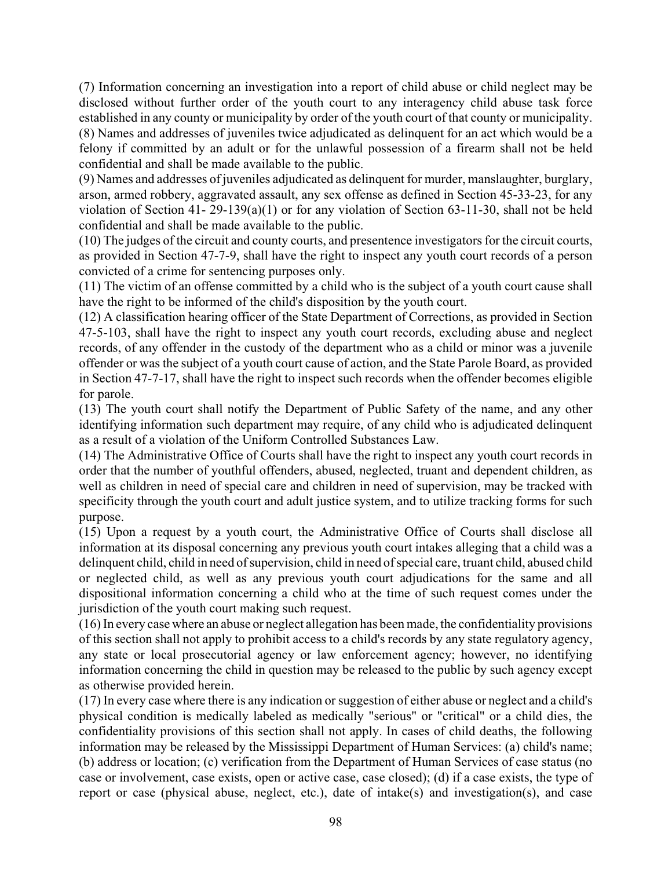(7) Information concerning an investigation into a report of child abuse or child neglect may be disclosed without further order of the youth court to any interagency child abuse task force established in any county or municipality by order of the youth court of that county or municipality. (8) Names and addresses of juveniles twice adjudicated as delinquent for an act which would be a felony if committed by an adult or for the unlawful possession of a firearm shall not be held confidential and shall be made available to the public.

(9) Names and addresses of juveniles adjudicated as delinquent for murder, manslaughter, burglary, arson, armed robbery, aggravated assault, any sex offense as defined in Section 45-33-23, for any violation of Section 41- 29-139(a)(1) or for any violation of Section 63-11-30, shall not be held confidential and shall be made available to the public.

(10) The judges of the circuit and county courts, and presentence investigators for the circuit courts, as provided in Section 47-7-9, shall have the right to inspect any youth court records of a person convicted of a crime for sentencing purposes only.

(11) The victim of an offense committed by a child who is the subject of a youth court cause shall have the right to be informed of the child's disposition by the youth court.

(12) A classification hearing officer of the State Department of Corrections, as provided in Section 47-5-103, shall have the right to inspect any youth court records, excluding abuse and neglect records, of any offender in the custody of the department who as a child or minor was a juvenile offender or was the subject of a youth court cause of action, and the State Parole Board, as provided in Section 47-7-17, shall have the right to inspect such records when the offender becomes eligible for parole.

(13) The youth court shall notify the Department of Public Safety of the name, and any other identifying information such department may require, of any child who is adjudicated delinquent as a result of a violation of the Uniform Controlled Substances Law.

(14) The Administrative Office of Courts shall have the right to inspect any youth court records in order that the number of youthful offenders, abused, neglected, truant and dependent children, as well as children in need of special care and children in need of supervision, may be tracked with specificity through the youth court and adult justice system, and to utilize tracking forms for such purpose.

(15) Upon a request by a youth court, the Administrative Office of Courts shall disclose all information at its disposal concerning any previous youth court intakes alleging that a child was a delinquent child, child in need of supervision, child in need of special care, truant child, abused child or neglected child, as well as any previous youth court adjudications for the same and all dispositional information concerning a child who at the time of such request comes under the jurisdiction of the youth court making such request.

(16) In every case where an abuse or neglect allegation has been made, the confidentiality provisions of this section shall not apply to prohibit access to a child's records by any state regulatory agency, any state or local prosecutorial agency or law enforcement agency; however, no identifying information concerning the child in question may be released to the public by such agency except as otherwise provided herein.

(17) In every case where there is any indication or suggestion of either abuse or neglect and a child's physical condition is medically labeled as medically "serious" or "critical" or a child dies, the confidentiality provisions of this section shall not apply. In cases of child deaths, the following information may be released by the Mississippi Department of Human Services: (a) child's name; (b) address or location; (c) verification from the Department of Human Services of case status (no case or involvement, case exists, open or active case, case closed); (d) if a case exists, the type of report or case (physical abuse, neglect, etc.), date of intake(s) and investigation(s), and case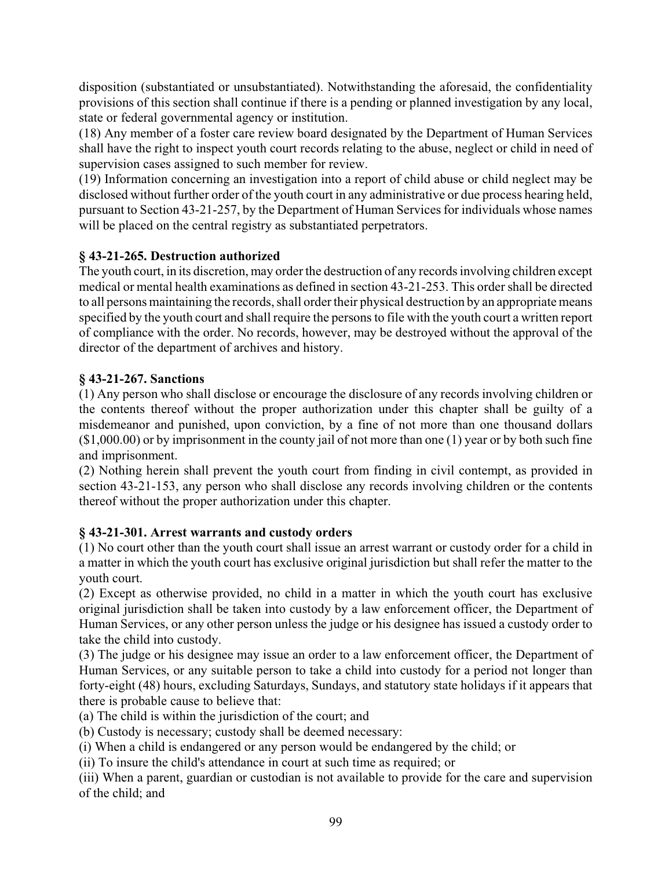disposition (substantiated or unsubstantiated). Notwithstanding the aforesaid, the confidentiality provisions of this section shall continue if there is a pending or planned investigation by any local, state or federal governmental agency or institution.

(18) Any member of a foster care review board designated by the Department of Human Services shall have the right to inspect youth court records relating to the abuse, neglect or child in need of supervision cases assigned to such member for review.

(19) Information concerning an investigation into a report of child abuse or child neglect may be disclosed without further order of the youth court in any administrative or due process hearing held, pursuant to Section 43-21-257, by the Department of Human Services for individuals whose names will be placed on the central registry as substantiated perpetrators.

# **§ 43-21-265. Destruction authorized**

The youth court, in its discretion, may order the destruction of any records involving children except medical or mental health examinations as defined in section 43-21-253. This order shall be directed to all persons maintaining the records, shall order their physical destruction by an appropriate means specified by the youth court and shall require the persons to file with the youth court a written report of compliance with the order. No records, however, may be destroyed without the approval of the director of the department of archives and history.

# **§ 43-21-267. Sanctions**

(1) Any person who shall disclose or encourage the disclosure of any records involving children or the contents thereof without the proper authorization under this chapter shall be guilty of a misdemeanor and punished, upon conviction, by a fine of not more than one thousand dollars  $($1,000.00)$  or by imprisonment in the county jail of not more than one  $(1)$  year or by both such fine and imprisonment.

(2) Nothing herein shall prevent the youth court from finding in civil contempt, as provided in section 43-21-153, any person who shall disclose any records involving children or the contents thereof without the proper authorization under this chapter.

# **§ 43-21-301. Arrest warrants and custody orders**

(1) No court other than the youth court shall issue an arrest warrant or custody order for a child in a matter in which the youth court has exclusive original jurisdiction but shall refer the matter to the youth court.

(2) Except as otherwise provided, no child in a matter in which the youth court has exclusive original jurisdiction shall be taken into custody by a law enforcement officer, the Department of Human Services, or any other person unless the judge or his designee has issued a custody order to take the child into custody.

(3) The judge or his designee may issue an order to a law enforcement officer, the Department of Human Services, or any suitable person to take a child into custody for a period not longer than forty-eight (48) hours, excluding Saturdays, Sundays, and statutory state holidays if it appears that there is probable cause to believe that:

(a) The child is within the jurisdiction of the court; and

(b) Custody is necessary; custody shall be deemed necessary:

(i) When a child is endangered or any person would be endangered by the child; or

(ii) To insure the child's attendance in court at such time as required; or

(iii) When a parent, guardian or custodian is not available to provide for the care and supervision of the child; and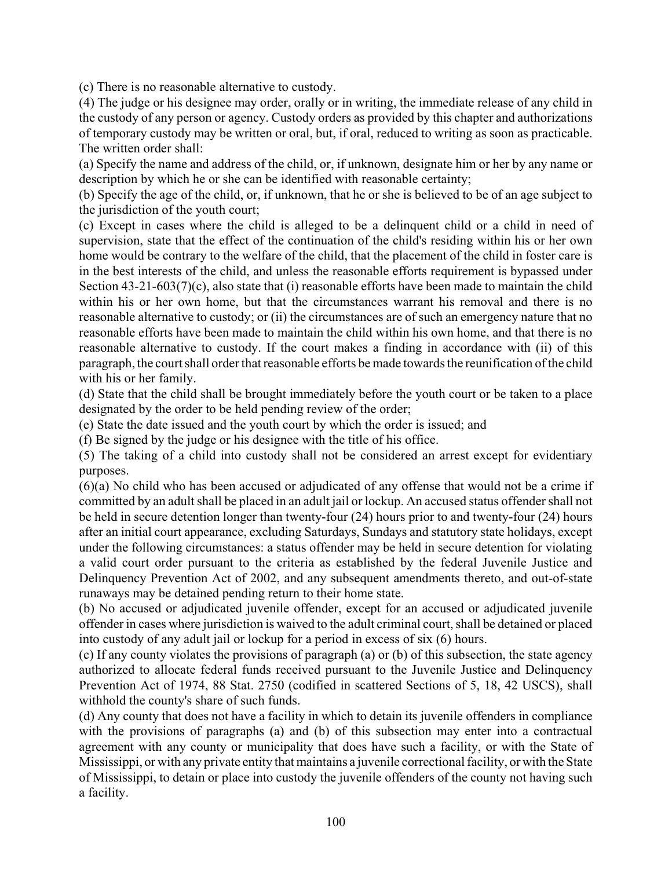(c) There is no reasonable alternative to custody.

(4) The judge or his designee may order, orally or in writing, the immediate release of any child in the custody of any person or agency. Custody orders as provided by this chapter and authorizations of temporary custody may be written or oral, but, if oral, reduced to writing as soon as practicable. The written order shall:

(a) Specify the name and address of the child, or, if unknown, designate him or her by any name or description by which he or she can be identified with reasonable certainty;

(b) Specify the age of the child, or, if unknown, that he or she is believed to be of an age subject to the jurisdiction of the youth court;

(c) Except in cases where the child is alleged to be a delinquent child or a child in need of supervision, state that the effect of the continuation of the child's residing within his or her own home would be contrary to the welfare of the child, that the placement of the child in foster care is in the best interests of the child, and unless the reasonable efforts requirement is bypassed under Section 43-21-603(7)(c), also state that (i) reasonable efforts have been made to maintain the child within his or her own home, but that the circumstances warrant his removal and there is no reasonable alternative to custody; or (ii) the circumstances are of such an emergency nature that no reasonable efforts have been made to maintain the child within his own home, and that there is no reasonable alternative to custody. If the court makes a finding in accordance with (ii) of this paragraph, the court shall order that reasonable efforts be made towards the reunification of the child with his or her family.

(d) State that the child shall be brought immediately before the youth court or be taken to a place designated by the order to be held pending review of the order;

(e) State the date issued and the youth court by which the order is issued; and

(f) Be signed by the judge or his designee with the title of his office.

(5) The taking of a child into custody shall not be considered an arrest except for evidentiary purposes.

(6)(a) No child who has been accused or adjudicated of any offense that would not be a crime if committed by an adult shall be placed in an adult jail or lockup. An accused status offender shall not be held in secure detention longer than twenty-four (24) hours prior to and twenty-four (24) hours after an initial court appearance, excluding Saturdays, Sundays and statutory state holidays, except under the following circumstances: a status offender may be held in secure detention for violating a valid court order pursuant to the criteria as established by the federal Juvenile Justice and Delinquency Prevention Act of 2002, and any subsequent amendments thereto, and out-of-state runaways may be detained pending return to their home state.

(b) No accused or adjudicated juvenile offender, except for an accused or adjudicated juvenile offender in cases where jurisdiction is waived to the adult criminal court, shall be detained or placed into custody of any adult jail or lockup for a period in excess of six (6) hours.

(c) If any county violates the provisions of paragraph (a) or (b) of this subsection, the state agency authorized to allocate federal funds received pursuant to the Juvenile Justice and Delinquency Prevention Act of 1974, 88 Stat. 2750 (codified in scattered Sections of 5, 18, 42 USCS), shall withhold the county's share of such funds.

(d) Any county that does not have a facility in which to detain its juvenile offenders in compliance with the provisions of paragraphs (a) and (b) of this subsection may enter into a contractual agreement with any county or municipality that does have such a facility, or with the State of Mississippi, or with any private entity that maintains a juvenile correctional facility, or with the State of Mississippi, to detain or place into custody the juvenile offenders of the county not having such a facility.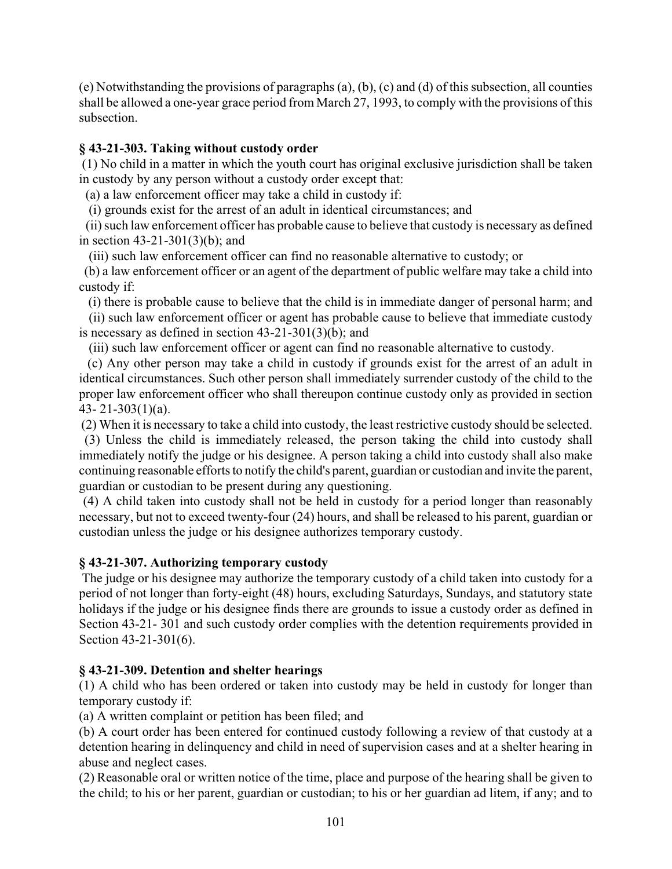(e) Notwithstanding the provisions of paragraphs (a), (b), (c) and (d) of this subsection, all counties shall be allowed a one-year grace period from March 27, 1993, to comply with the provisions of this subsection.

## **§ 43-21-303. Taking without custody order**

 (1) No child in a matter in which the youth court has original exclusive jurisdiction shall be taken in custody by any person without a custody order except that:

(a) a law enforcement officer may take a child in custody if:

(i) grounds exist for the arrest of an adult in identical circumstances; and

 (ii) such law enforcement officer has probable cause to believe that custody is necessary as defined in section 43-21-301(3)(b); and

(iii) such law enforcement officer can find no reasonable alternative to custody; or

 (b) a law enforcement officer or an agent of the department of public welfare may take a child into custody if:

 (i) there is probable cause to believe that the child is in immediate danger of personal harm; and (ii) such law enforcement officer or agent has probable cause to believe that immediate custody

is necessary as defined in section 43-21-301(3)(b); and

(iii) such law enforcement officer or agent can find no reasonable alternative to custody.

 (c) Any other person may take a child in custody if grounds exist for the arrest of an adult in identical circumstances. Such other person shall immediately surrender custody of the child to the proper law enforcement officer who shall thereupon continue custody only as provided in section 43- 21-303(1)(a).

(2) When it is necessary to take a child into custody, the least restrictive custody should be selected.

 (3) Unless the child is immediately released, the person taking the child into custody shall immediately notify the judge or his designee. A person taking a child into custody shall also make continuing reasonable efforts to notify the child's parent, guardian or custodian and invite the parent, guardian or custodian to be present during any questioning.

 (4) A child taken into custody shall not be held in custody for a period longer than reasonably necessary, but not to exceed twenty-four (24) hours, and shall be released to his parent, guardian or custodian unless the judge or his designee authorizes temporary custody.

## **§ 43-21-307. Authorizing temporary custody**

 The judge or his designee may authorize the temporary custody of a child taken into custody for a period of not longer than forty-eight (48) hours, excluding Saturdays, Sundays, and statutory state holidays if the judge or his designee finds there are grounds to issue a custody order as defined in Section 43-21- 301 and such custody order complies with the detention requirements provided in Section 43-21-301(6).

# **§ 43-21-309. Detention and shelter hearings**

(1) A child who has been ordered or taken into custody may be held in custody for longer than temporary custody if:

(a) A written complaint or petition has been filed; and

(b) A court order has been entered for continued custody following a review of that custody at a detention hearing in delinquency and child in need of supervision cases and at a shelter hearing in abuse and neglect cases.

(2) Reasonable oral or written notice of the time, place and purpose of the hearing shall be given to the child; to his or her parent, guardian or custodian; to his or her guardian ad litem, if any; and to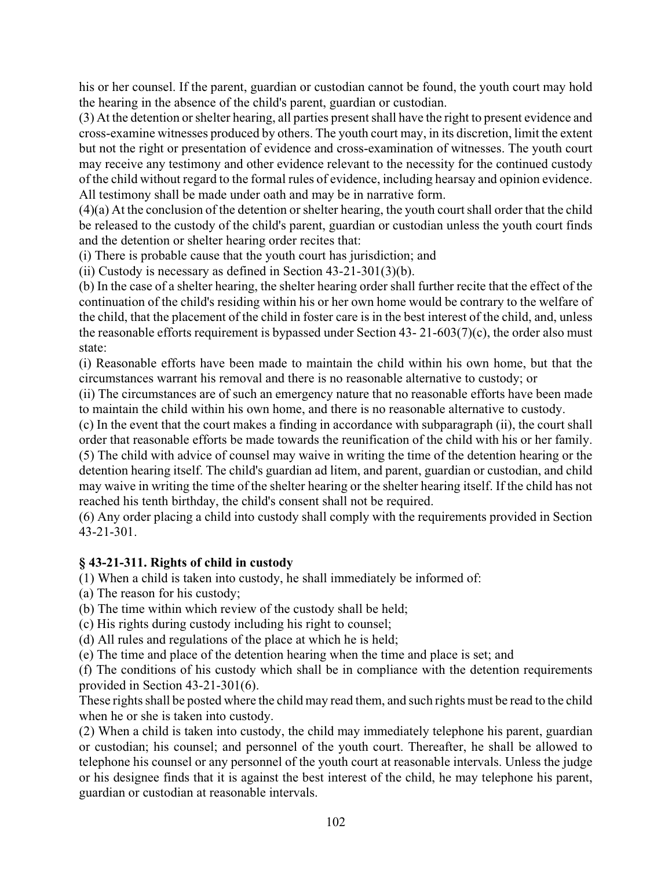his or her counsel. If the parent, guardian or custodian cannot be found, the youth court may hold the hearing in the absence of the child's parent, guardian or custodian.

(3) At the detention or shelter hearing, all parties present shall have the right to present evidence and cross-examine witnesses produced by others. The youth court may, in its discretion, limit the extent but not the right or presentation of evidence and cross-examination of witnesses. The youth court may receive any testimony and other evidence relevant to the necessity for the continued custody of the child without regard to the formal rules of evidence, including hearsay and opinion evidence. All testimony shall be made under oath and may be in narrative form.

(4)(a) At the conclusion of the detention or shelter hearing, the youth court shall order that the child be released to the custody of the child's parent, guardian or custodian unless the youth court finds and the detention or shelter hearing order recites that:

(i) There is probable cause that the youth court has jurisdiction; and

(ii) Custody is necessary as defined in Section 43-21-301(3)(b).

(b) In the case of a shelter hearing, the shelter hearing order shall further recite that the effect of the continuation of the child's residing within his or her own home would be contrary to the welfare of the child, that the placement of the child in foster care is in the best interest of the child, and, unless the reasonable efforts requirement is bypassed under Section 43- 21-603(7)(c), the order also must state:

(i) Reasonable efforts have been made to maintain the child within his own home, but that the circumstances warrant his removal and there is no reasonable alternative to custody; or

(ii) The circumstances are of such an emergency nature that no reasonable efforts have been made to maintain the child within his own home, and there is no reasonable alternative to custody.

(c) In the event that the court makes a finding in accordance with subparagraph (ii), the court shall order that reasonable efforts be made towards the reunification of the child with his or her family. (5) The child with advice of counsel may waive in writing the time of the detention hearing or the detention hearing itself. The child's guardian ad litem, and parent, guardian or custodian, and child may waive in writing the time of the shelter hearing or the shelter hearing itself. If the child has not reached his tenth birthday, the child's consent shall not be required.

(6) Any order placing a child into custody shall comply with the requirements provided in Section 43-21-301.

## **§ 43-21-311. Rights of child in custody**

(1) When a child is taken into custody, he shall immediately be informed of:

- (a) The reason for his custody;
- (b) The time within which review of the custody shall be held;
- (c) His rights during custody including his right to counsel;
- (d) All rules and regulations of the place at which he is held;
- (e) The time and place of the detention hearing when the time and place is set; and
- (f) The conditions of his custody which shall be in compliance with the detention requirements provided in Section 43-21-301(6).

These rights shall be posted where the child may read them, and such rights must be read to the child when he or she is taken into custody.

(2) When a child is taken into custody, the child may immediately telephone his parent, guardian or custodian; his counsel; and personnel of the youth court. Thereafter, he shall be allowed to telephone his counsel or any personnel of the youth court at reasonable intervals. Unless the judge or his designee finds that it is against the best interest of the child, he may telephone his parent, guardian or custodian at reasonable intervals.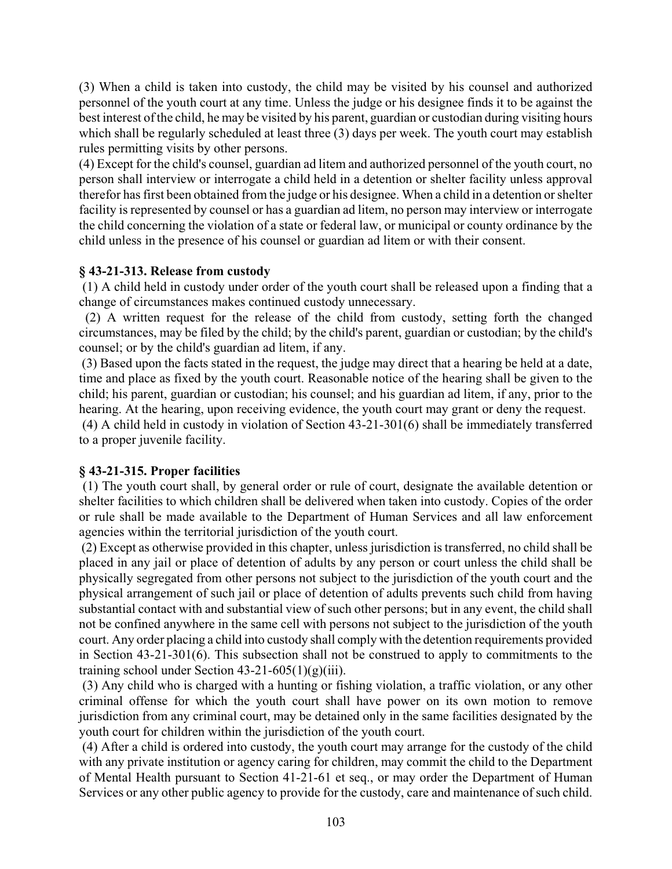(3) When a child is taken into custody, the child may be visited by his counsel and authorized personnel of the youth court at any time. Unless the judge or his designee finds it to be against the best interest of the child, he may be visited by his parent, guardian or custodian during visiting hours which shall be regularly scheduled at least three (3) days per week. The youth court may establish rules permitting visits by other persons.

(4) Except for the child's counsel, guardian ad litem and authorized personnel of the youth court, no person shall interview or interrogate a child held in a detention or shelter facility unless approval therefor has first been obtained from the judge or his designee. When a child in a detention or shelter facility is represented by counsel or has a guardian ad litem, no person may interview or interrogate the child concerning the violation of a state or federal law, or municipal or county ordinance by the child unless in the presence of his counsel or guardian ad litem or with their consent.

## **§ 43-21-313. Release from custody**

 (1) A child held in custody under order of the youth court shall be released upon a finding that a change of circumstances makes continued custody unnecessary.

 (2) A written request for the release of the child from custody, setting forth the changed circumstances, may be filed by the child; by the child's parent, guardian or custodian; by the child's counsel; or by the child's guardian ad litem, if any.

 (3) Based upon the facts stated in the request, the judge may direct that a hearing be held at a date, time and place as fixed by the youth court. Reasonable notice of the hearing shall be given to the child; his parent, guardian or custodian; his counsel; and his guardian ad litem, if any, prior to the hearing. At the hearing, upon receiving evidence, the youth court may grant or deny the request.

 (4) A child held in custody in violation of Section 43-21-301(6) shall be immediately transferred to a proper juvenile facility.

## **§ 43-21-315. Proper facilities**

 (1) The youth court shall, by general order or rule of court, designate the available detention or shelter facilities to which children shall be delivered when taken into custody. Copies of the order or rule shall be made available to the Department of Human Services and all law enforcement agencies within the territorial jurisdiction of the youth court.

 (2) Except as otherwise provided in this chapter, unless jurisdiction is transferred, no child shall be placed in any jail or place of detention of adults by any person or court unless the child shall be physically segregated from other persons not subject to the jurisdiction of the youth court and the physical arrangement of such jail or place of detention of adults prevents such child from having substantial contact with and substantial view of such other persons; but in any event, the child shall not be confined anywhere in the same cell with persons not subject to the jurisdiction of the youth court. Any order placing a child into custody shall comply with the detention requirements provided in Section 43-21-301(6). This subsection shall not be construed to apply to commitments to the training school under Section  $43-21-605(1)(g)(iii)$ .

 (3) Any child who is charged with a hunting or fishing violation, a traffic violation, or any other criminal offense for which the youth court shall have power on its own motion to remove jurisdiction from any criminal court, may be detained only in the same facilities designated by the youth court for children within the jurisdiction of the youth court.

 (4) After a child is ordered into custody, the youth court may arrange for the custody of the child with any private institution or agency caring for children, may commit the child to the Department of Mental Health pursuant to Section 41-21-61 et seq., or may order the Department of Human Services or any other public agency to provide for the custody, care and maintenance of such child.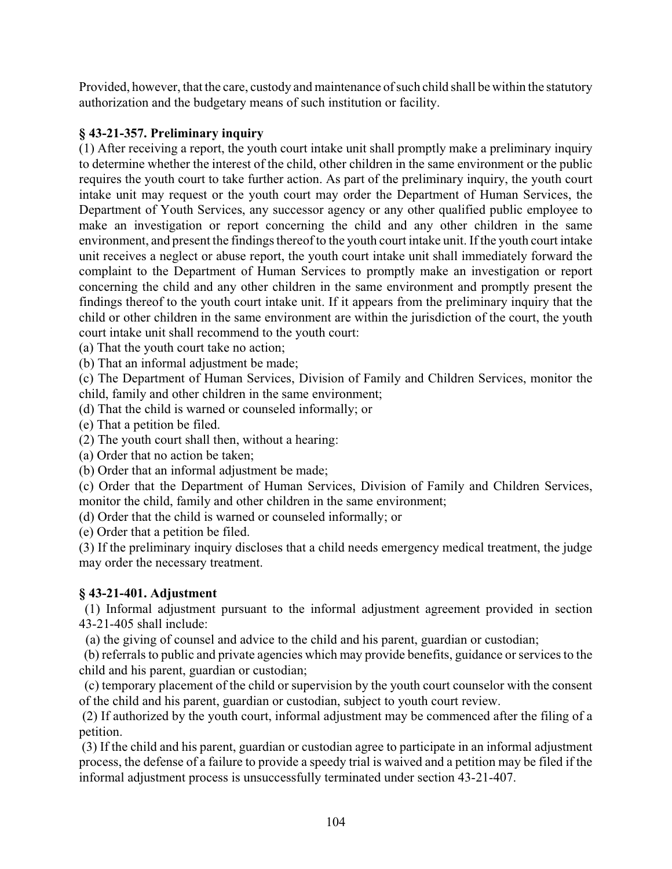Provided, however, that the care, custody and maintenance of such child shall be within the statutory authorization and the budgetary means of such institution or facility.

# **§ 43-21-357. Preliminary inquiry**

(1) After receiving a report, the youth court intake unit shall promptly make a preliminary inquiry to determine whether the interest of the child, other children in the same environment or the public requires the youth court to take further action. As part of the preliminary inquiry, the youth court intake unit may request or the youth court may order the Department of Human Services, the Department of Youth Services, any successor agency or any other qualified public employee to make an investigation or report concerning the child and any other children in the same environment, and present the findings thereof to the youth court intake unit. If the youth court intake unit receives a neglect or abuse report, the youth court intake unit shall immediately forward the complaint to the Department of Human Services to promptly make an investigation or report concerning the child and any other children in the same environment and promptly present the findings thereof to the youth court intake unit. If it appears from the preliminary inquiry that the child or other children in the same environment are within the jurisdiction of the court, the youth court intake unit shall recommend to the youth court:

(a) That the youth court take no action;

(b) That an informal adjustment be made;

(c) The Department of Human Services, Division of Family and Children Services, monitor the child, family and other children in the same environment;

(d) That the child is warned or counseled informally; or

(e) That a petition be filed.

(2) The youth court shall then, without a hearing:

(a) Order that no action be taken;

(b) Order that an informal adjustment be made;

(c) Order that the Department of Human Services, Division of Family and Children Services, monitor the child, family and other children in the same environment;

(d) Order that the child is warned or counseled informally; or

(e) Order that a petition be filed.

(3) If the preliminary inquiry discloses that a child needs emergency medical treatment, the judge may order the necessary treatment.

# **§ 43-21-401. Adjustment**

 (1) Informal adjustment pursuant to the informal adjustment agreement provided in section 43-21-405 shall include:

(a) the giving of counsel and advice to the child and his parent, guardian or custodian;

 (b) referrals to public and private agencies which may provide benefits, guidance or services to the child and his parent, guardian or custodian;

 (c) temporary placement of the child or supervision by the youth court counselor with the consent of the child and his parent, guardian or custodian, subject to youth court review.

 (2) If authorized by the youth court, informal adjustment may be commenced after the filing of a petition.

 (3) If the child and his parent, guardian or custodian agree to participate in an informal adjustment process, the defense of a failure to provide a speedy trial is waived and a petition may be filed if the informal adjustment process is unsuccessfully terminated under section 43-21-407.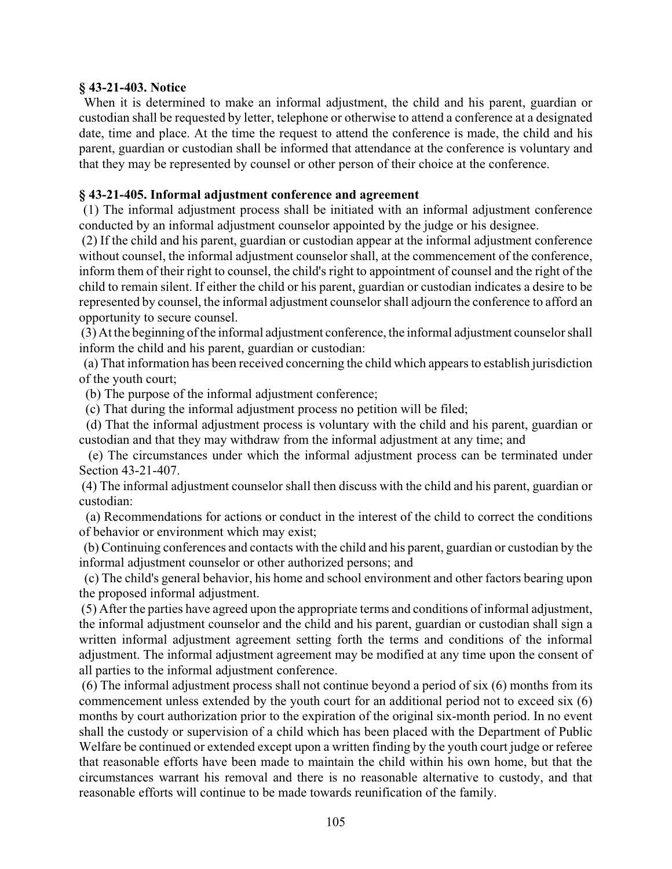#### **§ 43-21-403. Notice**

 When it is determined to make an informal adjustment, the child and his parent, guardian or custodian shall be requested by letter, telephone or otherwise to attend a conference at a designated date, time and place. At the time the request to attend the conference is made, the child and his parent, guardian or custodian shall be informed that attendance at the conference is voluntary and that they may be represented by counsel or other person of their choice at the conference.

#### **§ 43-21-405. Informal adjustment conference and agreement**

 (1) The informal adjustment process shall be initiated with an informal adjustment conference conducted by an informal adjustment counselor appointed by the judge or his designee.

 (2) If the child and his parent, guardian or custodian appear at the informal adjustment conference without counsel, the informal adjustment counselor shall, at the commencement of the conference, inform them of their right to counsel, the child's right to appointment of counsel and the right of the child to remain silent. If either the child or his parent, guardian or custodian indicates a desire to be represented by counsel, the informal adjustment counselor shall adjourn the conference to afford an opportunity to secure counsel.

 (3) At the beginning of the informal adjustment conference, the informal adjustment counselor shall inform the child and his parent, guardian or custodian:

 (a) That information has been received concerning the child which appears to establish jurisdiction of the youth court;

(b) The purpose of the informal adjustment conference;

(c) That during the informal adjustment process no petition will be filed;

 (d) That the informal adjustment process is voluntary with the child and his parent, guardian or custodian and that they may withdraw from the informal adjustment at any time; and

 (e) The circumstances under which the informal adjustment process can be terminated under Section 43-21-407.

 (4) The informal adjustment counselor shall then discuss with the child and his parent, guardian or custodian:

 (a) Recommendations for actions or conduct in the interest of the child to correct the conditions of behavior or environment which may exist;

 (b) Continuing conferences and contacts with the child and his parent, guardian or custodian by the informal adjustment counselor or other authorized persons; and

 (c) The child's general behavior, his home and school environment and other factors bearing upon the proposed informal adjustment.

 (5) After the parties have agreed upon the appropriate terms and conditions of informal adjustment, the informal adjustment counselor and the child and his parent, guardian or custodian shall sign a written informal adjustment agreement setting forth the terms and conditions of the informal adjustment. The informal adjustment agreement may be modified at any time upon the consent of all parties to the informal adjustment conference.

 (6) The informal adjustment process shall not continue beyond a period of six (6) months from its commencement unless extended by the youth court for an additional period not to exceed six (6) months by court authorization prior to the expiration of the original six-month period. In no event shall the custody or supervision of a child which has been placed with the Department of Public Welfare be continued or extended except upon a written finding by the youth court judge or referee that reasonable efforts have been made to maintain the child within his own home, but that the circumstances warrant his removal and there is no reasonable alternative to custody, and that reasonable efforts will continue to be made towards reunification of the family.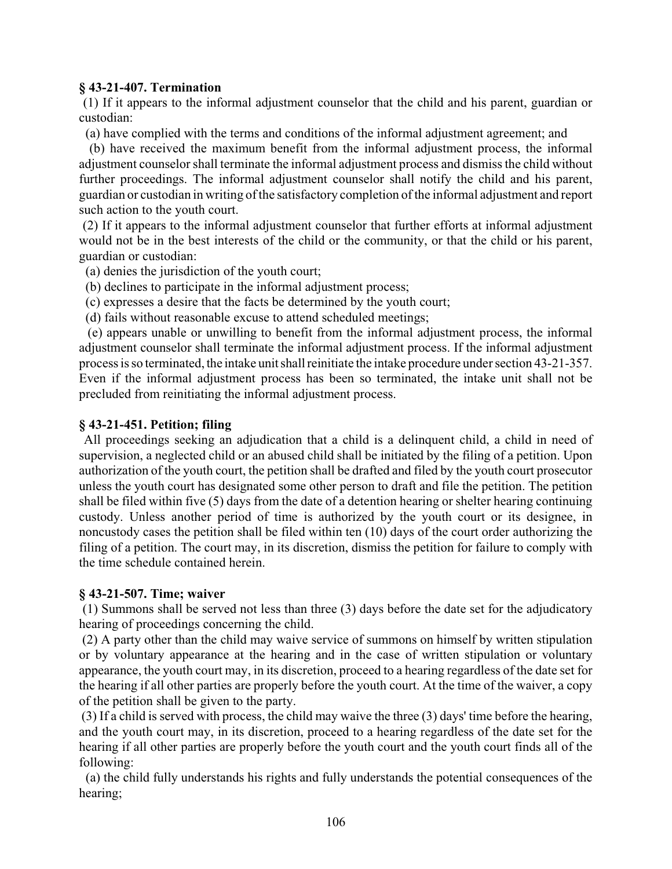### **§ 43-21-407. Termination**

 (1) If it appears to the informal adjustment counselor that the child and his parent, guardian or custodian:

(a) have complied with the terms and conditions of the informal adjustment agreement; and

 (b) have received the maximum benefit from the informal adjustment process, the informal adjustment counselor shall terminate the informal adjustment process and dismiss the child without further proceedings. The informal adjustment counselor shall notify the child and his parent, guardian or custodian in writing of the satisfactory completion of the informal adjustment and report such action to the youth court.

 (2) If it appears to the informal adjustment counselor that further efforts at informal adjustment would not be in the best interests of the child or the community, or that the child or his parent, guardian or custodian:

(a) denies the jurisdiction of the youth court;

(b) declines to participate in the informal adjustment process;

(c) expresses a desire that the facts be determined by the youth court;

(d) fails without reasonable excuse to attend scheduled meetings;

 (e) appears unable or unwilling to benefit from the informal adjustment process, the informal adjustment counselor shall terminate the informal adjustment process. If the informal adjustment process is so terminated, the intake unit shall reinitiate the intake procedure under section 43-21-357. Even if the informal adjustment process has been so terminated, the intake unit shall not be precluded from reinitiating the informal adjustment process.

### **§ 43-21-451. Petition; filing**

 All proceedings seeking an adjudication that a child is a delinquent child, a child in need of supervision, a neglected child or an abused child shall be initiated by the filing of a petition. Upon authorization of the youth court, the petition shall be drafted and filed by the youth court prosecutor unless the youth court has designated some other person to draft and file the petition. The petition shall be filed within five (5) days from the date of a detention hearing or shelter hearing continuing custody. Unless another period of time is authorized by the youth court or its designee, in noncustody cases the petition shall be filed within ten (10) days of the court order authorizing the filing of a petition. The court may, in its discretion, dismiss the petition for failure to comply with the time schedule contained herein.

## **§ 43-21-507. Time; waiver**

 (1) Summons shall be served not less than three (3) days before the date set for the adjudicatory hearing of proceedings concerning the child.

 (2) A party other than the child may waive service of summons on himself by written stipulation or by voluntary appearance at the hearing and in the case of written stipulation or voluntary appearance, the youth court may, in its discretion, proceed to a hearing regardless of the date set for the hearing if all other parties are properly before the youth court. At the time of the waiver, a copy of the petition shall be given to the party.

 (3) If a child is served with process, the child may waive the three (3) days' time before the hearing, and the youth court may, in its discretion, proceed to a hearing regardless of the date set for the hearing if all other parties are properly before the youth court and the youth court finds all of the following:

 (a) the child fully understands his rights and fully understands the potential consequences of the hearing;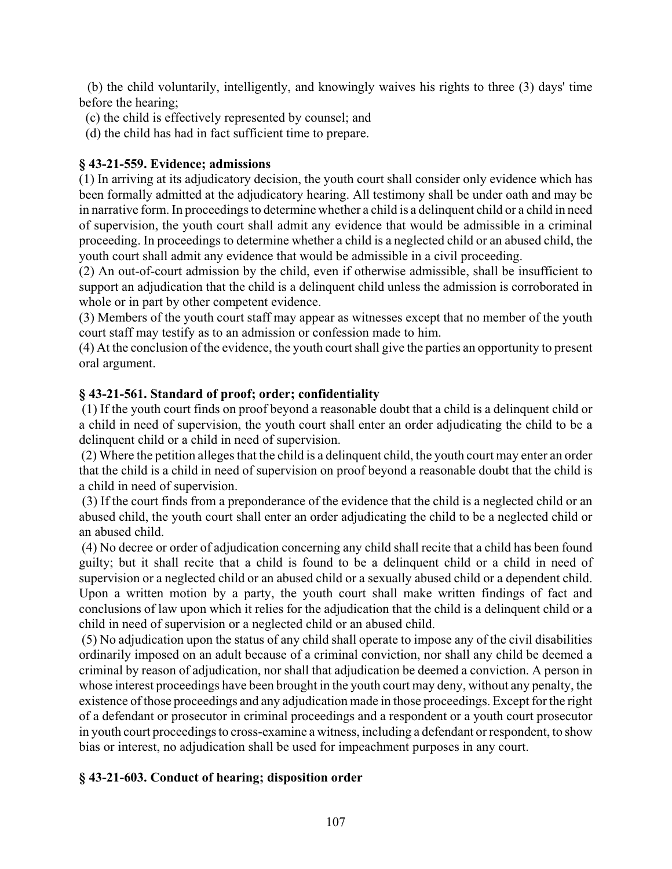(b) the child voluntarily, intelligently, and knowingly waives his rights to three (3) days' time before the hearing;

- (c) the child is effectively represented by counsel; and
- (d) the child has had in fact sufficient time to prepare.

## **§ 43-21-559. Evidence; admissions**

(1) In arriving at its adjudicatory decision, the youth court shall consider only evidence which has been formally admitted at the adjudicatory hearing. All testimony shall be under oath and may be in narrative form. In proceedings to determine whether a child is a delinquent child or a child in need of supervision, the youth court shall admit any evidence that would be admissible in a criminal proceeding. In proceedings to determine whether a child is a neglected child or an abused child, the youth court shall admit any evidence that would be admissible in a civil proceeding.

(2) An out-of-court admission by the child, even if otherwise admissible, shall be insufficient to support an adjudication that the child is a delinquent child unless the admission is corroborated in whole or in part by other competent evidence.

(3) Members of the youth court staff may appear as witnesses except that no member of the youth court staff may testify as to an admission or confession made to him.

(4) At the conclusion of the evidence, the youth court shall give the parties an opportunity to present oral argument.

## **§ 43-21-561. Standard of proof; order; confidentiality**

 (1) If the youth court finds on proof beyond a reasonable doubt that a child is a delinquent child or a child in need of supervision, the youth court shall enter an order adjudicating the child to be a delinquent child or a child in need of supervision.

 (2) Where the petition alleges that the child is a delinquent child, the youth court may enter an order that the child is a child in need of supervision on proof beyond a reasonable doubt that the child is a child in need of supervision.

 (3) If the court finds from a preponderance of the evidence that the child is a neglected child or an abused child, the youth court shall enter an order adjudicating the child to be a neglected child or an abused child.

 (4) No decree or order of adjudication concerning any child shall recite that a child has been found guilty; but it shall recite that a child is found to be a delinquent child or a child in need of supervision or a neglected child or an abused child or a sexually abused child or a dependent child. Upon a written motion by a party, the youth court shall make written findings of fact and conclusions of law upon which it relies for the adjudication that the child is a delinquent child or a child in need of supervision or a neglected child or an abused child.

 (5) No adjudication upon the status of any child shall operate to impose any of the civil disabilities ordinarily imposed on an adult because of a criminal conviction, nor shall any child be deemed a criminal by reason of adjudication, nor shall that adjudication be deemed a conviction. A person in whose interest proceedings have been brought in the youth court may deny, without any penalty, the existence of those proceedings and any adjudication made in those proceedings. Except for the right of a defendant or prosecutor in criminal proceedings and a respondent or a youth court prosecutor in youth court proceedings to cross-examine a witness, including a defendant or respondent, to show bias or interest, no adjudication shall be used for impeachment purposes in any court.

# **§ 43-21-603. Conduct of hearing; disposition order**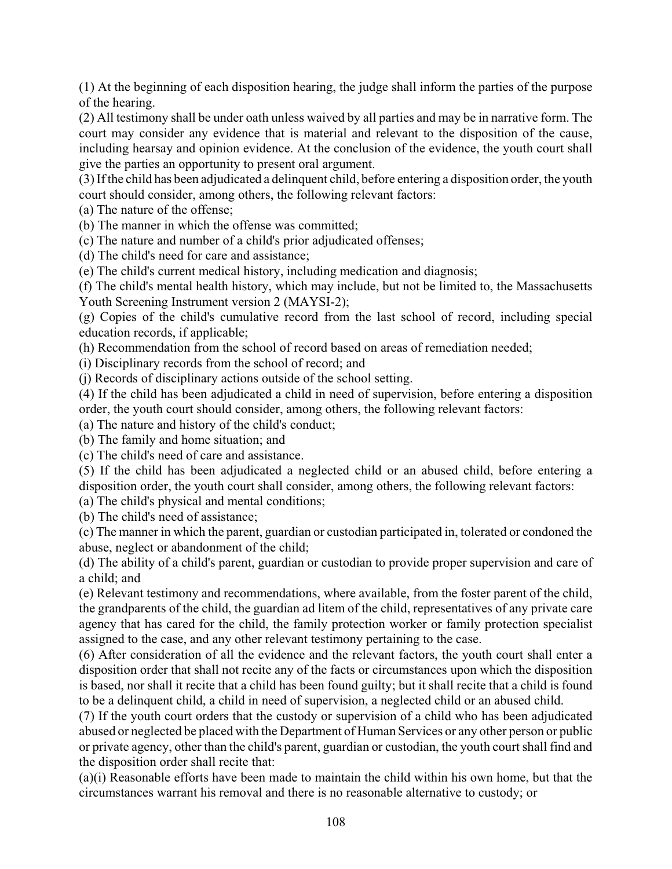(1) At the beginning of each disposition hearing, the judge shall inform the parties of the purpose of the hearing.

(2) All testimony shall be under oath unless waived by all parties and may be in narrative form. The court may consider any evidence that is material and relevant to the disposition of the cause, including hearsay and opinion evidence. At the conclusion of the evidence, the youth court shall give the parties an opportunity to present oral argument.

(3) If the child has been adjudicated a delinquent child, before entering a disposition order, the youth court should consider, among others, the following relevant factors:

(a) The nature of the offense;

(b) The manner in which the offense was committed;

(c) The nature and number of a child's prior adjudicated offenses;

(d) The child's need for care and assistance;

(e) The child's current medical history, including medication and diagnosis;

(f) The child's mental health history, which may include, but not be limited to, the Massachusetts Youth Screening Instrument version 2 (MAYSI-2);

(g) Copies of the child's cumulative record from the last school of record, including special education records, if applicable;

(h) Recommendation from the school of record based on areas of remediation needed;

(i) Disciplinary records from the school of record; and

(j) Records of disciplinary actions outside of the school setting.

(4) If the child has been adjudicated a child in need of supervision, before entering a disposition order, the youth court should consider, among others, the following relevant factors:

(a) The nature and history of the child's conduct;

(b) The family and home situation; and

(c) The child's need of care and assistance.

(5) If the child has been adjudicated a neglected child or an abused child, before entering a disposition order, the youth court shall consider, among others, the following relevant factors:

(a) The child's physical and mental conditions;

(b) The child's need of assistance;

(c) The manner in which the parent, guardian or custodian participated in, tolerated or condoned the abuse, neglect or abandonment of the child;

(d) The ability of a child's parent, guardian or custodian to provide proper supervision and care of a child; and

(e) Relevant testimony and recommendations, where available, from the foster parent of the child, the grandparents of the child, the guardian ad litem of the child, representatives of any private care agency that has cared for the child, the family protection worker or family protection specialist assigned to the case, and any other relevant testimony pertaining to the case.

(6) After consideration of all the evidence and the relevant factors, the youth court shall enter a disposition order that shall not recite any of the facts or circumstances upon which the disposition is based, nor shall it recite that a child has been found guilty; but it shall recite that a child is found to be a delinquent child, a child in need of supervision, a neglected child or an abused child.

(7) If the youth court orders that the custody or supervision of a child who has been adjudicated abused or neglected be placed with the Department of Human Services or any other person or public or private agency, other than the child's parent, guardian or custodian, the youth court shall find and the disposition order shall recite that:

(a)(i) Reasonable efforts have been made to maintain the child within his own home, but that the circumstances warrant his removal and there is no reasonable alternative to custody; or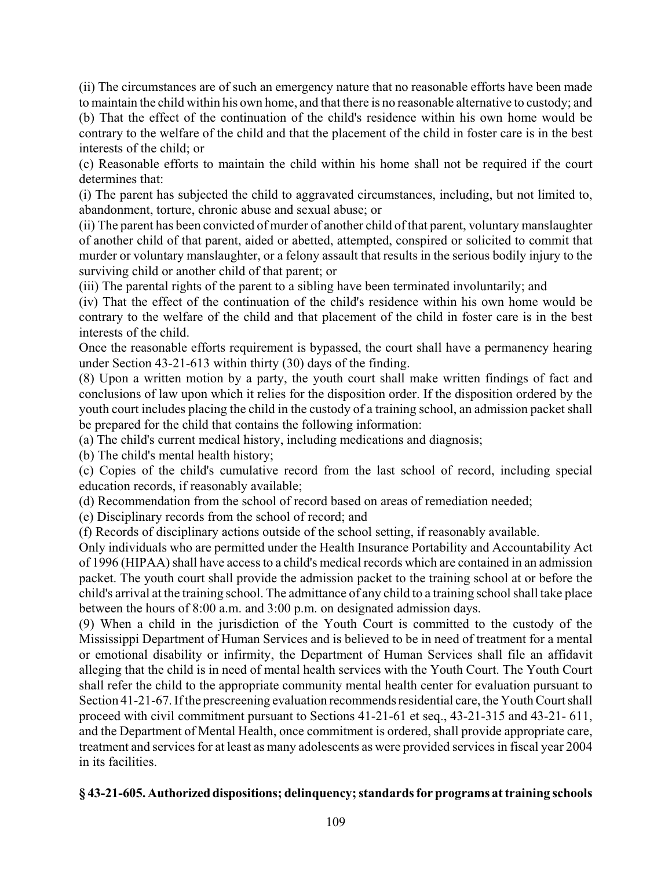(ii) The circumstances are of such an emergency nature that no reasonable efforts have been made to maintain the child within his own home, and that there is no reasonable alternative to custody; and (b) That the effect of the continuation of the child's residence within his own home would be contrary to the welfare of the child and that the placement of the child in foster care is in the best interests of the child; or

(c) Reasonable efforts to maintain the child within his home shall not be required if the court determines that:

(i) The parent has subjected the child to aggravated circumstances, including, but not limited to, abandonment, torture, chronic abuse and sexual abuse; or

(ii) The parent has been convicted of murder of another child of that parent, voluntary manslaughter of another child of that parent, aided or abetted, attempted, conspired or solicited to commit that murder or voluntary manslaughter, or a felony assault that results in the serious bodily injury to the surviving child or another child of that parent; or

(iii) The parental rights of the parent to a sibling have been terminated involuntarily; and

(iv) That the effect of the continuation of the child's residence within his own home would be contrary to the welfare of the child and that placement of the child in foster care is in the best interests of the child.

Once the reasonable efforts requirement is bypassed, the court shall have a permanency hearing under Section 43-21-613 within thirty (30) days of the finding.

(8) Upon a written motion by a party, the youth court shall make written findings of fact and conclusions of law upon which it relies for the disposition order. If the disposition ordered by the youth court includes placing the child in the custody of a training school, an admission packet shall be prepared for the child that contains the following information:

(a) The child's current medical history, including medications and diagnosis;

(b) The child's mental health history;

(c) Copies of the child's cumulative record from the last school of record, including special education records, if reasonably available;

(d) Recommendation from the school of record based on areas of remediation needed;

(e) Disciplinary records from the school of record; and

(f) Records of disciplinary actions outside of the school setting, if reasonably available.

Only individuals who are permitted under the Health Insurance Portability and Accountability Act of 1996 (HIPAA) shall have access to a child's medical records which are contained in an admission packet. The youth court shall provide the admission packet to the training school at or before the child's arrival at the training school. The admittance of any child to a training school shall take place between the hours of 8:00 a.m. and 3:00 p.m. on designated admission days.

(9) When a child in the jurisdiction of the Youth Court is committed to the custody of the Mississippi Department of Human Services and is believed to be in need of treatment for a mental or emotional disability or infirmity, the Department of Human Services shall file an affidavit alleging that the child is in need of mental health services with the Youth Court. The Youth Court shall refer the child to the appropriate community mental health center for evaluation pursuant to Section 41-21-67. If the prescreening evaluation recommends residential care, the Youth Court shall proceed with civil commitment pursuant to Sections 41-21-61 et seq., 43-21-315 and 43-21- 611, and the Department of Mental Health, once commitment is ordered, shall provide appropriate care, treatment and services for at least as many adolescents as were provided services in fiscal year 2004 in its facilities.

## **§ 43-21-605. Authorized dispositions; delinquency; standards for programs at training schools**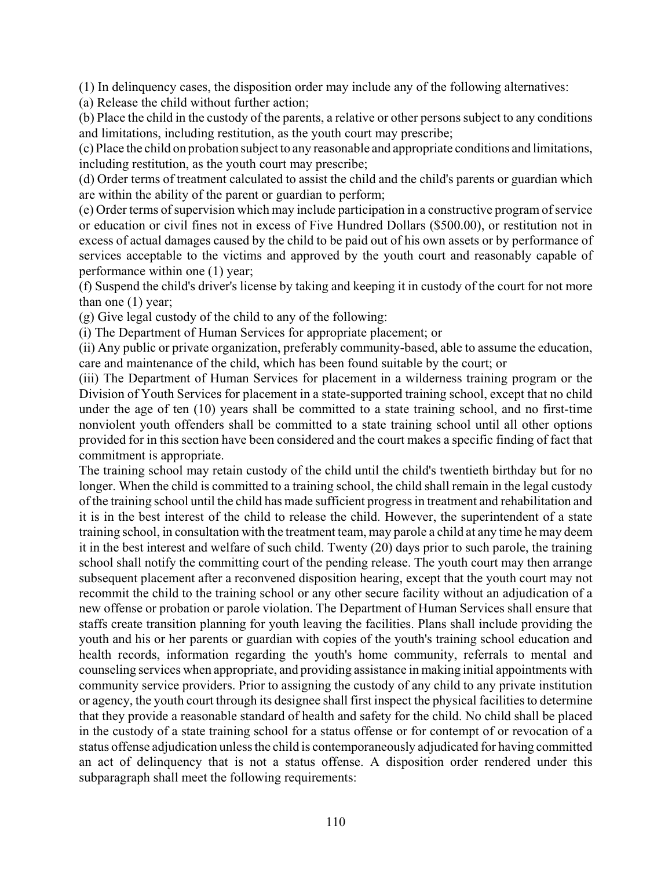(1) In delinquency cases, the disposition order may include any of the following alternatives:

(a) Release the child without further action;

(b) Place the child in the custody of the parents, a relative or other persons subject to any conditions and limitations, including restitution, as the youth court may prescribe;

(c) Place the child on probation subject to any reasonable and appropriate conditions and limitations, including restitution, as the youth court may prescribe;

(d) Order terms of treatment calculated to assist the child and the child's parents or guardian which are within the ability of the parent or guardian to perform;

(e) Order terms of supervision which may include participation in a constructive program of service or education or civil fines not in excess of Five Hundred Dollars (\$500.00), or restitution not in excess of actual damages caused by the child to be paid out of his own assets or by performance of services acceptable to the victims and approved by the youth court and reasonably capable of performance within one (1) year;

(f) Suspend the child's driver's license by taking and keeping it in custody of the court for not more than one (1) year;

(g) Give legal custody of the child to any of the following:

(i) The Department of Human Services for appropriate placement; or

(ii) Any public or private organization, preferably community-based, able to assume the education, care and maintenance of the child, which has been found suitable by the court; or

(iii) The Department of Human Services for placement in a wilderness training program or the Division of Youth Services for placement in a state-supported training school, except that no child under the age of ten (10) years shall be committed to a state training school, and no first-time nonviolent youth offenders shall be committed to a state training school until all other options provided for in this section have been considered and the court makes a specific finding of fact that commitment is appropriate.

The training school may retain custody of the child until the child's twentieth birthday but for no longer. When the child is committed to a training school, the child shall remain in the legal custody of the training school until the child has made sufficient progress in treatment and rehabilitation and it is in the best interest of the child to release the child. However, the superintendent of a state training school, in consultation with the treatment team, may parole a child at any time he may deem it in the best interest and welfare of such child. Twenty (20) days prior to such parole, the training school shall notify the committing court of the pending release. The youth court may then arrange subsequent placement after a reconvened disposition hearing, except that the youth court may not recommit the child to the training school or any other secure facility without an adjudication of a new offense or probation or parole violation. The Department of Human Services shall ensure that staffs create transition planning for youth leaving the facilities. Plans shall include providing the youth and his or her parents or guardian with copies of the youth's training school education and health records, information regarding the youth's home community, referrals to mental and counseling services when appropriate, and providing assistance in making initial appointments with community service providers. Prior to assigning the custody of any child to any private institution or agency, the youth court through its designee shall first inspect the physical facilities to determine that they provide a reasonable standard of health and safety for the child. No child shall be placed in the custody of a state training school for a status offense or for contempt of or revocation of a status offense adjudication unless the child is contemporaneously adjudicated for having committed an act of delinquency that is not a status offense. A disposition order rendered under this subparagraph shall meet the following requirements: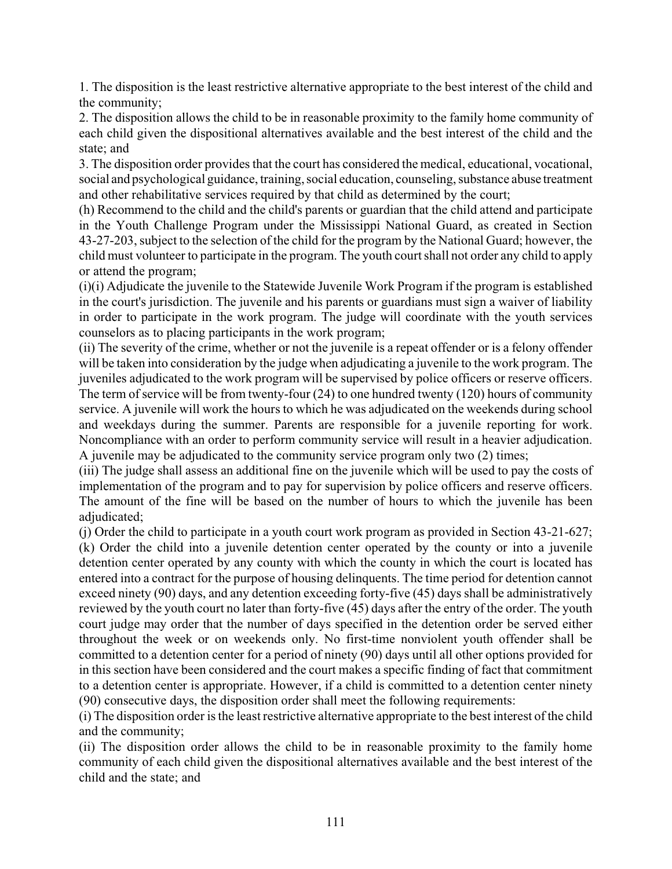1. The disposition is the least restrictive alternative appropriate to the best interest of the child and the community;

2. The disposition allows the child to be in reasonable proximity to the family home community of each child given the dispositional alternatives available and the best interest of the child and the state; and

3. The disposition order provides that the court has considered the medical, educational, vocational, social and psychological guidance, training, social education, counseling, substance abuse treatment and other rehabilitative services required by that child as determined by the court;

(h) Recommend to the child and the child's parents or guardian that the child attend and participate in the Youth Challenge Program under the Mississippi National Guard, as created in Section 43-27-203, subject to the selection of the child for the program by the National Guard; however, the child must volunteer to participate in the program. The youth court shall not order any child to apply or attend the program;

(i)(i) Adjudicate the juvenile to the Statewide Juvenile Work Program if the program is established in the court's jurisdiction. The juvenile and his parents or guardians must sign a waiver of liability in order to participate in the work program. The judge will coordinate with the youth services counselors as to placing participants in the work program;

(ii) The severity of the crime, whether or not the juvenile is a repeat offender or is a felony offender will be taken into consideration by the judge when adjudicating a juvenile to the work program. The juveniles adjudicated to the work program will be supervised by police officers or reserve officers. The term of service will be from twenty-four (24) to one hundred twenty (120) hours of community service. A juvenile will work the hours to which he was adjudicated on the weekends during school and weekdays during the summer. Parents are responsible for a juvenile reporting for work. Noncompliance with an order to perform community service will result in a heavier adjudication. A juvenile may be adjudicated to the community service program only two (2) times;

(iii) The judge shall assess an additional fine on the juvenile which will be used to pay the costs of implementation of the program and to pay for supervision by police officers and reserve officers. The amount of the fine will be based on the number of hours to which the juvenile has been adjudicated:

(j) Order the child to participate in a youth court work program as provided in Section 43-21-627; (k) Order the child into a juvenile detention center operated by the county or into a juvenile detention center operated by any county with which the county in which the court is located has entered into a contract for the purpose of housing delinquents. The time period for detention cannot exceed ninety (90) days, and any detention exceeding forty-five (45) days shall be administratively reviewed by the youth court no later than forty-five (45) days after the entry of the order. The youth court judge may order that the number of days specified in the detention order be served either throughout the week or on weekends only. No first-time nonviolent youth offender shall be committed to a detention center for a period of ninety (90) days until all other options provided for in this section have been considered and the court makes a specific finding of fact that commitment to a detention center is appropriate. However, if a child is committed to a detention center ninety (90) consecutive days, the disposition order shall meet the following requirements:

(i) The disposition order is the least restrictive alternative appropriate to the best interest of the child and the community;

(ii) The disposition order allows the child to be in reasonable proximity to the family home community of each child given the dispositional alternatives available and the best interest of the child and the state; and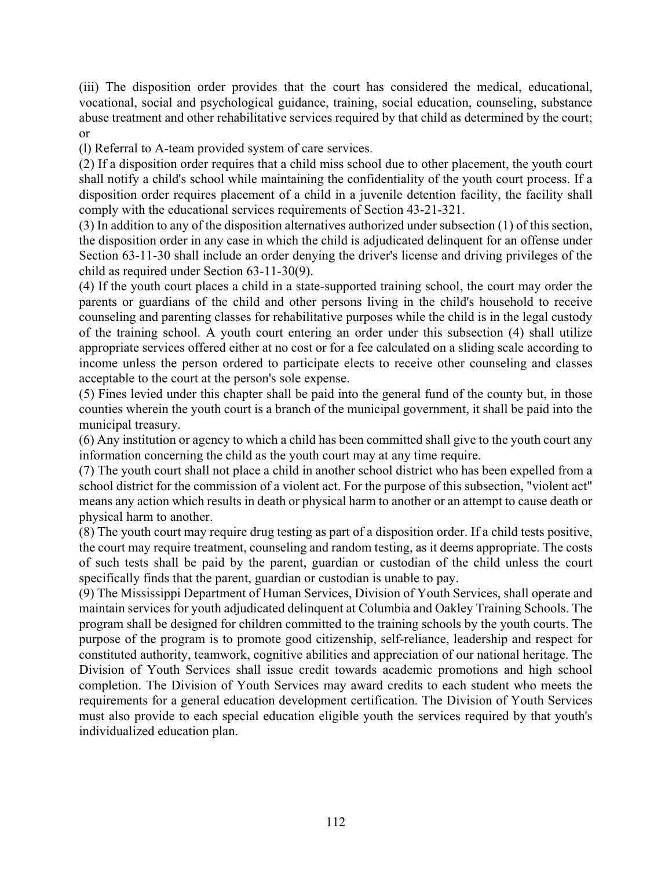(iii) The disposition order provides that the court has considered the medical, educational, vocational, social and psychological guidance, training, social education, counseling, substance abuse treatment and other rehabilitative services required by that child as determined by the court; or

(l) Referral to A-team provided system of care services.

(2) If a disposition order requires that a child miss school due to other placement, the youth court shall notify a child's school while maintaining the confidentiality of the youth court process. If a disposition order requires placement of a child in a juvenile detention facility, the facility shall comply with the educational services requirements of Section 43-21-321.

(3) In addition to any of the disposition alternatives authorized under subsection (1) of this section, the disposition order in any case in which the child is adjudicated delinquent for an offense under Section 63-11-30 shall include an order denying the driver's license and driving privileges of the child as required under Section 63-11-30(9).

(4) If the youth court places a child in a state-supported training school, the court may order the parents or guardians of the child and other persons living in the child's household to receive counseling and parenting classes for rehabilitative purposes while the child is in the legal custody of the training school. A youth court entering an order under this subsection (4) shall utilize appropriate services offered either at no cost or for a fee calculated on a sliding scale according to income unless the person ordered to participate elects to receive other counseling and classes acceptable to the court at the person's sole expense.

(5) Fines levied under this chapter shall be paid into the general fund of the county but, in those counties wherein the youth court is a branch of the municipal government, it shall be paid into the municipal treasury.

(6) Any institution or agency to which a child has been committed shall give to the youth court any information concerning the child as the youth court may at any time require.

(7) The youth court shall not place a child in another school district who has been expelled from a school district for the commission of a violent act. For the purpose of this subsection, "violent act" means any action which results in death or physical harm to another or an attempt to cause death or physical harm to another.

(8) The youth court may require drug testing as part of a disposition order. If a child tests positive, the court may require treatment, counseling and random testing, as it deems appropriate. The costs of such tests shall be paid by the parent, guardian or custodian of the child unless the court specifically finds that the parent, guardian or custodian is unable to pay.

(9) The Mississippi Department of Human Services, Division of Youth Services, shall operate and maintain services for youth adjudicated delinquent at Columbia and Oakley Training Schools. The program shall be designed for children committed to the training schools by the youth courts. The purpose of the program is to promote good citizenship, self-reliance, leadership and respect for constituted authority, teamwork, cognitive abilities and appreciation of our national heritage. The Division of Youth Services shall issue credit towards academic promotions and high school completion. The Division of Youth Services may award credits to each student who meets the requirements for a general education development certification. The Division of Youth Services must also provide to each special education eligible youth the services required by that youth's individualized education plan.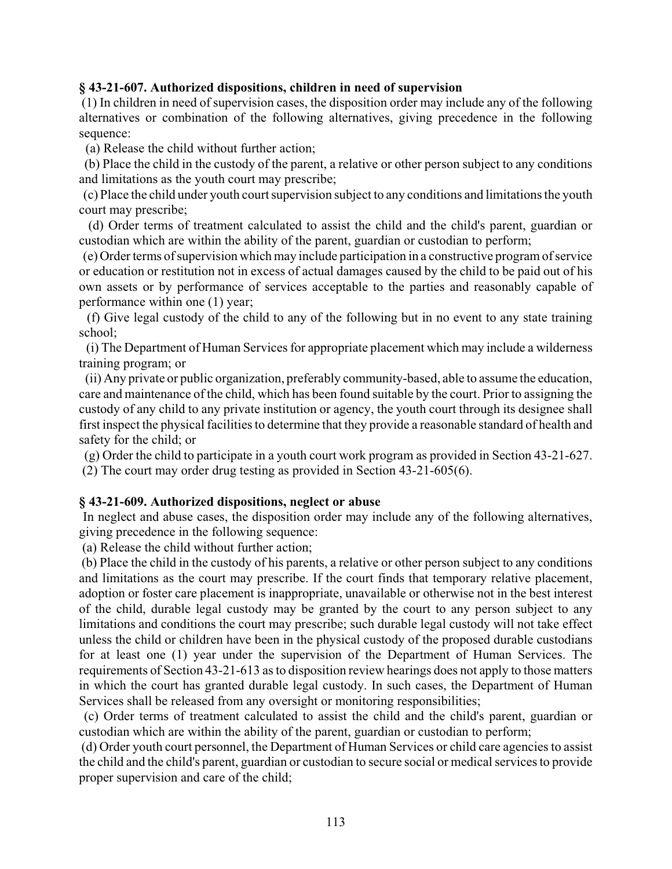#### **§ 43-21-607. Authorized dispositions, children in need of supervision**

 (1) In children in need of supervision cases, the disposition order may include any of the following alternatives or combination of the following alternatives, giving precedence in the following sequence:

(a) Release the child without further action;

 (b) Place the child in the custody of the parent, a relative or other person subject to any conditions and limitations as the youth court may prescribe;

 (c) Place the child under youth court supervision subject to any conditions and limitations the youth court may prescribe;

 (d) Order terms of treatment calculated to assist the child and the child's parent, guardian or custodian which are within the ability of the parent, guardian or custodian to perform;

 (e) Order terms of supervision which may include participation in a constructive program of service or education or restitution not in excess of actual damages caused by the child to be paid out of his own assets or by performance of services acceptable to the parties and reasonably capable of performance within one (1) year;

 (f) Give legal custody of the child to any of the following but in no event to any state training school;

 (i) The Department of Human Services for appropriate placement which may include a wilderness training program; or

 (ii) Any private or public organization, preferably community-based, able to assume the education, care and maintenance of the child, which has been found suitable by the court. Prior to assigning the custody of any child to any private institution or agency, the youth court through its designee shall first inspect the physical facilities to determine that they provide a reasonable standard of health and safety for the child; or

 (g) Order the child to participate in a youth court work program as provided in Section 43-21-627. (2) The court may order drug testing as provided in Section 43-21-605(6).

## **§ 43-21-609. Authorized dispositions, neglect or abuse**

 In neglect and abuse cases, the disposition order may include any of the following alternatives, giving precedence in the following sequence:

(a) Release the child without further action;

 (b) Place the child in the custody of his parents, a relative or other person subject to any conditions and limitations as the court may prescribe. If the court finds that temporary relative placement, adoption or foster care placement is inappropriate, unavailable or otherwise not in the best interest of the child, durable legal custody may be granted by the court to any person subject to any limitations and conditions the court may prescribe; such durable legal custody will not take effect unless the child or children have been in the physical custody of the proposed durable custodians for at least one (1) year under the supervision of the Department of Human Services. The requirements of Section 43-21-613 as to disposition review hearings does not apply to those matters in which the court has granted durable legal custody. In such cases, the Department of Human Services shall be released from any oversight or monitoring responsibilities;

 (c) Order terms of treatment calculated to assist the child and the child's parent, guardian or custodian which are within the ability of the parent, guardian or custodian to perform;

 (d) Order youth court personnel, the Department of Human Services or child care agencies to assist the child and the child's parent, guardian or custodian to secure social or medical services to provide proper supervision and care of the child;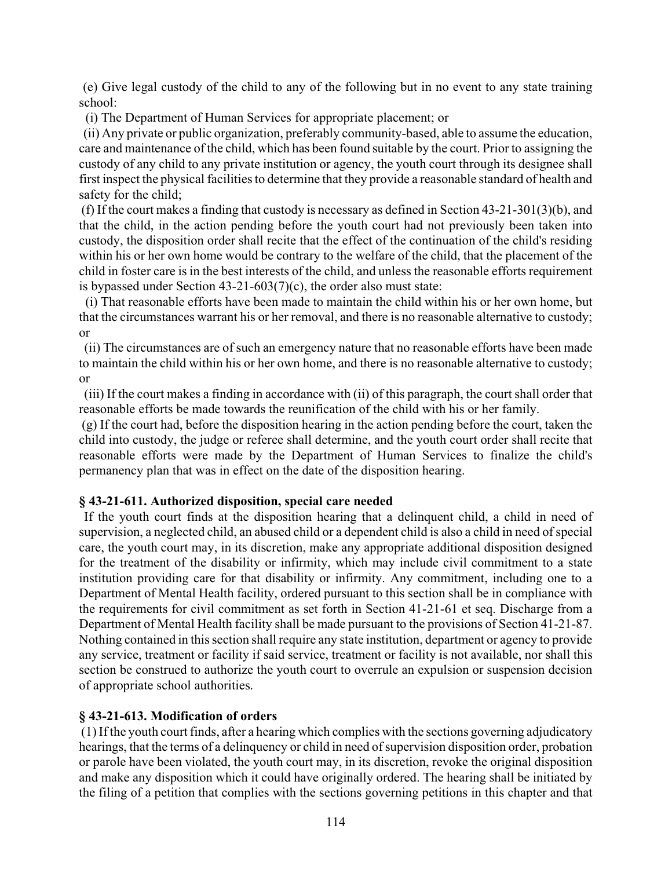(e) Give legal custody of the child to any of the following but in no event to any state training school:

(i) The Department of Human Services for appropriate placement; or

 (ii) Any private or public organization, preferably community-based, able to assume the education, care and maintenance of the child, which has been found suitable by the court. Prior to assigning the custody of any child to any private institution or agency, the youth court through its designee shall first inspect the physical facilities to determine that they provide a reasonable standard of health and safety for the child;

 (f) If the court makes a finding that custody is necessary as defined in Section 43-21-301(3)(b), and that the child, in the action pending before the youth court had not previously been taken into custody, the disposition order shall recite that the effect of the continuation of the child's residing within his or her own home would be contrary to the welfare of the child, that the placement of the child in foster care is in the best interests of the child, and unless the reasonable efforts requirement is bypassed under Section 43-21-603(7)(c), the order also must state:

 (i) That reasonable efforts have been made to maintain the child within his or her own home, but that the circumstances warrant his or her removal, and there is no reasonable alternative to custody; or

 (ii) The circumstances are of such an emergency nature that no reasonable efforts have been made to maintain the child within his or her own home, and there is no reasonable alternative to custody; or

 (iii) If the court makes a finding in accordance with (ii) of this paragraph, the court shall order that reasonable efforts be made towards the reunification of the child with his or her family.

 (g) If the court had, before the disposition hearing in the action pending before the court, taken the child into custody, the judge or referee shall determine, and the youth court order shall recite that reasonable efforts were made by the Department of Human Services to finalize the child's permanency plan that was in effect on the date of the disposition hearing.

## **§ 43-21-611. Authorized disposition, special care needed**

 If the youth court finds at the disposition hearing that a delinquent child, a child in need of supervision, a neglected child, an abused child or a dependent child is also a child in need of special care, the youth court may, in its discretion, make any appropriate additional disposition designed for the treatment of the disability or infirmity, which may include civil commitment to a state institution providing care for that disability or infirmity. Any commitment, including one to a Department of Mental Health facility, ordered pursuant to this section shall be in compliance with the requirements for civil commitment as set forth in Section 41-21-61 et seq. Discharge from a Department of Mental Health facility shall be made pursuant to the provisions of Section 41-21-87. Nothing contained in this section shall require any state institution, department or agency to provide any service, treatment or facility if said service, treatment or facility is not available, nor shall this section be construed to authorize the youth court to overrule an expulsion or suspension decision of appropriate school authorities.

## **§ 43-21-613. Modification of orders**

 (1) If the youth court finds, after a hearing which complies with the sections governing adjudicatory hearings, that the terms of a delinquency or child in need of supervision disposition order, probation or parole have been violated, the youth court may, in its discretion, revoke the original disposition and make any disposition which it could have originally ordered. The hearing shall be initiated by the filing of a petition that complies with the sections governing petitions in this chapter and that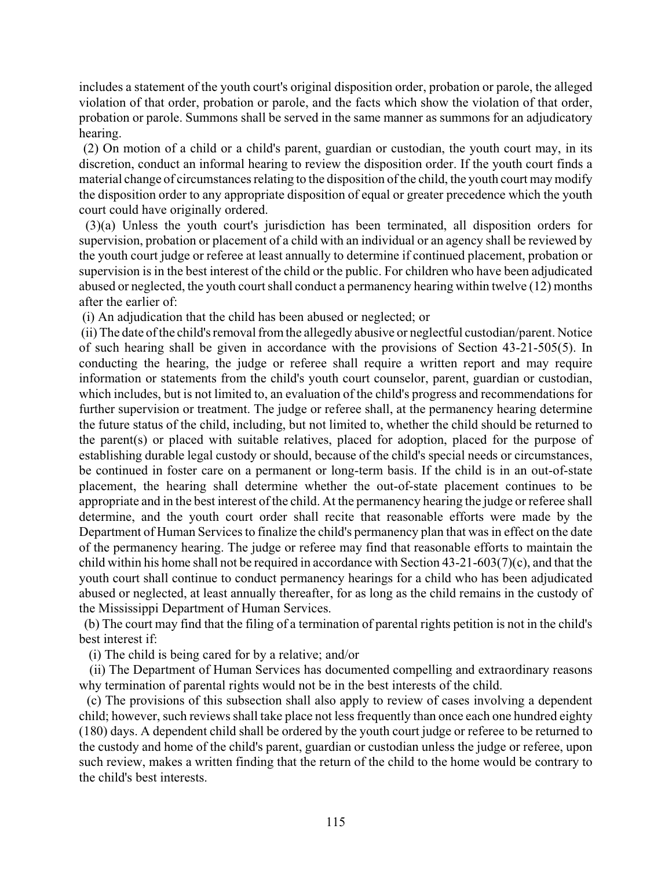includes a statement of the youth court's original disposition order, probation or parole, the alleged violation of that order, probation or parole, and the facts which show the violation of that order, probation or parole. Summons shall be served in the same manner as summons for an adjudicatory hearing.

 (2) On motion of a child or a child's parent, guardian or custodian, the youth court may, in its discretion, conduct an informal hearing to review the disposition order. If the youth court finds a material change of circumstances relating to the disposition of the child, the youth court may modify the disposition order to any appropriate disposition of equal or greater precedence which the youth court could have originally ordered.

 (3)(a) Unless the youth court's jurisdiction has been terminated, all disposition orders for supervision, probation or placement of a child with an individual or an agency shall be reviewed by the youth court judge or referee at least annually to determine if continued placement, probation or supervision is in the best interest of the child or the public. For children who have been adjudicated abused or neglected, the youth court shall conduct a permanency hearing within twelve (12) months after the earlier of:

(i) An adjudication that the child has been abused or neglected; or

 (ii) The date of the child's removal from the allegedly abusive or neglectful custodian/parent. Notice of such hearing shall be given in accordance with the provisions of Section 43-21-505(5). In conducting the hearing, the judge or referee shall require a written report and may require information or statements from the child's youth court counselor, parent, guardian or custodian, which includes, but is not limited to, an evaluation of the child's progress and recommendations for further supervision or treatment. The judge or referee shall, at the permanency hearing determine the future status of the child, including, but not limited to, whether the child should be returned to the parent(s) or placed with suitable relatives, placed for adoption, placed for the purpose of establishing durable legal custody or should, because of the child's special needs or circumstances, be continued in foster care on a permanent or long-term basis. If the child is in an out-of-state placement, the hearing shall determine whether the out-of-state placement continues to be appropriate and in the best interest of the child. At the permanency hearing the judge or referee shall determine, and the youth court order shall recite that reasonable efforts were made by the Department of Human Services to finalize the child's permanency plan that was in effect on the date of the permanency hearing. The judge or referee may find that reasonable efforts to maintain the child within his home shall not be required in accordance with Section 43-21-603(7)(c), and that the youth court shall continue to conduct permanency hearings for a child who has been adjudicated abused or neglected, at least annually thereafter, for as long as the child remains in the custody of the Mississippi Department of Human Services.

 (b) The court may find that the filing of a termination of parental rights petition is not in the child's best interest if:

(i) The child is being cared for by a relative; and/or

 (ii) The Department of Human Services has documented compelling and extraordinary reasons why termination of parental rights would not be in the best interests of the child.

 (c) The provisions of this subsection shall also apply to review of cases involving a dependent child; however, such reviews shall take place not less frequently than once each one hundred eighty (180) days. A dependent child shall be ordered by the youth court judge or referee to be returned to the custody and home of the child's parent, guardian or custodian unless the judge or referee, upon such review, makes a written finding that the return of the child to the home would be contrary to the child's best interests.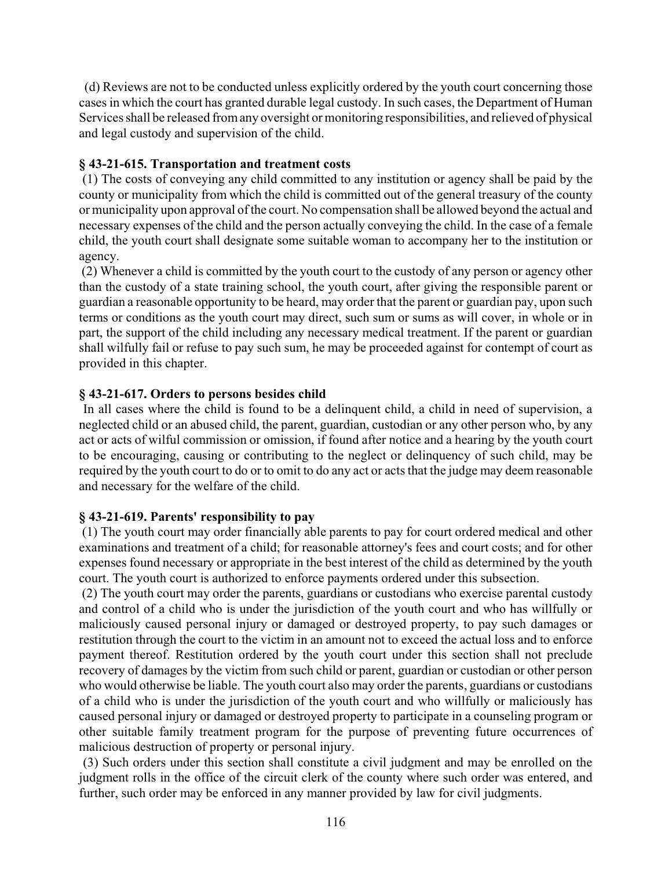(d) Reviews are not to be conducted unless explicitly ordered by the youth court concerning those cases in which the court has granted durable legal custody. In such cases, the Department of Human Services shall be released from any oversight or monitoring responsibilities, and relieved of physical and legal custody and supervision of the child.

## **§ 43-21-615. Transportation and treatment costs**

 (1) The costs of conveying any child committed to any institution or agency shall be paid by the county or municipality from which the child is committed out of the general treasury of the county or municipality upon approval of the court. No compensation shall be allowed beyond the actual and necessary expenses of the child and the person actually conveying the child. In the case of a female child, the youth court shall designate some suitable woman to accompany her to the institution or agency.

 (2) Whenever a child is committed by the youth court to the custody of any person or agency other than the custody of a state training school, the youth court, after giving the responsible parent or guardian a reasonable opportunity to be heard, may order that the parent or guardian pay, upon such terms or conditions as the youth court may direct, such sum or sums as will cover, in whole or in part, the support of the child including any necessary medical treatment. If the parent or guardian shall wilfully fail or refuse to pay such sum, he may be proceeded against for contempt of court as provided in this chapter.

## **§ 43-21-617. Orders to persons besides child**

 In all cases where the child is found to be a delinquent child, a child in need of supervision, a neglected child or an abused child, the parent, guardian, custodian or any other person who, by any act or acts of wilful commission or omission, if found after notice and a hearing by the youth court to be encouraging, causing or contributing to the neglect or delinquency of such child, may be required by the youth court to do or to omit to do any act or acts that the judge may deem reasonable and necessary for the welfare of the child.

## **§ 43-21-619. Parents' responsibility to pay**

 (1) The youth court may order financially able parents to pay for court ordered medical and other examinations and treatment of a child; for reasonable attorney's fees and court costs; and for other expenses found necessary or appropriate in the best interest of the child as determined by the youth court. The youth court is authorized to enforce payments ordered under this subsection.

 (2) The youth court may order the parents, guardians or custodians who exercise parental custody and control of a child who is under the jurisdiction of the youth court and who has willfully or maliciously caused personal injury or damaged or destroyed property, to pay such damages or restitution through the court to the victim in an amount not to exceed the actual loss and to enforce payment thereof. Restitution ordered by the youth court under this section shall not preclude recovery of damages by the victim from such child or parent, guardian or custodian or other person who would otherwise be liable. The youth court also may order the parents, guardians or custodians of a child who is under the jurisdiction of the youth court and who willfully or maliciously has caused personal injury or damaged or destroyed property to participate in a counseling program or other suitable family treatment program for the purpose of preventing future occurrences of malicious destruction of property or personal injury.

 (3) Such orders under this section shall constitute a civil judgment and may be enrolled on the judgment rolls in the office of the circuit clerk of the county where such order was entered, and further, such order may be enforced in any manner provided by law for civil judgments.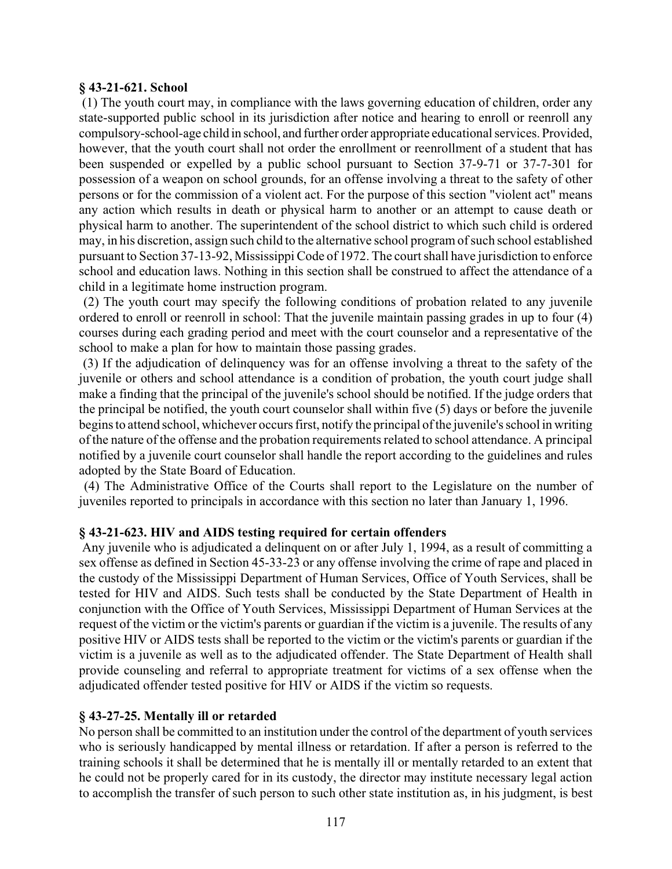#### **§ 43-21-621. School**

 (1) The youth court may, in compliance with the laws governing education of children, order any state-supported public school in its jurisdiction after notice and hearing to enroll or reenroll any compulsory-school-age child in school, and further order appropriate educational services. Provided, however, that the youth court shall not order the enrollment or reenrollment of a student that has been suspended or expelled by a public school pursuant to Section 37-9-71 or 37-7-301 for possession of a weapon on school grounds, for an offense involving a threat to the safety of other persons or for the commission of a violent act. For the purpose of this section "violent act" means any action which results in death or physical harm to another or an attempt to cause death or physical harm to another. The superintendent of the school district to which such child is ordered may, in his discretion, assign such child to the alternative school program of such school established pursuant to Section 37-13-92, Mississippi Code of 1972. The court shall have jurisdiction to enforce school and education laws. Nothing in this section shall be construed to affect the attendance of a child in a legitimate home instruction program.

 (2) The youth court may specify the following conditions of probation related to any juvenile ordered to enroll or reenroll in school: That the juvenile maintain passing grades in up to four (4) courses during each grading period and meet with the court counselor and a representative of the school to make a plan for how to maintain those passing grades.

 (3) If the adjudication of delinquency was for an offense involving a threat to the safety of the juvenile or others and school attendance is a condition of probation, the youth court judge shall make a finding that the principal of the juvenile's school should be notified. If the judge orders that the principal be notified, the youth court counselor shall within five (5) days or before the juvenile begins to attend school, whichever occurs first, notify the principal of the juvenile's school in writing of the nature of the offense and the probation requirements related to school attendance. A principal notified by a juvenile court counselor shall handle the report according to the guidelines and rules adopted by the State Board of Education.

 (4) The Administrative Office of the Courts shall report to the Legislature on the number of juveniles reported to principals in accordance with this section no later than January 1, 1996.

#### **§ 43-21-623. HIV and AIDS testing required for certain offenders**

 Any juvenile who is adjudicated a delinquent on or after July 1, 1994, as a result of committing a sex offense as defined in Section 45-33-23 or any offense involving the crime of rape and placed in the custody of the Mississippi Department of Human Services, Office of Youth Services, shall be tested for HIV and AIDS. Such tests shall be conducted by the State Department of Health in conjunction with the Office of Youth Services, Mississippi Department of Human Services at the request of the victim or the victim's parents or guardian if the victim is a juvenile. The results of any positive HIV or AIDS tests shall be reported to the victim or the victim's parents or guardian if the victim is a juvenile as well as to the adjudicated offender. The State Department of Health shall provide counseling and referral to appropriate treatment for victims of a sex offense when the adjudicated offender tested positive for HIV or AIDS if the victim so requests.

#### **§ 43-27-25. Mentally ill or retarded**

No person shall be committed to an institution under the control of the department of youth services who is seriously handicapped by mental illness or retardation. If after a person is referred to the training schools it shall be determined that he is mentally ill or mentally retarded to an extent that he could not be properly cared for in its custody, the director may institute necessary legal action to accomplish the transfer of such person to such other state institution as, in his judgment, is best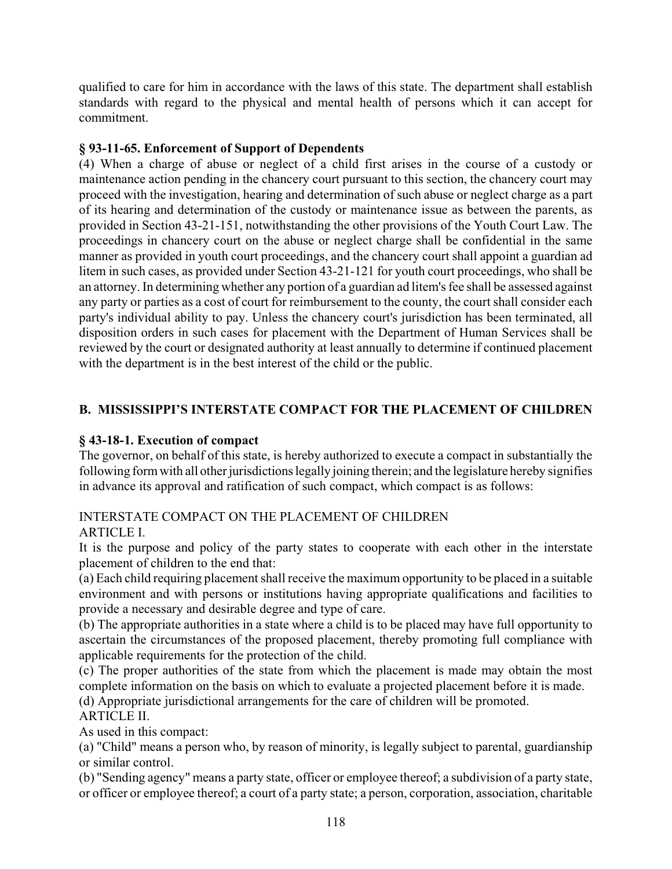qualified to care for him in accordance with the laws of this state. The department shall establish standards with regard to the physical and mental health of persons which it can accept for commitment.

## **§ 93-11-65. Enforcement of Support of Dependents**

(4) When a charge of abuse or neglect of a child first arises in the course of a custody or maintenance action pending in the chancery court pursuant to this section, the chancery court may proceed with the investigation, hearing and determination of such abuse or neglect charge as a part of its hearing and determination of the custody or maintenance issue as between the parents, as provided in Section 43-21-151, notwithstanding the other provisions of the Youth Court Law. The proceedings in chancery court on the abuse or neglect charge shall be confidential in the same manner as provided in youth court proceedings, and the chancery court shall appoint a guardian ad litem in such cases, as provided under Section 43-21-121 for youth court proceedings, who shall be an attorney. In determining whether any portion of a guardian ad litem's fee shall be assessed against any party or parties as a cost of court for reimbursement to the county, the court shall consider each party's individual ability to pay. Unless the chancery court's jurisdiction has been terminated, all disposition orders in such cases for placement with the Department of Human Services shall be reviewed by the court or designated authority at least annually to determine if continued placement with the department is in the best interest of the child or the public.

# **B. MISSISSIPPI'S INTERSTATE COMPACT FOR THE PLACEMENT OF CHILDREN**

## **§ 43-18-1. Execution of compact**

The governor, on behalf of this state, is hereby authorized to execute a compact in substantially the following form with all other jurisdictions legally joining therein; and the legislature hereby signifies in advance its approval and ratification of such compact, which compact is as follows:

#### INTERSTATE COMPACT ON THE PLACEMENT OF CHILDREN ARTICLE I.

It is the purpose and policy of the party states to cooperate with each other in the interstate placement of children to the end that:

(a) Each child requiring placement shall receive the maximum opportunity to be placed in a suitable environment and with persons or institutions having appropriate qualifications and facilities to provide a necessary and desirable degree and type of care.

(b) The appropriate authorities in a state where a child is to be placed may have full opportunity to ascertain the circumstances of the proposed placement, thereby promoting full compliance with applicable requirements for the protection of the child.

(c) The proper authorities of the state from which the placement is made may obtain the most complete information on the basis on which to evaluate a projected placement before it is made.

(d) Appropriate jurisdictional arrangements for the care of children will be promoted.

ARTICLE II.

As used in this compact:

(a) "Child" means a person who, by reason of minority, is legally subject to parental, guardianship or similar control.

(b) "Sending agency" means a party state, officer or employee thereof; a subdivision of a party state, or officer or employee thereof; a court of a party state; a person, corporation, association, charitable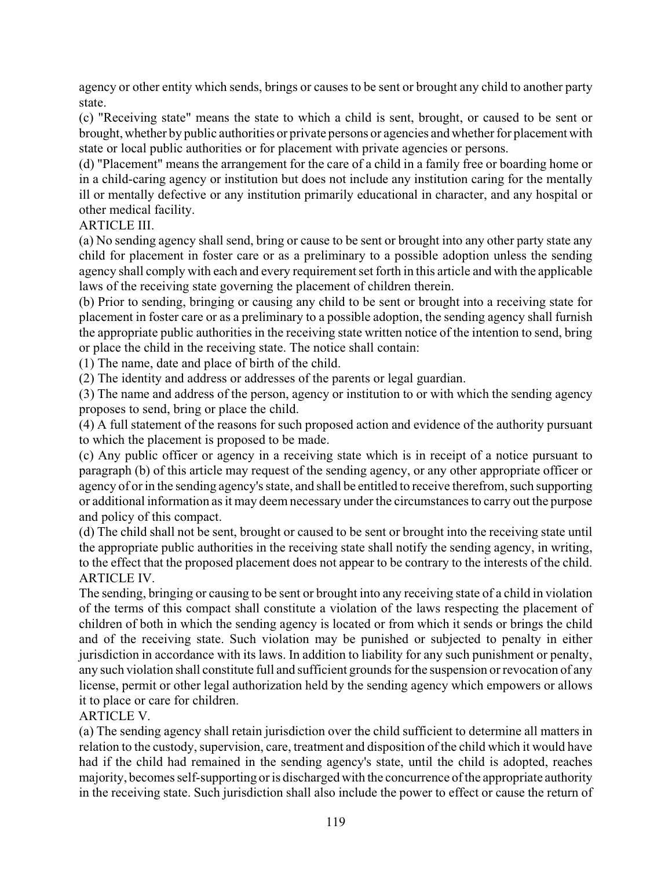agency or other entity which sends, brings or causes to be sent or brought any child to another party state.

(c) "Receiving state" means the state to which a child is sent, brought, or caused to be sent or brought, whether by public authorities or private persons or agencies and whether for placement with state or local public authorities or for placement with private agencies or persons.

(d) "Placement" means the arrangement for the care of a child in a family free or boarding home or in a child-caring agency or institution but does not include any institution caring for the mentally ill or mentally defective or any institution primarily educational in character, and any hospital or other medical facility.

ARTICLE III.

(a) No sending agency shall send, bring or cause to be sent or brought into any other party state any child for placement in foster care or as a preliminary to a possible adoption unless the sending agency shall comply with each and every requirement set forth in this article and with the applicable laws of the receiving state governing the placement of children therein.

(b) Prior to sending, bringing or causing any child to be sent or brought into a receiving state for placement in foster care or as a preliminary to a possible adoption, the sending agency shall furnish the appropriate public authorities in the receiving state written notice of the intention to send, bring or place the child in the receiving state. The notice shall contain:

(1) The name, date and place of birth of the child.

(2) The identity and address or addresses of the parents or legal guardian.

(3) The name and address of the person, agency or institution to or with which the sending agency proposes to send, bring or place the child.

(4) A full statement of the reasons for such proposed action and evidence of the authority pursuant to which the placement is proposed to be made.

(c) Any public officer or agency in a receiving state which is in receipt of a notice pursuant to paragraph (b) of this article may request of the sending agency, or any other appropriate officer or agency of or in the sending agency's state, and shall be entitled to receive therefrom, such supporting or additional information as it may deem necessary under the circumstances to carry out the purpose and policy of this compact.

(d) The child shall not be sent, brought or caused to be sent or brought into the receiving state until the appropriate public authorities in the receiving state shall notify the sending agency, in writing, to the effect that the proposed placement does not appear to be contrary to the interests of the child. ARTICLE IV.

The sending, bringing or causing to be sent or brought into any receiving state of a child in violation of the terms of this compact shall constitute a violation of the laws respecting the placement of children of both in which the sending agency is located or from which it sends or brings the child and of the receiving state. Such violation may be punished or subjected to penalty in either jurisdiction in accordance with its laws. In addition to liability for any such punishment or penalty, any such violation shall constitute full and sufficient grounds for the suspension or revocation of any license, permit or other legal authorization held by the sending agency which empowers or allows it to place or care for children.

ARTICLE V.

(a) The sending agency shall retain jurisdiction over the child sufficient to determine all matters in relation to the custody, supervision, care, treatment and disposition of the child which it would have had if the child had remained in the sending agency's state, until the child is adopted, reaches majority, becomes self-supporting or is discharged with the concurrence of the appropriate authority in the receiving state. Such jurisdiction shall also include the power to effect or cause the return of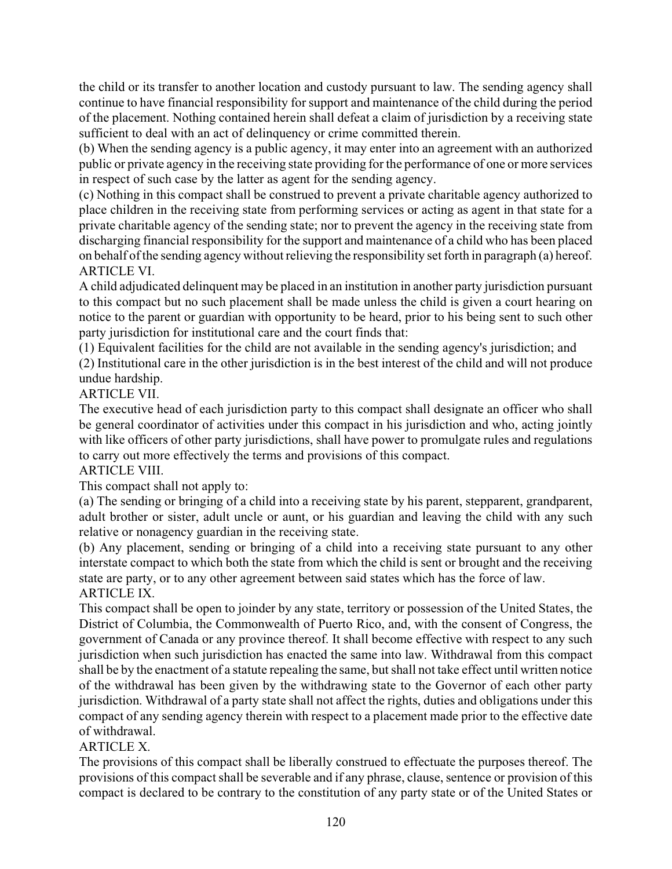the child or its transfer to another location and custody pursuant to law. The sending agency shall continue to have financial responsibility for support and maintenance of the child during the period of the placement. Nothing contained herein shall defeat a claim of jurisdiction by a receiving state sufficient to deal with an act of delinquency or crime committed therein.

(b) When the sending agency is a public agency, it may enter into an agreement with an authorized public or private agency in the receiving state providing for the performance of one or more services in respect of such case by the latter as agent for the sending agency.

(c) Nothing in this compact shall be construed to prevent a private charitable agency authorized to place children in the receiving state from performing services or acting as agent in that state for a private charitable agency of the sending state; nor to prevent the agency in the receiving state from discharging financial responsibility for the support and maintenance of a child who has been placed on behalf of the sending agency without relieving the responsibility set forth in paragraph (a) hereof. ARTICLE VI.

A child adjudicated delinquent may be placed in an institution in another party jurisdiction pursuant to this compact but no such placement shall be made unless the child is given a court hearing on notice to the parent or guardian with opportunity to be heard, prior to his being sent to such other party jurisdiction for institutional care and the court finds that:

(1) Equivalent facilities for the child are not available in the sending agency's jurisdiction; and (2) Institutional care in the other jurisdiction is in the best interest of the child and will not produce undue hardship.

ARTICLE VII.

The executive head of each jurisdiction party to this compact shall designate an officer who shall be general coordinator of activities under this compact in his jurisdiction and who, acting jointly with like officers of other party jurisdictions, shall have power to promulgate rules and regulations to carry out more effectively the terms and provisions of this compact.

## ARTICLE VIII.

This compact shall not apply to:

(a) The sending or bringing of a child into a receiving state by his parent, stepparent, grandparent, adult brother or sister, adult uncle or aunt, or his guardian and leaving the child with any such relative or nonagency guardian in the receiving state.

(b) Any placement, sending or bringing of a child into a receiving state pursuant to any other interstate compact to which both the state from which the child is sent or brought and the receiving state are party, or to any other agreement between said states which has the force of law. ARTICLE IX.

This compact shall be open to joinder by any state, territory or possession of the United States, the District of Columbia, the Commonwealth of Puerto Rico, and, with the consent of Congress, the government of Canada or any province thereof. It shall become effective with respect to any such jurisdiction when such jurisdiction has enacted the same into law. Withdrawal from this compact shall be by the enactment of a statute repealing the same, but shall not take effect until written notice of the withdrawal has been given by the withdrawing state to the Governor of each other party jurisdiction. Withdrawal of a party state shall not affect the rights, duties and obligations under this compact of any sending agency therein with respect to a placement made prior to the effective date of withdrawal.

## ARTICLE X.

The provisions of this compact shall be liberally construed to effectuate the purposes thereof. The provisions of this compact shall be severable and if any phrase, clause, sentence or provision of this compact is declared to be contrary to the constitution of any party state or of the United States or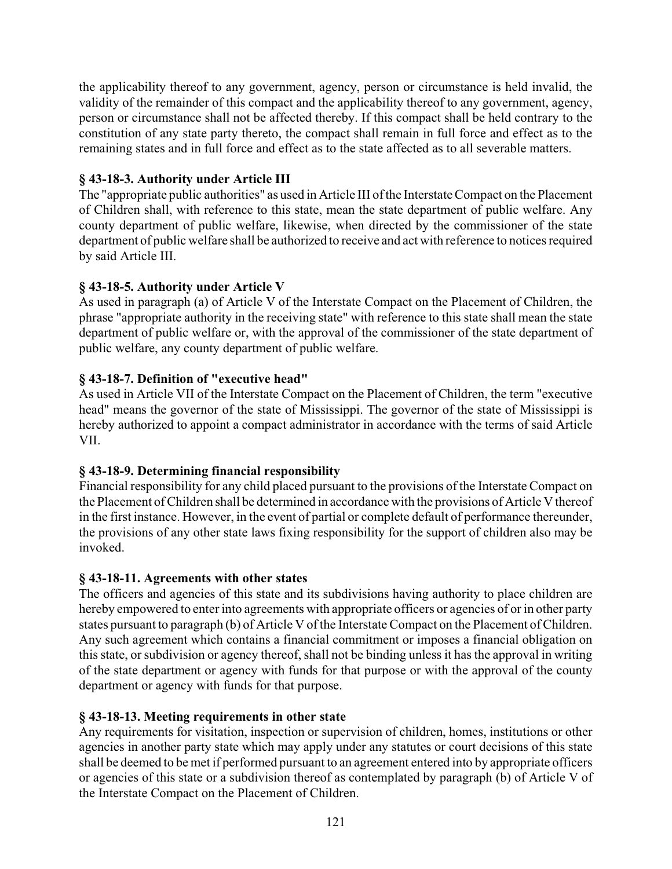the applicability thereof to any government, agency, person or circumstance is held invalid, the validity of the remainder of this compact and the applicability thereof to any government, agency, person or circumstance shall not be affected thereby. If this compact shall be held contrary to the constitution of any state party thereto, the compact shall remain in full force and effect as to the remaining states and in full force and effect as to the state affected as to all severable matters.

## **§ 43-18-3. Authority under Article III**

The "appropriate public authorities" as used in Article III of the Interstate Compact on the Placement of Children shall, with reference to this state, mean the state department of public welfare. Any county department of public welfare, likewise, when directed by the commissioner of the state department of public welfare shall be authorized to receive and act with reference to notices required by said Article III.

## **§ 43-18-5. Authority under Article V**

As used in paragraph (a) of Article V of the Interstate Compact on the Placement of Children, the phrase "appropriate authority in the receiving state" with reference to this state shall mean the state department of public welfare or, with the approval of the commissioner of the state department of public welfare, any county department of public welfare.

## **§ 43-18-7. Definition of "executive head"**

As used in Article VII of the Interstate Compact on the Placement of Children, the term "executive head" means the governor of the state of Mississippi. The governor of the state of Mississippi is hereby authorized to appoint a compact administrator in accordance with the terms of said Article VII.

## **§ 43-18-9. Determining financial responsibility**

Financial responsibility for any child placed pursuant to the provisions of the Interstate Compact on the Placement of Children shall be determined in accordance with the provisions of Article V thereof in the first instance. However, in the event of partial or complete default of performance thereunder, the provisions of any other state laws fixing responsibility for the support of children also may be invoked.

## **§ 43-18-11. Agreements with other states**

The officers and agencies of this state and its subdivisions having authority to place children are hereby empowered to enter into agreements with appropriate officers or agencies of or in other party states pursuant to paragraph (b) of Article V of the Interstate Compact on the Placement of Children. Any such agreement which contains a financial commitment or imposes a financial obligation on this state, or subdivision or agency thereof, shall not be binding unless it has the approval in writing of the state department or agency with funds for that purpose or with the approval of the county department or agency with funds for that purpose.

## **§ 43-18-13. Meeting requirements in other state**

Any requirements for visitation, inspection or supervision of children, homes, institutions or other agencies in another party state which may apply under any statutes or court decisions of this state shall be deemed to be met if performed pursuant to an agreement entered into by appropriate officers or agencies of this state or a subdivision thereof as contemplated by paragraph (b) of Article V of the Interstate Compact on the Placement of Children.